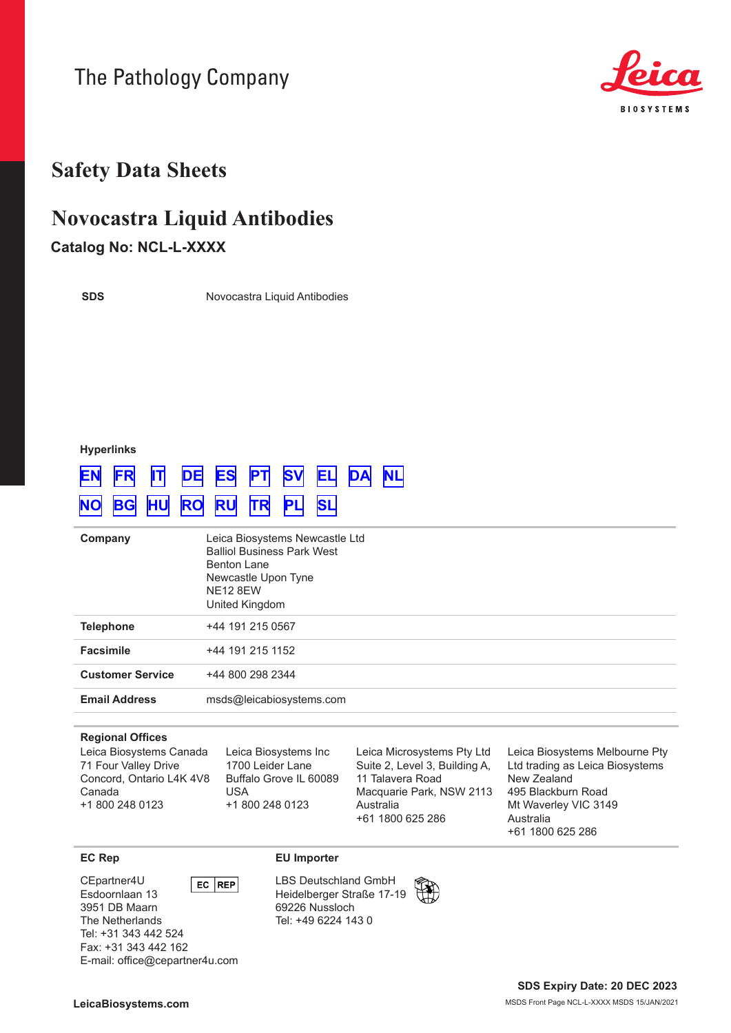The Pathology Company



# **Safety Data Sheets**

# **Novocastra Liquid Antibodies**

# **Catalog No: NCL-L-XXXX**

**SDS**

Novocastra Liquid Antibodies

# **Hyperlinks**

# **[EN](#page-1-0) [FR](#page-6-0) [IT](#page-11-0) [DE](#page-16-0) [ES](#page-21-0) [PT](#page-26-0) [SV](#page-31-0) [EL](#page-36-0) [DA](#page-41-0) [NL](#page-46-0)**

# **[NO](#page-51-0) [BG](#page-56-0) [HU](#page-61-0) [RO](#page-66-0) [RU](#page-71-0) [TR](#page-76-0) [PL](#page-81-0) [SL](#page-86-0)**

| Company                 | Leica Biosystems Newcastle Ltd<br><b>Balliol Business Park West</b><br><b>Benton Lane</b><br>Newcastle Upon Tyne<br><b>NE12 8EW</b><br>United Kingdom |
|-------------------------|-------------------------------------------------------------------------------------------------------------------------------------------------------|
| <b>Telephone</b>        | +44 191 215 0567                                                                                                                                      |
| <b>Facsimile</b>        | +44 191 215 1152                                                                                                                                      |
| <b>Customer Service</b> | +44 800 298 2344                                                                                                                                      |
| <b>Email Address</b>    | msds@leicabiosystems.com                                                                                                                              |

### **Regional Offices**

Leica Biosystems Canada 71 Four Valley Drive Concord, Ontario L4K 4V8 Canada +1 800 248 0123

Leica Biosystems Inc 1700 Leider Lane Buffalo Grove IL 60089 USA +1 800 248 0123

Leica Microsystems Pty Ltd Suite 2, Level 3, Building A, 11 Talavera Road Macquarie Park, NSW 2113 Australia +61 1800 625 286

Leica Biosystems Melbourne Pty Ltd trading as Leica Biosystems New Zealand 495 Blackburn Road Mt Waverley VIC 3149 Australia +61 1800 625 286

#### CEpartner4U  $EC$  REP Esdoornlaan 13 3951 DB Maarn The Netherlands Tel: +31 343 442 524 Fax: +31 343 442 162 E-mail: office@cepartner4u.com

# **EC Rep EU Importer**

LBS Deutschland GmbH Heidelberger Straße 17-19 69226 Nussloch Tel: +49 6224 143 0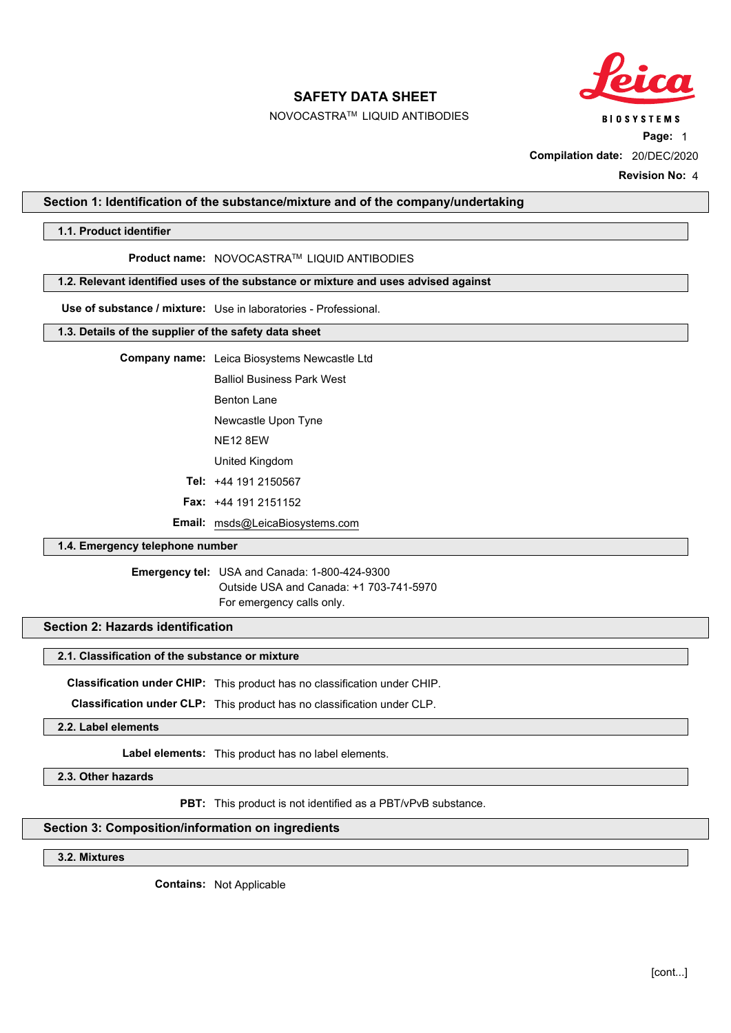

NOVOCASTRATM LIQUID ANTIBODIES

**BIOSYSTEMS** 

**Page:** 1

**Compilation date:** 20/DEC/2020

**Revision No:** 4

### <span id="page-1-0"></span>**Section 1: Identification of the substance/mixture and of the company/undertaking**

### **1.1. Product identifier**

### **Product name:** NOVOCASTRATM LIQUID ANTIBODIES

### **1.2. Relevant identified uses of the substance or mixture and uses advised against**

**Use of substance / mixture:** Use in laboratories - Professional.

### **1.3. Details of the supplier of the safety data sheet**

**Company name:** Leica Biosystems Newcastle Ltd

Balliol Business Park West

Benton Lane

Newcastle Upon Tyne

NE12 8EW

United Kingdom

**Tel:** +44 191 2150567

**Fax:** +44 191 2151152

**Email:** msds@LeicaBiosystems.com

# **1.4. Emergency telephone number**

**Emergency tel:** USA and Canada: 1-800-424-9300 Outside USA and Canada: +1 703-741-5970 For emergency calls only.

# **Section 2: Hazards identification**

### **2.1. Classification of the substance or mixture**

**Classification under CHIP:** This product has no classification under CHIP.

**Classification under CLP:** This product has no classification under CLP.

**2.2. Label elements**

**Label elements:** This product has no label elements.

**2.3. Other hazards**

**PBT:** This product is not identified as a PBT/vPvB substance.

### **Section 3: Composition/information on ingredients**

**3.2. Mixtures**

**Contains:** Not Applicable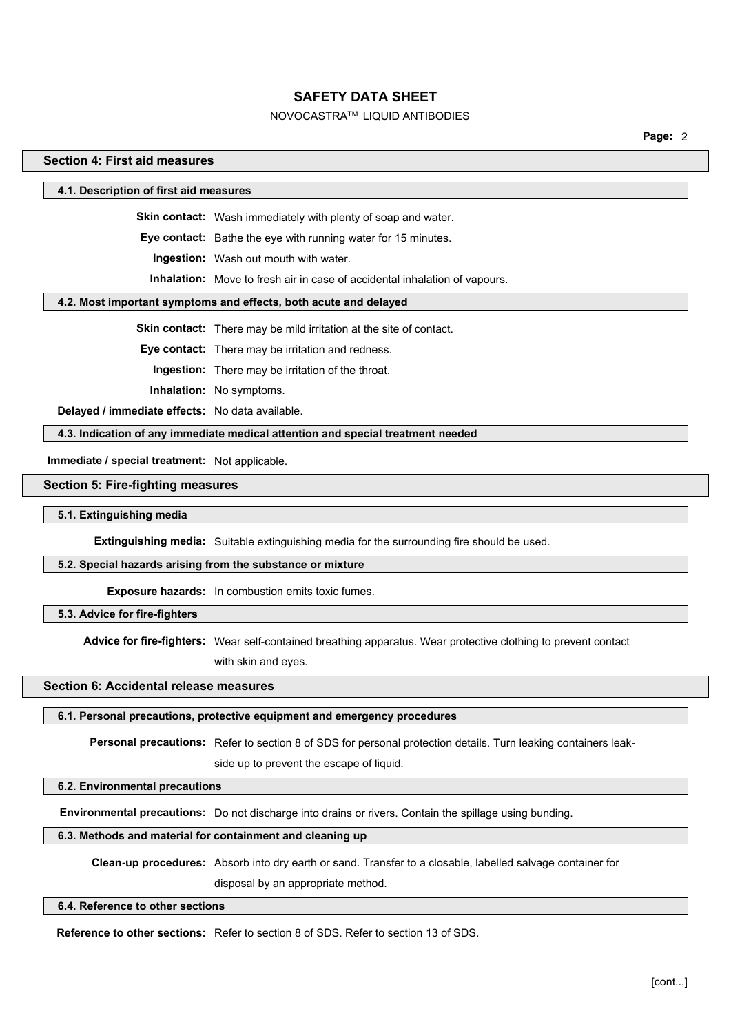# NOVOCASTRATM LIQUID ANTIBODIES

**Page:** 2

### **Section 4: First aid measures**

**4.1. Description of first aid measures**

**Skin contact:** Wash immediately with plenty of soap and water.

**Eye contact:** Bathe the eye with running water for 15 minutes.

**Ingestion:** Wash out mouth with water.

**Inhalation:** Move to fresh air in case of accidental inhalation of vapours.

### **4.2. Most important symptoms and effects, both acute and delayed**

**Skin contact:** There may be mild irritation at the site of contact.

**Eye contact:** There may be irritation and redness.

**Ingestion:** There may be irritation of the throat.

**Inhalation:** No symptoms.

**Delayed / immediate effects:** No data available.

**4.3. Indication of any immediate medical attention and special treatment needed**

**Immediate / special treatment:** Not applicable.

### **Section 5: Fire-fighting measures**

#### **5.1. Extinguishing media**

**Extinguishing media:** Suitable extinguishing media for the surrounding fire should be used.

### **5.2. Special hazards arising from the substance or mixture**

**Exposure hazards:** In combustion emits toxic fumes.

# **5.3. Advice for fire-fighters**

**Advice for fire-fighters:** Wear self-contained breathing apparatus. Wear protective clothing to prevent contact

with skin and eyes.

# **Section 6: Accidental release measures**

#### **6.1. Personal precautions, protective equipment and emergency procedures**

**Personal precautions:** Refer to section 8 of SDS for personal protection details. Turn leaking containers leak-

side up to prevent the escape of liquid.

# **6.2. Environmental precautions**

**Environmental precautions:** Do not discharge into drains or rivers. Contain the spillage using bunding.

### **6.3. Methods and material for containment and cleaning up**

**Clean-up procedures:** Absorb into dry earth or sand. Transfer to a closable, labelled salvage container for

disposal by an appropriate method.

# **6.4. Reference to other sections**

**Reference to other sections:** Refer to section 8 of SDS. Refer to section 13 of SDS.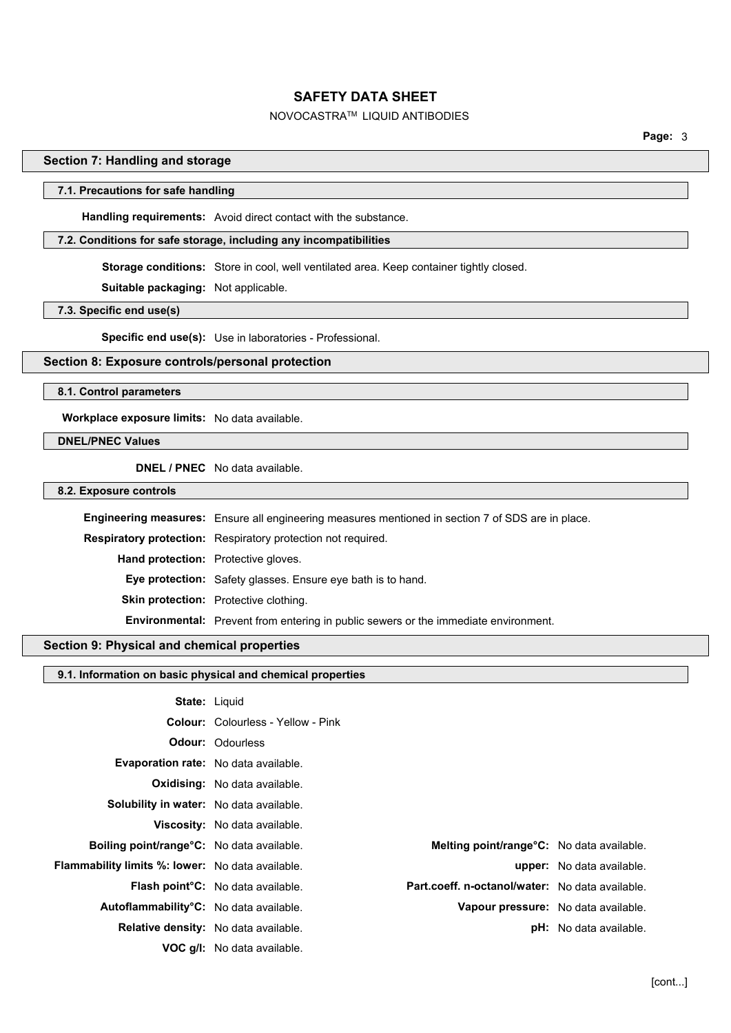# NOVOCASTRATM LIQUID ANTIBODIES

**Page:** 3

### **Section 7: Handling and storage**

### **7.1. Precautions for safe handling**

**Handling requirements:** Avoid direct contact with the substance.

### **7.2. Conditions for safe storage, including any incompatibilities**

**Storage conditions:** Store in cool, well ventilated area. Keep container tightly closed.

**Suitable packaging:** Not applicable.

**7.3. Specific end use(s)**

**Specific end use(s):** Use in laboratories - Professional.

### **Section 8: Exposure controls/personal protection**

#### **8.1. Control parameters**

**Workplace exposure limits:** No data available.

### **DNEL/PNEC Values**

**DNEL / PNEC** No data available.

**8.2. Exposure controls**

| <b>Engineering measures:</b> Ensure all engineering measures mentioned in section 7 of SDS are in place. |
|----------------------------------------------------------------------------------------------------------|
| <b>Respiratory protection:</b> Respiratory protection not required.                                      |
| Hand protection: Protective gloves.                                                                      |
| <b>Eye protection:</b> Safety glasses. Ensure eye bath is to hand.                                       |
| <b>Skin protection:</b> Protective clothing.                                                             |
| <b>Environmental:</b> Prevent from entering in public sewers or the immediate environment.               |
|                                                                                                          |

# **Section 9: Physical and chemical properties**

### **9.1. Information on basic physical and chemical properties**

|                                                         | <b>State: Liguid</b>                                                                        |                                     |
|---------------------------------------------------------|---------------------------------------------------------------------------------------------|-------------------------------------|
|                                                         | <b>Colour:</b> Colourless - Yellow - Pink                                                   |                                     |
|                                                         | <b>Odour: Odourless</b>                                                                     |                                     |
| <b>Evaporation rate:</b> No data available.             |                                                                                             |                                     |
|                                                         | <b>Oxidising:</b> No data available.                                                        |                                     |
| Solubility in water: No data available.                 |                                                                                             |                                     |
|                                                         | <b>Viscosity:</b> No data available.                                                        |                                     |
| Boiling point/range°C: No data available.               | Melting point/range°C: No data available.                                                   |                                     |
| <b>Flammability limits %: lower:</b> No data available. |                                                                                             | <b>upper:</b> No data available.    |
|                                                         | Part.coeff. n-octanol/water: No data available.<br><b>Flash point C:</b> No data available. |                                     |
| Autoflammability°C: No data available.                  |                                                                                             | Vapour pressure: No data available. |
|                                                         | <b>Relative density:</b> No data available.                                                 | <b>pH:</b> No data available.       |
|                                                         | <b>VOC g/l:</b> No data available.                                                          |                                     |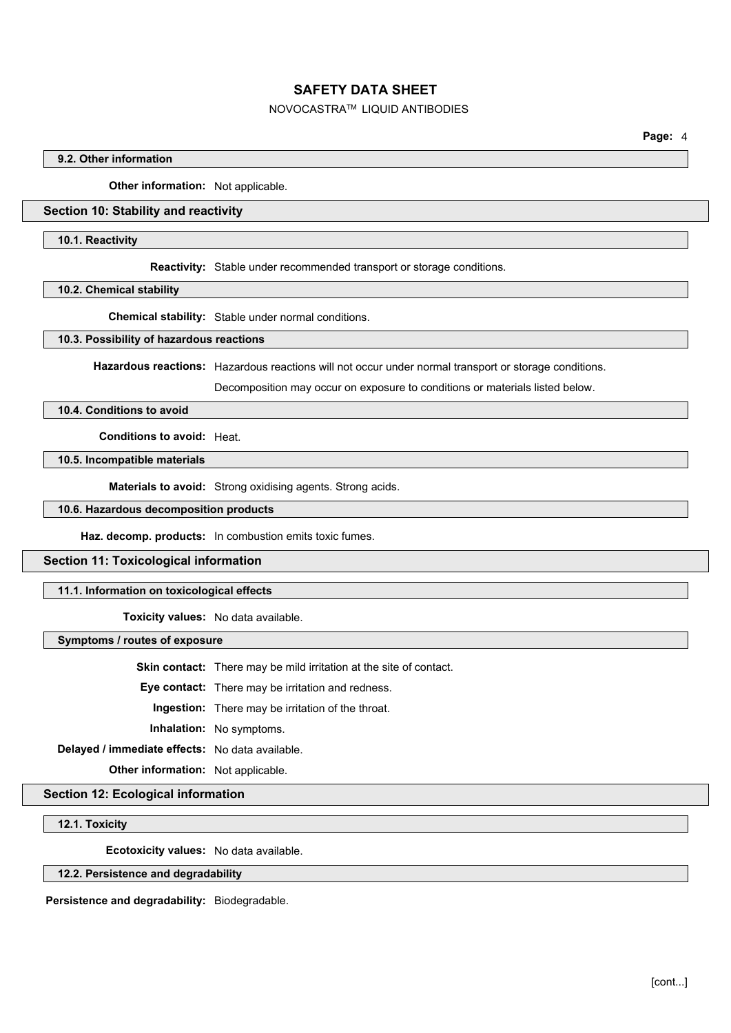### NOVOCASTRATM LIQUID ANTIBODIES

## **9.2. Other information**

**Other information:** Not applicable.

### **Section 10: Stability and reactivity**

#### **10.1. Reactivity**

**Reactivity:** Stable under recommended transport or storage conditions.

**10.2. Chemical stability**

**Chemical stability:** Stable under normal conditions.

#### **10.3. Possibility of hazardous reactions**

**Hazardous reactions:** Hazardous reactions will not occur under normal transport or storage conditions.

Decomposition may occur on exposure to conditions or materials listed below.

### **10.4. Conditions to avoid**

**Conditions to avoid:** Heat.

### **10.5. Incompatible materials**

**Materials to avoid:** Strong oxidising agents. Strong acids.

### **10.6. Hazardous decomposition products**

**Haz. decomp. products:** In combustion emits toxic fumes.

### **Section 11: Toxicological information**

### **11.1. Information on toxicological effects**

**Toxicity values:** No data available.

**Symptoms / routes of exposure**

**Skin contact:** There may be mild irritation at the site of contact.

**Eye contact:** There may be irritation and redness.

**Ingestion:** There may be irritation of the throat.

**Inhalation:** No symptoms.

**Delayed / immediate effects:** No data available.

**Other information:** Not applicable.

### **Section 12: Ecological information**

### **12.1. Toxicity**

**Ecotoxicity values:** No data available.

### **12.2. Persistence and degradability**

**Persistence and degradability:** Biodegradable.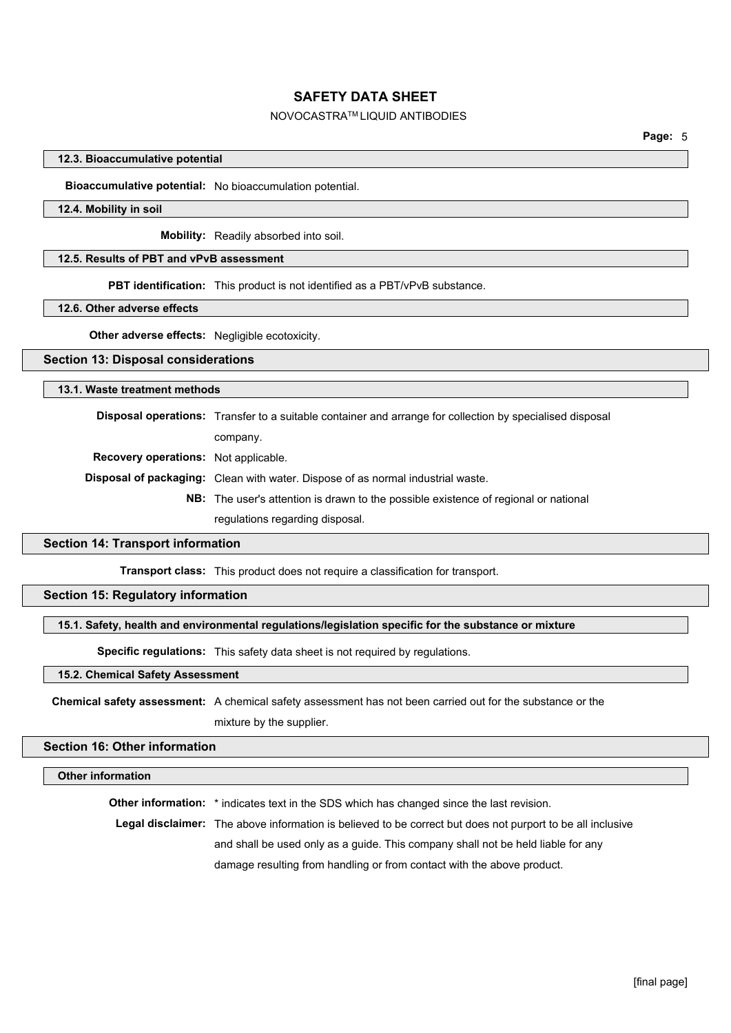# NOVOCASTRATM LIQUID ANTIBODIES

### **12.3. Bioaccumulative potential**

### **Bioaccumulative potential:** No bioaccumulation potential.

### **12.4. Mobility in soil**

**Mobility:** Readily absorbed into soil.

### **12.5. Results of PBT and vPvB assessment**

**PBT identification:** This product is not identified as a PBT/vPvB substance.

#### **12.6. Other adverse effects**

**Other adverse effects:** Negligible ecotoxicity.

# **Section 13: Disposal considerations**

### **13.1. Waste treatment methods**

**Disposal operations:** Transfer to a suitable container and arrange for collection by specialised disposal company. **Recovery operations:** Not applicable. **Disposal of packaging:** Clean with water. Dispose of as normal industrial waste. **NB:** The user's attention is drawn to the possible existence of regional or national regulations regarding disposal.

### **Section 14: Transport information**

**Transport class:** This product does not require a classification for transport.

### **Section 15: Regulatory information**

### **15.1. Safety, health and environmental regulations/legislation specific for the substance or mixture**

**Specific regulations:** This safety data sheet is not required by regulations.

### **15.2. Chemical Safety Assessment**

**Chemical safety assessment:** A chemical safety assessment has not been carried out for the substance or the mixture by the supplier.

# **Section 16: Other information**

#### **Other information**

**Other information:** \* indicates text in the SDS which has changed since the last revision.

**Legal disclaimer:** The above information is believed to be correct but does not purport to be all inclusive

and shall be used only as a guide. This company shall not be held liable for any

damage resulting from handling or from contact with the above product.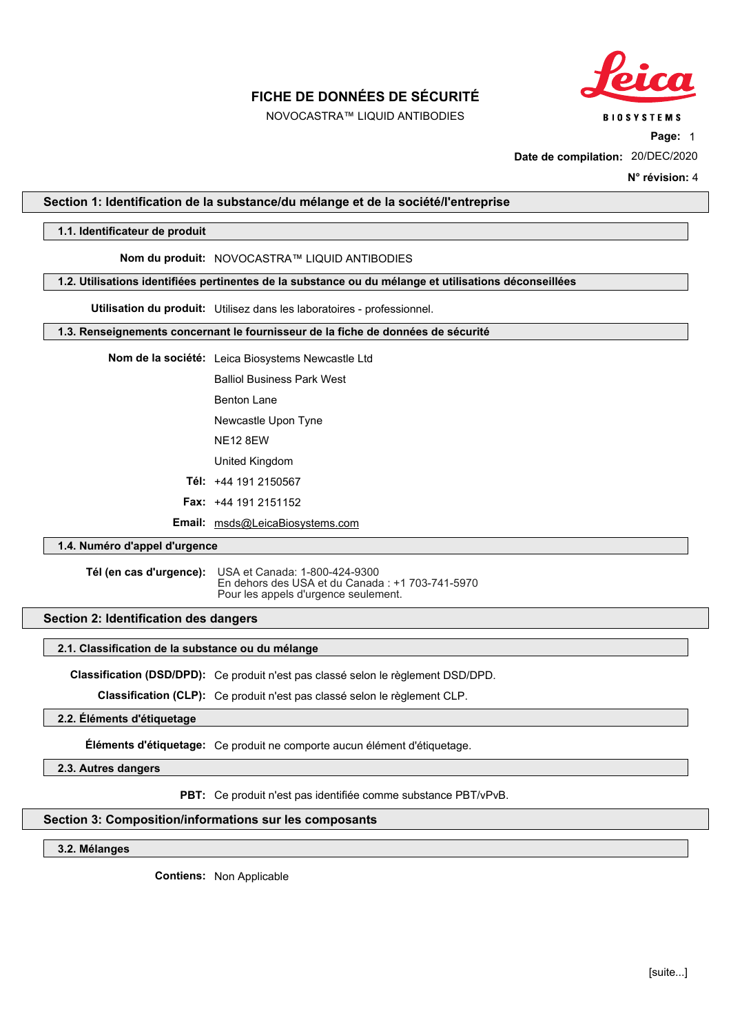

NOVOCASTRA™ LIQUID ANTIBODIES

**BIOSYSTEMS** 

**Page:** 1

**Date de compilation:** 20/DEC/2020

**N° révision:** 4

### <span id="page-6-0"></span>**Section 1: Identification de la substance/du mélange et de la société/l'entreprise**

### **1.1. Identificateur de produit**

### **Nom du produit:** NOVOCASTRA™ LIQUID ANTIBODIES

#### **1.2. Utilisations identifiées pertinentes de la substance ou du mélange et utilisations déconseillées**

**Utilisation du produit:** Utilisez dans les laboratoires - professionnel.

### **1.3. Renseignements concernant le fournisseur de la fiche de données de sécurité**

**Nom de la société:** Leica Biosystems Newcastle Ltd

Balliol Business Park West

Benton Lane

Newcastle Upon Tyne

NE12 8EW

United Kingdom

**Tél:** +44 191 2150567

**Fax:** +44 191 2151152

**Email:** msds@LeicaBiosystems.com

### **1.4. Numéro d'appel d'urgence**

**Tél (en cas d'urgence):** USA et Canada: 1-800-424-9300 En dehors des USA et du Canada : +1 703-741-5970 Pour les appels d'urgence seulement.

### **Section 2: Identification des dangers**

#### **2.1. Classification de la substance ou du mélange**

**Classification (DSD/DPD):** Ce produit n'est pas classé selon le règlement DSD/DPD.

**Classification (CLP):** Ce produit n'est pas classé selon le règlement CLP.

# **2.2. Éléments d'étiquetage**

**Éléments d'étiquetage:** Ce produit ne comporte aucun élément d'étiquetage.

**2.3. Autres dangers**

**PBT:** Ce produit n'est pas identifiée comme substance PBT/vPvB.

### **Section 3: Composition/informations sur les composants**

**3.2. Mélanges**

**Contiens:** Non Applicable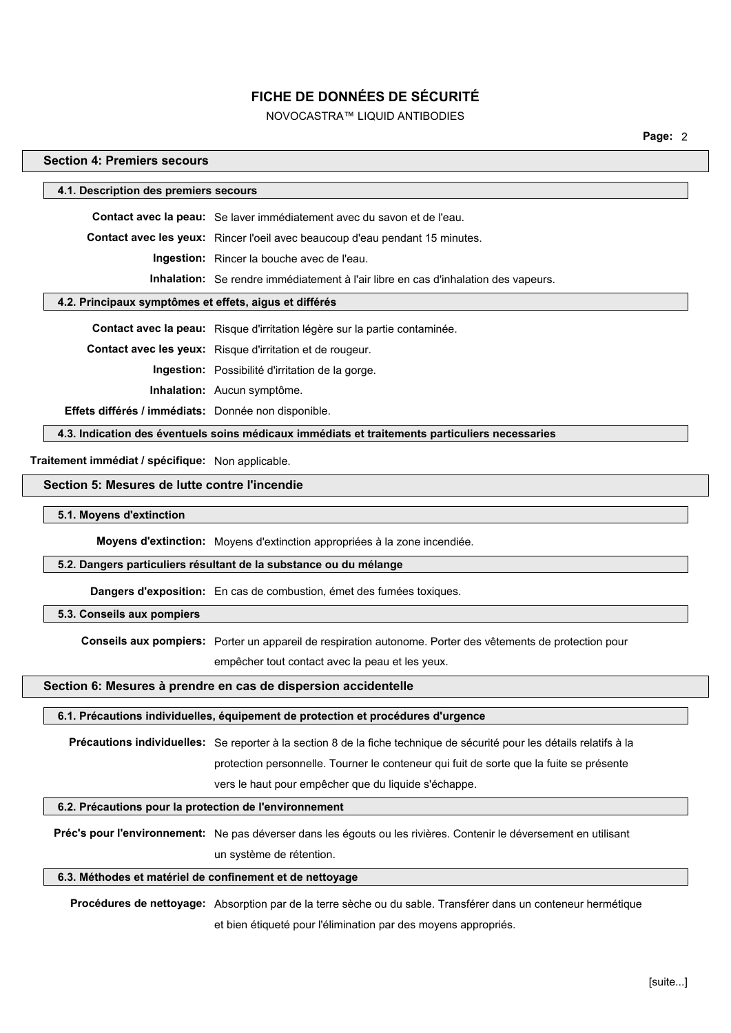# NOVOCASTRA™ LIQUID ANTIBODIES

**Page:** 2

# **Section 4: Premiers secours**

| 4.1. Description des premiers secours                    |                                                                                                                        |
|----------------------------------------------------------|------------------------------------------------------------------------------------------------------------------------|
|                                                          |                                                                                                                        |
|                                                          | Contact avec la peau: Se laver immédiatement avec du savon et de l'eau.                                                |
|                                                          | Contact avec les yeux: Rincer l'oeil avec beaucoup d'eau pendant 15 minutes.                                           |
|                                                          | Ingestion: Rincer la bouche avec de l'eau.                                                                             |
|                                                          | Inhalation: Se rendre immédiatement à l'air libre en cas d'inhalation des vapeurs.                                     |
| 4.2. Principaux symptômes et effets, aigus et différés   |                                                                                                                        |
|                                                          | Contact avec la peau: Risque d'irritation légère sur la partie contaminée.                                             |
|                                                          | Contact avec les yeux: Risque d'irritation et de rougeur.                                                              |
|                                                          | Ingestion: Possibilité d'irritation de la gorge.                                                                       |
|                                                          | Inhalation: Aucun symptôme.                                                                                            |
| Effets différés / immédiats: Donnée non disponible.      |                                                                                                                        |
|                                                          | 4.3. Indication des éventuels soins médicaux immédiats et traitements particuliers necessaries                         |
| Traitement immédiat / spécifique: Non applicable.        |                                                                                                                        |
| Section 5: Mesures de lutte contre l'incendie            |                                                                                                                        |
| 5.1. Moyens d'extinction                                 |                                                                                                                        |
|                                                          | Moyens d'extinction: Moyens d'extinction appropriées à la zone incendiée.                                              |
|                                                          | 5.2. Dangers particuliers résultant de la substance ou du mélange                                                      |
|                                                          | Dangers d'exposition: En cas de combustion, émet des fumées toxiques.                                                  |
| 5.3. Conseils aux pompiers                               |                                                                                                                        |
|                                                          | Conseils aux pompiers: Porter un appareil de respiration autonome. Porter des vêtements de protection pour             |
|                                                          | empêcher tout contact avec la peau et les yeux.                                                                        |
|                                                          | Section 6: Mesures à prendre en cas de dispersion accidentelle                                                         |
|                                                          | 6.1. Précautions individuelles, équipement de protection et procédures d'urgence                                       |
|                                                          | Précautions individuelles: Se reporter à la section 8 de la fiche technique de sécurité pour les détails relatifs à la |
|                                                          | protection personnelle. Tourner le conteneur qui fuit de sorte que la fuite se présente                                |
|                                                          | vers le haut pour empêcher que du liquide s'échappe.                                                                   |
| 6.2. Précautions pour la protection de l'environnement   |                                                                                                                        |
|                                                          |                                                                                                                        |
|                                                          | Préc's pour l'environnement: Ne pas déverser dans les égouts ou les rivières. Contenir le déversement en utilisant     |
|                                                          | un système de rétention.                                                                                               |
| 6.3. Méthodes et matériel de confinement et de nettoyage |                                                                                                                        |
|                                                          | Procédures de nettoyage: Absorption par de la terre sèche ou du sable. Transférer dans un conteneur hermétique         |
|                                                          | et bien étiqueté pour l'élimination par des moyens appropriés.                                                         |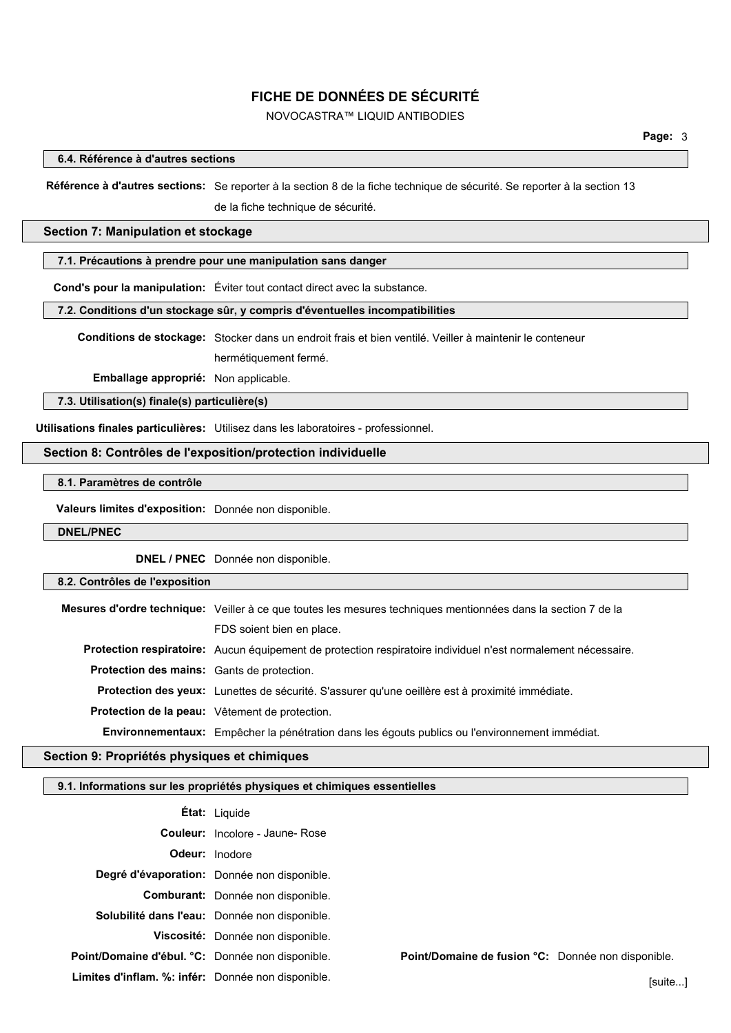# NOVOCASTRA™ LIQUID ANTIBODIES

### **6.4. Référence à d'autres sections**

**Référence à d'autres sections:** Se reporter à la section 8 de la fiche technique de sécurité. Se reporter à la section 13 de la fiche technique de sécurité.

### **Section 7: Manipulation et stockage**

### **7.1. Précautions à prendre pour une manipulation sans danger**

**Cond's pour la manipulation:** Éviter tout contact direct avec la substance.

### **7.2. Conditions d'un stockage sûr, y compris d'éventuelles incompatibilities**

**Conditions de stockage:** Stocker dans un endroit frais et bien ventilé. Veiller à maintenir le conteneur hermétiquement fermé.

**Emballage approprié:** Non applicable.

**7.3. Utilisation(s) finale(s) particulière(s)**

**Utilisations finales particulières:** Utilisez dans les laboratoires - professionnel.

# **Section 8: Contrôles de l'exposition/protection individuelle**

# **8.1. Paramètres de contrôle**

**Valeurs limites d'exposition:** Donnée non disponible.

### **DNEL/PNEC**

**DNEL / PNEC** Donnée non disponible.

### **8.2. Contrôles de l'exposition**

**Mesures d'ordre technique:** Veiller à ce que toutes les mesures techniques mentionnées dans la section 7 de la FDS soient bien en place. **Protection respiratoire:** Aucun équipement de protection respiratoire individuel n'est normalement nécessaire. **Protection des mains:** Gants de protection. **Protection des yeux:** Lunettes de sécurité. S'assurer qu'une oeillère est à proximité immédiate. **Protection de la peau:** Vêtement de protection. **Environnementaux:** Empêcher la pénétration dans les égouts publics ou l'environnement immédiat.

### **Section 9: Propriétés physiques et chimiques**

### **9.1. Informations sur les propriétés physiques et chimiques essentielles**

|                                                    | <b>Etat:</b> Liquide                          |                                                    |         |
|----------------------------------------------------|-----------------------------------------------|----------------------------------------------------|---------|
|                                                    | <b>Couleur:</b> Incolore - Jaune- Rose        |                                                    |         |
|                                                    | <b>Odeur:</b> Inodore                         |                                                    |         |
|                                                    | Degré d'évaporation: Donnée non disponible.   |                                                    |         |
|                                                    | Comburant: Donnée non disponible.             |                                                    |         |
|                                                    | Solubilité dans l'eau: Donnée non disponible. |                                                    |         |
|                                                    | Viscosité: Donnée non disponible.             |                                                    |         |
| Point/Domaine d'ébul. °C: Donnée non disponible.   |                                               | Point/Domaine de fusion °C: Donnée non disponible. |         |
| Limites d'inflam. %: infér: Donnée non disponible. |                                               |                                                    | [suite] |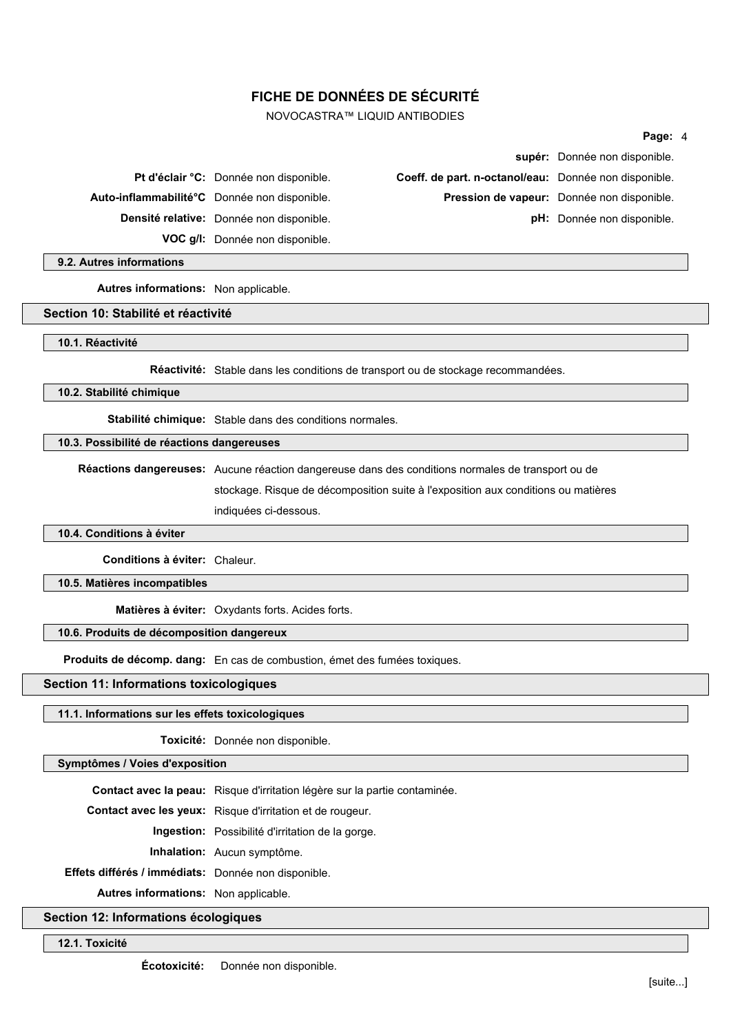NOVOCASTRA™ LIQUID ANTIBODIES

|                                              |                                                       | supér: Donnée non disponible.              |
|----------------------------------------------|-------------------------------------------------------|--------------------------------------------|
| Pt d'éclair °C: Donnée non disponible.       | Coeff. de part. n-octanol/eau: Donnée non disponible. |                                            |
| Auto-inflammabilité°C Donnée non disponible. |                                                       | Pression de vapeur: Donnée non disponible. |
| Densité relative: Donnée non disponible.     |                                                       | pH: Donnée non disponible.                 |
| VOC g/l: Donnée non disponible.              |                                                       |                                            |

**9.2. Autres informations**

**Autres informations:** Non applicable.

#### **Section 10: Stabilité et réactivité**

**10.1. Réactivité**

**Réactivité:** Stable dans les conditions de transport ou de stockage recommandées.

**10.2. Stabilité chimique**

**Stabilité chimique:** Stable dans des conditions normales.

### **10.3. Possibilité de réactions dangereuses**

**Réactions dangereuses:** Aucune réaction dangereuse dans des conditions normales de transport ou de

stockage. Risque de décomposition suite à l'exposition aux conditions ou matières

indiquées ci-dessous.

### **10.4. Conditions à éviter**

**Conditions à éviter:** Chaleur.

**10.5. Matières incompatibles**

**Matières à éviter:** Oxydants forts. Acides forts.

### **10.6. Produits de décomposition dangereux**

**Produits de décomp. dang:** En cas de combustion, émet des fumées toxiques.

**Section 11: Informations toxicologiques**

# **11.1. Informations sur les effets toxicologiques**

**Toxicité:** Donnée non disponible.

# **Symptômes / Voies d'exposition**

**Contact avec la peau:** Risque d'irritation légère sur la partie contaminée.

**Contact avec les yeux:** Risque d'irritation et de rougeur.

**Ingestion:** Possibilité d'irritation de la gorge.

**Inhalation:** Aucun symptôme.

**Effets différés / immédiats:** Donnée non disponible.

**Autres informations:** Non applicable.

### **Section 12: Informations écologiques**

**12.1. Toxicité**

**Page:** 4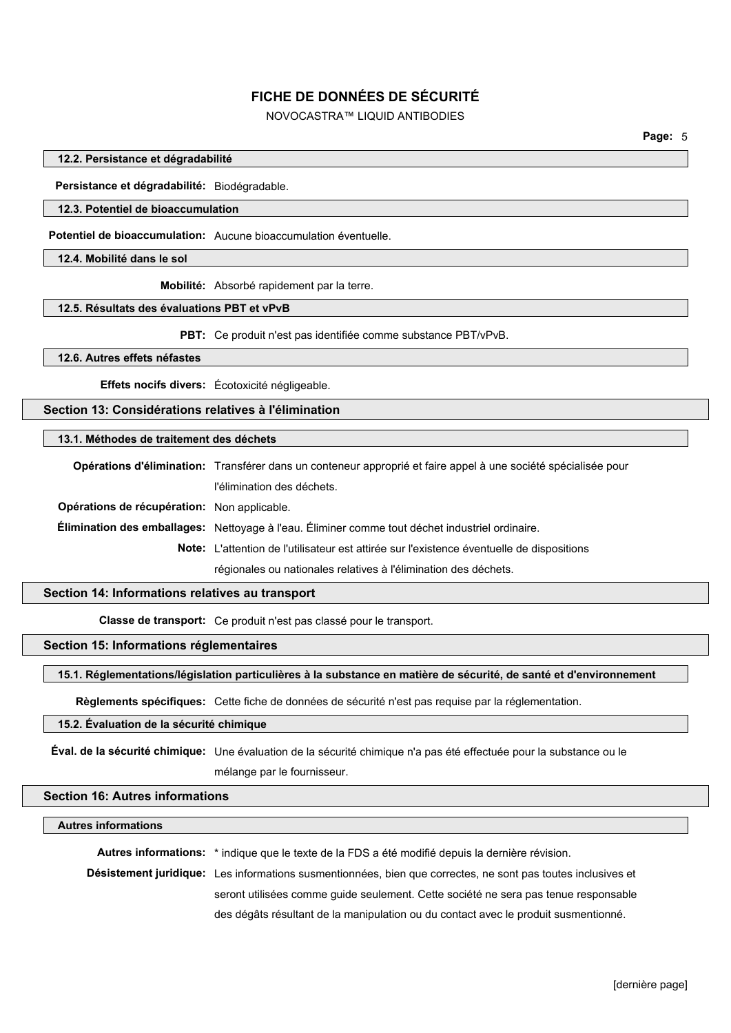# NOVOCASTRA™ LIQUID ANTIBODIES

#### **12.2. Persistance et dégradabilité**

**Persistance et dégradabilité:** Biodégradable.

### **12.3. Potentiel de bioaccumulation**

**Potentiel de bioaccumulation:** Aucune bioaccumulation éventuelle.

**12.4. Mobilité dans le sol**

**Mobilité:** Absorbé rapidement par la terre.

#### **12.5. Résultats des évaluations PBT et vPvB**

**PBT:** Ce produit n'est pas identifiée comme substance PBT/vPvB.

### **12.6. Autres effets néfastes**

**Effets nocifs divers:** Écotoxicité négligeable.

### **Section 13: Considérations relatives à l'élimination**

### **13.1. Méthodes de traitement des déchets**

|                                             | Opérations d'élimination: Transférer dans un conteneur approprié et faire appel à une société spécialisée pour |  |
|---------------------------------------------|----------------------------------------------------------------------------------------------------------------|--|
|                                             | l'élimination des déchets.                                                                                     |  |
| Opérations de récupération: Non applicable. |                                                                                                                |  |
|                                             | Élimination des emballages: Nettoyage à l'eau. Éliminer comme tout déchet industriel ordinaire.                |  |
|                                             | Note: L'attention de l'utilisateur est attirée sur l'existence éventuelle de dispositions                      |  |
|                                             | régionales ou nationales relatives à l'élimination des déchets.                                                |  |

#### **Section 14: Informations relatives au transport**

**Classe de transport:** Ce produit n'est pas classé pour le transport.

# **Section 15: Informations réglementaires**

**15.1. Réglementations/législation particulières à la substance en matière de sécurité, de santé et d'environnement**

**Règlements spécifiques:** Cette fiche de données de sécurité n'est pas requise par la réglementation.

### **15.2. Évaluation de la sécurité chimique**

**Éval. de la sécurité chimique:** Une évaluation de la sécurité chimique n'a pas été effectuée pour la substance ou le

# mélange par le fournisseur.

### **Section 16: Autres informations**

#### **Autres informations**

**Autres informations:** \* indique que le texte de la FDS a été modifié depuis la dernière révision. **Désistement juridique:** Les informations susmentionnées, bien que correctes, ne sont pas toutes inclusives et seront utilisées comme guide seulement. Cette société ne sera pas tenue responsable des dégâts résultant de la manipulation ou du contact avec le produit susmentionné.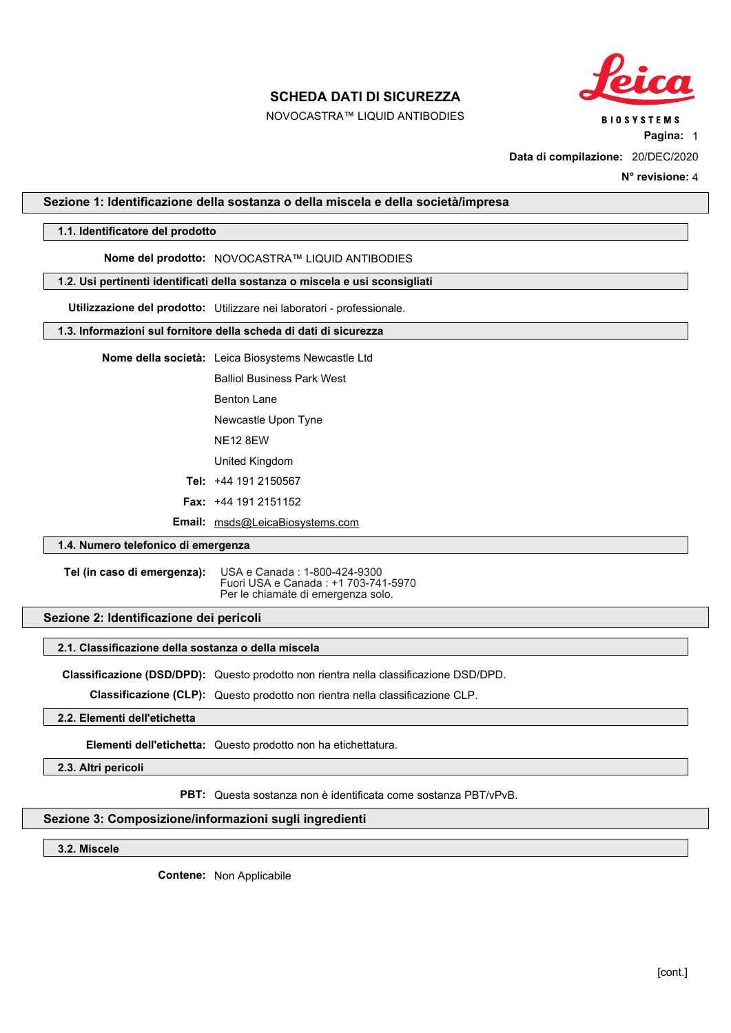NOVOCASTRA™ LIQUID ANTIBODIES



**Pagina:** 1

**Data di compilazione:** 20/DEC/2020

**N° revisione:** 4

#### <span id="page-11-0"></span>**Sezione 1: Identificazione della sostanza o della miscela e della società/impresa**

### **1.1. Identificatore del prodotto**

# **Nome del prodotto:** NOVOCASTRA™ LIQUID ANTIBODIES

#### **1.2. Usi pertinenti identificati della sostanza o miscela e usi sconsigliati**

**Utilizzazione del prodotto:** Utilizzare nei laboratori - professionale.

#### **1.3. Informazioni sul fornitore della scheda di dati di sicurezza**

**Nome della società:** Leica Biosystems Newcastle Ltd

Balliol Business Park West

Benton Lane

Newcastle Upon Tyne

NE12 8EW

United Kingdom

**Tel:** +44 191 2150567

**Fax:** +44 191 2151152

**Email:** msds@LeicaBiosystems.com

## **1.4. Numero telefonico di emergenza**

**Tel (in caso di emergenza):** USA e Canada : 1-800-424-9300 Fuori USA e Canada : +1 703-741-5970 Per le chiamate di emergenza solo.

# **Sezione 2: Identificazione dei pericoli**

#### **2.1. Classificazione della sostanza o della miscela**

**Classificazione (DSD/DPD):** Questo prodotto non rientra nella classificazione DSD/DPD.

**Classificazione (CLP):** Questo prodotto non rientra nella classificazione CLP.

**2.2. Elementi dell'etichetta**

**Elementi dell'etichetta:** Questo prodotto non ha etichettatura.

**2.3. Altri pericoli**

**PBT:** Questa sostanza non è identificata come sostanza PBT/vPvB.

### **Sezione 3: Composizione/informazioni sugli ingredienti**

**3.2. Miscele**

**Contene:** Non Applicabile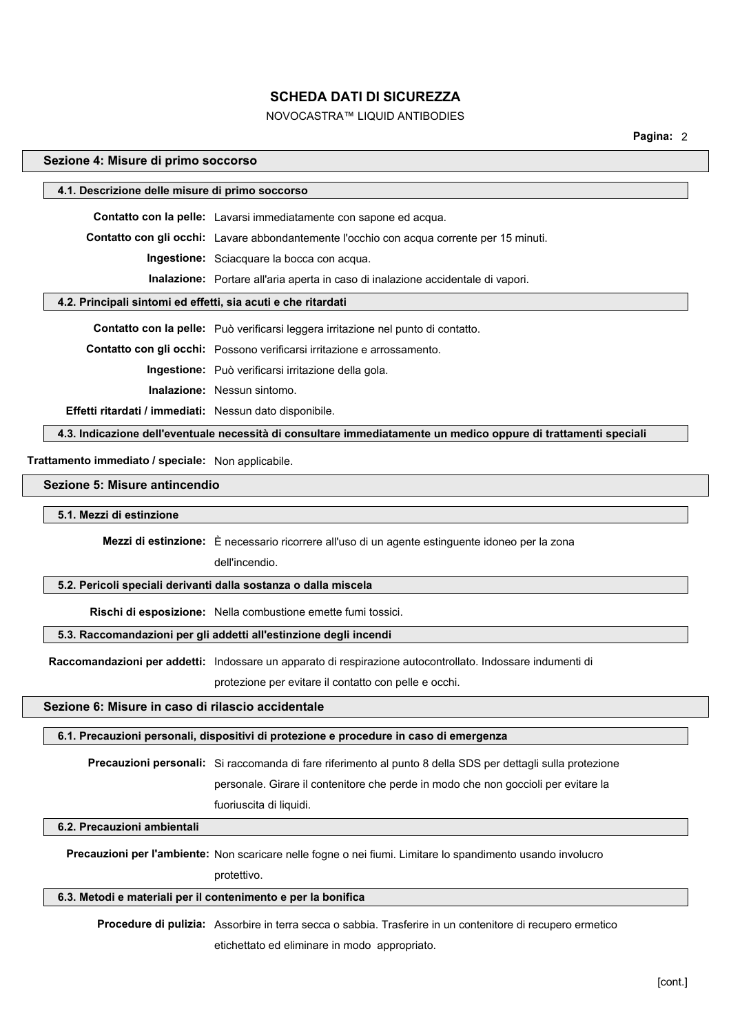# NOVOCASTRA™ LIQUID ANTIBODIES

**Pagina:** 2

#### **Sezione 4: Misure di primo soccorso**

| 4.1. Descrizione delle misure di primo soccorso                |                                                                                                                 |  |  |
|----------------------------------------------------------------|-----------------------------------------------------------------------------------------------------------------|--|--|
|                                                                | Contatto con la pelle: Lavarsi immediatamente con sapone ed acqua.                                              |  |  |
|                                                                | <b>Contatto con gli occhi:</b> Lavare abbondantemente l'occhio con acqua corrente per 15 minuti.                |  |  |
|                                                                | <b>Ingestione:</b> Sciacquare la bocca con acqua.                                                               |  |  |
|                                                                | <b>Inalazione:</b> Portare all'aria aperta in caso di inalazione accidentale di vapori.                         |  |  |
| 4.2. Principali sintomi ed effetti, sia acuti e che ritardati  |                                                                                                                 |  |  |
|                                                                | <b>Contatto con la pelle:</b> Può verificarsi leggera irritazione nel punto di contatto.                        |  |  |
|                                                                |                                                                                                                 |  |  |
|                                                                | <b>Contatto con gli occhi:</b> Possono verificarsi irritazione e arrossamento.                                  |  |  |
|                                                                | <b>Ingestione:</b> Può verificarsi irritazione della gola.                                                      |  |  |
|                                                                | <b>Inalazione:</b> Nessun sintomo.                                                                              |  |  |
| <b>Effetti ritardati / immediati:</b> Nessun dato disponibile. |                                                                                                                 |  |  |
|                                                                | 4.3. Indicazione dell'eventuale necessità di consultare immediatamente un medico oppure di trattamenti speciali |  |  |
| Trattamento immediato / speciale: Non applicabile.             |                                                                                                                 |  |  |

# **Sezione 5: Misure antincendio**

### **5.1. Mezzi di estinzione**

**Mezzi di estinzione:** È necessario ricorrere all'uso di un agente estinguente idoneo per la zona

dell'incendio.

### **5.2. Pericoli speciali derivanti dalla sostanza o dalla miscela**

**Rischi di esposizione:** Nella combustione emette fumi tossici.

#### **5.3. Raccomandazioni per gli addetti all'estinzione degli incendi**

**Raccomandazioni per addetti:** Indossare un apparato di respirazione autocontrollato. Indossare indumenti di

protezione per evitare il contatto con pelle e occhi.

# **Sezione 6: Misure in caso di rilascio accidentale**

### **6.1. Precauzioni personali, dispositivi di protezione e procedure in caso di emergenza**

**Precauzioni personali:** Si raccomanda di fare riferimento al punto 8 della SDS per dettagli sulla protezione

personale. Girare il contenitore che perde in modo che non goccioli per evitare la fuoriuscita di liquidi.

# **6.2. Precauzioni ambientali**

**Precauzioni per l'ambiente:** Non scaricare nelle fogne o nei fiumi. Limitare lo spandimento usando involucro

protettivo.

#### **6.3. Metodi e materiali per il contenimento e per la bonifica**

**Procedure di pulizia:** Assorbire in terra secca o sabbia. Trasferire in un contenitore di recupero ermetico etichettato ed eliminare in modo appropriato.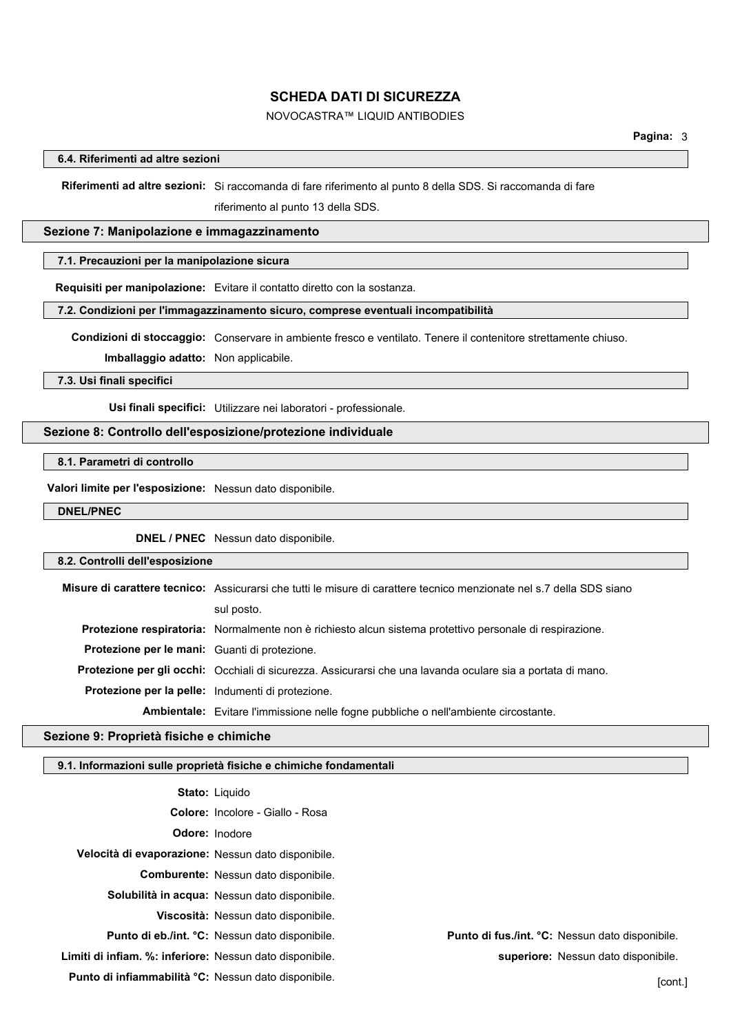# NOVOCASTRA™ LIQUID ANTIBODIES

### **6.4. Riferimenti ad altre sezioni**

**Riferimenti ad altre sezioni:** Si raccomanda di fare riferimento al punto 8 della SDS. Si raccomanda di fare riferimento al punto 13 della SDS.

#### **Sezione 7: Manipolazione e immagazzinamento**

### **7.1. Precauzioni per la manipolazione sicura**

**Requisiti per manipolazione:** Evitare il contatto diretto con la sostanza.

### **7.2. Condizioni per l'immagazzinamento sicuro, comprese eventuali incompatibilità**

**Condizioni di stoccaggio:** Conservare in ambiente fresco e ventilato. Tenere il contenitore strettamente chiuso.

**Imballaggio adatto:** Non applicabile.

#### **7.3. Usi finali specifici**

**Usi finali specifici:** Utilizzare nei laboratori - professionale.

### **Sezione 8: Controllo dell'esposizione/protezione individuale**

## **8.1. Parametri di controllo**

**Valori limite per l'esposizione:** Nessun dato disponibile.

### **DNEL/PNEC**

**DNEL / PNEC** Nessun dato disponibile.

#### **8.2. Controlli dell'esposizione**

**Misure di carattere tecnico:** Assicurarsi che tutti le misure di carattere tecnico menzionate nel s.7 della SDS siano sul posto. **Protezione respiratoria:** Normalmente non è richiesto alcun sistema protettivo personale di respirazione. **Protezione per le mani:** Guanti di protezione. **Protezione per gli occhi:** Occhiali di sicurezza. Assicurarsi che una lavanda oculare sia a portata di mano. **Protezione per la pelle:** Indumenti di protezione. **Ambientale:** Evitare l'immissione nelle fogne pubbliche o nell'ambiente circostante.

#### **Sezione 9: Proprietà fisiche e chimiche**

### **9.1. Informazioni sulle proprietà fisiche e chimiche fondamentali**

 **Stato:** Liquido  **Colore:** Incolore - Giallo - Rosa  **Odore:** Inodore **Velocità di evaporazione:** Nessun dato disponibile.  **Comburente:** Nessun dato disponibile.  **Solubilità in acqua:** Nessun dato disponibile.  **Viscosità:** Nessun dato disponibile.  **Punto di eb./int. °C:** Nessun dato disponibile. **Punto di fus./int. °C:** Nessun dato disponibile. **Limiti di infiam. %: inferiore:** Nessun dato disponibile. **superiore:** Nessun dato disponibile.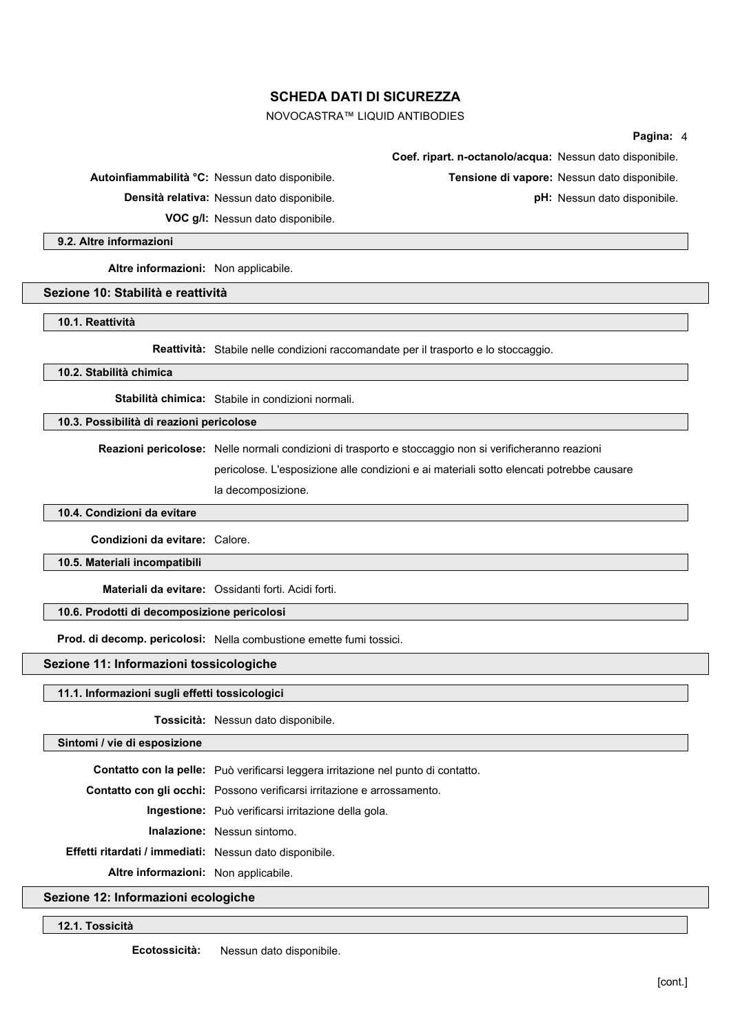# NOVOCASTRA™ LIQUID ANTIBODIES

#### **Pagina:** 4

 **Coef. ripart. n-octanolo/acqua:** Nessun dato disponibile.  **Autoinfiammabilità °C:** Nessun dato disponibile. **Tensione di vapore:** Nessun dato disponibile. **Densità relativa:** Nessun dato disponibile. **pH:** Nessun dato disponibile.  **VOC g/l:** Nessun dato disponibile. **9.2. Altre informazioni Altre informazioni:** Non applicabile.

#### **Sezione 10: Stabilità e reattività**

**10.1. Reattività**

**Reattività:** Stabile nelle condizioni raccomandate per il trasporto e lo stoccaggio.

### **10.2. Stabilità chimica**

**Stabilità chimica:** Stabile in condizioni normali.

### **10.3. Possibilità di reazioni pericolose**

**Reazioni pericolose:** Nelle normali condizioni di trasporto e stoccaggio non si verificheranno reazioni

pericolose. L'esposizione alle condizioni e ai materiali sotto elencati potrebbe causare la decomposizione.

**10.4. Condizioni da evitare**

#### **Condizioni da evitare:** Calore.

**10.5. Materiali incompatibili**

**Materiali da evitare:** Ossidanti forti. Acidi forti.

### **10.6. Prodotti di decomposizione pericolosi**

**Prod. di decomp. pericolosi:** Nella combustione emette fumi tossici.

# **Sezione 11: Informazioni tossicologiche**

#### **11.1. Informazioni sugli effetti tossicologici**

**Tossicità:** Nessun dato disponibile.

#### **Sintomi / vie di esposizione**

**Contatto con la pelle:** Può verificarsi leggera irritazione nel punto di contatto. **Contatto con gli occhi:** Possono verificarsi irritazione e arrossamento. **Ingestione:** Può verificarsi irritazione della gola. **Inalazione:** Nessun sintomo.

**Effetti ritardati / immediati:** Nessun dato disponibile.

**Altre informazioni:** Non applicabile.

### **Sezione 12: Informazioni ecologiche**

**12.1. Tossicità**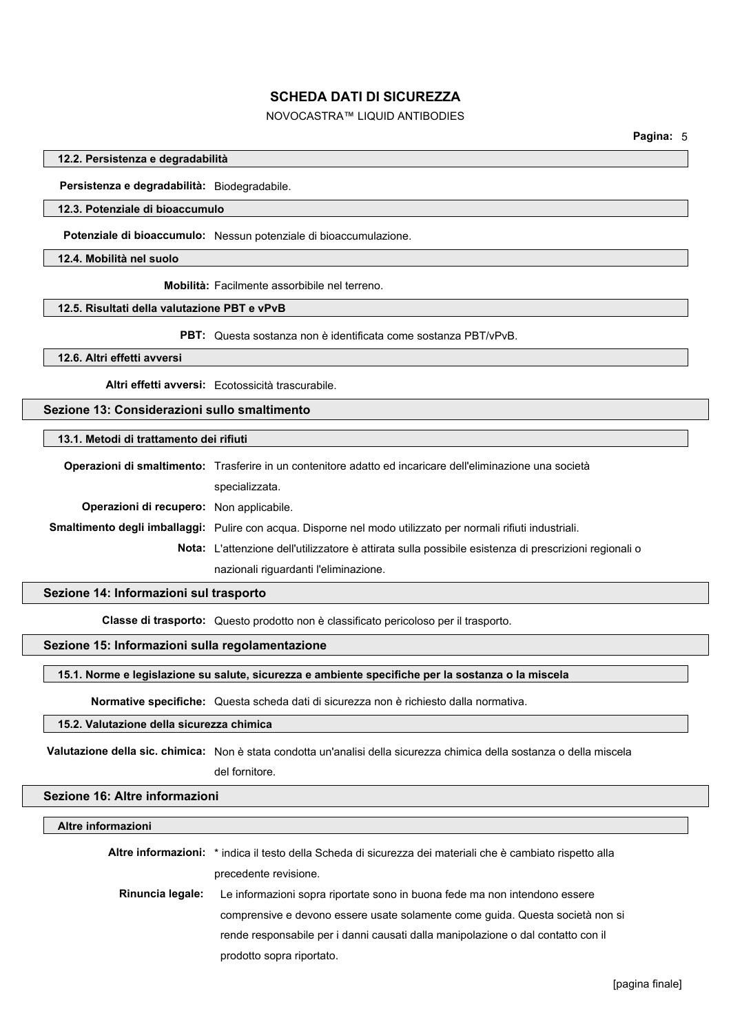# NOVOCASTRA™ LIQUID ANTIBODIES

#### **12.2. Persistenza e degradabilità**

**Persistenza e degradabilità:** Biodegradabile.

### **12.3. Potenziale di bioaccumulo**

**Potenziale di bioaccumulo:** Nessun potenziale di bioaccumulazione.

**12.4. Mobilità nel suolo**

**Mobilità:** Facilmente assorbibile nel terreno.

#### **12.5. Risultati della valutazione PBT e vPvB**

**PBT:** Questa sostanza non è identificata come sostanza PBT/vPvB.

### **12.6. Altri effetti avversi**

**Altri effetti avversi:** Ecotossicità trascurabile.

### **Sezione 13: Considerazioni sullo smaltimento**

### **13.1. Metodi di trattamento dei rifiuti**

|                                                 | Operazioni di smaltimento: Trasferire in un contenitore adatto ed incaricare dell'eliminazione una società    |
|-------------------------------------------------|---------------------------------------------------------------------------------------------------------------|
|                                                 | specializzata.                                                                                                |
| <b>Operazioni di recupero:</b> Non applicabile. |                                                                                                               |
|                                                 | Smaltimento degli imballaggi: Pulire con acqua. Disporne nel modo utilizzato per normali rifiuti industriali. |
|                                                 | <b>Nota:</b> L'attenzione dell'utilizzatore è attirata sulla possibile esistenza di prescrizioni regionali o  |
|                                                 | nazionali riguardanti l'eliminazione.                                                                         |
|                                                 |                                                                                                               |

### **Sezione 14: Informazioni sul trasporto**

**Classe di trasporto:** Questo prodotto non è classificato pericoloso per il trasporto.

# **Sezione 15: Informazioni sulla regolamentazione**

### **15.1. Norme e legislazione su salute, sicurezza e ambiente specifiche per la sostanza o la miscela**

**Normative specifiche:** Questa scheda dati di sicurezza non è richiesto dalla normativa.

# **15.2. Valutazione della sicurezza chimica**

**Valutazione della sic. chimica:** Non è stata condotta un'analisi della sicurezza chimica della sostanza o della miscela del fornitore.

#### **Sezione 16: Altre informazioni**

### **Altre informazioni**

|                  | Altre informazioni: * indica il testo della Scheda di sicurezza dei materiali che è cambiato rispetto alla |
|------------------|------------------------------------------------------------------------------------------------------------|
|                  | precedente revisione.                                                                                      |
| Rinuncia legale: | Le informazioni sopra riportate sono in buona fede ma non intendono essere                                 |
|                  | comprensive e devono essere usate solamente come quida. Questa società non si                              |
|                  | rende responsabile per i danni causati dalla manipolazione o dal contatto con il                           |
|                  | prodotto sopra riportato.                                                                                  |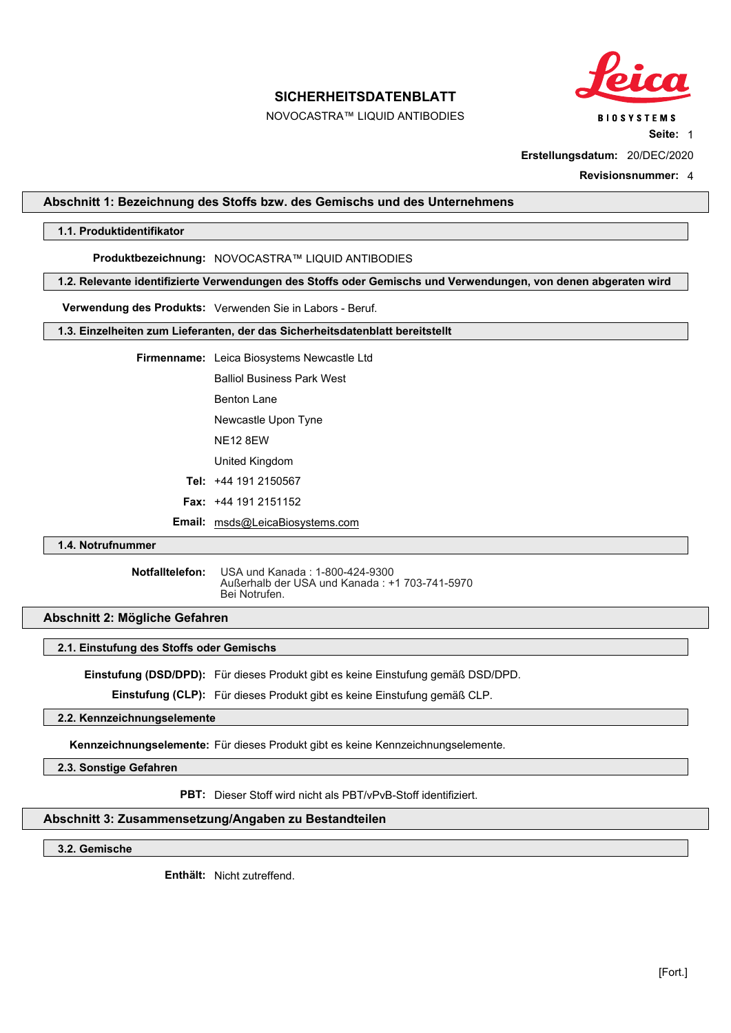NOVOCASTRA™ LIQUID ANTIBODIES



**Seite:** 1

**Erstellungsdatum:** 20/DEC/2020

**Revisionsnummer:** 4

### <span id="page-16-0"></span>**Abschnitt 1: Bezeichnung des Stoffs bzw. des Gemischs und des Unternehmens**

### **1.1. Produktidentifikator**

**Produktbezeichnung:** NOVOCASTRA™ LIQUID ANTIBODIES

**1.2. Relevante identifizierte Verwendungen des Stoffs oder Gemischs und Verwendungen, von denen abgeraten wird**

**Verwendung des Produkts:** Verwenden Sie in Labors - Beruf.

**1.3. Einzelheiten zum Lieferanten, der das Sicherheitsdatenblatt bereitstellt**

**Firmenname:** Leica Biosystems Newcastle Ltd

Balliol Business Park West

Benton Lane

Newcastle Upon Tyne

NE12 8EW

United Kingdom

**Tel:** +44 191 2150567

**Fax:** +44 191 2151152

**Email:** msds@LeicaBiosystems.com

# **1.4. Notrufnummer**

**Notfalltelefon:** USA und Kanada : 1-800-424-9300 Außerhalb der USA und Kanada : +1 703-741-5970 Bei Notrufen.

### **Abschnitt 2: Mögliche Gefahren**

#### **2.1. Einstufung des Stoffs oder Gemischs**

**Einstufung (DSD/DPD):** Für dieses Produkt gibt es keine Einstufung gemäß DSD/DPD.

**Einstufung (CLP):** Für dieses Produkt gibt es keine Einstufung gemäß CLP.

### **2.2. Kennzeichnungselemente**

**Kennzeichnungselemente:** Für dieses Produkt gibt es keine Kennzeichnungselemente.

**2.3. Sonstige Gefahren**

**PBT:** Dieser Stoff wird nicht als PBT/vPvB-Stoff identifiziert.

### **Abschnitt 3: Zusammensetzung/Angaben zu Bestandteilen**

**3.2. Gemische**

**Enthält:** Nicht zutreffend.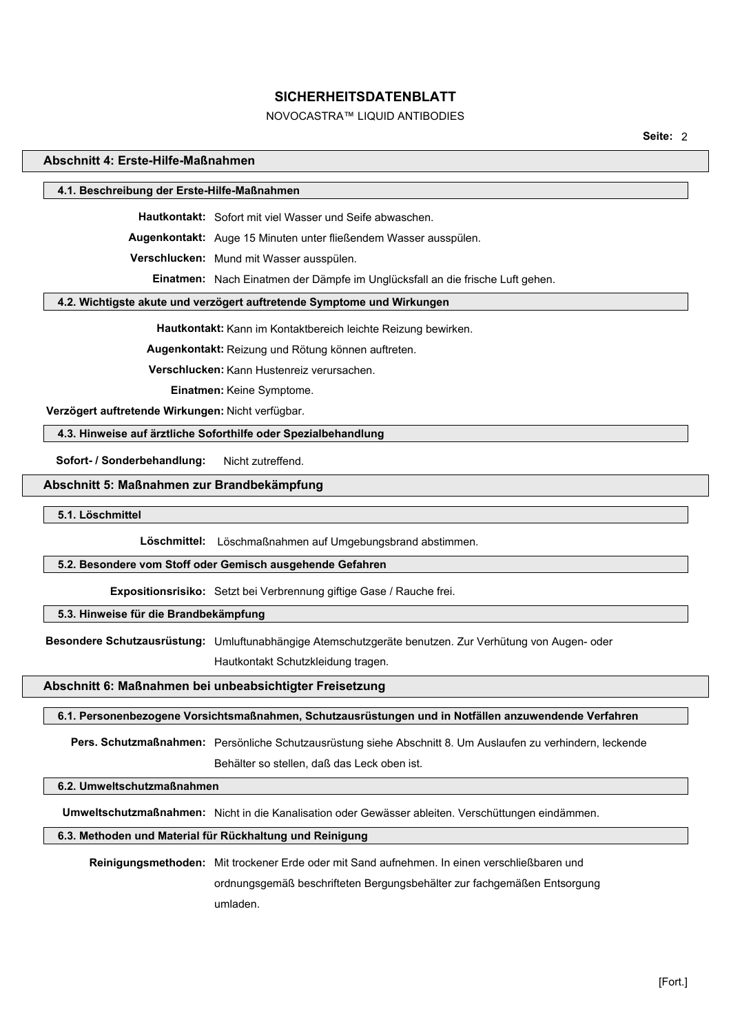# NOVOCASTRA™ LIQUID ANTIBODIES

**Seite:** 2

### **Abschnitt 4: Erste-Hilfe-Maßnahmen**

### **4.1. Beschreibung der Erste-Hilfe-Maßnahmen**

**Hautkontakt:** Sofort mit viel Wasser und Seife abwaschen.

**Augenkontakt:** Auge 15 Minuten unter fließendem Wasser ausspülen.

**Verschlucken:** Mund mit Wasser ausspülen.

**Einatmen:** Nach Einatmen der Dämpfe im Unglücksfall an die frische Luft gehen.

### **4.2. Wichtigste akute und verzögert auftretende Symptome und Wirkungen**

**Hautkontakt:** Kann im Kontaktbereich leichte Reizung bewirken.

**Augenkontakt:** Reizung und Rötung können auftreten.

**Verschlucken:** Kann Hustenreiz verursachen.

**Einatmen:** Keine Symptome.

 **Verzögert auftretende Wirkungen:** Nicht verfügbar.

### **4.3. Hinweise auf ärztliche Soforthilfe oder Spezialbehandlung**

Sofort- / Sonderbehandlung: Nicht zutreffend.

### **Abschnitt 5: Maßnahmen zur Brandbekämpfung**

**5.1. Löschmittel**

**Löschmittel:** Löschmaßnahmen auf Umgebungsbrand abstimmen.

#### **5.2. Besondere vom Stoff oder Gemisch ausgehende Gefahren**

**Expositionsrisiko:** Setzt bei Verbrennung giftige Gase / Rauche frei.

### **5.3. Hinweise für die Brandbekämpfung**

**Besondere Schutzausrüstung:** Umluftunabhängige Atemschutzgeräte benutzen. Zur Verhütung von Augen- oder

Hautkontakt Schutzkleidung tragen.

#### **Abschnitt 6: Maßnahmen bei unbeabsichtigter Freisetzung**

#### **6.1. Personenbezogene Vorsichtsmaßnahmen, Schutzausrüstungen und in Notfällen anzuwendende Verfahren**

**Pers. Schutzmaßnahmen:** Persönliche Schutzausrüstung siehe Abschnitt 8. Um Auslaufen zu verhindern, leckende Behälter so stellen, daß das Leck oben ist.

# **6.2. Umweltschutzmaßnahmen**

**Umweltschutzmaßnahmen:** Nicht in die Kanalisation oder Gewässer ableiten. Verschüttungen eindämmen.

### **6.3. Methoden und Material für Rückhaltung und Reinigung**

**Reinigungsmethoden:** Mit trockener Erde oder mit Sand aufnehmen. In einen verschließbaren und ordnungsgemäß beschrifteten Bergungsbehälter zur fachgemäßen Entsorgung umladen.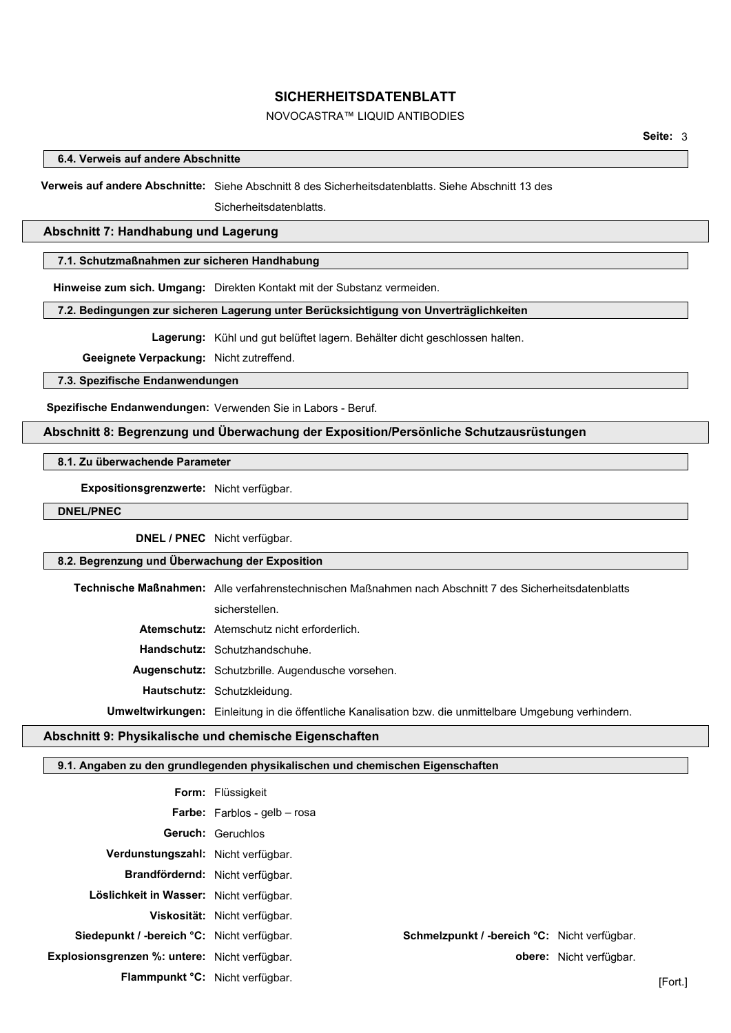# NOVOCASTRA™ LIQUID ANTIBODIES

**6.4. Verweis auf andere Abschnitte**

**Verweis auf andere Abschnitte:** Siehe Abschnitt 8 des Sicherheitsdatenblatts. Siehe Abschnitt 13 des

Sicherheitsdatenblatts.

### **Abschnitt 7: Handhabung und Lagerung**

### **7.1. Schutzmaßnahmen zur sicheren Handhabung**

**Hinweise zum sich. Umgang:** Direkten Kontakt mit der Substanz vermeiden.

### **7.2. Bedingungen zur sicheren Lagerung unter Berücksichtigung von Unverträglichkeiten**

**Lagerung:** Kühl und gut belüftet lagern. Behälter dicht geschlossen halten.

**Geeignete Verpackung:** Nicht zutreffend.

**7.3. Spezifische Endanwendungen**

**Spezifische Endanwendungen:** Verwenden Sie in Labors - Beruf.

## **Abschnitt 8: Begrenzung und Überwachung der Exposition/Persönliche Schutzausrüstungen**

**8.1. Zu überwachende Parameter**

**Expositionsgrenzwerte:** Nicht verfügbar.

**DNEL/PNEC**

**DNEL / PNEC** Nicht verfügbar.

# **8.2. Begrenzung und Überwachung der Exposition**

**Technische Maßnahmen:** Alle verfahrenstechnischen Maßnahmen nach Abschnitt 7 des Sicherheitsdatenblatts

sicherstellen.

**Atemschutz:** Atemschutz nicht erforderlich.

**Handschutz:** Schutzhandschuhe.

**Augenschutz:** Schutzbrille. Augendusche vorsehen.

**Hautschutz:** Schutzkleidung.

**Umweltwirkungen:** Einleitung in die öffentliche Kanalisation bzw. die unmittelbare Umgebung verhindern.

### **Abschnitt 9: Physikalische und chemische Eigenschaften**

# **9.1. Angaben zu den grundlegenden physikalischen und chemischen Eigenschaften**

|                                               | <b>Form:</b> Flüssigkeit            |                                              |                         |         |
|-----------------------------------------------|-------------------------------------|----------------------------------------------|-------------------------|---------|
|                                               | <b>Farbe:</b> Farblos - gelb - rosa |                                              |                         |         |
|                                               | <b>Geruch:</b> Geruchlos            |                                              |                         |         |
| Verdunstungszahl: Nicht verfügbar.            |                                     |                                              |                         |         |
| Brandfördernd: Nicht verfügbar.               |                                     |                                              |                         |         |
| Löslichkeit in Wasser: Nicht verfügbar.       |                                     |                                              |                         |         |
|                                               | Viskosität: Nicht verfügbar.        |                                              |                         |         |
| Siedepunkt / -bereich °C: Nicht verfügbar.    |                                     | Schmelzpunkt / -bereich °C: Nicht verfügbar. |                         |         |
| Explosionsgrenzen %: untere: Nicht verfügbar. |                                     |                                              | obere: Nicht verfügbar. |         |
| Flammpunkt °C: Nicht verfügbar.               |                                     |                                              |                         | [Fort.] |
|                                               |                                     |                                              |                         |         |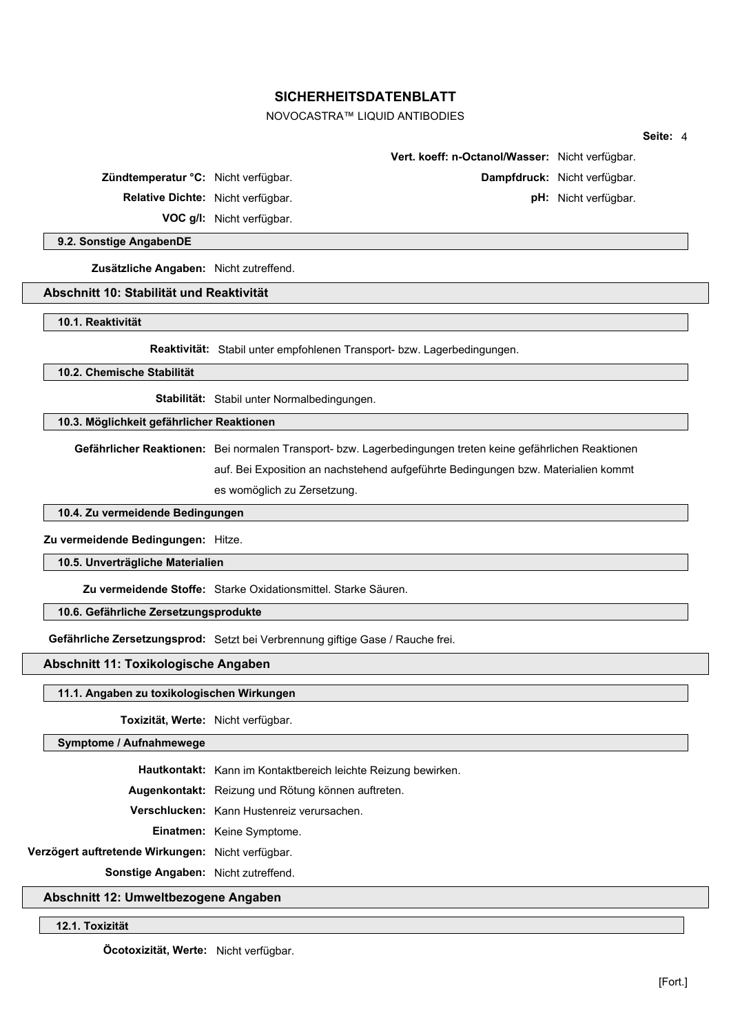# NOVOCASTRA™ LIQUID ANTIBODIES

|                                                                                |                                                                                                             |                                                                         |                              | Seite: 4 |  |
|--------------------------------------------------------------------------------|-------------------------------------------------------------------------------------------------------------|-------------------------------------------------------------------------|------------------------------|----------|--|
|                                                                                |                                                                                                             | Vert. koeff: n-Octanol/Wasser: Nicht verfügbar.                         |                              |          |  |
| Zündtemperatur °C: Nicht verfügbar.                                            |                                                                                                             |                                                                         | Dampfdruck: Nicht verfügbar. |          |  |
| Relative Dichte: Nicht verfügbar.                                              |                                                                                                             |                                                                         | pH: Nicht verfügbar.         |          |  |
|                                                                                | VOC g/l: Nicht verfügbar.                                                                                   |                                                                         |                              |          |  |
| 9.2. Sonstige AngabenDE                                                        |                                                                                                             |                                                                         |                              |          |  |
| Zusätzliche Angaben: Nicht zutreffend.                                         |                                                                                                             |                                                                         |                              |          |  |
| Abschnitt 10: Stabilität und Reaktivität                                       |                                                                                                             |                                                                         |                              |          |  |
| 10.1. Reaktivität                                                              |                                                                                                             |                                                                         |                              |          |  |
|                                                                                |                                                                                                             |                                                                         |                              |          |  |
|                                                                                |                                                                                                             | Reaktivität: Stabil unter empfohlenen Transport- bzw. Lagerbedingungen. |                              |          |  |
| 10.2. Chemische Stabilität                                                     |                                                                                                             |                                                                         |                              |          |  |
|                                                                                | Stabilität: Stabil unter Normalbedingungen.                                                                 |                                                                         |                              |          |  |
| 10.3. Möglichkeit gefährlicher Reaktionen                                      |                                                                                                             |                                                                         |                              |          |  |
|                                                                                | Gefährlicher Reaktionen: Bei normalen Transport- bzw. Lagerbedingungen treten keine gefährlichen Reaktionen |                                                                         |                              |          |  |
|                                                                                | auf. Bei Exposition an nachstehend aufgeführte Bedingungen bzw. Materialien kommt                           |                                                                         |                              |          |  |
|                                                                                | es womöglich zu Zersetzung.                                                                                 |                                                                         |                              |          |  |
| 10.4. Zu vermeidende Bedingungen                                               |                                                                                                             |                                                                         |                              |          |  |
| Zu vermeidende Bedingungen: Hitze.                                             |                                                                                                             |                                                                         |                              |          |  |
|                                                                                |                                                                                                             |                                                                         |                              |          |  |
| 10.5. Unverträgliche Materialien                                               |                                                                                                             |                                                                         |                              |          |  |
|                                                                                | Zu vermeidende Stoffe: Starke Oxidationsmittel. Starke Säuren.                                              |                                                                         |                              |          |  |
| 10.6. Gefährliche Zersetzungsprodukte                                          |                                                                                                             |                                                                         |                              |          |  |
| Gefährliche Zersetzungsprod: Setzt bei Verbrennung giftige Gase / Rauche frei. |                                                                                                             |                                                                         |                              |          |  |

**Abschnitt 11: Toxikologische Angaben**

# **11.1. Angaben zu toxikologischen Wirkungen**

**Toxizität, Werte:** Nicht verfügbar.

**Symptome / Aufnahmewege**

**Hautkontakt:** Kann im Kontaktbereich leichte Reizung bewirken.

**Augenkontakt:** Reizung und Rötung können auftreten.

**Verschlucken:** Kann Hustenreiz verursachen.

**Einatmen:** Keine Symptome.

**Verzögert auftretende Wirkungen:** Nicht verfügbar.

**Sonstige Angaben:** Nicht zutreffend.

# **Abschnitt 12: Umweltbezogene Angaben**

**12.1. Toxizität**

**Öcotoxizität, Werte:** Nicht verfügbar.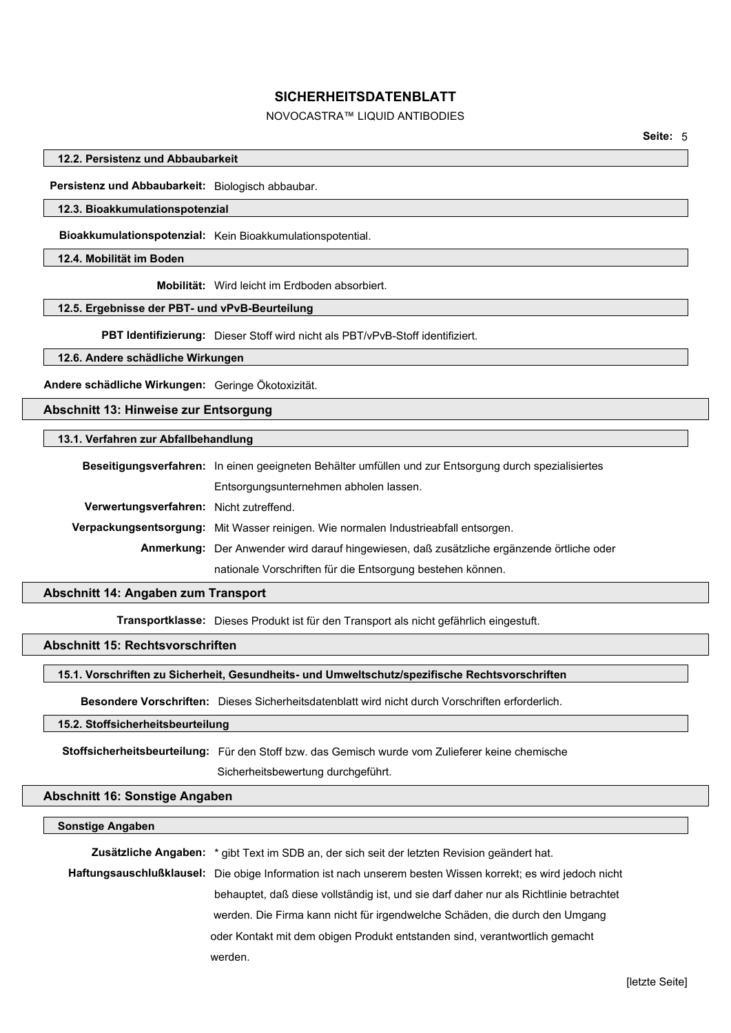# NOVOCASTRA™ LIQUID ANTIBODIES

### **12.2. Persistenz und Abbaubarkeit**

**Persistenz und Abbaubarkeit:** Biologisch abbaubar.

#### **12.3. Bioakkumulationspotenzial**

**Bioakkumulationspotenzial:** Kein Bioakkumulationspotential.

**12.4. Mobilität im Boden**

**Mobilität:** Wird leicht im Erdboden absorbiert.

#### **12.5. Ergebnisse der PBT- und vPvB-Beurteilung**

**PBT Identifizierung:** Dieser Stoff wird nicht als PBT/vPvB-Stoff identifiziert.

# **12.6. Andere schädliche Wirkungen**

**Andere schädliche Wirkungen:** Geringe Ökotoxizität.

# **Abschnitt 13: Hinweise zur Entsorgung**

### **13.1. Verfahren zur Abfallbehandlung**

|                                         | Beseitigungsverfahren: In einen geeigneten Behälter umfüllen und zur Entsorgung durch spezialisiertes |  |  |  |
|-----------------------------------------|-------------------------------------------------------------------------------------------------------|--|--|--|
|                                         | Entsorgungsunternehmen abholen lassen.                                                                |  |  |  |
| Verwertungsverfahren: Nicht zutreffend. |                                                                                                       |  |  |  |
|                                         | <b>Verpackungsentsorgung:</b> Mit Wasser reinigen. Wie normalen Industrieabfall entsorgen.            |  |  |  |
|                                         | Anmerkung: Der Anwender wird darauf hingewiesen, daß zusätzliche ergänzende örtliche oder             |  |  |  |
|                                         | nationale Vorschriften für die Entsorgung bestehen können.                                            |  |  |  |
|                                         |                                                                                                       |  |  |  |

### **Abschnitt 14: Angaben zum Transport**

**Transportklasse:** Dieses Produkt ist für den Transport als nicht gefährlich eingestuft.

# **Abschnitt 15: Rechtsvorschriften**

#### **15.1. Vorschriften zu Sicherheit, Gesundheits- und Umweltschutz/spezifische Rechtsvorschriften**

**Besondere Vorschriften:** Dieses Sicherheitsdatenblatt wird nicht durch Vorschriften erforderlich.

# **15.2. Stoffsicherheitsbeurteilung**

**Stoffsicherheitsbeurteilung:** Für den Stoff bzw. das Gemisch wurde vom Zulieferer keine chemische

Sicherheitsbewertung durchgeführt.

### **Abschnitt 16: Sonstige Angaben**

#### **Sonstige Angaben**

| Zusätzliche Angaben: * gibt Text im SDB an, der sich seit der letzten Revision geändert hat.                |  |  |
|-------------------------------------------------------------------------------------------------------------|--|--|
| Haftungsauschlußklausel: Die obige Information ist nach unserem besten Wissen korrekt; es wird jedoch nicht |  |  |
| behauptet, daß diese vollständig ist, und sie darf daher nur als Richtlinie betrachtet                      |  |  |
| werden. Die Firma kann nicht für irgendwelche Schäden, die durch den Umgang                                 |  |  |
| oder Kontakt mit dem obigen Produkt entstanden sind, verantwortlich gemacht                                 |  |  |
| werden.                                                                                                     |  |  |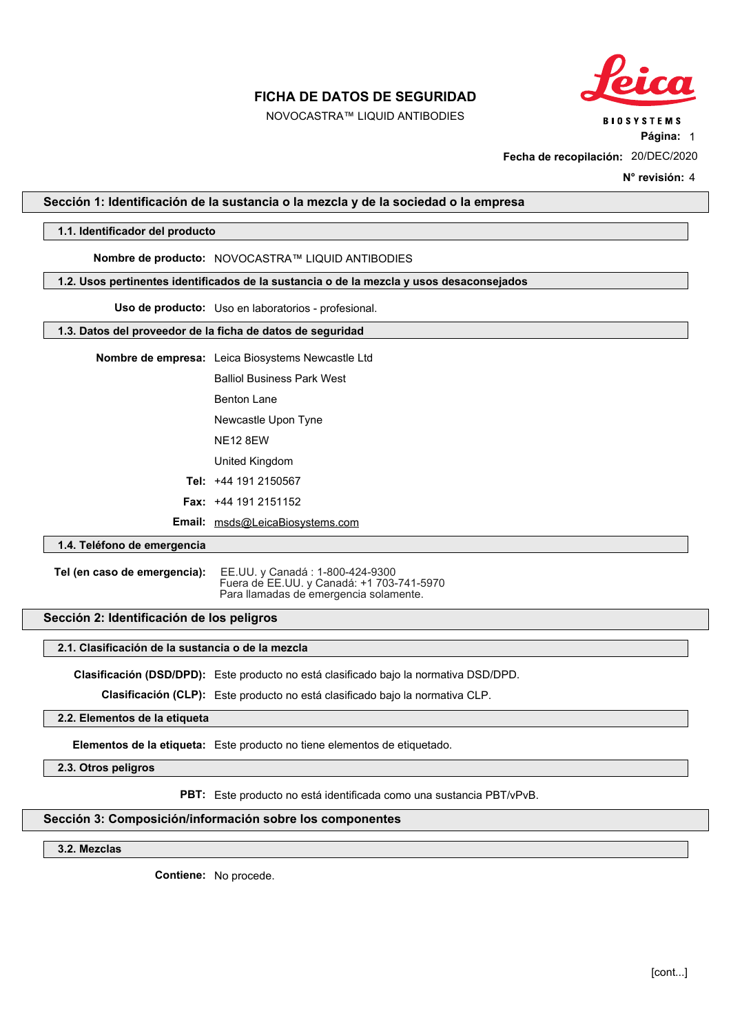NOVOCASTRA™ LIQUID ANTIBODIES



**BIOSYSTEMS** 

**Página:** 1

**Fecha de recopilación:** 20/DEC/2020

**N° revisión:** 4

### <span id="page-21-0"></span>**Sección 1: Identificación de la sustancia o la mezcla y de la sociedad o la empresa**

### **1.1. Identificador del producto**

## **Nombre de producto:** NOVOCASTRA™ LIQUID ANTIBODIES

#### **1.2. Usos pertinentes identificados de la sustancia o de la mezcla y usos desaconsejados**

**Uso de producto:** Uso en laboratorios - profesional.

### **1.3. Datos del proveedor de la ficha de datos de seguridad**

**Nombre de empresa:** Leica Biosystems Newcastle Ltd

Balliol Business Park West

Benton Lane

Newcastle Upon Tyne

NE12 8EW

United Kingdom

**Tel:** +44 191 2150567

**Fax:** +44 191 2151152

**Email:** msds@LeicaBiosystems.com

## **1.4. Teléfono de emergencia**

**Tel (en caso de emergencia):** EE.UU. y Canadá : 1-800-424-9300 Fuera de EE.UU. y Canadá: +1 703-741-5970 Para llamadas de emergencia solamente.

# **Sección 2: Identificación de los peligros**

#### **2.1. Clasificación de la sustancia o de la mezcla**

**Clasificación (DSD/DPD):** Este producto no está clasificado bajo la normativa DSD/DPD.

**Clasificación (CLP):** Este producto no está clasificado bajo la normativa CLP.

### **2.2. Elementos de la etiqueta**

**Elementos de la etiqueta:** Este producto no tiene elementos de etiquetado.

**2.3. Otros peligros**

**PBT:** Este producto no está identificada como una sustancia PBT/vPvB.

### **Sección 3: Composición/información sobre los componentes**

### **3.2. Mezclas**

**Contiene:** No procede.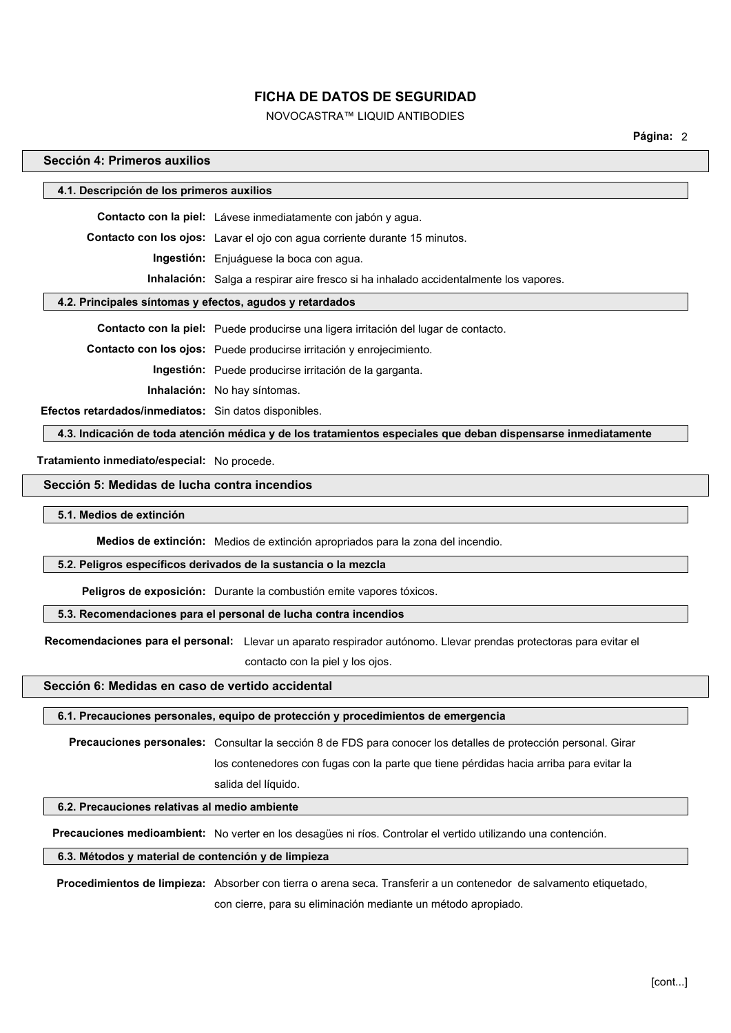# NOVOCASTRA™ LIQUID ANTIBODIES

**Página:** 2

### **Sección 4: Primeros auxilios**

| 4.1. Descripción de los primeros auxilios |                                                                                      |  |
|-------------------------------------------|--------------------------------------------------------------------------------------|--|
|                                           | Contacto con la piel: Lávese inmediatamente con jabón y agua.                        |  |
|                                           | Contacto con los ojos: Lavar el ojo con agua corriente durante 15 minutos.           |  |
|                                           | <b>Ingestión:</b> Enjuáquese la boca con aqua.                                       |  |
|                                           | Inhalación: Salga a respirar aire fresco si ha inhalado accidentalmente los vapores. |  |
| .                                         |                                                                                      |  |

### **4.2. Principales síntomas y efectos, agudos y retardados**

**Contacto con la piel:** Puede producirse una ligera irritación del lugar de contacto.

**Contacto con los ojos:** Puede producirse irritación y enrojecimiento.

**Ingestión:** Puede producirse irritación de la garganta.

**Inhalación:** No hay síntomas.

**Efectos retardados/inmediatos:** Sin datos disponibles.

**4.3. Indicación de toda atención médica y de los tratamientos especiales que deban dispensarse inmediatamente**

**Tratamiento inmediato/especial:** No procede.

#### **Sección 5: Medidas de lucha contra incendios**

#### **5.1. Medios de extinción**

**Medios de extinción:** Medios de extinción apropriados para la zona del incendio.

#### **5.2. Peligros específicos derivados de la sustancia o la mezcla**

**Peligros de exposición:** Durante la combustión emite vapores tóxicos.

salida del líquido.

### **5.3. Recomendaciones para el personal de lucha contra incendios**

 **Recomendaciones para el personal:** Llevar un aparato respirador autónomo. Llevar prendas protectoras para evitar el

contacto con la piel y los ojos.

### **Sección 6: Medidas en caso de vertido accidental**

#### **6.1. Precauciones personales, equipo de protección y procedimientos de emergencia**

**Precauciones personales:** Consultar la sección 8 de FDS para conocer los detalles de protección personal. Girar los contenedores con fugas con la parte que tiene pérdidas hacia arriba para evitar la

**6.2. Precauciones relativas al medio ambiente**

**Precauciones medioambient:** No verter en los desagües ni ríos. Controlar el vertido utilizando una contención.

#### **6.3. Métodos y material de contención y de limpieza**

**Procedimientos de limpieza:** Absorber con tierra o arena seca. Transferir a un contenedor de salvamento etiquetado, con cierre, para su eliminación mediante un método apropiado.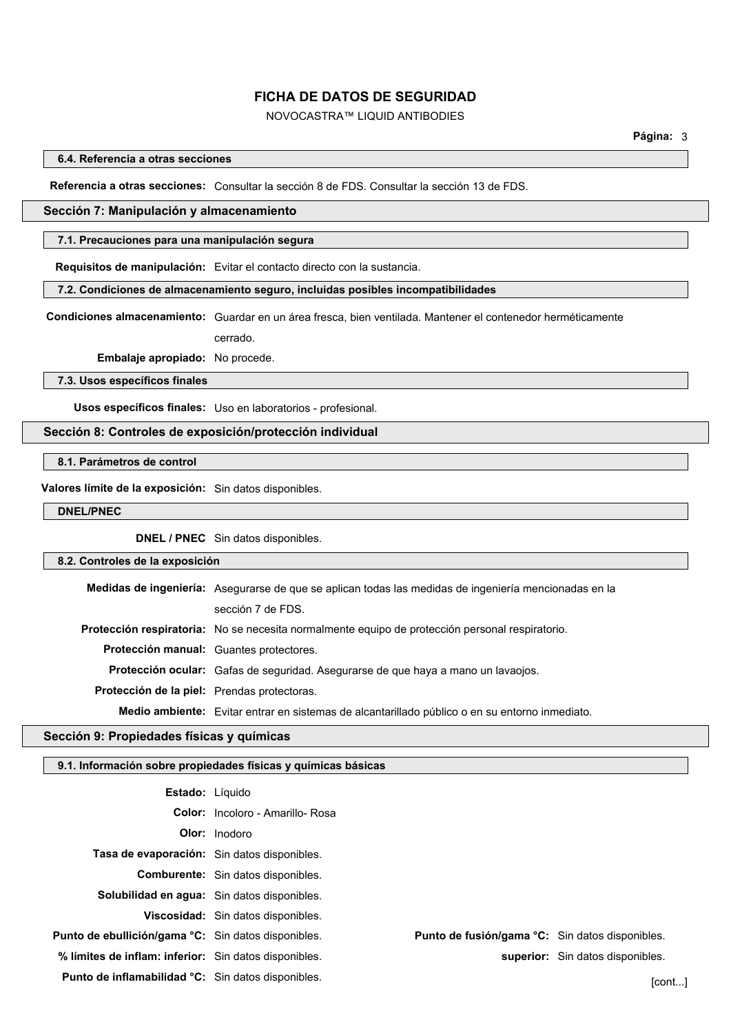# NOVOCASTRA™ LIQUID ANTIBODIES

### **6.4. Referencia a otras secciones**

#### **Referencia a otras secciones:** Consultar la sección 8 de FDS. Consultar la sección 13 de FDS.

### **Sección 7: Manipulación y almacenamiento**

#### **7.1. Precauciones para una manipulación segura**

**Requisitos de manipulación:** Evitar el contacto directo con la sustancia.

#### **7.2. Condiciones de almacenamiento seguro, incluidas posibles incompatibilidades**

**Condiciones almacenamiento:** Guardar en un área fresca, bien ventilada. Mantener el contenedor herméticamente cerrado.

**Embalaje apropiado:** No procede.

**7.3. Usos específicos finales**

**Usos específicos finales:** Uso en laboratorios - profesional.

### **Sección 8: Controles de exposición/protección individual**

**8.1. Parámetros de control**

**Valores límite de la exposición:** Sin datos disponibles.

**DNEL/PNEC**

**DNEL / PNEC** Sin datos disponibles.

### **8.2. Controles de la exposición**

|                                             | Medidas de ingeniería: Asegurarse de que se aplican todas las medidas de ingeniería mencionadas en la |
|---------------------------------------------|-------------------------------------------------------------------------------------------------------|
|                                             | sección 7 de FDS.                                                                                     |
|                                             | Protección respiratoria: No se necesita normalmente equipo de protección personal respiratorio.       |
|                                             | Protección manual: Guantes protectores.                                                               |
|                                             | <b>Protección ocular:</b> Gafas de seguridad. Asegurarse de que haya a mano un lavaojos.              |
| Protección de la piel: Prendas protectoras. |                                                                                                       |
|                                             | Medio ambiente: Evitar entrar en sistemas de alcantarillado público o en su entorno inmediato.        |

### **Sección 9: Propiedades físicas y químicas**

### **9.1. Información sobre propiedades físicas y químicas básicas**

| <b>Estado:</b> Líquido                                |                                           |                                                        |                                  |
|-------------------------------------------------------|-------------------------------------------|--------------------------------------------------------|----------------------------------|
|                                                       | <b>Color:</b> Incoloro - Amarillo- Rosa   |                                                        |                                  |
|                                                       | <b>Olor:</b> Inodoro                      |                                                        |                                  |
| Tasa de evaporación: Sin datos disponibles.           |                                           |                                                        |                                  |
|                                                       | <b>Comburente:</b> Sin datos disponibles. |                                                        |                                  |
| Solubilidad en agua: Sin datos disponibles.           |                                           |                                                        |                                  |
|                                                       | Viscosidad: Sin datos disponibles.        |                                                        |                                  |
| Punto de ebullición/gama °C: Sin datos disponibles.   |                                           | <b>Punto de fusión/gama °C:</b> Sin datos disponibles. |                                  |
| % límites de inflam: inferior: Sin datos disponibles. |                                           |                                                        | superior: Sin datos disponibles. |
| Punto de inflamabilidad °C: Sin datos disponibles.    |                                           |                                                        | [cont]                           |
|                                                       |                                           |                                                        |                                  |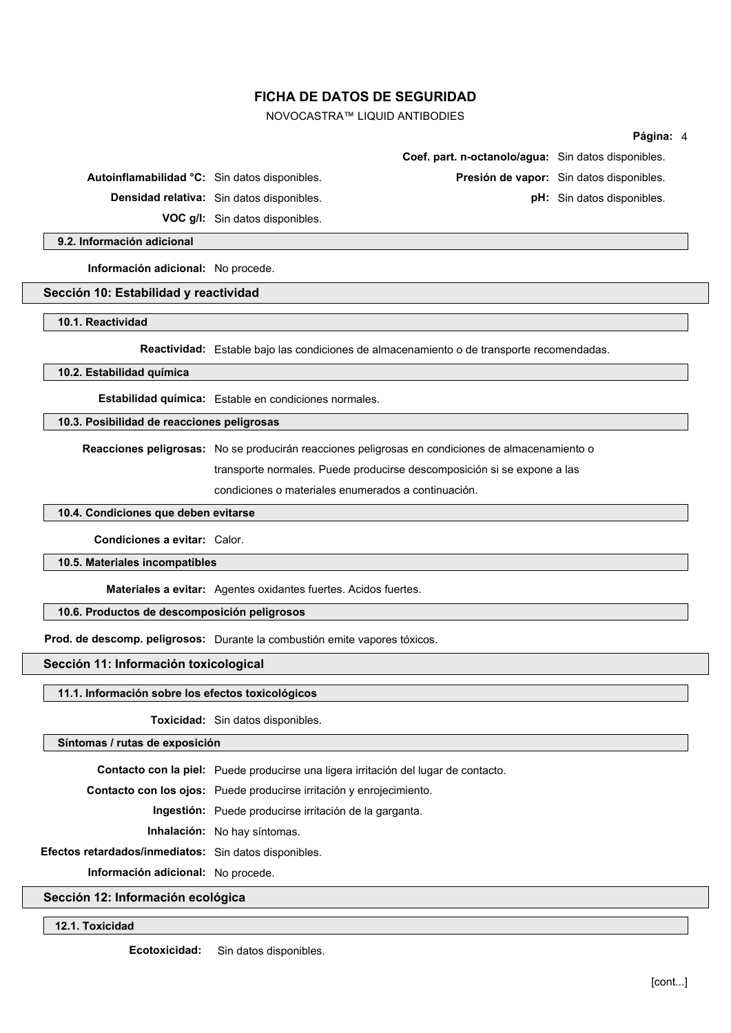NOVOCASTRA™ LIQUID ANTIBODIES

|                                               |                                                                         |                                                                                                  | Página: 4                                |
|-----------------------------------------------|-------------------------------------------------------------------------|--------------------------------------------------------------------------------------------------|------------------------------------------|
|                                               |                                                                         | Coef. part. n-octanolo/agua: Sin datos disponibles.                                              |                                          |
| Autoinflamabilidad °C: Sin datos disponibles. |                                                                         |                                                                                                  | Presión de vapor: Sin datos disponibles. |
|                                               | <b>Densidad relativa:</b> Sin datos disponibles.                        |                                                                                                  | <b>pH:</b> Sin datos disponibles.        |
|                                               | VOC g/l: Sin datos disponibles.                                         |                                                                                                  |                                          |
| 9.2. Información adicional                    |                                                                         |                                                                                                  |                                          |
| Información adicional: No procede.            |                                                                         |                                                                                                  |                                          |
| Sección 10: Estabilidad y reactividad         |                                                                         |                                                                                                  |                                          |
| 10.1. Reactividad                             |                                                                         |                                                                                                  |                                          |
|                                               |                                                                         | Reactividad: Estable bajo las condiciones de almacenamiento o de transporte recomendadas.        |                                          |
| 10.2. Estabilidad química                     |                                                                         |                                                                                                  |                                          |
|                                               | Estabilidad química: Estable en condiciones normales.                   |                                                                                                  |                                          |
| 10.3. Posibilidad de reacciones peligrosas    |                                                                         |                                                                                                  |                                          |
|                                               |                                                                         | Reacciones peligrosas: No se producirán reacciones peligrosas en condiciones de almacenamiento o |                                          |
|                                               | transporte normales. Puede producirse descomposición si se expone a las |                                                                                                  |                                          |
|                                               | condiciones o materiales enumerados a continuación.                     |                                                                                                  |                                          |
| 10.4. Condiciones que deben evitarse          |                                                                         |                                                                                                  |                                          |
| Condiciones a evitar: Calor.                  |                                                                         |                                                                                                  |                                          |
| 10.5. Materiales incompatibles                |                                                                         |                                                                                                  |                                          |

**Materiales a evitar:** Agentes oxidantes fuertes. Acidos fuertes.

### **10.6. Productos de descomposición peligrosos**

**Prod. de descomp. peligrosos:** Durante la combustión emite vapores tóxicos.

**Sección 11: Información toxicological**

### **11.1. Información sobre los efectos toxicológicos**

**Toxicidad:** Sin datos disponibles.

**Síntomas / rutas de exposición**

**Contacto con la piel:** Puede producirse una ligera irritación del lugar de contacto.

**Contacto con los ojos:** Puede producirse irritación y enrojecimiento.

**Ingestión:** Puede producirse irritación de la garganta.

**Inhalación:** No hay síntomas.

**Efectos retardados/inmediatos:** Sin datos disponibles.

**Información adicional:** No procede.

**Sección 12: Información ecológica**

**12.1. Toxicidad**

**Ecotoxicidad:** Sin datos disponibles.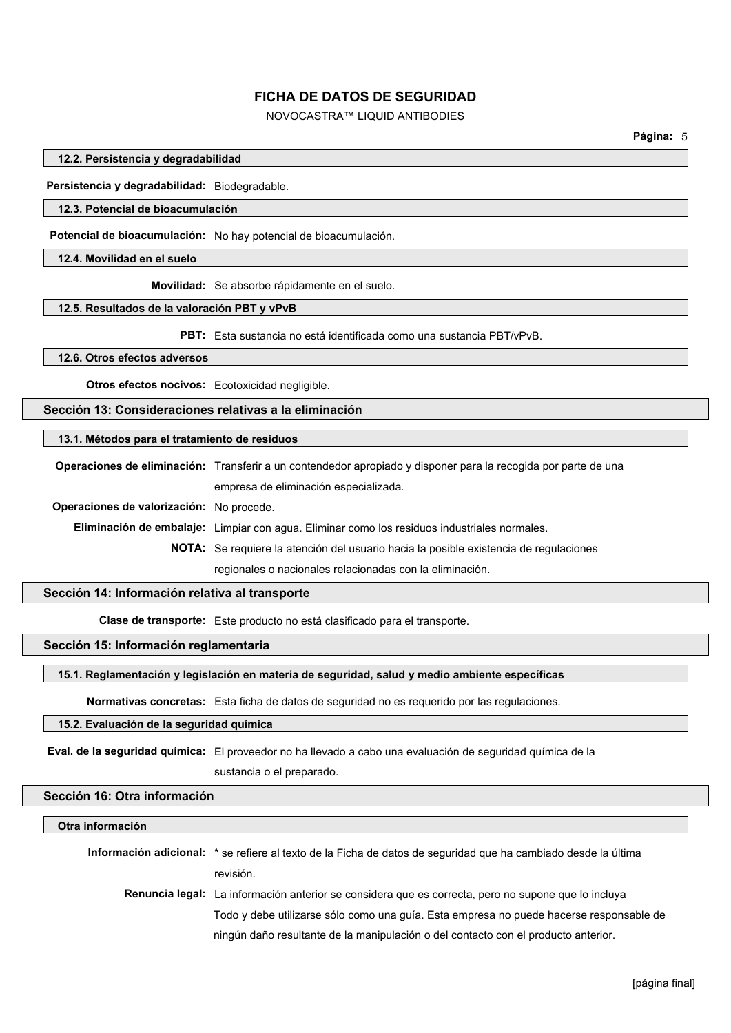# NOVOCASTRA™ LIQUID ANTIBODIES

#### **12.2. Persistencia y degradabilidad**

**Persistencia y degradabilidad:** Biodegradable.

### **12.3. Potencial de bioacumulación**

**Potencial de bioacumulación:** No hay potencial de bioacumulación.

### **12.4. Movilidad en el suelo**

**Movilidad:** Se absorbe rápidamente en el suelo.

#### **12.5. Resultados de la valoración PBT y vPvB**

**PBT:** Esta sustancia no está identificada como una sustancia PBT/vPvB.

### **12.6. Otros efectos adversos**

**Otros efectos nocivos:** Ecotoxicidad negligible.

## **Sección 13: Consideraciones relativas a la eliminación**

### **13.1. Métodos para el tratamiento de residuos**

**Operaciones de eliminación:** Transferir a un contendedor apropiado y disponer para la recogida por parte de una empresa de eliminación especializada. **Operaciones de valorización:** No procede. **Eliminación de embalaje:** Limpiar con agua. Eliminar como los residuos industriales normales. **NOTA:** Se requiere la atención del usuario hacia la posible existencia de regulaciones regionales o nacionales relacionadas con la eliminación.

# **Sección 14: Información relativa al transporte**

**Clase de transporte:** Este producto no está clasificado para el transporte.

# **Sección 15: Información reglamentaria**

### **15.1. Reglamentación y legislación en materia de seguridad, salud y medio ambiente específicas**

**Normativas concretas:** Esta ficha de datos de seguridad no es requerido por las regulaciones.

# **15.2. Evaluación de la seguridad química**

**Eval. de la seguridad química:** El proveedor no ha llevado a cabo una evaluación de seguridad química de la sustancia o el preparado.

#### **Sección 16: Otra información**

#### **Otra información**

| <b>Información adicional:</b> * se refiere al texto de la Ficha de datos de seguridad que ha cambiado desde la última |
|-----------------------------------------------------------------------------------------------------------------------|
| revisión.                                                                                                             |
| <b>Renuncia legal:</b> La información anterior se considera que es correcta, pero no supone que lo incluya            |
| Todo y debe utilizarse sólo como una guía. Esta empresa no puede hacerse responsable de                               |
| ningún daño resultante de la manipulación o del contacto con el producto anterior.                                    |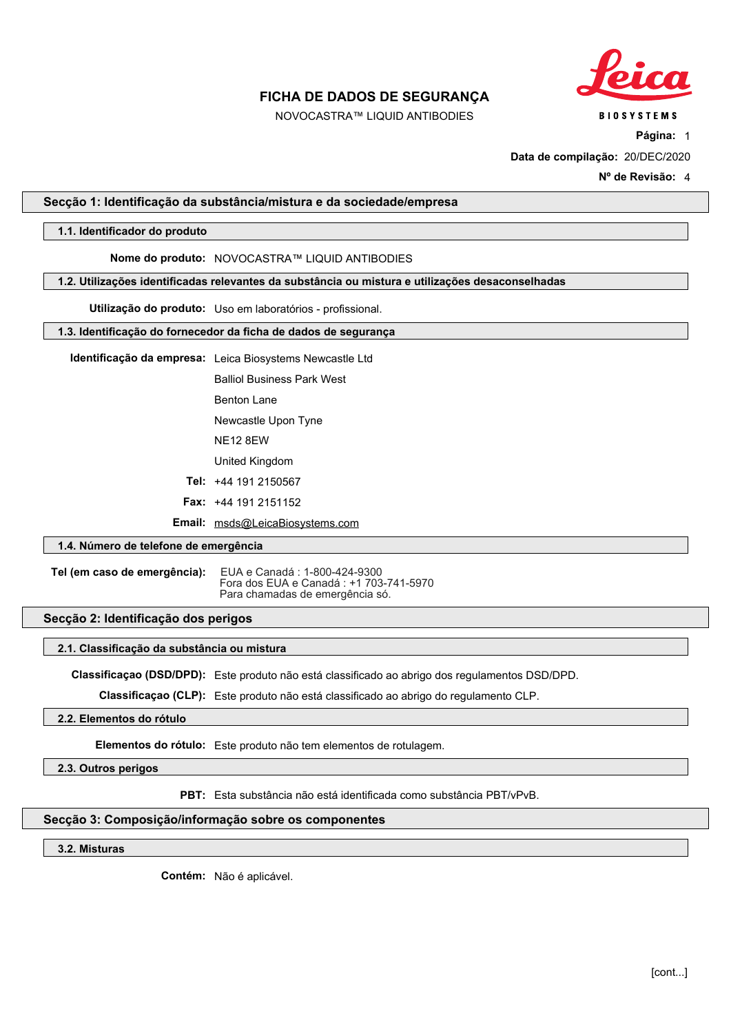

NOVOCASTRA™ LIQUID ANTIBODIES

**Página:** 1

**Data de compilação:** 20/DEC/2020

**Nº de Revisão:** 4

### <span id="page-26-0"></span>**Secção 1: Identificação da substância/mistura e da sociedade/empresa**

### **1.1. Identificador do produto**

# **Nome do produto:** NOVOCASTRA™ LIQUID ANTIBODIES

#### **1.2. Utilizações identificadas relevantes da substância ou mistura e utilizações desaconselhadas**

**Utilização do produto:** Uso em laboratórios - profissional.

### **1.3. Identificação do fornecedor da ficha de dados de segurança**

**Identificação da empresa:** Leica Biosystems Newcastle Ltd

Balliol Business Park West

Benton Lane

Newcastle Upon Tyne

NE12 8EW

United Kingdom

**Tel:** +44 191 2150567

**Fax:** +44 191 2151152

**Email:** msds@LeicaBiosystems.com

# **1.4. Número de telefone de emergência**

**Tel (em caso de emergência):** EUA e Canadá : 1-800-424-9300 Fora dos EUA e Canadá : +1 703-741-5970 Para chamadas de emergência só.

### **Secção 2: Identificação dos perigos**

### **2.1. Classificação da substância ou mistura**

**Classificaçao (DSD/DPD):** Este produto não está classificado ao abrigo dos regulamentos DSD/DPD.

**Classificaçao (CLP):** Este produto não está classificado ao abrigo do regulamento CLP.

# **2.2. Elementos do rótulo**

**Elementos do rótulo:** Este produto não tem elementos de rotulagem.

**2.3. Outros perigos**

**PBT:** Esta substância não está identificada como substância PBT/vPvB.

### **Secção 3: Composição/informação sobre os componentes**

**3.2. Misturas**

**Contém:** Não é aplicável.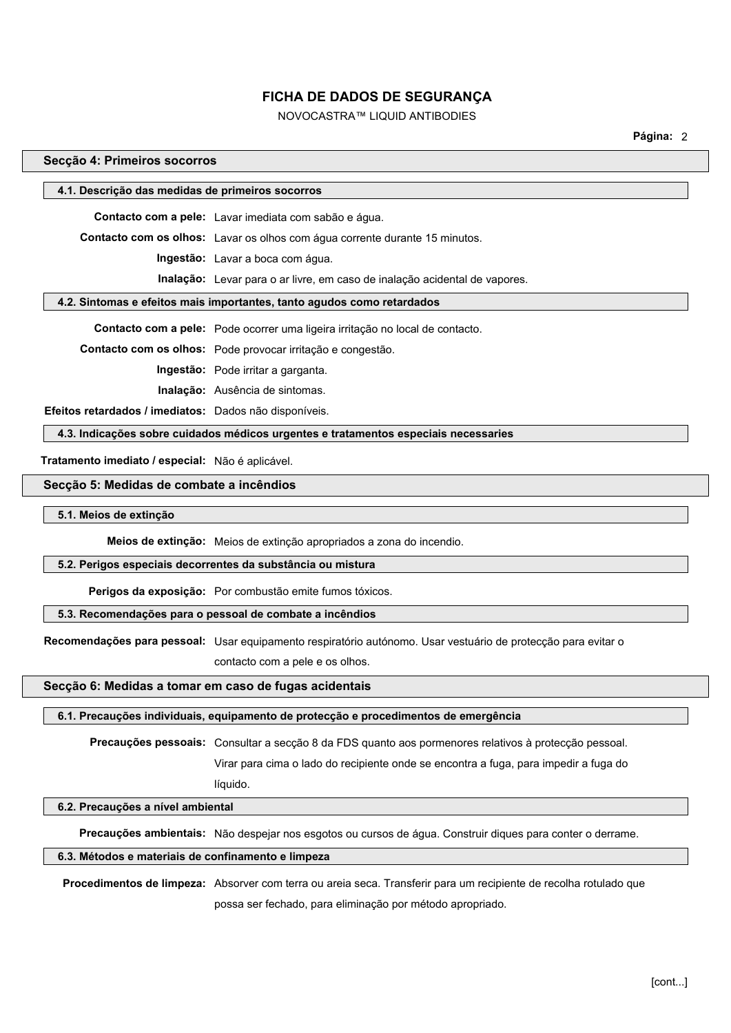# NOVOCASTRA™ LIQUID ANTIBODIES

**Página:** 2

### **Secção 4: Primeiros socorros**

|                                                                        | 4.1. Descrição das medidas de primeiros socorros                                    |  |  |
|------------------------------------------------------------------------|-------------------------------------------------------------------------------------|--|--|
|                                                                        | Contacto com a pele: Lavar imediata com sabão e água.                               |  |  |
|                                                                        | <b>Contacto com os olhos:</b> Lavar os olhos com água corrente durante 15 minutos.  |  |  |
|                                                                        | Ingestão: Lavar a boca com água.                                                    |  |  |
|                                                                        | <b>Inalação:</b> Levar para o ar livre, em caso de inalação acidental de vapores.   |  |  |
| 4.2. Sintomas e efeitos mais importantes, tanto agudos como retardados |                                                                                     |  |  |
|                                                                        | Contacto com a pele: Pode ocorrer uma ligeira irritação no local de contacto.       |  |  |
|                                                                        | Contacto com os olhos: Pode provocar irritação e congestão.                         |  |  |
|                                                                        | Ingestão: Pode irritar a garganta.                                                  |  |  |
|                                                                        | <b>Inalação:</b> Ausência de sintomas.                                              |  |  |
| Efeitos retardados / imediatos: Dados não disponíveis.                 |                                                                                     |  |  |
|                                                                        | 4.3. Indicações sobre cuidados médicos urgentes e tratamentos especiais necessaries |  |  |
| Tratamento imediato / especial: Não é aplicável.                       |                                                                                     |  |  |
| Secção 5: Medidas de combate a incêndios                               |                                                                                     |  |  |
| 5.1. Meios de extinção                                                 |                                                                                     |  |  |

**Meios de extinção:** Meios de extinção apropriados a zona do incendio.

#### **5.2. Perigos especiais decorrentes da substância ou mistura**

**Perigos da exposição:** Por combustão emite fumos tóxicos.

### **5.3. Recomendações para o pessoal de combate a incêndios**

**Recomendações para pessoal:** Usar equipamento respiratório autónomo. Usar vestuário de protecção para evitar o

contacto com a pele e os olhos.

#### **Secção 6: Medidas a tomar em caso de fugas acidentais**

líquido.

#### **6.1. Precauções individuais, equipamento de protecção e procedimentos de emergência**

**Precauções pessoais:** Consultar a secção 8 da FDS quanto aos pormenores relativos à protecção pessoal.

Virar para cima o lado do recipiente onde se encontra a fuga, para impedir a fuga do

# **6.2. Precauções a nível ambiental**

**Precauções ambientais:** Não despejar nos esgotos ou cursos de água. Construir diques para conter o derrame.

#### **6.3. Métodos e materiais de confinamento e limpeza**

**Procedimentos de limpeza:** Absorver com terra ou areia seca. Transferir para um recipiente de recolha rotulado que possa ser fechado, para eliminação por método apropriado.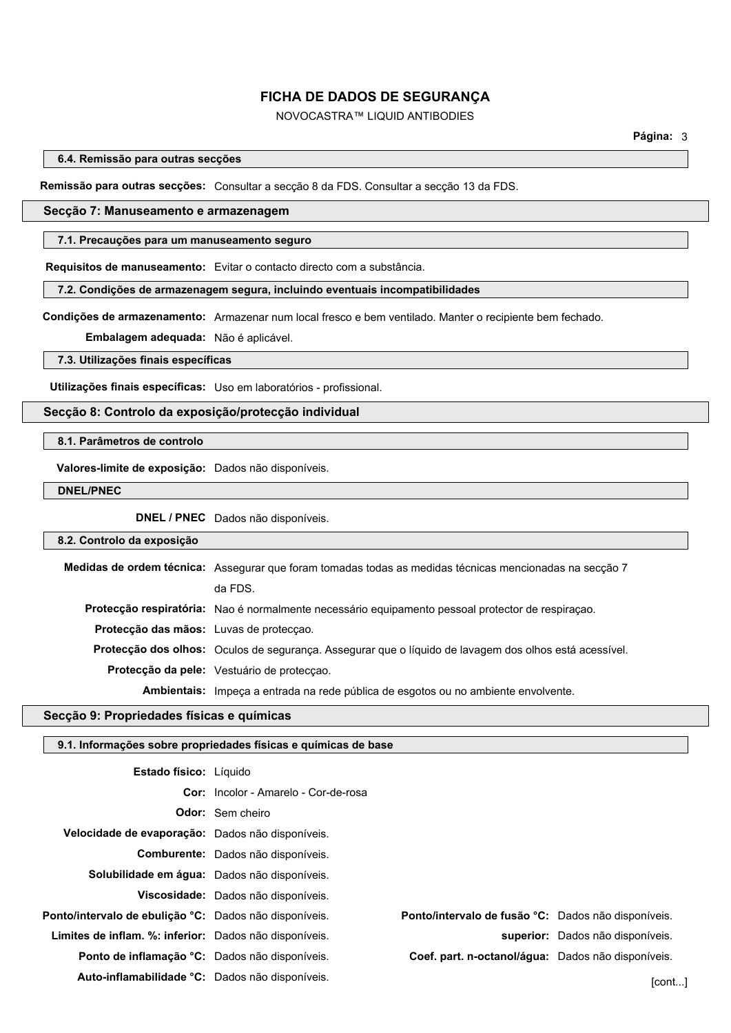# NOVOCASTRA™ LIQUID ANTIBODIES

**6.4. Remissão para outras secções**

#### **Remissão para outras secções:** Consultar a secção 8 da FDS. Consultar a secção 13 da FDS.

### **Secção 7: Manuseamento e armazenagem**

#### **7.1. Precauções para um manuseamento seguro**

**Requisitos de manuseamento:** Evitar o contacto directo com a substância.

**7.2. Condições de armazenagem segura, incluindo eventuais incompatibilidades**

**Condições de armazenamento:** Armazenar num local fresco e bem ventilado. Manter o recipiente bem fechado.

**Embalagem adequada:** Não é aplicável.

**7.3. Utilizações finais específicas**

**Utilizações finais específicas:** Uso em laboratórios - profissional.

### **Secção 8: Controlo da exposição/protecção individual**

### **8.1. Parâmetros de controlo**

**Valores-limite de exposição:** Dados não disponíveis.

**DNEL/PNEC**

**DNEL / PNEC** Dados não disponíveis.

#### **8.2. Controlo da exposição**

|                                         | Medidas de ordem técnica: Assegurar que foram tomadas todas as medidas técnicas mencionadas na secção 7 |
|-----------------------------------------|---------------------------------------------------------------------------------------------------------|
|                                         | da FDS.                                                                                                 |
|                                         | Protecção respiratória: Nao é normalmente necessário equipamento pessoal protector de respiração.       |
| Protecção das mãos: Luvas de protecção. |                                                                                                         |
|                                         | Protecção dos olhos: Oculos de segurança. Assegurar que o líquido de lavagem dos olhos está acessível.  |
|                                         | <b>Protecção da pele:</b> Vestuário de protecção.                                                       |
|                                         | Ambientais: Impeça a entrada na rede pública de esgotos ou no ambiente envolvente.                      |

# **Secção 9: Propriedades físicas e químicas**

## **9.1. Informações sobre propriedades físicas e químicas de base**

| <b>Estado físico:</b> Líquido                          |                                             |                                                     |                                  |
|--------------------------------------------------------|---------------------------------------------|-----------------------------------------------------|----------------------------------|
|                                                        | <b>Cor:</b> Incolor - Amarelo - Cor-de-rosa |                                                     |                                  |
|                                                        | <b>Odor:</b> Sem cheiro                     |                                                     |                                  |
| Velocidade de evaporação: Dados não disponíveis.       |                                             |                                                     |                                  |
|                                                        | Comburente: Dados não disponíveis.          |                                                     |                                  |
| Solubilidade em água: Dados não disponíveis.           |                                             |                                                     |                                  |
|                                                        | Viscosidade: Dados não disponíveis.         |                                                     |                                  |
| Ponto/intervalo de ebulicão °C: Dados não disponíveis. |                                             | Ponto/intervalo de fusão °C: Dados não disponíveis. |                                  |
| Limites de inflam. %: inferior: Dados não disponíveis. |                                             |                                                     | superior: Dados não disponíveis. |
| Ponto de inflamação °C: Dados não disponíveis.         |                                             | Coef. part. n-octanol/áqua: Dados não disponíveis.  |                                  |
| Auto-inflamabilidade °C: Dados não disponíveis.        |                                             |                                                     | [cont]                           |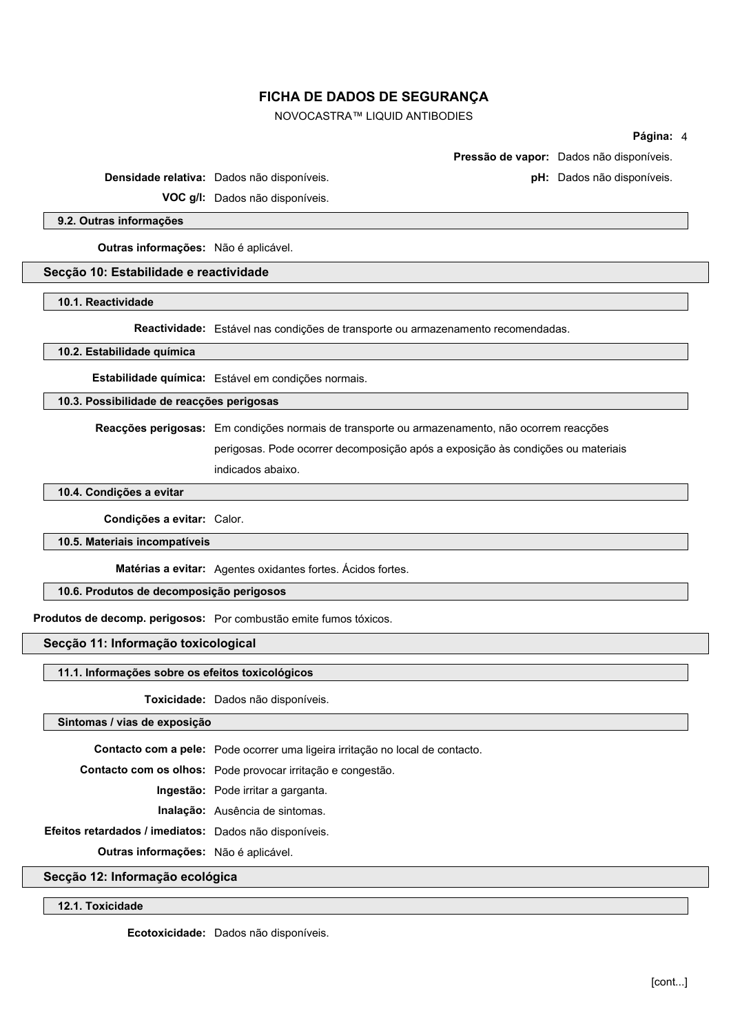NOVOCASTRA™ LIQUID ANTIBODIES

#### **Página:** 4

**Pressão de vapor:** Dados não disponíveis.

**Densidade relativa:** Dados não disponíveis. **pH:** Dados não disponíveis.

**VOC g/l:** Dados não disponíveis.

**9.2. Outras informações**

**Outras informações:** Não é aplicável.

### **Secção 10: Estabilidade e reactividade**

**10.1. Reactividade**

**Reactividade:** Estável nas condições de transporte ou armazenamento recomendadas.

**10.2. Estabilidade química**

**Estabilidade química:** Estável em condições normais.

**10.3. Possibilidade de reacções perigosas**

**Reacções perigosas:** Em condições normais de transporte ou armazenamento, não ocorrem reacções perigosas. Pode ocorrer decomposição após a exposição às condições ou materiais indicados abaixo.

**10.4. Condições a evitar**

**Condições a evitar:** Calor.

**10.5. Materiais incompatíveis**

**Matérias a evitar:** Agentes oxidantes fortes. Ácidos fortes.

**10.6. Produtos de decomposição perigosos**

**Produtos de decomp. perigosos:** Por combustão emite fumos tóxicos.

### **Secção 11: Informação toxicological**

#### **11.1. Informações sobre os efeitos toxicológicos**

**Toxicidade:** Dados não disponíveis.

**Sintomas / vias de exposição**

**Contacto com a pele:** Pode ocorrer uma ligeira irritação no local de contacto.

**Contacto com os olhos:** Pode provocar irritação e congestão.

**Ingestão:** Pode irritar a garganta.

**Inalação:** Ausência de sintomas.

**Efeitos retardados / imediatos:** Dados não disponíveis.

**Outras informações:** Não é aplicável.

**Secção 12: Informação ecológica**

**12.1. Toxicidade**

**Ecotoxicidade:** Dados não disponíveis.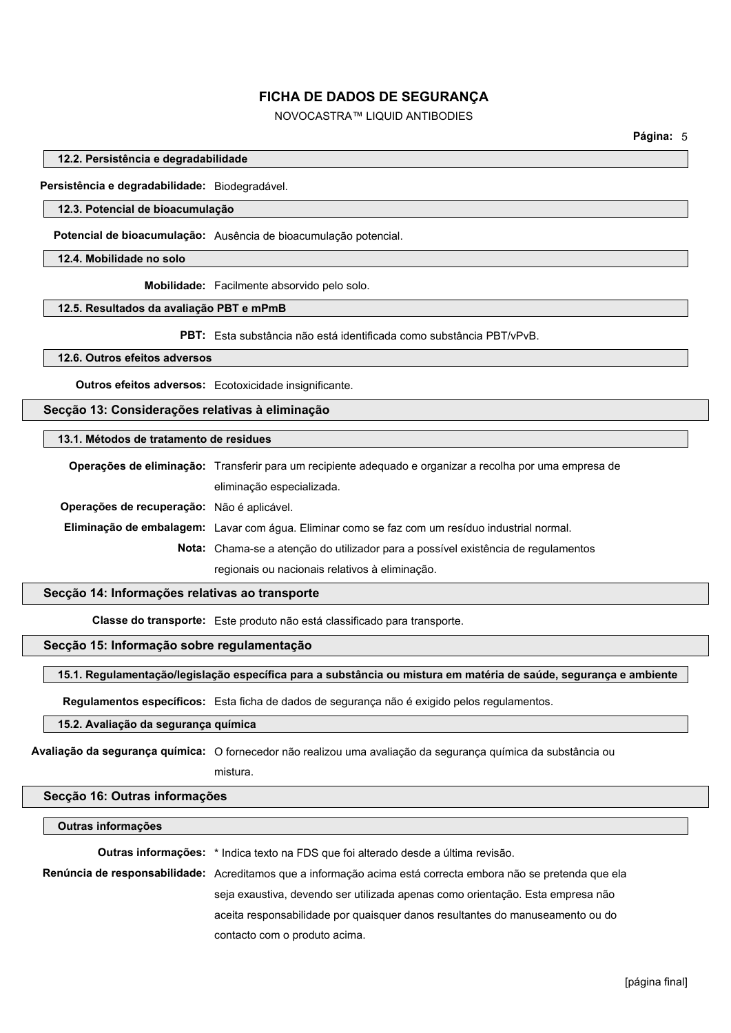# NOVOCASTRA™ LIQUID ANTIBODIES

**12.2. Persistência e degradabilidade**

**Persistência e degradabilidade:** Biodegradável.

### **12.3. Potencial de bioacumulação**

**Potencial de bioacumulação:** Ausência de bioacumulação potencial.

**12.4. Mobilidade no solo**

**Mobilidade:** Facilmente absorvido pelo solo.

### **12.5. Resultados da avaliação PBT e mPmB**

**PBT:** Esta substância não está identificada como substância PBT/vPvB.

**12.6. Outros efeitos adversos**

**Outros efeitos adversos:** Ecotoxicidade insignificante.

**Secção 13: Considerações relativas à eliminação**

### **13.1. Métodos de tratamento de residues**

**Operações de eliminação:** Transferir para um recipiente adequado e organizar a recolha por uma empresa de eliminação especializada. **Operações de recuperação:** Não é aplicável. **Eliminação de embalagem:** Lavar com água. Eliminar como se faz com um resíduo industrial normal. **Nota:** Chama-se a atenção do utilizador para a possível existência de regulamentos regionais ou nacionais relativos à eliminação.

### **Secção 14: Informações relativas ao transporte**

**Classe do transporte:** Este produto não está classificado para transporte.

# **Secção 15: Informação sobre regulamentação**

### **15.1. Regulamentação/legislação específica para a substância ou mistura em matéria de saúde, segurança e ambiente**

**Regulamentos específicos:** Esta ficha de dados de segurança não é exigido pelos regulamentos.

### **15.2. Avaliação da segurança química**

**Avaliação da segurança química:** O fornecedor não realizou uma avaliação da segurança química da substância ou

mistura.

### **Secção 16: Outras informações**

#### **Outras informações**

**Outras informações:** \* Indica texto na FDS que foi alterado desde a última revisão.

**Renúncia de responsabilidade:** Acreditamos que a informação acima está correcta embora não se pretenda que ela seja exaustiva, devendo ser utilizada apenas como orientação. Esta empresa não aceita responsabilidade por quaisquer danos resultantes do manuseamento ou do contacto com o produto acima.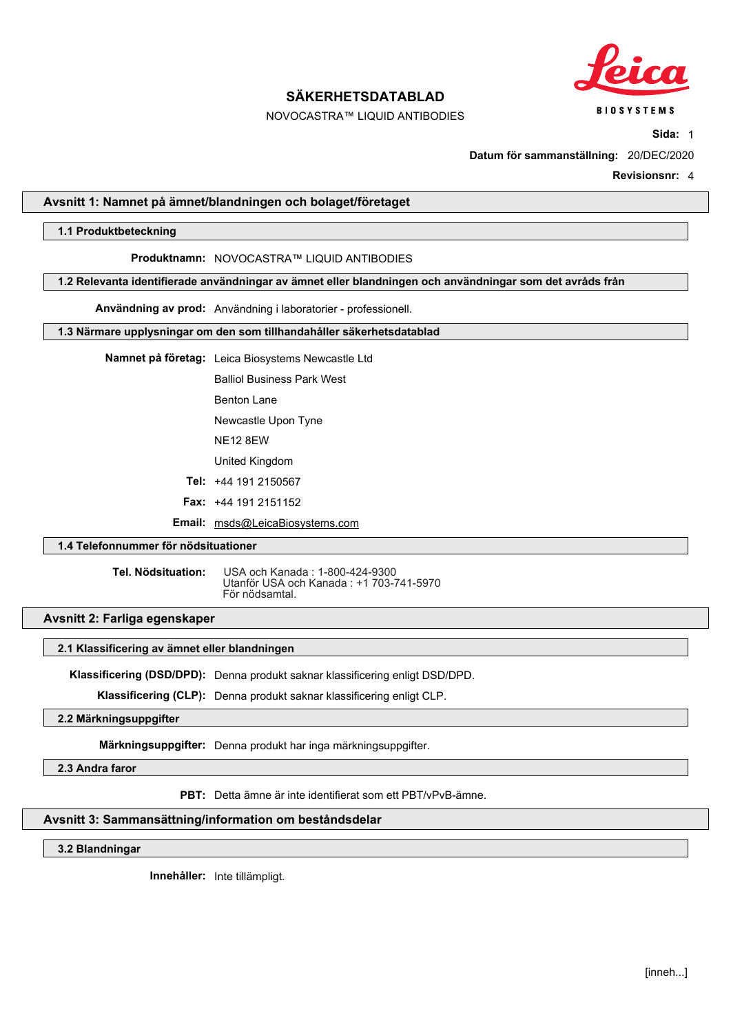

# NOVOCASTRA™ LIQUID ANTIBODIES

**Sida:** 1

**Datum för sammanställning:** 20/DEC/2020

**Revisionsnr:** 4

### <span id="page-31-0"></span>**Avsnitt 1: Namnet på ämnet/blandningen och bolaget/företaget**

### **1.1 Produktbeteckning**

### **Produktnamn:** NOVOCASTRA™ LIQUID ANTIBODIES

**1.2 Relevanta identifierade användningar av ämnet eller blandningen och användningar som det avråds från**

**Användning av prod:** Användning i laboratorier - professionell.

### **1.3 Närmare upplysningar om den som tillhandahåller säkerhetsdatablad**

**Namnet på företag:** Leica Biosystems Newcastle Ltd

Balliol Business Park West

Benton Lane

Newcastle Upon Tyne

NE12 8EW

United Kingdom

**Tel:** +44 191 2150567

**Fax:** +44 191 2151152

**Email:** msds@LeicaBiosystems.com

# **1.4 Telefonnummer för nödsituationer**

**Tel. Nödsituation:** USA och Kanada : 1-800-424-9300 Utanför USA och Kanada : +1 703-741-5970 För nödsamtal.

### **Avsnitt 2: Farliga egenskaper**

#### **2.1 Klassificering av ämnet eller blandningen**

**Klassificering (DSD/DPD):** Denna produkt saknar klassificering enligt DSD/DPD.

**Klassificering (CLP):** Denna produkt saknar klassificering enligt CLP.

**2.2 Märkningsuppgifter**

**Märkningsuppgifter:** Denna produkt har inga märkningsuppgifter.

**2.3 Andra faror**

**PBT:** Detta ämne är inte identifierat som ett PBT/vPvB-ämne.

### **Avsnitt 3: Sammansättning/information om beståndsdelar**

**3.2 Blandningar**

**Innehåller:** Inte tillämpligt.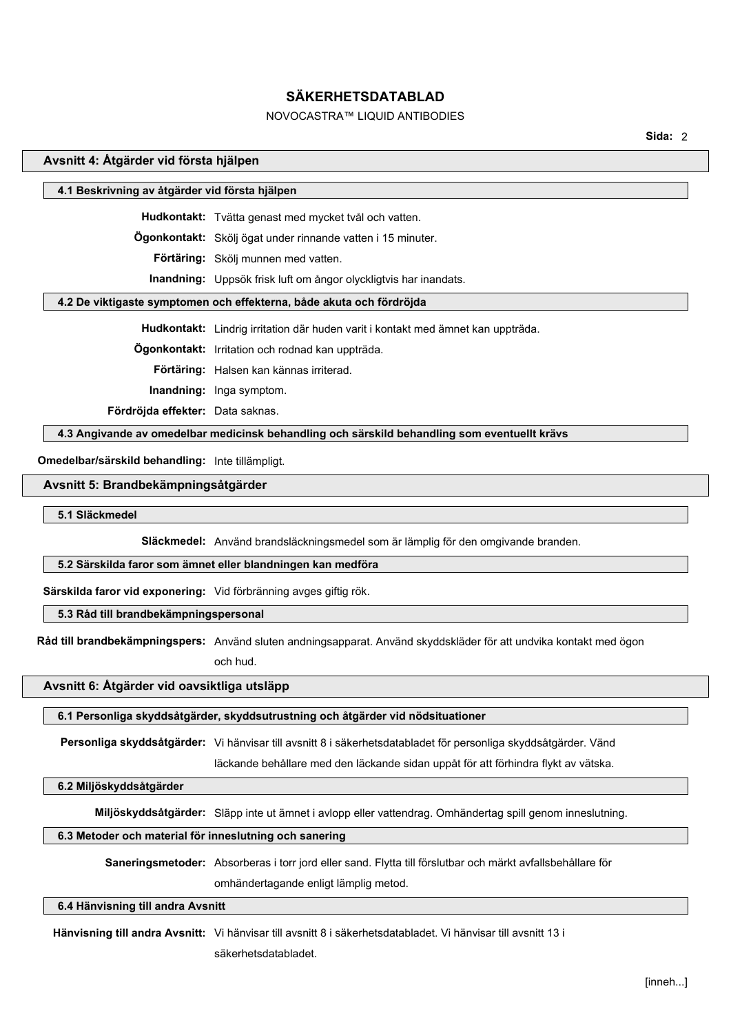# NOVOCASTRA™ LIQUID ANTIBODIES

**Sida:** 2

### **Avsnitt 4: Åtgärder vid första hjälpen**

### **4.1 Beskrivning av åtgärder vid första hjälpen**

**Hudkontakt:** Tvätta genast med mycket tvål och vatten.

**Ögonkontakt:** Skölj ögat under rinnande vatten i 15 minuter.

**Förtäring:** Skölj munnen med vatten.

**Inandning:** Uppsök frisk luft om ångor olyckligtvis har inandats.

### **4.2 De viktigaste symptomen och effekterna, både akuta och fördröjda**

**Hudkontakt:** Lindrig irritation där huden varit i kontakt med ämnet kan uppträda.

**Ögonkontakt:** Irritation och rodnad kan uppträda.

**Förtäring:** Halsen kan kännas irriterad.

**Inandning:** Inga symptom.

**Fördröjda effekter:** Data saknas.

**4.3 Angivande av omedelbar medicinsk behandling och särskild behandling som eventuellt krävs**

**Omedelbar/särskild behandling:** Inte tillämpligt.

#### **Avsnitt 5: Brandbekämpningsåtgärder**

**5.1 Släckmedel**

**Släckmedel:** Använd brandsläckningsmedel som är lämplig för den omgivande branden.

#### **5.2 Särskilda faror som ämnet eller blandningen kan medföra**

**Särskilda faror vid exponering:** Vid förbränning avges giftig rök.

# **5.3 Råd till brandbekämpningspersonal**

**Råd till brandbekämpningspers:** Använd sluten andningsapparat. Använd skyddskläder för att undvika kontakt med ögon

och hud.

### **Avsnitt 6: Åtgärder vid oavsiktliga utsläpp**

#### **6.1 Personliga skyddsåtgärder, skyddsutrustning och åtgärder vid nödsituationer**

**Personliga skyddsåtgärder:** Vi hänvisar till avsnitt 8 i säkerhetsdatabladet för personliga skyddsåtgärder. Vänd

läckande behållare med den läckande sidan uppåt för att förhindra flykt av vätska.

### **6.2 Miljöskyddsåtgärder**

**Miljöskyddsåtgärder:** Släpp inte ut ämnet i avlopp eller vattendrag. Omhändertag spill genom inneslutning.

### **6.3 Metoder och material för inneslutning och sanering**

**Saneringsmetoder:** Absorberas i torr jord eller sand. Flytta till förslutbar och märkt avfallsbehållare för

omhändertagande enligt lämplig metod.

### **6.4 Hänvisning till andra Avsnitt**

**Hänvisning till andra Avsnitt:** Vi hänvisar till avsnitt 8 i säkerhetsdatabladet. Vi hänvisar till avsnitt 13 i

säkerhetsdatabladet.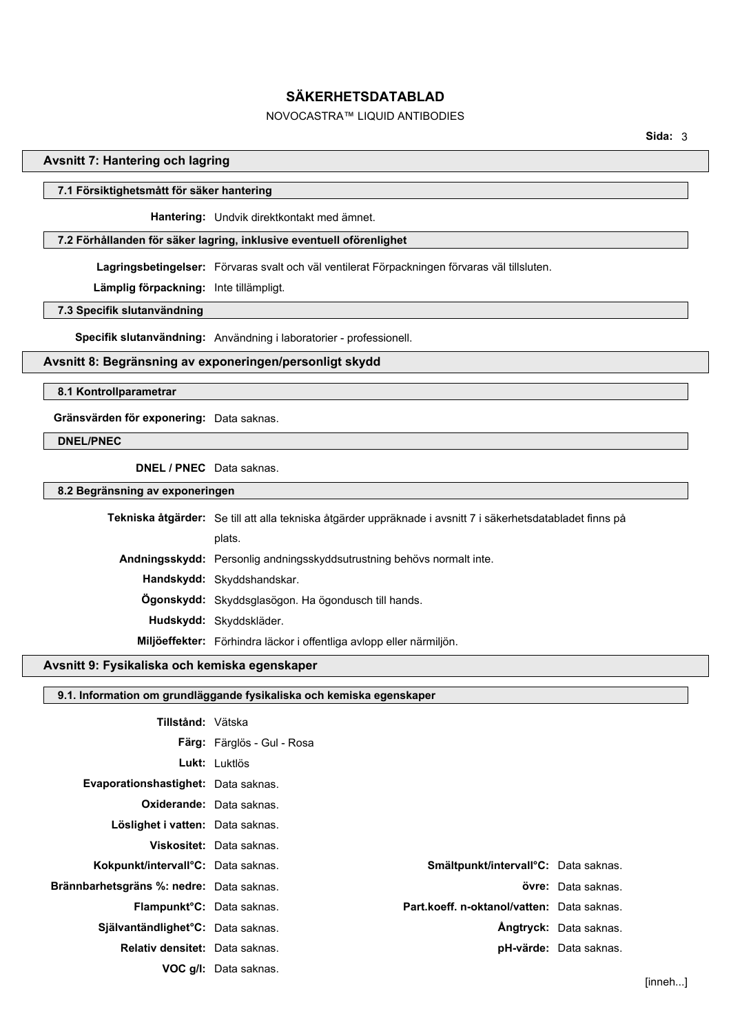# NOVOCASTRA™ LIQUID ANTIBODIES

### **Avsnitt 7: Hantering och lagring**

### **7.1 Försiktighetsmått för säker hantering**

**Hantering:** Undvik direktkontakt med ämnet.

# **7.2 Förhållanden för säker lagring, inklusive eventuell oförenlighet**

**Lagringsbetingelser:** Förvaras svalt och väl ventilerat Förpackningen förvaras väl tillsluten.

**Lämplig förpackning:** Inte tillämpligt.

**7.3 Specifik slutanvändning**

**Specifik slutanvändning:** Användning i laboratorier - professionell.

# **Avsnitt 8: Begränsning av exponeringen/personligt skydd**

#### **8.1 Kontrollparametrar**

**Gränsvärden för exponering:** Data saknas.

### **DNEL/PNEC**

**DNEL / PNEC** Data saknas.

**8.2 Begränsning av exponeringen**

| Tekniska åtgärder: Se till att alla tekniska åtgärder uppräknade i avsnitt 7 i säkerhetsdatabladet finns på |
|-------------------------------------------------------------------------------------------------------------|
| plats.                                                                                                      |
| Andningsskydd: Personlig andningsskyddsutrustning behövs normalt inte.                                      |
| Handskydd: Skyddshandskar.                                                                                  |
| <b>Ogonskydd:</b> Skyddsglasögon. Ha ögondusch till hands.                                                  |
| Hudskydd: Skyddskläder.                                                                                     |
| Miljöeffekter: Förhindra läckor i offentliga avlopp eller närmiljön.                                        |
|                                                                                                             |

# **Avsnitt 9: Fysikaliska och kemiska egenskaper**

| 9.1. Information om grundläggande fysikaliska och kemiska egenskaper |                                                   |                               |        |  |
|----------------------------------------------------------------------|---------------------------------------------------|-------------------------------|--------|--|
|                                                                      |                                                   |                               |        |  |
| Tillstånd: Vätska                                                    |                                                   |                               |        |  |
|                                                                      | <b>Färg:</b> Färglös - Gul - Rosa                 |                               |        |  |
|                                                                      | Lukt: Luktlös                                     |                               |        |  |
| Evaporationshastighet: Data saknas.                                  |                                                   |                               |        |  |
|                                                                      | <b>Oxiderande:</b> Data saknas.                   |                               |        |  |
| Löslighet i vatten: Data saknas.                                     |                                                   |                               |        |  |
|                                                                      | <b>Viskositet:</b> Data saknas.                   |                               |        |  |
| Kokpunkt/intervall°C: Data saknas.                                   | Smältpunkt/intervall <sup>o</sup> C: Data saknas. |                               |        |  |
| Brännbarhetsgräns %: nedre: Data saknas.                             |                                                   | övre: Data saknas.            |        |  |
| Flampunkt <sup>o</sup> C: Data saknas.                               | Part.koeff. n-oktanol/vatten: Data saknas.        |                               |        |  |
| Självantändlighet°C: Data saknas.                                    |                                                   | <b>Ångtryck:</b> Data saknas. |        |  |
| Relativ densitet: Data saknas.                                       |                                                   | <b>pH-värde:</b> Data saknas. |        |  |
|                                                                      | <b>VOC g/l:</b> Data saknas.                      |                               |        |  |
|                                                                      |                                                   |                               | linnat |  |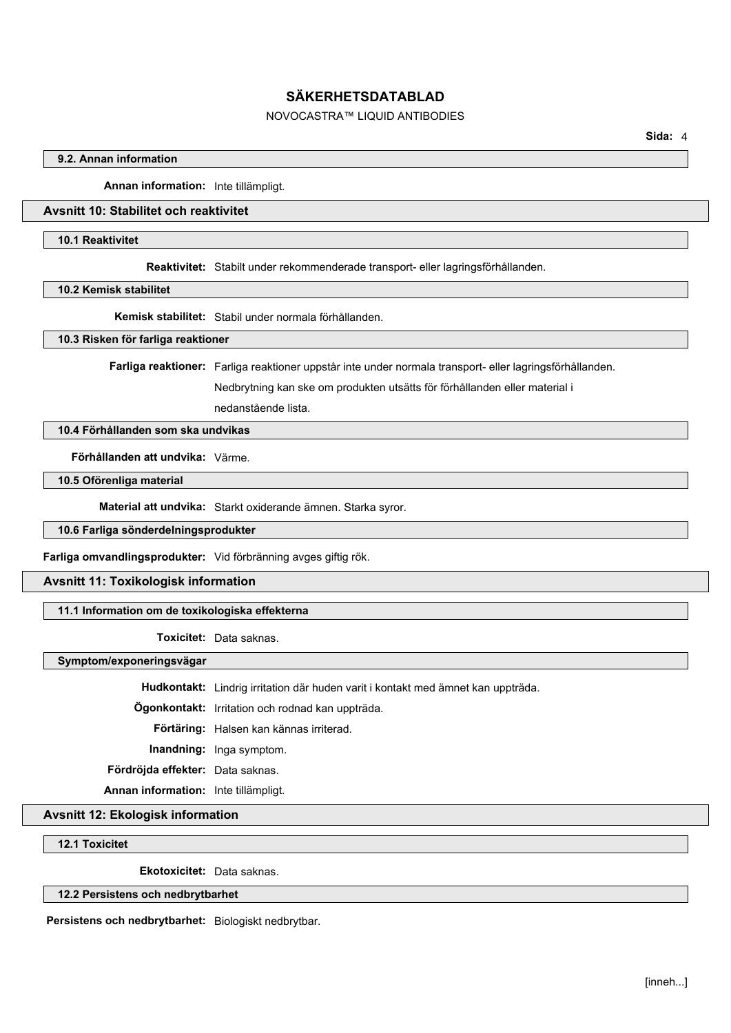# NOVOCASTRA™ LIQUID ANTIBODIES

### **9.2. Annan information**

**Annan information:** Inte tillämpligt.

# **Avsnitt 10: Stabilitet och reaktivitet**

### **10.1 Reaktivitet**

**Reaktivitet:** Stabilt under rekommenderade transport- eller lagringsförhållanden.

**10.2 Kemisk stabilitet**

**Kemisk stabilitet:** Stabil under normala förhållanden.

**10.3 Risken för farliga reaktioner**

**Farliga reaktioner:** Farliga reaktioner uppstår inte under normala transport- eller lagringsförhållanden.

Nedbrytning kan ske om produkten utsätts för förhållanden eller material i

nedanstående lista.

# **10.4 Förhållanden som ska undvikas**

**Förhållanden att undvika:** Värme.

**10.5 Oförenliga material**

**Material att undvika:** Starkt oxiderande ämnen. Starka syror.

**10.6 Farliga sönderdelningsprodukter**

**Farliga omvandlingsprodukter:** Vid förbränning avges giftig rök.

### **Avsnitt 11: Toxikologisk information**

# **11.1 Information om de toxikologiska effekterna**

**Toxicitet:** Data saknas.

**Symptom/exponeringsvägar**

**Hudkontakt:** Lindrig irritation där huden varit i kontakt med ämnet kan uppträda.

**Ögonkontakt:** Irritation och rodnad kan uppträda.

**Förtäring:** Halsen kan kännas irriterad.

**Inandning:** Inga symptom.

**Fördröjda effekter:** Data saknas.

**Annan information:** Inte tillämpligt.

**Avsnitt 12: Ekologisk information**

**12.1 Toxicitet**

**Ekotoxicitet:** Data saknas.

### **12.2 Persistens och nedbrytbarhet**

**Persistens och nedbrytbarhet:** Biologiskt nedbrytbar.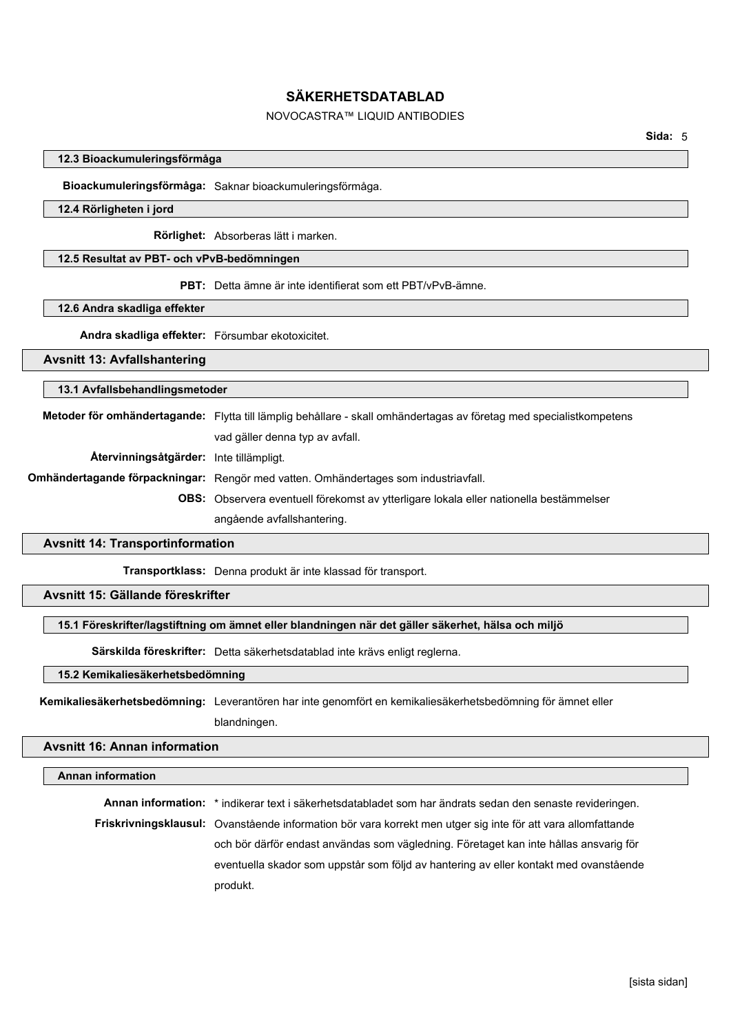# NOVOCASTRA™ LIQUID ANTIBODIES

### **12.3 Bioackumuleringsförmåga**

**Bioackumuleringsförmåga:** Saknar bioackumuleringsförmåga.

### **12.4 Rörligheten i jord**

**Rörlighet:** Absorberas lätt i marken.

#### **12.5 Resultat av PBT- och vPvB-bedömningen**

**PBT:** Detta ämne är inte identifierat som ett PBT/vPvB-ämne.

#### **12.6 Andra skadliga effekter**

**Andra skadliga effekter:** Försumbar ekotoxicitet.

#### **Avsnitt 13: Avfallshantering**

#### **13.1 Avfallsbehandlingsmetoder**

**Metoder för omhändertagande:** Flytta till lämplig behållare - skall omhändertagas av företag med specialistkompetens vad gäller denna typ av avfall. **Återvinningsåtgärder:** Inte tillämpligt. **Omhändertagande förpackningar:** Rengör med vatten. Omhändertages som industriavfall. **OBS:** Observera eventuell förekomst av ytterligare lokala eller nationella bestämmelser angående avfallshantering.

#### **Avsnitt 14: Transportinformation**

**Transportklass:** Denna produkt är inte klassad för transport.

### **Avsnitt 15: Gällande föreskrifter**

### **15.1 Föreskrifter/lagstiftning om ämnet eller blandningen när det gäller säkerhet, hälsa och miljö**

**Särskilda föreskrifter:** Detta säkerhetsdatablad inte krävs enligt reglerna.

### **15.2 Kemikaliesäkerhetsbedömning**

**Kemikaliesäkerhetsbedömning:** Leverantören har inte genomfört en kemikaliesäkerhetsbedömning för ämnet eller blandningen.

# **Avsnitt 16: Annan information**

#### **Annan information**

**Annan information:** \* indikerar text i säkerhetsdatabladet som har ändrats sedan den senaste revideringen. **Friskrivningsklausul:** Ovanstående information bör vara korrekt men utger sig inte för att vara allomfattande och bör därför endast användas som vägledning. Företaget kan inte hållas ansvarig för eventuella skador som uppstår som följd av hantering av eller kontakt med ovanstående produkt.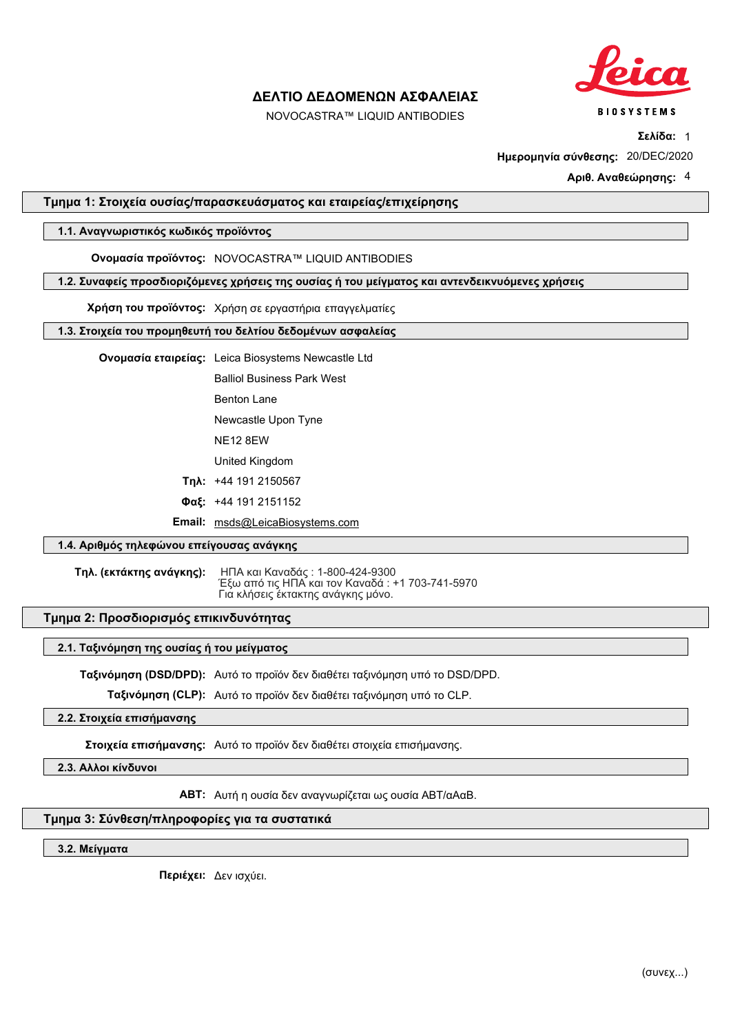

NOVOCASTRA™ LIQUID ANTIBODIES

**Σελίδα:** 1

**Ημερομηνία σύνθεσης:** 20/DEC/2020

**Αριθ. Αναθεώρησης:** 4

## **Τμημα 1: Στοιχεία ουσίας/παρασκευάσματος και εταιρείας/επιχείρησης**

# **1.1. Αναγνωριστικός κωδικός προϊόντος**

## **Ονομασία προϊόντος:** NOVOCASTRA™ LIQUID ANTIBODIES

## **1.2. Συναφείς προσδιοριζόμενες χρήσεις της ουσίας ή του μείγματος και αντενδεικνυόμενες χρήσεις**

**Χρήση του προϊόντος:** Χρήση σε εργαστήρια επαγγελματίες

### **1.3. Στοιχεία του προμηθευτή του δελτίου δεδομένων ασφαλείας**

**Ονομασία εταιρείας:** Leica Biosystems Newcastle Ltd

Balliol Business Park West

Benton Lane

Newcastle Upon Tyne

NE12 8EW

United Kingdom

**Τηλ:** +44 191 2150567

**Φαξ:** +44 191 2151152

**Email:** msds@LeicaBiosystems.com

# **1.4. Αριθμός τηλεφώνου επείγουσας ανάγκης**

**Τηλ. (εκτάκτης ανάγκης):** ΗΠΑ και Καναδάς : 1-800-424-9300 Έξω από τις ΗΠΑ και τον Καναδά : +1 703-741-5970 Για κλήσεις έκτακτης ανάγκης μόνο.

## **Τμημα 2: Προσδιορισμός επικινδυνότητας**

#### **2.1. Ταξινόμηση της ουσίας ή του μείγματος**

**Ταξινόμηση (DSD/DPD):** Αυτό το προϊόν δεν διαθέτει ταξινόμηση υπό το DSD/DPD.

**Ταξινόμηση (CLP):** Αυτό το προϊόν δεν διαθέτει ταξινόμηση υπό το CLP.

# **2.2. Στοιχεία επισήμανσης**

**Στοιχεία επισήμανσης:** Αυτό το προϊόν δεν διαθέτει στοιχεία επισήμανσης.

**2.3. Αλλοι κίνδυνοι**

**ΑΒΤ:** Αυτή η ουσία δεν αναγνωρίζεται ως ουσία ABT/αΑαΒ.

# **Τμημα 3: Σύνθεση/πληροφορίες για τα συστατικά**

**3.2. Μείγματα**

**Περιέχει:** Δεν ισχύει.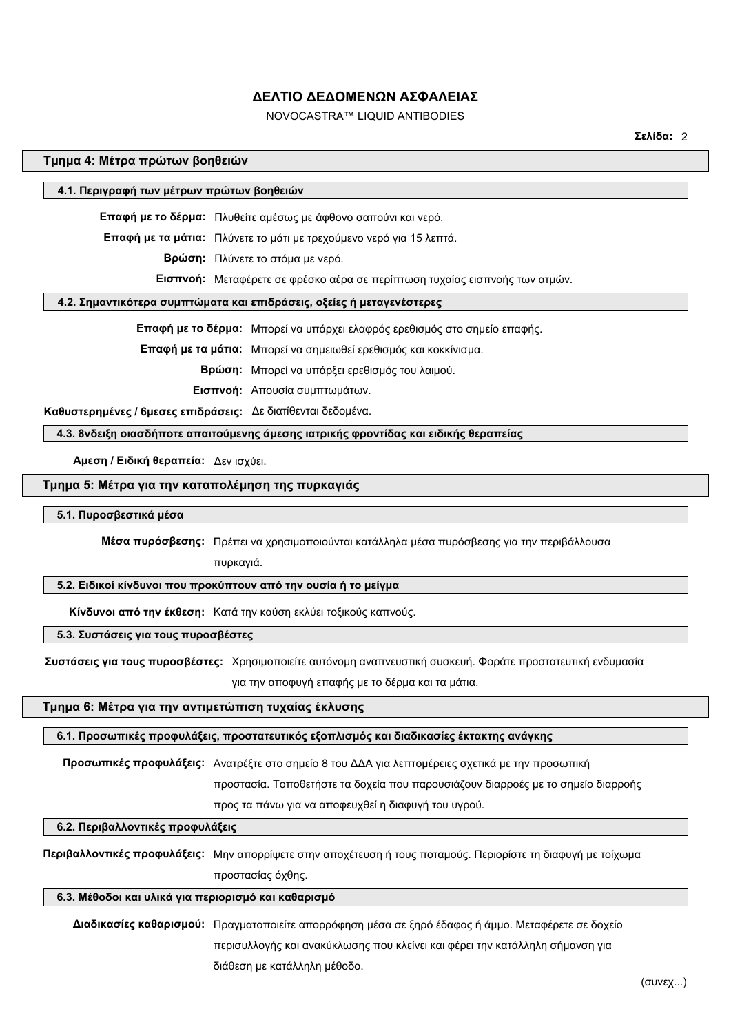# NOVOCASTRA™ LIQUID ANTIBODIES

**Σελίδα:** 2

#### **Τμημα 4: Μέτρα πρώτων βοηθειών**

#### **4.1. Περιγραφή των μέτρων πρώτων βοηθειών**

**Επαφή με το δέρμα:** Πλυθείτε αμέσως με άφθονο σαπούνι και νερό.

**Επαφή με τα μάτια:** Πλύνετε το μάτι με τρεχούμενο νερό για 15 λεπτά.

**Βρώση:** Πλύνετε το στόμα με νερό.

**Εισπνοή:** Μεταφέρετε σε φρέσκο αέρα σε περίπτωση τυχαίας εισπνοής των ατμών.

## **4.2. Σημαντικότερα συμπτώματα και επιδράσεις, οξείες ή μεταγενέστερες**

**Επαφή με το δέρμα:** Μπορεί να υπάρχει ελαφρός ερεθισμός στο σημείο επαφής.

**Επαφή με τα μάτια:** Μπορεί να σημειωθεί ερεθισμός και κοκκίνισμα.

**Βρώση:** Μπορεί να υπάρξει ερεθισμός του λαιμού.

**Εισπνοή:** Απουσία συμπτωμάτων.

 **Καθυστερημένες / 6μεσες επιδράσεις:** Δε διατίθενται δεδομένα.

**4.3. 8νδειξη οιασδήποτε απαιτούμενης άμεσης ιατρικής φροντίδας και ειδικής θεραπείας**

**Αμεση / Ειδική θεραπεία:** Δεν ισχύει.

#### **Τμημα 5: Μέτρα για την καταπολέμηση της πυρκαγιάς**

**5.1. Πυροσβεστικά μέσα**

**Μέσα πυρόσβεσης:** Πρέπει να χρησιμοποιούνται κατάλληλα μέσα πυρόσβεσης για την περιβάλλουσα

πυρκαγιά.

# **5.2. Ειδικοί κίνδυνοι που προκύπτουν από την ουσία ή το μείγμα**

**Κίνδυνοι από την έκθεση:** Κατά την καύση εκλύει τοξικούς καπνούς.

## **5.3. Συστάσεις για τους πυροσβέστες**

 **Συστάσεις για τους πυροσβέστες:** Χρησιμοποιείτε αυτόνομη αναπνευστική συσκευή. Φοράτε προστατευτική ενδυμασία

για την αποφυγή επαφής με το δέρμα και τα μάτια.

# **Τμημα 6: Μέτρα για την αντιμετώπιση τυχαίας έκλυσης**

#### **6.1. Προσωπικές προφυλάξεις, προστατευτικός εξοπλισμός και διαδικασίες έκτακτης ανάγκης**

**Προσωπικές προφυλάξεις:** Ανατρέξτε στο σημείο 8 του ΔΔΑ για λεπτομέρειες σχετικά με την προσωπική

προστασία. Τοποθετήστε τα δοχεία που παρουσιάζουν διαρροές με το σημείο διαρροής

προς τα πάνω για να αποφευχθεί η διαφυγή του υγρού.

## **6.2. Περιβαλλοντικές προφυλάξεις**

**Περιβαλλοντικές προφυλάξεις:** Μην απορρίψετε στην αποχέτευση ή τους ποταμούς. Περιορίστε τη διαφυγή με τοίχωμα προστασίας όχθης.

#### **6.3. Μέθοδοι και υλικά για περιορισμό και καθαρισμό**

**Διαδικασίες καθαρισμού:** Πραγματοποιείτε απορρόφηση μέσα σε ξηρό έδαφος ή άμμο. Μεταφέρετε σε δοχείο περισυλλογής και ανακύκλωσης που κλείνει και φέρει την κατάλληλη σήμανση για διάθεση με κατάλληλη μέθοδο.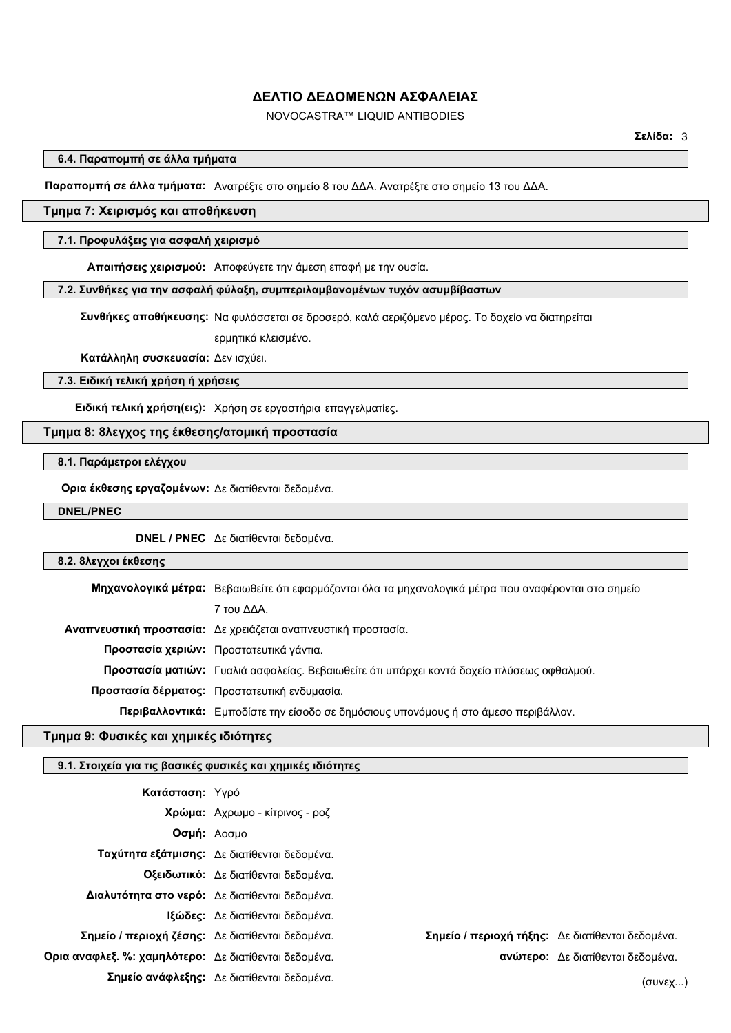# NOVOCASTRA™ LIQUID ANTIBODIES

**6.4. Παραπομπή σε άλλα τμήματα**

**Παραπομπή σε άλλα τμήματα:** Ανατρέξτε στο σημείο 8 του ΔΔΑ. Ανατρέξτε στο σημείο 13 του ΔΔΑ.

# **Τμημα 7: Χειρισμός και αποθήκευση**

#### **7.1. Προφυλάξεις για ασφαλή χειρισμό**

**Απαιτήσεις χειρισμού:** Αποφεύγετε την άμεση επαφή με την ουσία.

#### **7.2. Συνθήκες για την ασφαλή φύλαξη, συμπεριλαμβανομένων τυχόν ασυμβίβαστων**

 **Συνθήκες αποθήκευσης:** Να φυλάσσεται σε δροσερό, καλά αεριζόμενο μέρος. Το δοχείο να διατηρείται ερμητικά κλεισμένο.

**Κατάλληλη συσκευασία:** Δεν ισχύει.

## **7.3. Ειδική τελική χρήση ή χρήσεις**

**Ειδική τελική χρήση(εις):** Χρήση σε εργαστήρια επαγγελματίες.

## **Τμημα 8: 8λεγχος της έκθεσης/ατομική προστασία**

# **8.1. Παράμετροι ελέγχου**

**Ορια έκθεσης εργαζομένων:** Δε διατίθενται δεδομένα.

### **DNEL/PNEC**

**DNEL / PNEC** Δε διατίθενται δεδομένα.

#### **8.2. 8λεγχοι έκθεσης**

**Μηχανολογικά μέτρα:** Βεβαιωθείτε ότι εφαρμόζονται όλα τα μηχανολογικά μέτρα που αναφέρονται στο σημείο 7 του ΔΔΑ. **Αναπνευστική προστασία:** Δε χρειάζεται αναπνευστική προστασία. **Προστασία χεριών:** Προστατευτικά γάντια. **Προστασία ματιών:** Γυαλιά ασφαλείας. Βεβαιωθείτε ότι υπάρχει κοντά δοχείο πλύσεως οφθαλμού. **Προστασία δέρματος:** Προστατευτική ενδυμασία. **Περιβαλλοντικά:** Εμποδίστε την είσοδο σε δημόσιους υπονόμους ή στο άμεσο περιβάλλον.

# **Τμημα 9: Φυσικές και χημικές ιδιότητες**

## **9.1. Στοιχεία για τις βασικές φυσικές και χημικές ιδιότητες**

| Κατάσταση: Υγρό                                       |                                                |                                                  |                                   |
|-------------------------------------------------------|------------------------------------------------|--------------------------------------------------|-----------------------------------|
|                                                       | Χρώμα: Αχρωμο - κίτρινος - ροζ                 |                                                  |                                   |
|                                                       | Οσμή: Αοσμο                                    |                                                  |                                   |
|                                                       | Ταχύτητα εξάτμισης: Δε διατίθενται δεδομένα.   |                                                  |                                   |
|                                                       | Οξειδωτικό: Δε διατίθενται δεδομένα.           |                                                  |                                   |
|                                                       | Διαλυτότητα στο νερό: Δε διατίθενται δεδομένα. |                                                  |                                   |
|                                                       | <b>Ιξώδες:</b> Δε διατίθενται δεδομένα.        |                                                  |                                   |
| Σημείο / περιοχή ζέσης: Δε διατίθενται δεδομένα.      |                                                | Σημείο / περιοχή τήξης: Δε διατίθενται δεδομένα. |                                   |
| Ορια αναφλεξ. %: χαμηλότερο: Δε διατίθενται δεδομένα. |                                                |                                                  | ανώτερο: Δε διατίθενται δεδομένα. |
|                                                       | Σημείο ανάφλεξης: Δε διατίθενται δεδομένα.     |                                                  | (συνεχ…)                          |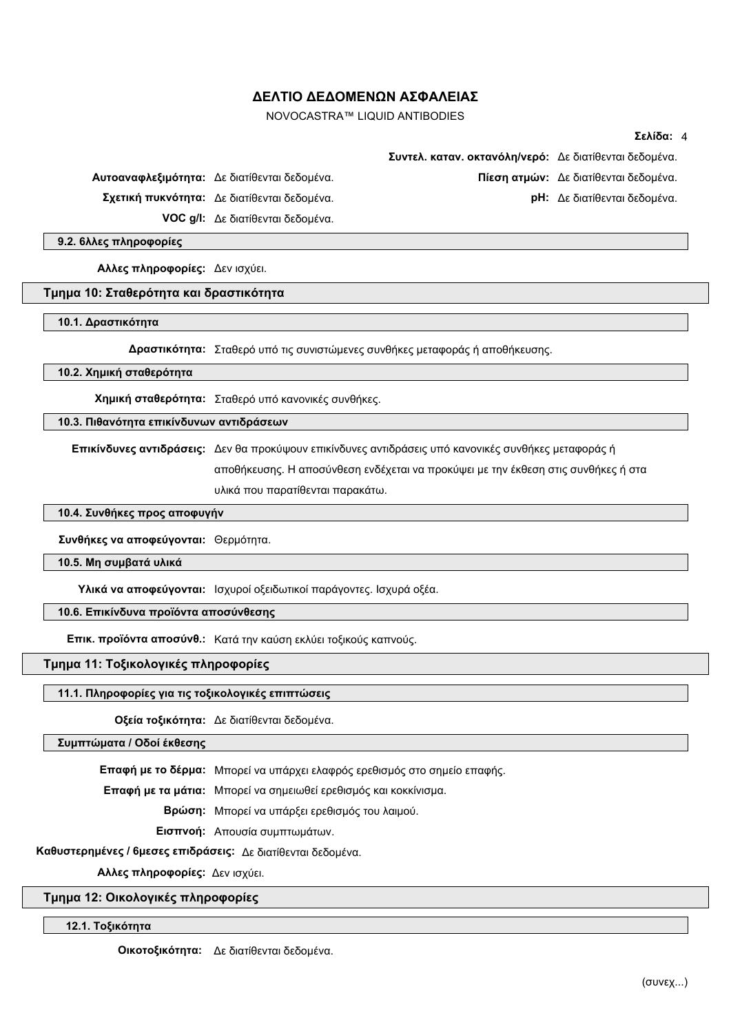NOVOCASTRA™ LIQUID ANTIBODIES

## **Σελίδα:** 4

|                                              | Συντελ. καταν. οκτανόλη/νερό: Δε διατίθενται δεδομένα. |                                              |
|----------------------------------------------|--------------------------------------------------------|----------------------------------------------|
| Αυτοαναφλεξιμότητα: Δε διατίθενται δεδομένα. |                                                        | <b>Πίεση ατμών:</b> Δε διατίθενται δεδομένα. |
| Σχετική πυκνότητα: Δε διατίθενται δεδομένα.  |                                                        | <b>pH:</b> Δε διατίθενται δεδομένα.          |
| <b>VOC g/l:</b> Δε διατίθενται δεδομένα.     |                                                        |                                              |

**9.2. 6λλες πληροφορίες**

**Αλλες πληροφορίες:** Δεν ισχύει.

#### **Τμημα 10: Σταθερότητα και δραστικότητα**

**10.1. Δραστικότητα**

**Δραστικότητα:** Σταθερό υπό τις συνιστώμενες συνθήκες μεταφοράς ή αποθήκευσης.

**10.2. Χημική σταθερότητα**

**Χημική σταθερότητα:** Σταθερό υπό κανονικές συνθήκες.

**10.3. Πιθανότητα επικίνδυνων αντιδράσεων**

**Επικίνδυνες αντιδράσεις:** Δεν θα προκύψουν επικίνδυνες αντιδράσεις υπό κανονικές συνθήκες μεταφοράς ή

αποθήκευσης. Η αποσύνθεση ενδέχεται να προκύψει με την έκθεση στις συνθήκες ή στα υλικά που παρατίθενται παρακάτω.

**10.4. Συνθήκες προς αποφυγήν**

**Συνθήκες να αποφεύγονται:** Θερμότητα.

**10.5. Μη συμβατά υλικά**

**Υλικά να αποφεύγονται:** Ισχυροί οξειδωτικοί παράγοντες. Ισχυρά οξέα.

**10.6. Επικίνδυνα προϊόντα αποσύνθεσης**

**Επικ. προϊόντα αποσύνθ.:** Κατά την καύση εκλύει τοξικούς καπνούς.

**Τμημα 11: Τοξικολογικές πληροφορίες**

### **11.1. Πληροφορίες για τις τοξικολογικές επιπτώσεις**

**Οξεία τοξικότητα:** Δε διατίθενται δεδομένα.

**Συμπτώματα / Οδοί έκθεσης**

**Επαφή με το δέρμα:** Μπορεί να υπάρχει ελαφρός ερεθισμός στο σημείο επαφής.

**Επαφή με τα μάτια:** Μπορεί να σημειωθεί ερεθισμός και κοκκίνισμα.

**Βρώση:** Μπορεί να υπάρξει ερεθισμός του λαιμού.

**Εισπνοή:** Απουσία συμπτωμάτων.

**Καθυστερημένες / 6μεσες επιδράσεις:** Δε διατίθενται δεδομένα.

**Αλλες πληροφορίες:** Δεν ισχύει.

**Τμημα 12: Οικολογικές πληροφορίες**

**12.1. Τοξικότητα**

**Οικοτοξικότητα:** Δε διατίθενται δεδομένα.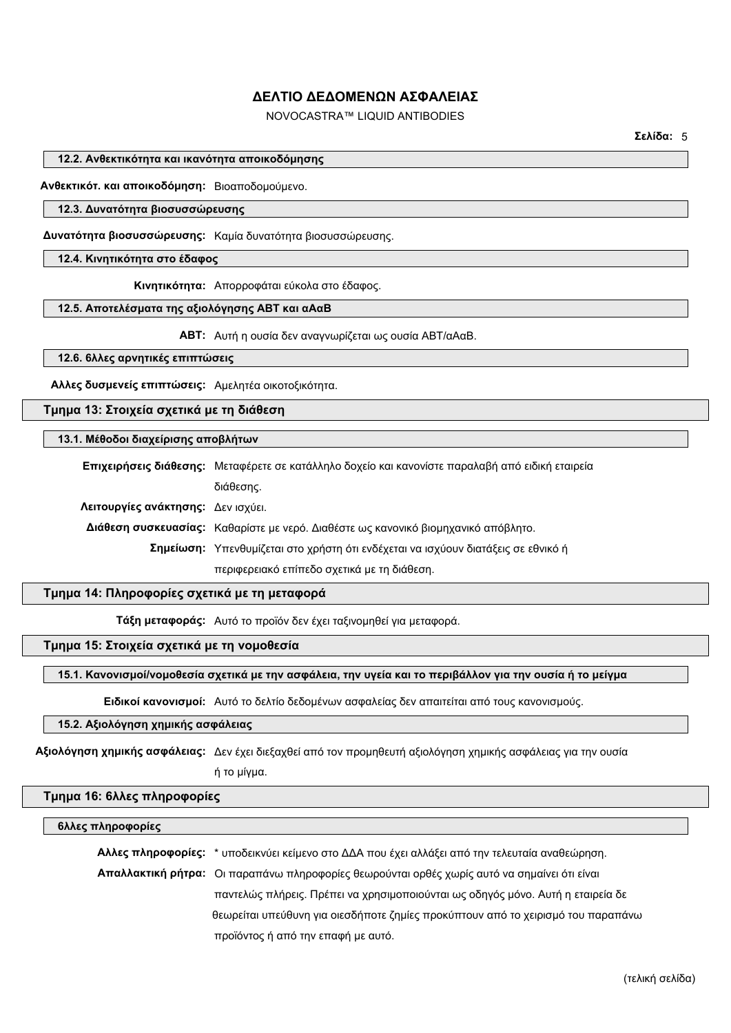# NOVOCASTRA™ LIQUID ANTIBODIES

**Σελίδα:** 5

### **12.2. Ανθεκτικότητα και ικανότητα αποικοδόμησης**

**Ανθεκτικότ. και αποικοδόμηση:** Βιοαποδομούμενο.

## **12.3. Δυνατότητα βιοσυσσώρευσης**

**Δυνατότητα βιοσυσσώρευσης:** Καμία δυνατότητα βιοσυσσώρευσης.

### **12.4. Κινητικότητα στο έδαφος**

**Κινητικότητα:** Απορροφάται εύκολα στο έδαφος.

#### **12.5. Αποτελέσματα της αξιολόγησης ΑΒΤ και αΑαΒ**

**ΑΒΤ:** Αυτή η ουσία δεν αναγνωρίζεται ως ουσία ABT/αΑαΒ.

## **12.6. 6λλες αρνητικές επιπτώσεις**

**Αλλες δυσμενείς επιπτώσεις:** Αμελητέα οικοτοξικότητα.

# **Τμημα 13: Στοιχεία σχετικά με τη διάθεση**

## **13.1. Μέθοδοι διαχείρισης αποβλήτων**

**Επιχειρήσεις διάθεσης:** Μεταφέρετε σε κατάλληλο δοχείο και κανονίστε παραλαβή από ειδική εταιρεία διάθεσης. **Λειτουργίες ανάκτησης:** Δεν ισχύει. **Διάθεση συσκευασίας:** Καθαρίστε με νερό. Διαθέστε ως κανονικό βιομηχανικό απόβλητο. **Σημείωση:** Υπενθυμίζεται στο χρήστη ότι ενδέχεται να ισχύουν διατάξεις σε εθνικό ή περιφερειακό επίπεδο σχετικά με τη διάθεση.

# **Τμημα 14: Πληροφορίες σχετικά με τη μεταφορά**

**Τάξη μεταφοράς:** Αυτό το προϊόν δεν έχει ταξινομηθεί για μεταφορά.

# **Τμημα 15: Στοιχεία σχετικά με τη νομοθεσία**

## **15.1. Κανονισμοί/νομοθεσία σχετικά με την ασφάλεια, την υγεία και το περιβάλλον για την ουσία ή το μείγμα**

**Ειδικοί κανονισμοί:** Αυτό το δελτίο δεδομένων ασφαλείας δεν απαιτείται από τους κανονισμούς.

# **15.2. Αξιολόγηση χημικής ασφάλειας**

**Αξιολόγηση χημικής ασφάλειας:** Δεν έχει διεξαχθεί από τον προμηθευτή αξιολόγηση χημικής ασφάλειας για την ουσία ή το μίγμα.

## **Τμημα 16: 6λλες πληροφορίες**

#### **6λλες πληροφορίες**

**Αλλες πληροφορίες:** \* υποδεικνύει κείμενο στο ΔΔA που έχει αλλάξει από την τελευταία αναθεώρηση. **Απαλλακτική ρήτρα:** Οι παραπάνω πληροφορίες θεωρούνται ορθές χωρίς αυτό να σημαίνει ότι είναι παντελώς πλήρεις. Πρέπει να χρησιμοποιούνται ως οδηγός μόνο. Αυτή η εταιρεία δε θεωρείται υπεύθυνη για οιεσδήποτε ζημίες προκύπτουν από το χειρισμό του παραπάνω προϊόντος ή από την επαφή με αυτό.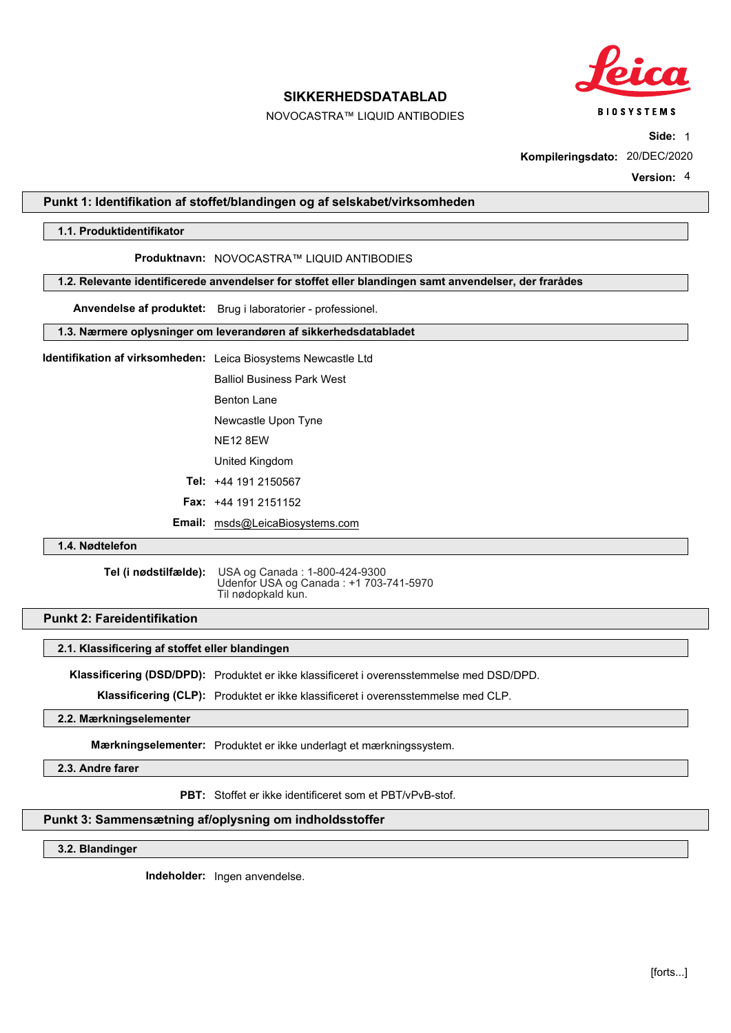

NOVOCASTRA™ LIQUID ANTIBODIES

**Side:** 1

**Kompileringsdato:** 20/DEC/2020

**Version:** 4

## **Punkt 1: Identifikation af stoffet/blandingen og af selskabet/virksomheden**

## **1.1. Produktidentifikator**

#### **Produktnavn:** NOVOCASTRA™ LIQUID ANTIBODIES

#### **1.2. Relevante identificerede anvendelser for stoffet eller blandingen samt anvendelser, der frarådes**

**Anvendelse af produktet:** Brug i laboratorier - professionel.

## **1.3. Nærmere oplysninger om leverandøren af sikkerhedsdatabladet**

**Identifikation af virksomheden:** Leica Biosystems Newcastle Ltd

Balliol Business Park West

Benton Lane

Newcastle Upon Tyne

NE12 8EW

United Kingdom

**Tel:** +44 191 2150567

**Fax:** +44 191 2151152

**Email:** msds@LeicaBiosystems.com

## **1.4. Nødtelefon**

**Tel (i nødstilfælde):** USA og Canada : 1-800-424-9300 Udenfor USA og Canada : +1 703-741-5970 Til nødopkald kun.

## **Punkt 2: Fareidentifikation**

#### **2.1. Klassificering af stoffet eller blandingen**

**Klassificering (DSD/DPD):** Produktet er ikke klassificeret i overensstemmelse med DSD/DPD.

**Klassificering (CLP):** Produktet er ikke klassificeret i overensstemmelse med CLP.

### **2.2. Mærkningselementer**

**Mærkningselementer:** Produktet er ikke underlagt et mærkningssystem.

**2.3. Andre farer**

**PBT:** Stoffet er ikke identificeret som et PBT/vPvB-stof.

# **Punkt 3: Sammensætning af/oplysning om indholdsstoffer**

**3.2. Blandinger**

**Indeholder:** Ingen anvendelse.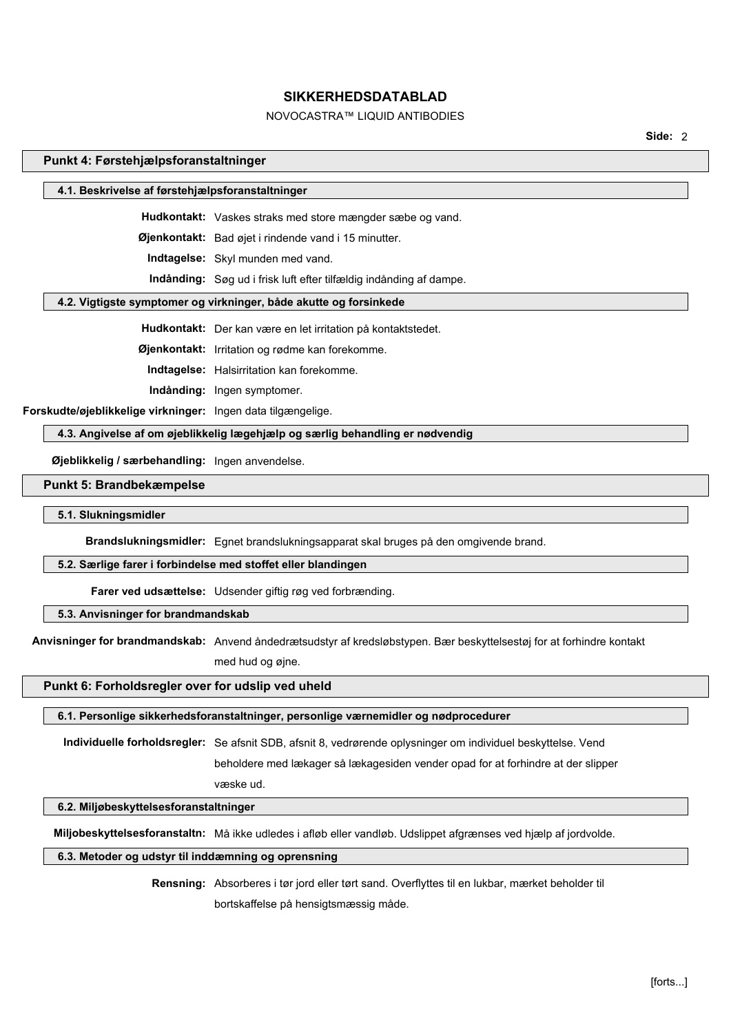# NOVOCASTRA™ LIQUID ANTIBODIES

**Side:** 2

#### **Punkt 4: Førstehjælpsforanstaltninger**

#### **4.1. Beskrivelse af førstehjælpsforanstaltninger**

**Hudkontakt:** Vaskes straks med store mængder sæbe og vand.

**Øjenkontakt:** Bad øjet i rindende vand i 15 minutter.

**Indtagelse:** Skyl munden med vand.

**Indånding:** Søg ud i frisk luft efter tilfældig indånding af dampe.

## **4.2. Vigtigste symptomer og virkninger, både akutte og forsinkede**

**Hudkontakt:** Der kan være en let irritation på kontaktstedet.

**Øjenkontakt:** Irritation og rødme kan forekomme.

**Indtagelse:** Halsirritation kan forekomme.

**Indånding:** Ingen symptomer.

**Forskudte/øjeblikkelige virkninger:** Ingen data tilgængelige.

### **4.3. Angivelse af om øjeblikkelig lægehjælp og særlig behandling er nødvendig**

**Øjeblikkelig / særbehandling:** Ingen anvendelse.

## **Punkt 5: Brandbekæmpelse**

**5.1. Slukningsmidler**

**Brandslukningsmidler:** Egnet brandslukningsapparat skal bruges på den omgivende brand.

#### **5.2. Særlige farer i forbindelse med stoffet eller blandingen**

**Farer ved udsættelse:** Udsender giftig røg ved forbrænding.

## **5.3. Anvisninger for brandmandskab**

**Anvisninger for brandmandskab:** Anvend åndedrætsudstyr af kredsløbstypen. Bær beskyttelsestøj for at forhindre kontakt

med hud og øjne.

væske ud.

## **Punkt 6: Forholdsregler over for udslip ved uheld**

#### **6.1. Personlige sikkerhedsforanstaltninger, personlige værnemidler og nødprocedurer**

**Individuelle forholdsregler:** Se afsnit SDB, afsnit 8, vedrørende oplysninger om individuel beskyttelse. Vend beholdere med lækager så lækagesiden vender opad for at forhindre at der slipper

## **6.2. Miljøbeskyttelsesforanstaltninger**

**Miljobeskyttelsesforanstaltn:** Må ikke udledes i afløb eller vandløb. Udslippet afgrænses ved hjælp af jordvolde.

## **6.3. Metoder og udstyr til inddæmning og oprensning**

**Rensning:** Absorberes i tør jord eller tørt sand. Overflyttes til en lukbar, mærket beholder til bortskaffelse på hensigtsmæssig måde.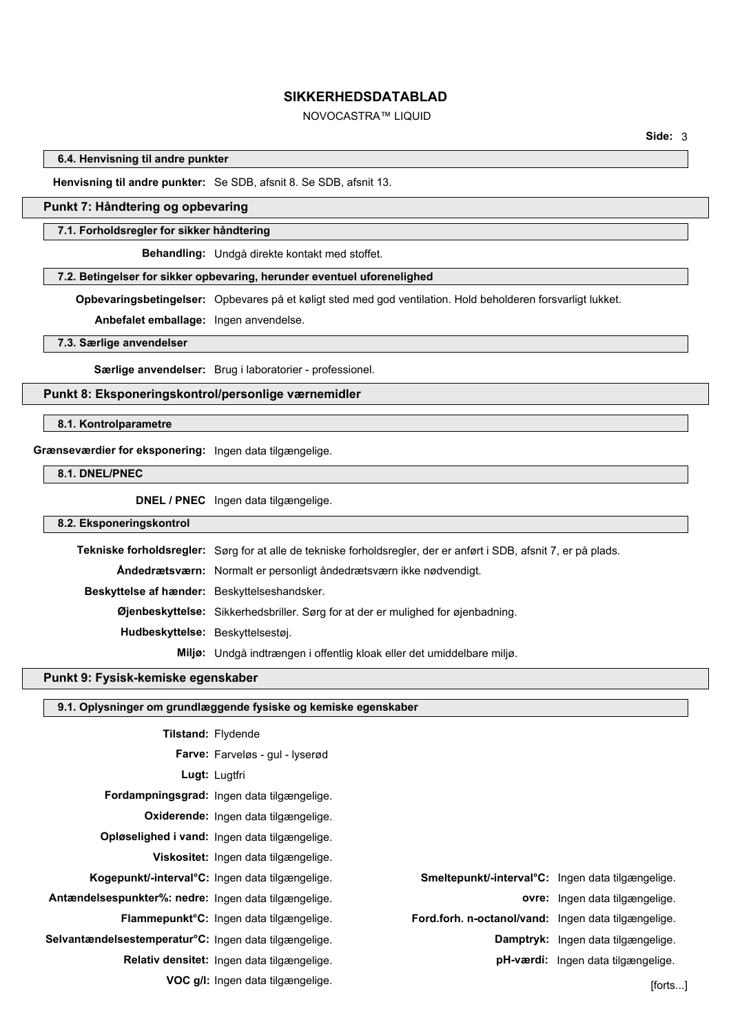# NOVOCASTRA™ LIQUID

**6.4. Henvisning til andre punkter**

**Henvisning til andre punkter:** Se SDB, afsnit 8. Se SDB, afsnit 13.

# **Punkt 7: Håndtering og opbevaring**

#### **7.1. Forholdsregler for sikker håndtering**

**Behandling:** Undgå direkte kontakt med stoffet.

# **7.2. Betingelser for sikker opbevaring, herunder eventuel uforenelighed**

**Opbevaringsbetingelser:** Opbevares på et køligt sted med god ventilation. Hold beholderen forsvarligt lukket.

**Anbefalet emballage:** Ingen anvendelse.

# **7.3. Særlige anvendelser**

**Særlige anvendelser:** Brug i laboratorier - professionel.

# **Punkt 8: Eksponeringskontrol/personlige værnemidler**

**8.1. Kontrolparametre**

## **Grænseværdier for eksponering:** Ingen data tilgængelige.

**8.1. DNEL/PNEC**

**DNEL / PNEC** Ingen data tilgængelige.

## **8.2. Eksponeringskontrol**

|                                              | Tekniske forholdsregler: Sørg for at alle de tekniske forholdsregler, der er anført i SDB, afsnit 7, er på plads. |
|----------------------------------------------|-------------------------------------------------------------------------------------------------------------------|
|                                              | Andedrætsværn: Normalt er personligt åndedrætsværn ikke nødvendigt.                                               |
| Beskyttelse af hænder: Beskyttelseshandsker. |                                                                                                                   |
|                                              | <b>Øjenbeskyttelse:</b> Sikkerhedsbriller. Sørg for at der er mulighed for øjenbadning.                           |
| Hudbeskyttelse: Beskyttelsestøj.             |                                                                                                                   |
|                                              | Miljø: Undgå indtrængen i offentlig kloak eller det umiddelbare miljø.                                            |

### **Punkt 9: Fysisk-kemiske egenskaber**

|  | <b>9.1. Oplysninger om grundlæggende fysiske og kemiske egenskaber</b> |
|--|------------------------------------------------------------------------|
|  |                                                                        |

|                                                              | Tilstand: Flydende                                         |                                                                |                                           |
|--------------------------------------------------------------|------------------------------------------------------------|----------------------------------------------------------------|-------------------------------------------|
|                                                              | Farve: Farveløs - gul - lyserød                            |                                                                |                                           |
|                                                              | Lugt: Lugtfri                                              |                                                                |                                           |
|                                                              | Fordampningsgrad: Ingen data tilgængelige.                 |                                                                |                                           |
|                                                              | Oxiderende: Ingen data tilgængelige.                       |                                                                |                                           |
|                                                              | Opløselighed i vand: Ingen data tilgængelige.              |                                                                |                                           |
|                                                              | Viskositet: Ingen data tilgængelige.                       |                                                                |                                           |
| Kogepunkt/-interval <sup>o</sup> C: Ingen data tilgængelige. |                                                            | Smeltepunkt/-interval <sup>o</sup> C: Ingen data tilgængelige. |                                           |
| endelsespunkter%: nedre: Ingen data tilgængelige.            |                                                            |                                                                | ovre: Ingen data tilgængelige.            |
|                                                              | <b>Flammepunkt<sup>o</sup>C</b> : Ingen data tilgængelige. | Ford.forh. n-octanol/vand: Ingen data tilgængelige.            |                                           |
| <b>Intændelsestemperatur°C:</b> Ingen data tilgængelige.     |                                                            |                                                                | <b>Damptryk:</b> Ingen data tilgængelige. |
|                                                              | Relativ densitet: Ingen data tilgængelige.                 |                                                                | pH-værdi: Ingen data tilgængelige.        |
|                                                              | VOC g/l: Ingen data tilgængelige.                          |                                                                | [forts]                                   |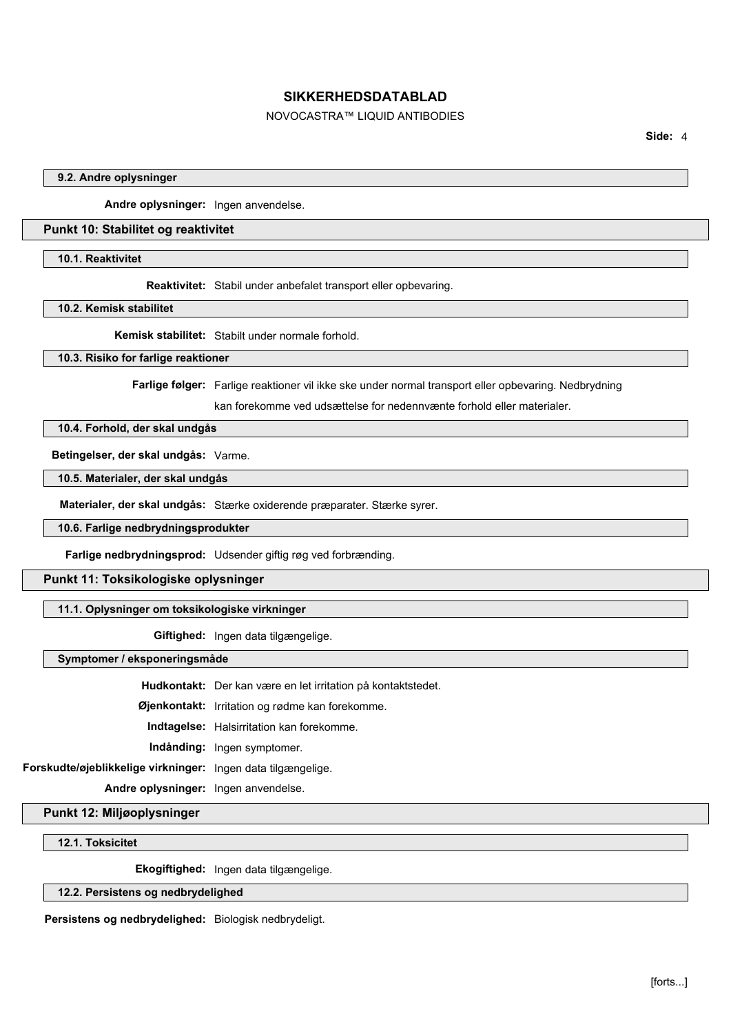# NOVOCASTRA™ LIQUID ANTIBODIES

**Side:** 4

#### **9.2. Andre oplysninger**

**Andre oplysninger:** Ingen anvendelse.

## **Punkt 10: Stabilitet og reaktivitet**

**10.1. Reaktivitet**

**Reaktivitet:** Stabil under anbefalet transport eller opbevaring.

**10.2. Kemisk stabilitet**

**Kemisk stabilitet:** Stabilt under normale forhold.

## **10.3. Risiko for farlige reaktioner**

**Farlige følger:** Farlige reaktioner vil ikke ske under normal transport eller opbevaring. Nedbrydning

kan forekomme ved udsættelse for nedennvænte forhold eller materialer.

# **10.4. Forhold, der skal undgås**

**Betingelser, der skal undgås:** Varme.

**10.5. Materialer, der skal undgås**

**Materialer, der skal undgås:** Stærke oxiderende præparater. Stærke syrer.

**10.6. Farlige nedbrydningsprodukter**

**Farlige nedbrydningsprod:** Udsender giftig røg ved forbrænding.

# **Punkt 11: Toksikologiske oplysninger**

### **11.1. Oplysninger om toksikologiske virkninger**

**Giftighed:** Ingen data tilgængelige.

**Symptomer / eksponeringsmåde**

**Hudkontakt:** Der kan være en let irritation på kontaktstedet.

**Øjenkontakt:** Irritation og rødme kan forekomme.

**Indtagelse:** Halsirritation kan forekomme.

**Indånding:** Ingen symptomer.

**Forskudte/øjeblikkelige virkninger:** Ingen data tilgængelige.

**Andre oplysninger:** Ingen anvendelse.

**Punkt 12: Miljøoplysninger**

**12.1. Toksicitet**

**Ekogiftighed:** Ingen data tilgængelige.

# **12.2. Persistens og nedbrydelighed**

**Persistens og nedbrydelighed:** Biologisk nedbrydeligt.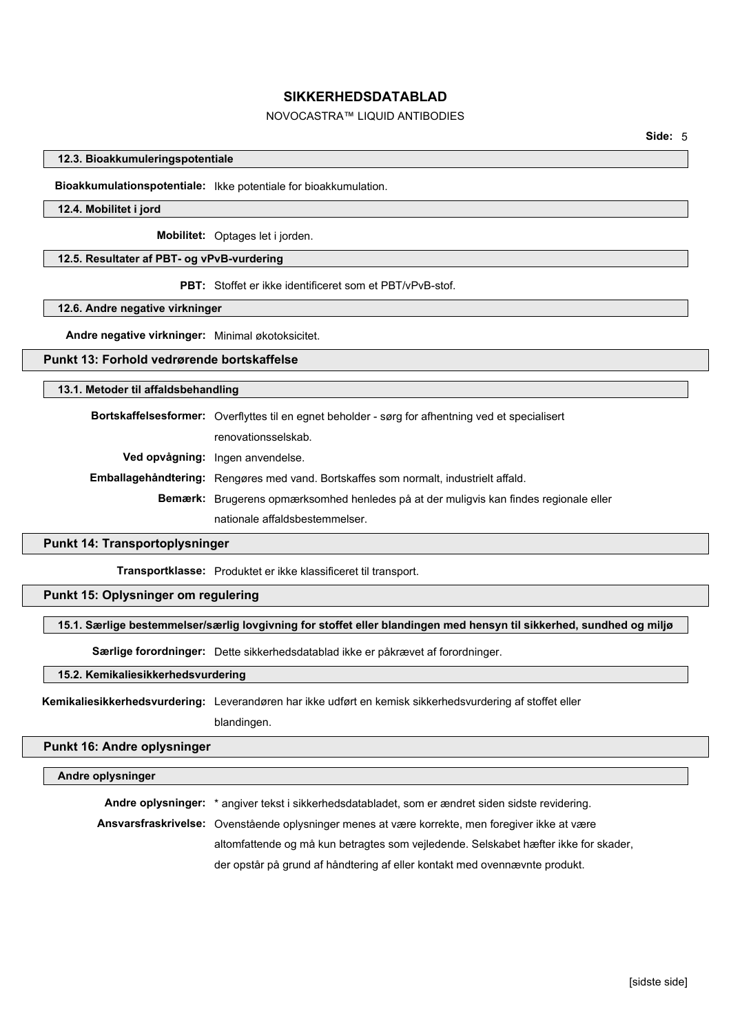# NOVOCASTRA™ LIQUID ANTIBODIES

#### **12.3. Bioakkumuleringspotentiale**

**Bioakkumulationspotentiale:** Ikke potentiale for bioakkumulation.

#### **12.4. Mobilitet i jord**

**Mobilitet:** Optages let i jorden.

#### **12.5. Resultater af PBT- og vPvB-vurdering**

**PBT:** Stoffet er ikke identificeret som et PBT/vPvB-stof.

**12.6. Andre negative virkninger**

**Andre negative virkninger:** Minimal økotoksicitet.

# **Punkt 13: Forhold vedrørende bortskaffelse**

#### **13.1. Metoder til affaldsbehandling**

**Bortskaffelsesformer:** Overflyttes til en egnet beholder - sørg for afhentning ved et specialisert renovationsselskab. **Ved opvågning:** Ingen anvendelse. **Emballagehåndtering:** Rengøres med vand. Bortskaffes som normalt, industrielt affald. **Bemærk:** Brugerens opmærksomhed henledes på at der muligvis kan findes regionale eller nationale affaldsbestemmelser.

## **Punkt 14: Transportoplysninger**

**Transportklasse:** Produktet er ikke klassificeret til transport.

# **Punkt 15: Oplysninger om regulering**

## **15.1. Særlige bestemmelser/særlig lovgivning for stoffet eller blandingen med hensyn til sikkerhed, sundhed og miljø**

**Særlige forordninger:** Dette sikkerhedsdatablad ikke er påkrævet af forordninger.

## **15.2. Kemikaliesikkerhedsvurdering**

**Kemikaliesikkerhedsvurdering:** Leverandøren har ikke udført en kemisk sikkerhedsvurdering af stoffet eller blandingen.

## **Punkt 16: Andre oplysninger**

#### **Andre oplysninger**

**Andre oplysninger:** \* angiver tekst i sikkerhedsdatabladet, som er ændret siden sidste revidering.

**Ansvarsfraskrivelse:** Ovenstående oplysninger menes at være korrekte, men foregiver ikke at være

altomfattende og må kun betragtes som vejledende. Selskabet hæfter ikke for skader,

der opstår på grund af håndtering af eller kontakt med ovennævnte produkt.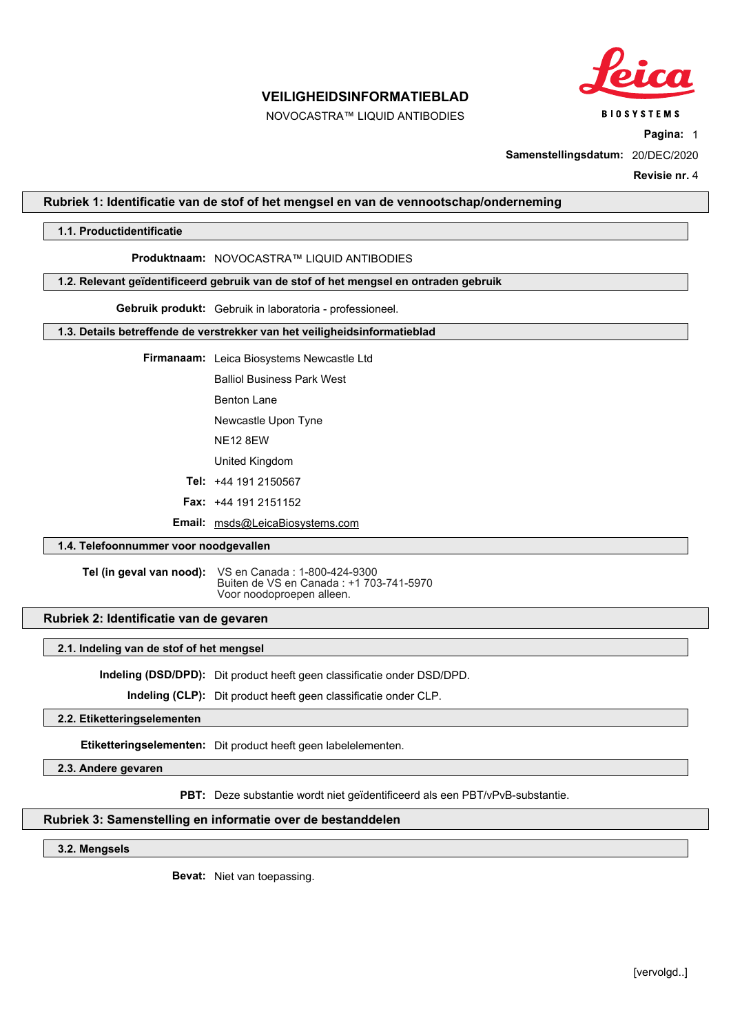

**BIOSYSTEMS** 

# **VEILIGHEIDSINFORMATIEBLAD**

NOVOCASTRA™ LIQUID ANTIBODIES

**Pagina:** 1

**Samenstellingsdatum:** 20/DEC/2020

**Revisie nr.** 4

## **Rubriek 1: Identificatie van de stof of het mengsel en van de vennootschap/onderneming**

## **1.1. Productidentificatie**

#### **Produktnaam:** NOVOCASTRA™ LIQUID ANTIBODIES

#### **1.2. Relevant geïdentificeerd gebruik van de stof of het mengsel en ontraden gebruik**

**Gebruik produkt:** Gebruik in laboratoria - professioneel.

## **1.3. Details betreffende de verstrekker van het veiligheidsinformatieblad**

**Firmanaam:** Leica Biosystems Newcastle Ltd

Balliol Business Park West

Benton Lane

Newcastle Upon Tyne

NE12 8EW

United Kingdom

**Tel:** +44 191 2150567

**Fax:** +44 191 2151152

**Email:** msds@LeicaBiosystems.com

#### **1.4. Telefoonnummer voor noodgevallen**

**Tel (in geval van nood):** VS en Canada : 1-800-424-9300 Buiten de VS en Canada : +1 703-741-5970 Voor noodoproepen alleen.

## **Rubriek 2: Identificatie van de gevaren**

#### **2.1. Indeling van de stof of het mengsel**

**Indeling (DSD/DPD):** Dit product heeft geen classificatie onder DSD/DPD.

**Indeling (CLP):** Dit product heeft geen classificatie onder CLP.

# **2.2. Etiketteringselementen**

**Etiketteringselementen:** Dit product heeft geen labelelementen.

**2.3. Andere gevaren**

**PBT:** Deze substantie wordt niet geïdentificeerd als een PBT/vPvB-substantie.

## **Rubriek 3: Samenstelling en informatie over de bestanddelen**

## **3.2. Mengsels**

**Bevat:** Niet van toepassing.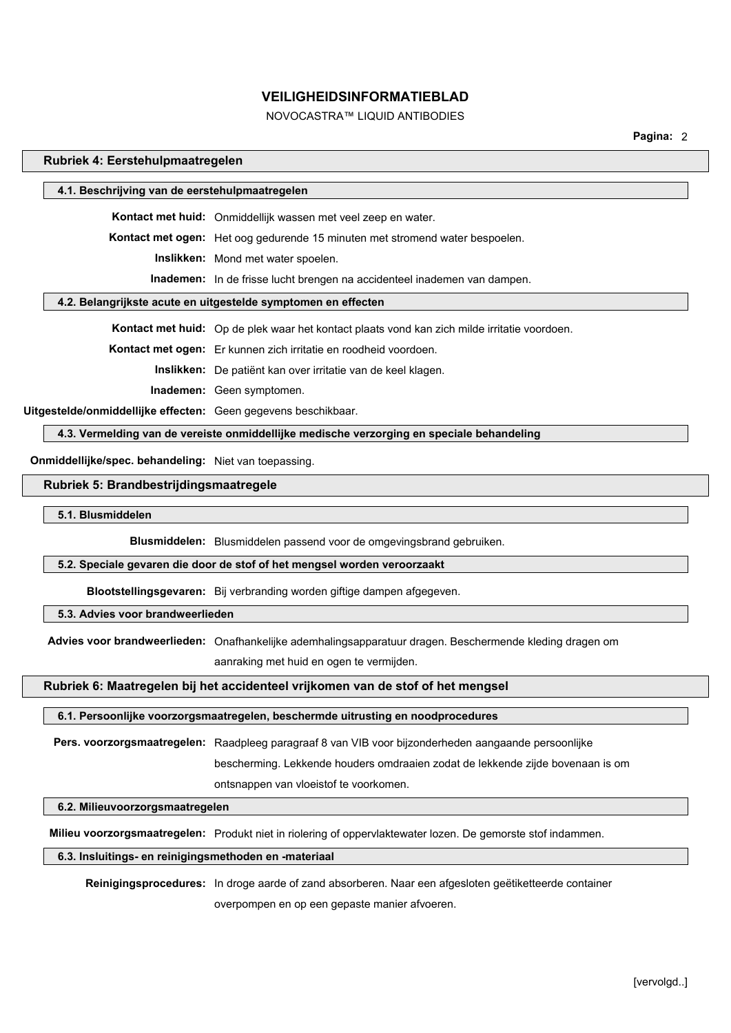# NOVOCASTRA™ LIQUID ANTIBODIES

**Pagina:** 2

#### **Rubriek 4: Eerstehulpmaatregelen**

| 4.1. Beschrijving van de eerstehulpmaatregelen                |                                                                                     |  |
|---------------------------------------------------------------|-------------------------------------------------------------------------------------|--|
|                                                               | <b>Kontact met huid:</b> Onmiddellijk wassen met veel zeep en water.                |  |
|                                                               | <b>Kontact met ogen:</b> Het oog gedurende 15 minuten met stromend water bespoelen. |  |
|                                                               | <b>Inslikken:</b> Mond met water spoelen.                                           |  |
|                                                               | <b>Inademen:</b> In de frisse lucht brengen na accidenteel inademen van dampen.     |  |
| 4.2. Belangrijkste acute en uitgestelde symptomen en effecten |                                                                                     |  |
|                                                               |                                                                                     |  |

**Kontact met huid:** Op de plek waar het kontact plaats vond kan zich milde irritatie voordoen.

**Kontact met ogen:** Er kunnen zich irritatie en roodheid voordoen.

**Inslikken:** De patiënt kan over irritatie van de keel klagen.

**Inademen:** Geen symptomen.

**Uitgestelde/onmiddellijke effecten:** Geen gegevens beschikbaar.

**4.3. Vermelding van de vereiste onmiddellijke medische verzorging en speciale behandeling**

**Onmiddellijke/spec. behandeling:** Niet van toepassing.

#### **Rubriek 5: Brandbestrijdingsmaatregele**

**5.1. Blusmiddelen**

**Blusmiddelen:** Blusmiddelen passend voor de omgevingsbrand gebruiken.

#### **5.2. Speciale gevaren die door de stof of het mengsel worden veroorzaakt**

**Blootstellingsgevaren:** Bij verbranding worden giftige dampen afgegeven.

## **5.3. Advies voor brandweerlieden**

**Advies voor brandweerlieden:** Onafhankelijke ademhalingsapparatuur dragen. Beschermende kleding dragen om

aanraking met huid en ogen te vermijden.

## **Rubriek 6: Maatregelen bij het accidenteel vrijkomen van de stof of het mengsel**

#### **6.1. Persoonlijke voorzorgsmaatregelen, beschermde uitrusting en noodprocedures**

**Pers. voorzorgsmaatregelen:** Raadpleeg paragraaf 8 van VIB voor bijzonderheden aangaande persoonlijke

bescherming. Lekkende houders omdraaien zodat de lekkende zijde bovenaan is om

ontsnappen van vloeistof te voorkomen.

## **6.2. Milieuvoorzorgsmaatregelen**

**Milieu voorzorgsmaatregelen:** Produkt niet in riolering of oppervlaktewater lozen. De gemorste stof indammen.

#### **6.3. Insluitings- en reinigingsmethoden en -materiaal**

**Reinigingsprocedures:** In droge aarde of zand absorberen. Naar een afgesloten geëtiketteerde container overpompen en op een gepaste manier afvoeren.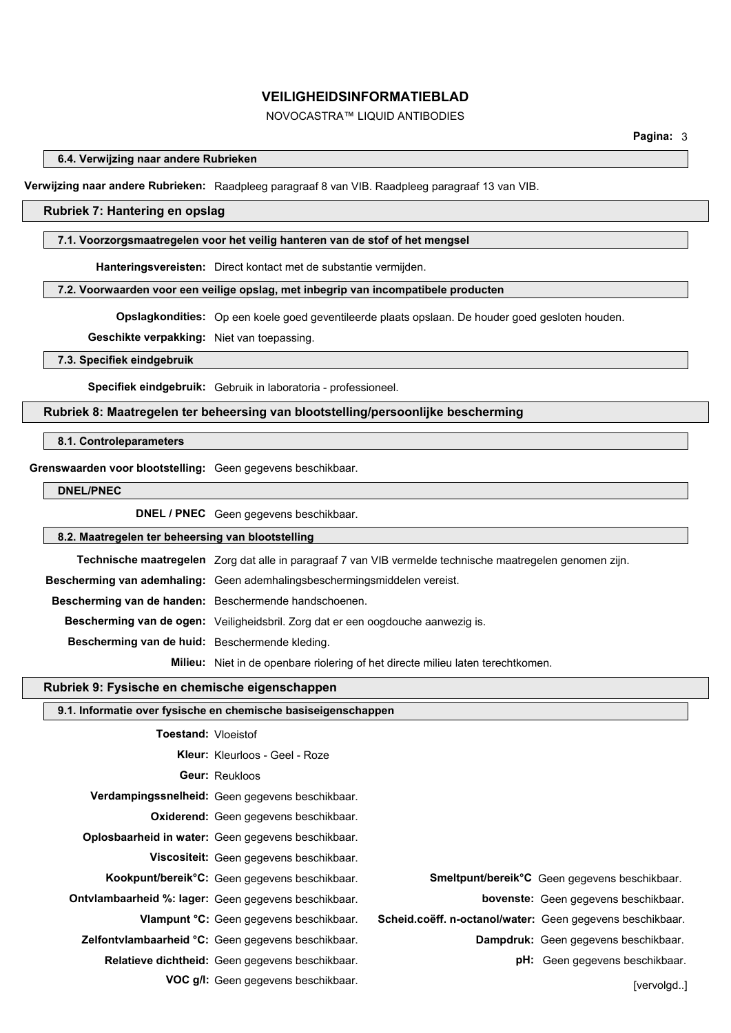# NOVOCASTRA™ LIQUID ANTIBODIES

#### **6.4. Verwijzing naar andere Rubrieken**

**Verwijzing naar andere Rubrieken:** Raadpleeg paragraaf 8 van VIB. Raadpleeg paragraaf 13 van VIB.

## **Rubriek 7: Hantering en opslag**

#### **7.1. Voorzorgsmaatregelen voor het veilig hanteren van de stof of het mengsel**

**Hanteringsvereisten:** Direct kontact met de substantie vermijden.

#### **7.2. Voorwaarden voor een veilige opslag, met inbegrip van incompatibele producten**

**Opslagkondities:** Op een koele goed geventileerde plaats opslaan. De houder goed gesloten houden.

**Geschikte verpakking:** Niet van toepassing.

#### **7.3. Specifiek eindgebruik**

**Specifiek eindgebruik:** Gebruik in laboratoria - professioneel.

## **Rubriek 8: Maatregelen ter beheersing van blootstelling/persoonlijke bescherming**

#### **8.1. Controleparameters**

#### **Grenswaarden voor blootstelling:** Geen gegevens beschikbaar.

**DNEL/PNEC**

**DNEL / PNEC** Geen gegevens beschikbaar.

**8.2. Maatregelen ter beheersing van blootstelling**

**Technische maatregelen** Zorg dat alle in paragraaf 7 van VIB vermelde technische maatregelen genomen zijn.

**Bescherming van ademhaling:** Geen ademhalingsbeschermingsmiddelen vereist.

**Bescherming van de handen:** Beschermende handschoenen.

**Bescherming van de ogen:** Veiligheidsbril. Zorg dat er een oogdouche aanwezig is.

**Bescherming van de huid:** Beschermende kleding.

**Milieu:** Niet in de openbare riolering of het directe milieu laten terechtkomen.

#### **Rubriek 9: Fysische en chemische eigenschappen**

|                            | 9.1. Informatie over fysische en chemische basiseigenschappen |                                                           |                                                                 |
|----------------------------|---------------------------------------------------------------|-----------------------------------------------------------|-----------------------------------------------------------------|
| <b>Toestand: Vloeistof</b> |                                                               |                                                           |                                                                 |
|                            | <b>Kleur:</b> Kleurloos - Geel - Roze                         |                                                           |                                                                 |
|                            | <b>Geur: Reukloos</b>                                         |                                                           |                                                                 |
|                            | Verdampingssnelheid: Geen gegevens beschikbaar.               |                                                           |                                                                 |
|                            | <b>Oxiderend:</b> Geen gegevens beschikbaar.                  |                                                           |                                                                 |
|                            | <b>Oplosbaarheid in water:</b> Geen gegevens beschikbaar.     |                                                           |                                                                 |
|                            | Viscositeit: Geen gegevens beschikbaar.                       |                                                           |                                                                 |
|                            | Kookpunt/bereik°C: Geen gegevens beschikbaar.                 |                                                           | <b>Smeltpunt/bereik<sup>o</sup>C</b> Geen gegevens beschikbaar. |
|                            | <b>Ontvlambaarheid %: lager:</b> Geen gegevens beschikbaar.   |                                                           | <b>bovenste:</b> Geen gegevens beschikbaar.                     |
|                            | Vlampunt °C: Geen gegevens beschikbaar.                       | Scheid.coëff. n-octanol/water: Geen gegevens beschikbaar. |                                                                 |
|                            | <b>Zelfontvlambaarheid °C:</b> Geen gegevens beschikbaar.     |                                                           | <b>Dampdruk:</b> Geen gegevens beschikbaar.                     |
|                            | <b>Relatieve dichtheid:</b> Geen gegevens beschikbaar.        |                                                           | <b>pH:</b> Geen gegevens beschikbaar.                           |
|                            | <b>VOC g/l:</b> Geen gegevens beschikbaar.                    |                                                           | [vervolgd]                                                      |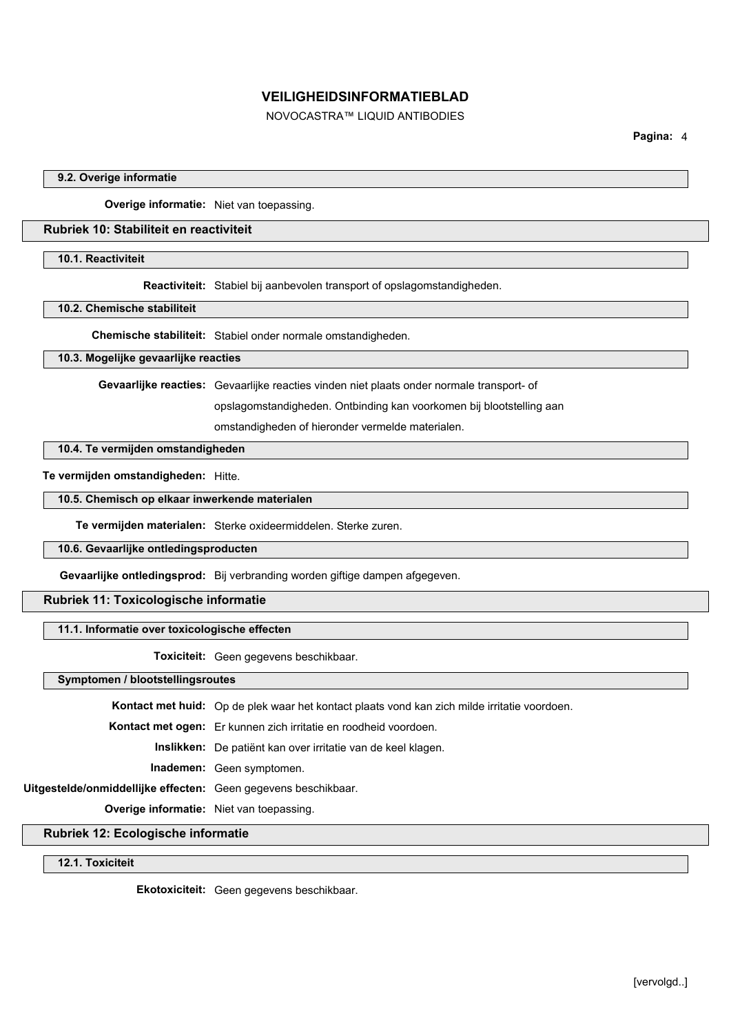NOVOCASTRA™ LIQUID ANTIBODIES

**Pagina:** 4

#### **9.2. Overige informatie**

**Overige informatie:** Niet van toepassing.

# **Rubriek 10: Stabiliteit en reactiviteit**

## **10.1. Reactiviteit**

**Reactiviteit:** Stabiel bij aanbevolen transport of opslagomstandigheden.

## **10.2. Chemische stabiliteit**

**Chemische stabiliteit:** Stabiel onder normale omstandigheden.

## **10.3. Mogelijke gevaarlijke reacties**

**Gevaarlijke reacties:** Gevaarlijke reacties vinden niet plaats onder normale transport- of

opslagomstandigheden. Ontbinding kan voorkomen bij blootstelling aan

omstandigheden of hieronder vermelde materialen.

# **10.4. Te vermijden omstandigheden**

## **Te vermijden omstandigheden:** Hitte.

**10.5. Chemisch op elkaar inwerkende materialen**

**Te vermijden materialen:** Sterke oxideermiddelen. Sterke zuren.

# **10.6. Gevaarlijke ontledingsproducten**

**Gevaarlijke ontledingsprod:** Bij verbranding worden giftige dampen afgegeven.

# **Rubriek 11: Toxicologische informatie**

#### **11.1. Informatie over toxicologische effecten**

**Toxiciteit:** Geen gegevens beschikbaar.

## **Symptomen / blootstellingsroutes**

**Kontact met huid:** Op de plek waar het kontact plaats vond kan zich milde irritatie voordoen.

**Kontact met ogen:** Er kunnen zich irritatie en roodheid voordoen.

**Inslikken:** De patiënt kan over irritatie van de keel klagen.

**Inademen:** Geen symptomen.

**Uitgestelde/onmiddellijke effecten:** Geen gegevens beschikbaar.

**Overige informatie:** Niet van toepassing.

## **Rubriek 12: Ecologische informatie**

## **12.1. Toxiciteit**

**Ekotoxiciteit:** Geen gegevens beschikbaar.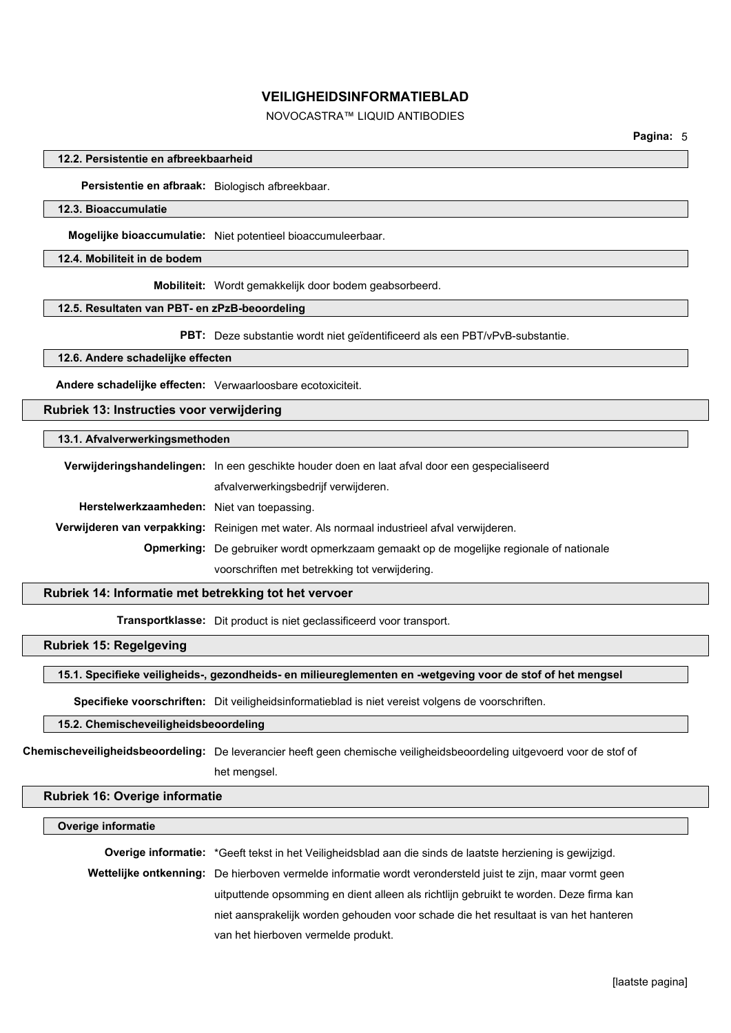# NOVOCASTRA™ LIQUID ANTIBODIES

#### **12.2. Persistentie en afbreekbaarheid**

**Persistentie en afbraak:** Biologisch afbreekbaar.

#### **12.3. Bioaccumulatie**

**Mogelijke bioaccumulatie:** Niet potentieel bioaccumuleerbaar.

## **12.4. Mobiliteit in de bodem**

**Mobiliteit:** Wordt gemakkelijk door bodem geabsorbeerd.

#### **12.5. Resultaten van PBT- en zPzB-beoordeling**

**PBT:** Deze substantie wordt niet geïdentificeerd als een PBT/vPvB-substantie.

## **12.6. Andere schadelijke effecten**

**Andere schadelijke effecten:** Verwaarloosbare ecotoxiciteit.

# **Rubriek 13: Instructies voor verwijdering**

#### **13.1. Afvalverwerkingsmethoden**

|                                            | Verwijderingshandelingen: In een geschikte houder doen en laat afval door een gespecialiseerd  |  |  |
|--------------------------------------------|------------------------------------------------------------------------------------------------|--|--|
|                                            | afvalverwerkingsbedrijf verwijderen.                                                           |  |  |
| Herstelwerkzaamheden: Niet van toepassing. |                                                                                                |  |  |
|                                            | Verwijderen van verpakking: Reinigen met water. Als normaal industrieel afval verwijderen.     |  |  |
|                                            | <b>Opmerking:</b> De gebruiker wordt opmerkzaam gemaakt op de mogelijke regionale of nationale |  |  |
|                                            | voorschriften met betrekking tot verwijdering.                                                 |  |  |

### **Rubriek 14: Informatie met betrekking tot het vervoer**

**Transportklasse:** Dit product is niet geclassificeerd voor transport.

# **Rubriek 15: Regelgeving**

## **15.1. Specifieke veiligheids-, gezondheids- en milieureglementen en -wetgeving voor de stof of het mengsel**

**Specifieke voorschriften:** Dit veiligheidsinformatieblad is niet vereist volgens de voorschriften.

# **15.2. Chemischeveiligheidsbeoordeling**

**Chemischeveiligheidsbeoordeling:** De leverancier heeft geen chemische veiligheidsbeoordeling uitgevoerd voor de stof of het mengsel.

## **Rubriek 16: Overige informatie**

#### **Overige informatie**

**Overige informatie:** \*Geeft tekst in het Veiligheidsblad aan die sinds de laatste herziening is gewijzigd. **Wettelijke ontkenning:** De hierboven vermelde informatie wordt verondersteld juist te zijn, maar vormt geen uitputtende opsomming en dient alleen als richtlijn gebruikt te worden. Deze firma kan niet aansprakelijk worden gehouden voor schade die het resultaat is van het hanteren van het hierboven vermelde produkt.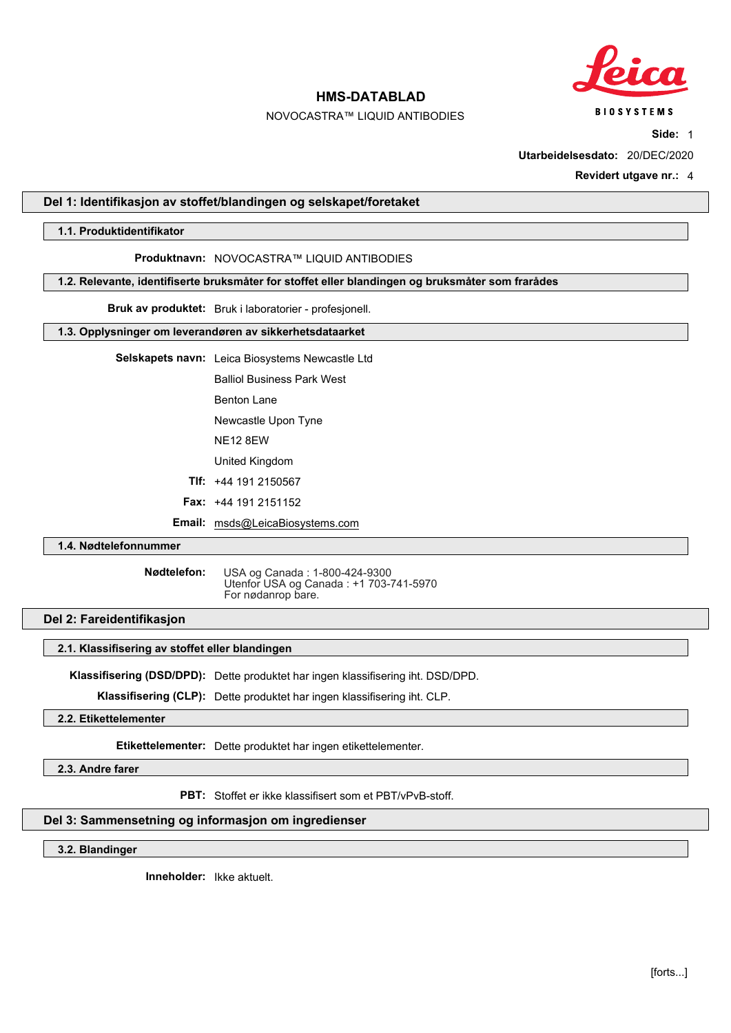

**BIOSYSTEMS** 

# **HMS-DATABLAD**

# NOVOCASTRA™ LIQUID ANTIBODIES

**Side:** 1

**Utarbeidelsesdato:** 20/DEC/2020

**Revidert utgave nr.:** 4

## **Del 1: Identifikasjon av stoffet/blandingen og selskapet/foretaket**

#### **1.1. Produktidentifikator**

#### **Produktnavn:** NOVOCASTRA™ LIQUID ANTIBODIES

#### **1.2. Relevante, identifiserte bruksmåter for stoffet eller blandingen og bruksmåter som frarådes**

#### **Bruk av produktet:** Bruk i laboratorier - profesjonell.

## **1.3. Opplysninger om leverandøren av sikkerhetsdataarket**

**Selskapets navn:** Leica Biosystems Newcastle Ltd

Balliol Business Park West

Benton Lane

Newcastle Upon Tyne

NE12 8EW

United Kingdom

**Tlf:** +44 191 2150567

**Fax:** +44 191 2151152

**Email:** msds@LeicaBiosystems.com

## **1.4. Nødtelefonnummer**

**Nødtelefon:** USA og Canada : 1-800-424-9300 Utenfor USA og Canada : +1 703-741-5970 For nødanrop bare.

### **Del 2: Fareidentifikasjon**

# **2.1. Klassifisering av stoffet eller blandingen**

**Klassifisering (DSD/DPD):** Dette produktet har ingen klassifisering iht. DSD/DPD.

**Klassifisering (CLP):** Dette produktet har ingen klassifisering iht. CLP.

**2.2. Etikettelementer**

**Etikettelementer:** Dette produktet har ingen etikettelementer.

**2.3. Andre farer**

**PBT:** Stoffet er ikke klassifisert som et PBT/vPvB-stoff.

## **Del 3: Sammensetning og informasjon om ingredienser**

## **3.2. Blandinger**

**Inneholder:** Ikke aktuelt.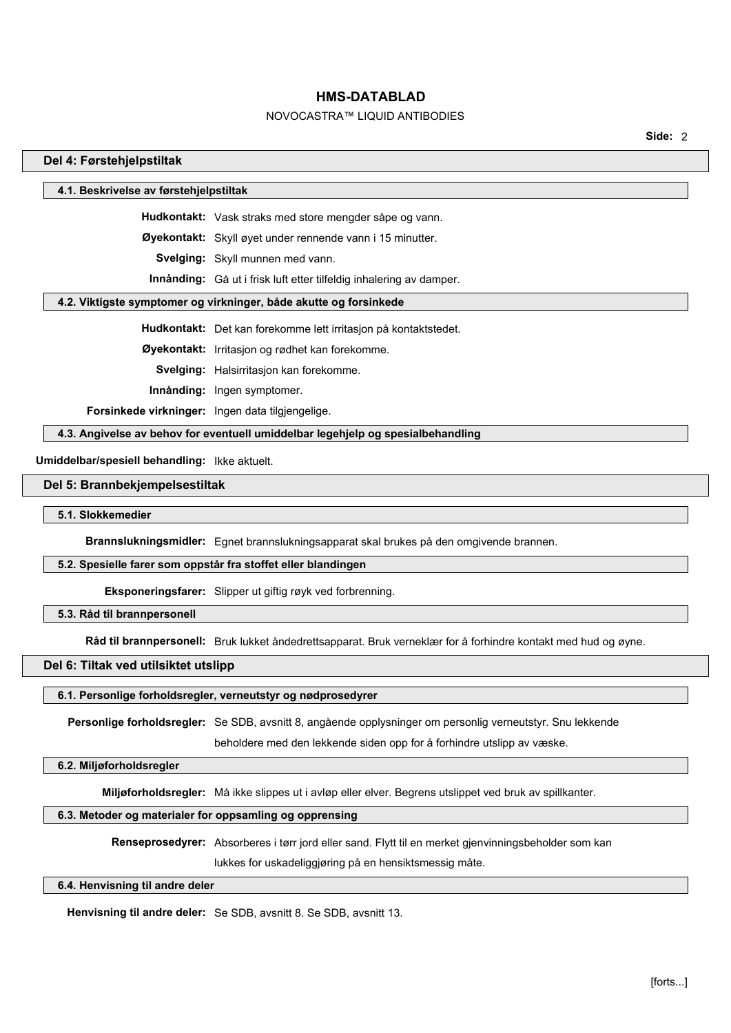# NOVOCASTRA™ LIQUID ANTIBODIES

**Side:** 2

#### **Del 4: Førstehjelpstiltak**

#### **4.1. Beskrivelse av førstehjelpstiltak**

**Hudkontakt:** Vask straks med store mengder såpe og vann.

**Øyekontakt:** Skyll øyet under rennende vann i 15 minutter.

**Svelging:** Skyll munnen med vann.

**Innånding:** Gå ut i frisk luft etter tilfeldig inhalering av damper.

### **4.2. Viktigste symptomer og virkninger, både akutte og forsinkede**

**Hudkontakt:** Det kan forekomme lett irritasjon på kontaktstedet.

**Øyekontakt:** Irritasjon og rødhet kan forekomme.

**Svelging:** Halsirritasjon kan forekomme.

**Innånding:** Ingen symptomer.

**Forsinkede virkninger:** Ingen data tilgjengelige.

**4.3. Angivelse av behov for eventuell umiddelbar legehjelp og spesialbehandling**

**Umiddelbar/spesiell behandling:** Ikke aktuelt.

#### **Del 5: Brannbekjempelsestiltak**

#### **5.1. Slokkemedier**

**Brannslukningsmidler:** Egnet brannslukningsapparat skal brukes på den omgivende brannen.

#### **5.2. Spesielle farer som oppstår fra stoffet eller blandingen**

**Eksponeringsfarer:** Slipper ut giftig røyk ved forbrenning.

## **5.3. Råd til brannpersonell**

**Råd til brannpersonell:** Bruk lukket åndedrettsapparat. Bruk verneklær for å forhindre kontakt med hud og øyne.

## **Del 6: Tiltak ved utilsiktet utslipp**

# **6.1. Personlige forholdsregler, verneutstyr og nødprosedyrer**

**Personlige forholdsregler:** Se SDB, avsnitt 8, angående opplysninger om personlig verneutstyr. Snu lekkende

beholdere med den lekkende siden opp for å forhindre utslipp av væske.

### **6.2. Miljøforholdsregler**

**Miljøforholdsregler:** Må ikke slippes ut i avløp eller elver. Begrens utslippet ved bruk av spillkanter.

#### **6.3. Metoder og materialer for oppsamling og opprensing**

**Renseprosedyrer:** Absorberes i tørr jord eller sand. Flytt til en merket gjenvinningsbeholder som kan

lukkes for uskadeliggjøring på en hensiktsmessig måte.

# **6.4. Henvisning til andre deler**

**Henvisning til andre deler:** Se SDB, avsnitt 8. Se SDB, avsnitt 13.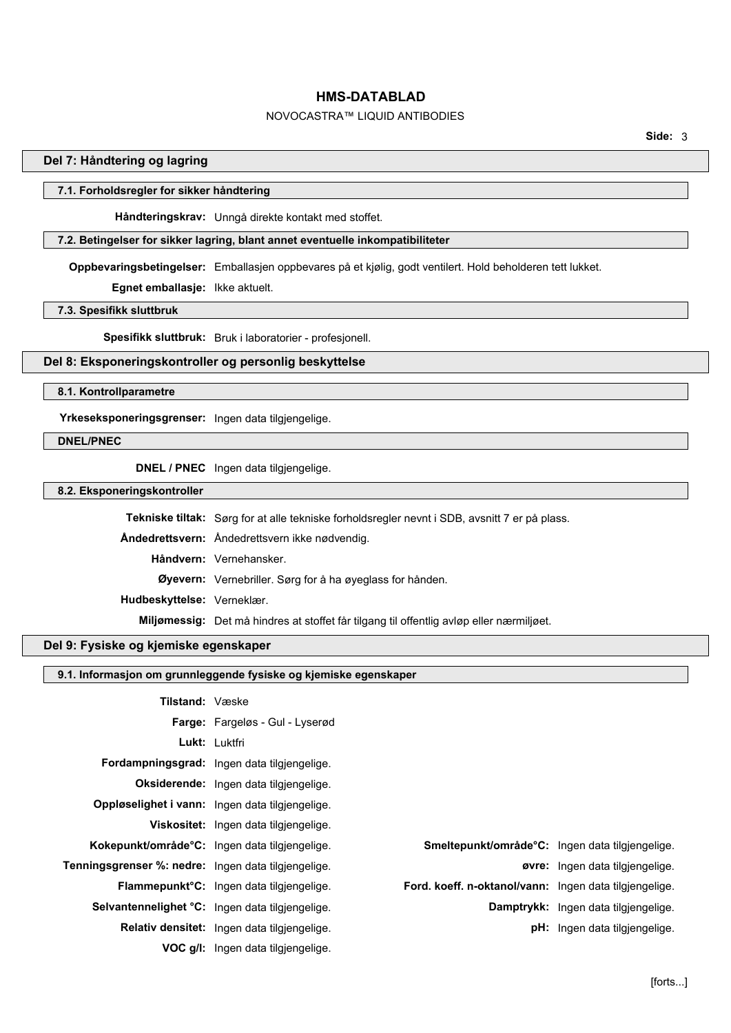# NOVOCASTRA™ LIQUID ANTIBODIES

## **Del 7: Håndtering og lagring**

## **7.1. Forholdsregler for sikker håndtering**

**Håndteringskrav:** Unngå direkte kontakt med stoffet.

#### **7.2. Betingelser for sikker lagring, blant annet eventuelle inkompatibiliteter**

**Oppbevaringsbetingelser:** Emballasjen oppbevares på et kjølig, godt ventilert. Hold beholderen tett lukket.

**Egnet emballasje:** Ikke aktuelt.

**7.3. Spesifikk sluttbruk**

**Spesifikk sluttbruk:** Bruk i laboratorier - profesjonell.

# **Del 8: Eksponeringskontroller og personlig beskyttelse**

#### **8.1. Kontrollparametre**

**Yrkeseksponeringsgrenser:** Ingen data tilgjengelige.

## **DNEL/PNEC**

**DNEL / PNEC** Ingen data tilgjengelige.

**8.2. Eksponeringskontroller**

|                            | <b>Tekniske tiltak:</b> Sørg for at alle tekniske forholdsregler nevnt i SDB, avsnitt 7 er på plass. |
|----------------------------|------------------------------------------------------------------------------------------------------|
|                            | Andedrettsvern: Åndedrettsvern ikke nødvendig.                                                       |
|                            | Håndvern: Vernehansker.                                                                              |
|                            | Øyevern: Vernebriller. Sørg for å ha øyeglass for hånden.                                            |
| Hudbeskyttelse: Verneklær. |                                                                                                      |
|                            | Miljømessig: Det må hindres at stoffet får tilgang til offentlig avløp eller nærmiljøet.             |

# **Del 9: Fysiske og kjemiske egenskaper**

# **9.1. Informasjon om grunnleggende fysiske og kjemiske egenskaper**

| <b>Tilstand: Væske</b>                              |                                                       |                                                        |                                        |
|-----------------------------------------------------|-------------------------------------------------------|--------------------------------------------------------|----------------------------------------|
|                                                     | Farge: Fargeløs - Gul - Lyserød                       |                                                        |                                        |
|                                                     | Lukt: Luktfri                                         |                                                        |                                        |
|                                                     | Fordampningsgrad: Ingen data tilgjengelige.           |                                                        |                                        |
|                                                     | Oksiderende: Ingen data tilgjengelige.                |                                                        |                                        |
|                                                     | Oppløselighet i vann: Ingen data tilgjengelige.       |                                                        |                                        |
|                                                     | Viskositet: Ingen data tilgjengelige.                 |                                                        |                                        |
| Kokepunkt/område°C: Ingen data tilgjengelige.       |                                                       | Smeltepunkt/område°C: Ingen data tilgjengelige.        |                                        |
| Tenningsgrenser %: nedre: Ingen data tilgjengelige. |                                                       |                                                        | <b>øvre:</b> Ingen data tilgjengelige. |
|                                                     | Flammepunkt <sup>o</sup> C: Ingen data tilgjengelige. | Ford. koeff. n-oktanol/vann: Ingen data tilgjengelige. |                                        |
|                                                     | Selvantennelighet °C: Ingen data tilgjengelige.       |                                                        | Damptrykk: Ingen data tilgjengelige.   |
|                                                     | Relativ densitet: Ingen data tilgiengelige.           |                                                        | pH: Ingen data tilgjengelige.          |
|                                                     | VOC g/l: Ingen data tilgjengelige.                    |                                                        |                                        |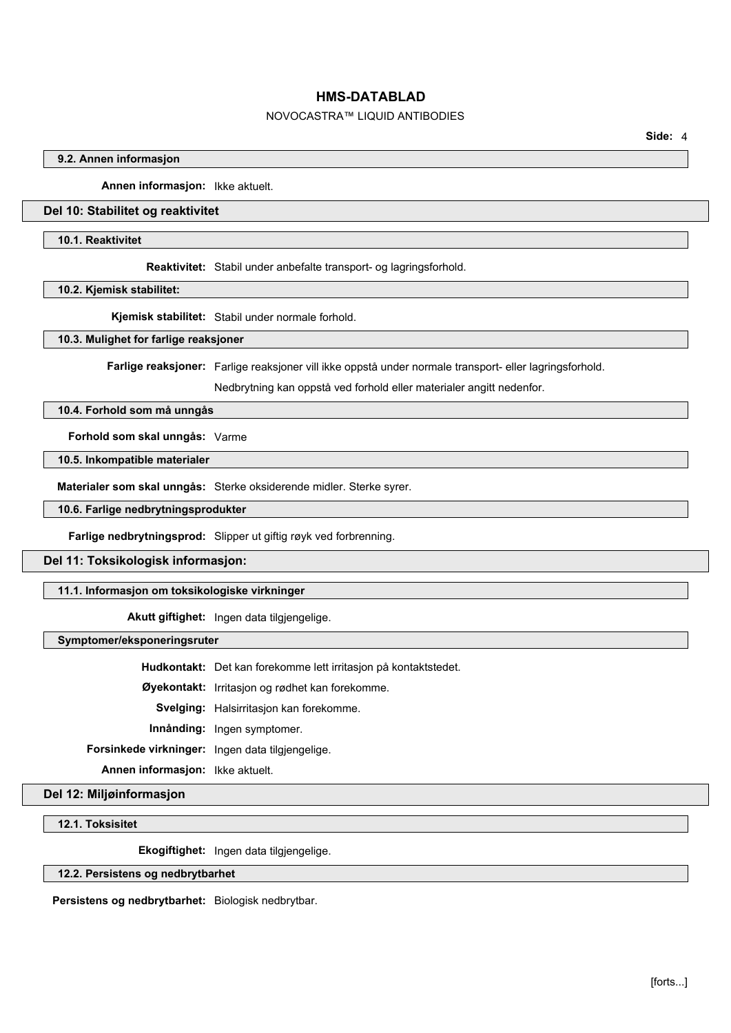# NOVOCASTRA™ LIQUID ANTIBODIES

**Side:** 4

## **9.2. Annen informasjon**

**Annen informasjon:** Ikke aktuelt.

## **Del 10: Stabilitet og reaktivitet**

#### **10.1. Reaktivitet**

**Reaktivitet:** Stabil under anbefalte transport- og lagringsforhold.

**10.2. Kjemisk stabilitet:**

**Kjemisk stabilitet:** Stabil under normale forhold.

**10.3. Mulighet for farlige reaksjoner**

**Farlige reaksjoner:** Farlige reaksjoner vill ikke oppstå under normale transport- eller lagringsforhold.

Nedbrytning kan oppstå ved forhold eller materialer angitt nedenfor.

## **10.4. Forhold som må unngås**

**Forhold som skal unngås:** Varme

**10.5. Inkompatible materialer**

**Materialer som skal unngås:** Sterke oksiderende midler. Sterke syrer.

**10.6. Farlige nedbrytningsprodukter**

**Farlige nedbrytningsprod:** Slipper ut giftig røyk ved forbrenning.

#### **Del 11: Toksikologisk informasjon:**

# **11.1. Informasjon om toksikologiske virkninger**

**Akutt giftighet:** Ingen data tilgjengelige.

**Symptomer/eksponeringsruter**

**Hudkontakt:** Det kan forekomme lett irritasjon på kontaktstedet.

**Øyekontakt:** Irritasjon og rødhet kan forekomme.

**Svelging:** Halsirritasjon kan forekomme.

**Innånding:** Ingen symptomer.

**Forsinkede virkninger:** Ingen data tilgjengelige.

**Annen informasjon:** Ikke aktuelt.

**Del 12: Miljøinformasjon**

**12.1. Toksisitet**

**Ekogiftighet:** Ingen data tilgjengelige.

#### **12.2. Persistens og nedbrytbarhet**

**Persistens og nedbrytbarhet:** Biologisk nedbrytbar.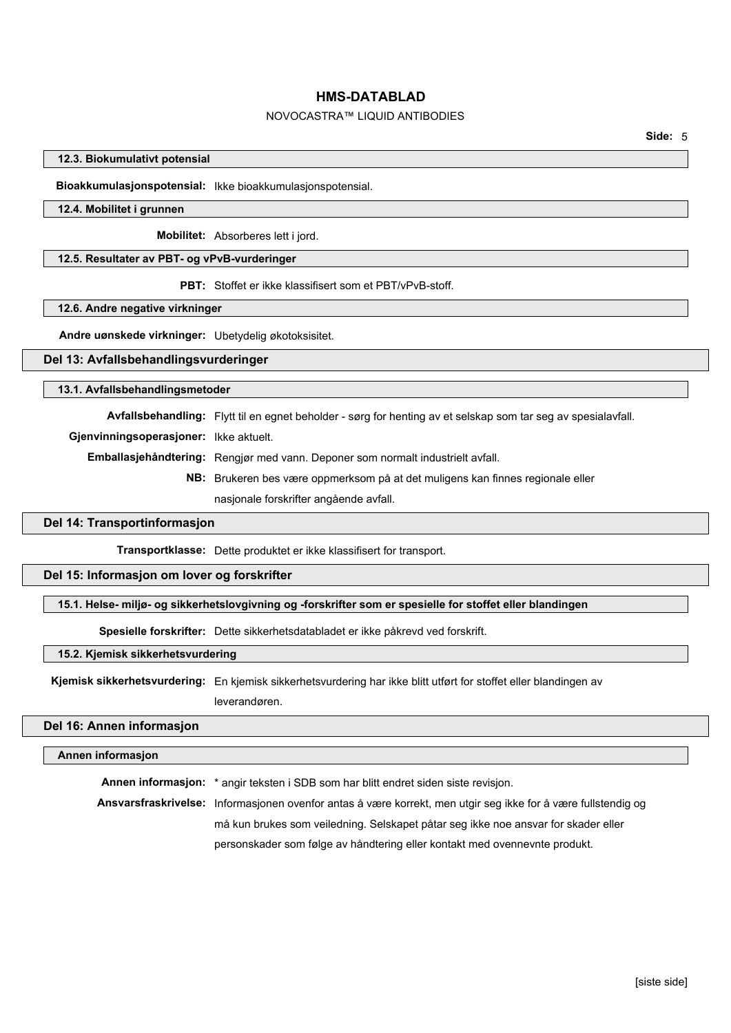# NOVOCASTRA™ LIQUID ANTIBODIES

#### **12.3. Biokumulativt potensial**

**Bioakkumulasjonspotensial:** Ikke bioakkumulasjonspotensial.

#### **12.4. Mobilitet i grunnen**

**Mobilitet:** Absorberes lett i jord.

## **12.5. Resultater av PBT- og vPvB-vurderinger**

**PBT:** Stoffet er ikke klassifisert som et PBT/vPvB-stoff.

#### **12.6. Andre negative virkninger**

**Andre uønskede virkninger:** Ubetydelig økotoksisitet.

## **Del 13: Avfallsbehandlingsvurderinger**

#### **13.1. Avfallsbehandlingsmetoder**

**Avfallsbehandling:** Flytt til en egnet beholder - sørg for henting av et selskap som tar seg av spesialavfall.

**Gjenvinningsoperasjoner:** Ikke aktuelt.

**Emballasjehåndtering:** Rengjør med vann. Deponer som normalt industrielt avfall.

**NB:** Brukeren bes være oppmerksom på at det muligens kan finnes regionale eller nasjonale forskrifter angående avfall.

#### **Del 14: Transportinformasjon**

**Transportklasse:** Dette produktet er ikke klassifisert for transport.

#### **Del 15: Informasjon om lover og forskrifter**

# **15.1. Helse- miljø- og sikkerhetslovgivning og -forskrifter som er spesielle for stoffet eller blandingen**

**Spesielle forskrifter:** Dette sikkerhetsdatabladet er ikke påkrevd ved forskrift.

#### **15.2. Kjemisk sikkerhetsvurdering**

**Kjemisk sikkerhetsvurdering:** En kjemisk sikkerhetsvurdering har ikke blitt utført for stoffet eller blandingen av leverandøren.

#### **Del 16: Annen informasjon**

#### **Annen informasjon**

**Annen informasjon:** \* angir teksten i SDB som har blitt endret siden siste revisjon. **Ansvarsfraskrivelse:** Informasjonen ovenfor antas å være korrekt, men utgir seg ikke for å være fullstendig og må kun brukes som veiledning. Selskapet påtar seg ikke noe ansvar for skader eller personskader som følge av håndtering eller kontakt med ovennevnte produkt.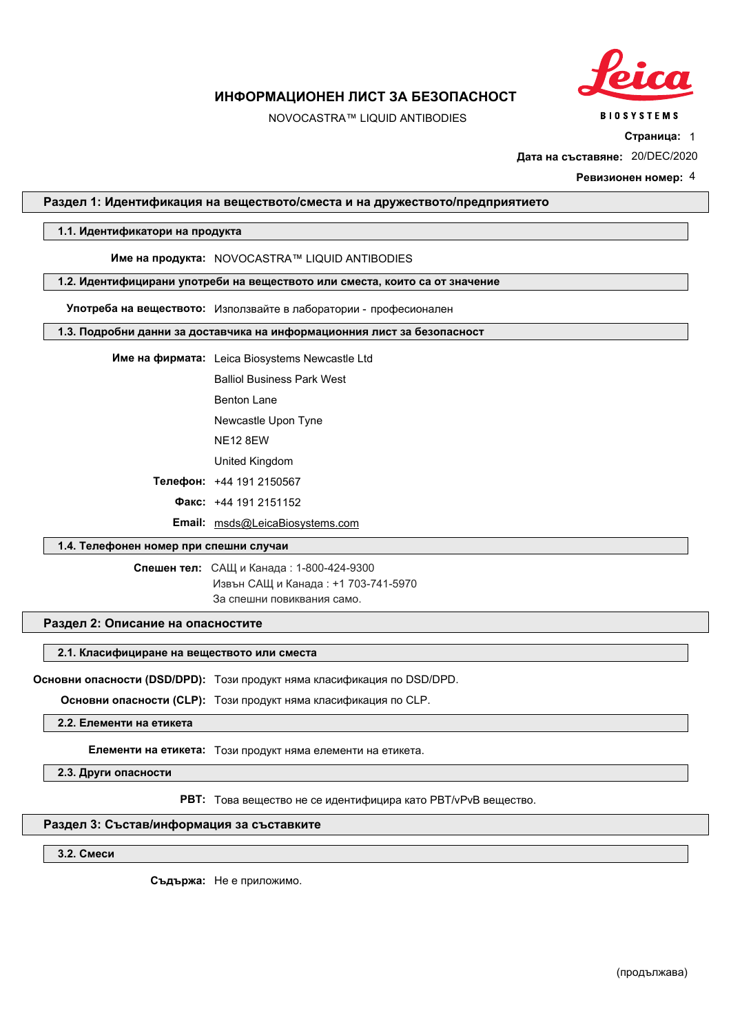

# NOVOCASTRA™ LIQUID ANTIBODIES

**Страница:** 1

**Дата на съставяне:** 20/DEC/2020

**Ревизионен номер:** 4

## **Раздел 1: Идентификация на веществото/сместа и на дружеството/предприятието**

## **1.1. Идентификатори на продукта**

**Име на продукта:** NOVOCASTRA™ LIQUID ANTIBODIES

#### **1.2. Идентифицирани употреби на веществото или сместа, които са от значение**

**Употреба на веществото:** Използвайте в лаборатории професионален

#### **1.3. Подробни данни за доставчика на информационния лист за безопасност**

**Име на фирмата:** Leica Biosystems Newcastle Ltd

Balliol Business Park West

Benton Lane

Newcastle Upon Tyne

NE12 8EW

United Kingdom

**Телефон:** +44 191 2150567

**Факс:** +44 191 2151152

**Email:** msds@LeicaBiosystems.com

# **1.4. Телефонен номер при спешни случаи**

**Спешен тел:** САЩ и Канада: 1-800-424-9300

Извън САЩ и Канада : +1 703-741-5970 За спешни повиквания само.

## **Раздел 2: Описание на опасностите**

#### **2.1. Класифициране на веществото или сместа**

**Основни опасности (DSD/DPD):** Този продукт няма класификация по DSD/DPD.

**Основни опасности (CLP):** Този продукт няма класификация по CLP.

**2.2. Елементи на етикета**

**Елементи на етикета:** Този продукт няма елементи на етикета.

**2.3. Други опасности**

**PBT:** Това вещество не се идентифицира като PBT/vPvB вещество.

## **Раздел 3: Състав/информация за съставките**

**3.2. Смеси**

**Съдържа:** Не е приложимо.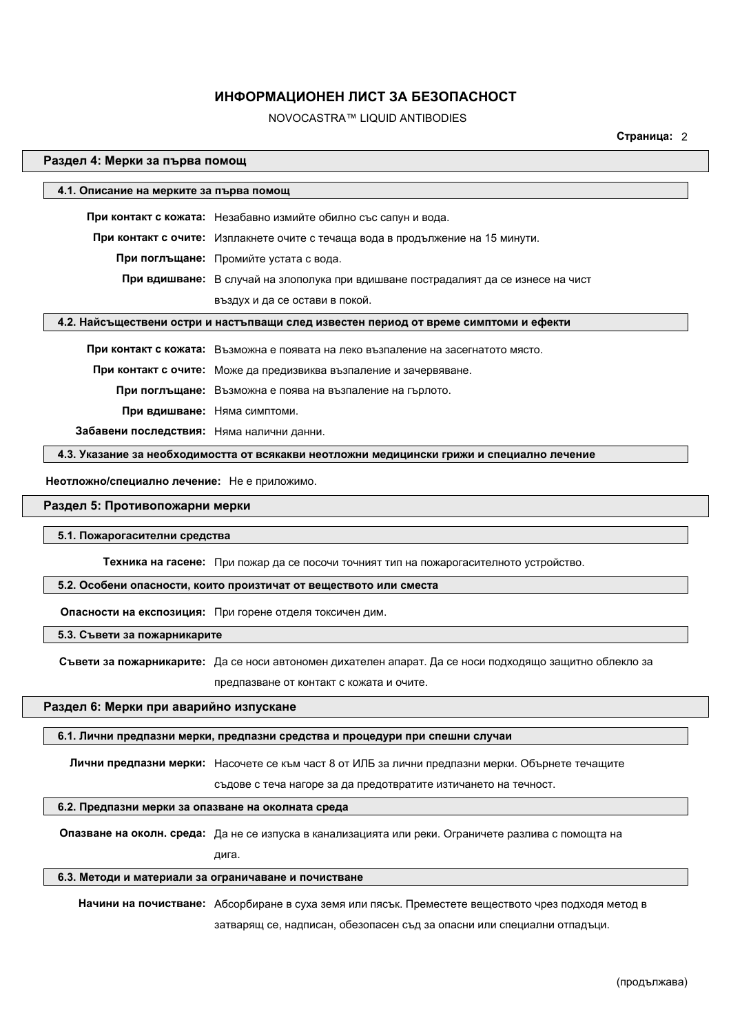# NOVOCASTRA™ LIQUID ANTIBODIES

**Страница:** 2

#### **Раздел 4: Мерки за първа помощ**

| 4.1. Описание на мерките за първа помощ   |                                                                                       |
|-------------------------------------------|---------------------------------------------------------------------------------------|
|                                           | При контакт с кожата: Незабавно измийте обилно със сапун и вода.                      |
|                                           | При контакт с очите: Изплакнете очите с течаща вода в продължение на 15 минути.       |
|                                           | При поглъщане: Промийте устата с вода.                                                |
|                                           | При вдишване: В случай на злополука при вдишване пострадалият да се изнесе на чист    |
|                                           | въздух и да се остави в покой.                                                        |
|                                           | 4.2. Найсъществени остри и настъпващи след известен период от време симптоми и ефекти |
|                                           | При контакт с кожата: Възможна е появата на леко възпаление на засегнатото място.     |
|                                           | При контакт с очите: Може да предизвиква възпаление и зачервяване.                    |
|                                           | При поглъщане: Възможна е поява на възпаление на гърлото.                             |
|                                           | При вдишване: Няма симптоми.                                                          |
| Забавени последствия: Няма налични данни. |                                                                                       |

**4.3. Указание за необходимостта от всякакви неотложни медицински грижи и специално лечение**

 **Неотложно/специално лечение:** Не е приложимо.

#### **Раздел 5: Противопожарни мерки**

# **5.1. Пожарогасителни средства**

**Техника на гасене:** При пожар да се посочи точният тип на пожарогасителното устройство.

#### **5.2. Особени опасности, които произтичат от веществото или сместа**

**Опасности на експозиция:** При горене отделя токсичен дим.

**5.3. Съвети за пожарникарите**

**Съвети за пожарникарите:** Да се носи автономен дихателен апарат. Да се носи подходящо защитно облекло за предпазване от контакт с кожата и очите.

## **Раздел 6: Мерки при аварийно изпускане**

#### **6.1. Лични предпазни мерки, предпазни средства и процедури при спешни случаи**

**Лични предпазни мерки:** Насочете се към част 8 от ИЛБ за лични предпазни мерки. Обърнете течащите

съдове с теча нагоре за да предотвратите изтичането на течност.

#### **6.2. Предпазни мерки за опазване на околната среда**

**Опазване на околн. среда:** Да не се изпуска в канализацията или реки. Ограничете разлива с помощта на

дига.

#### **6.3. Методи и материали за ограничаване и почистване**

**Начини на почистване:** Абсорбиране в суха земя или пясък. Преместете веществото чрез подходя метод в

затварящ се, надписан, обезопасен съд за опасни или специални отпадъци.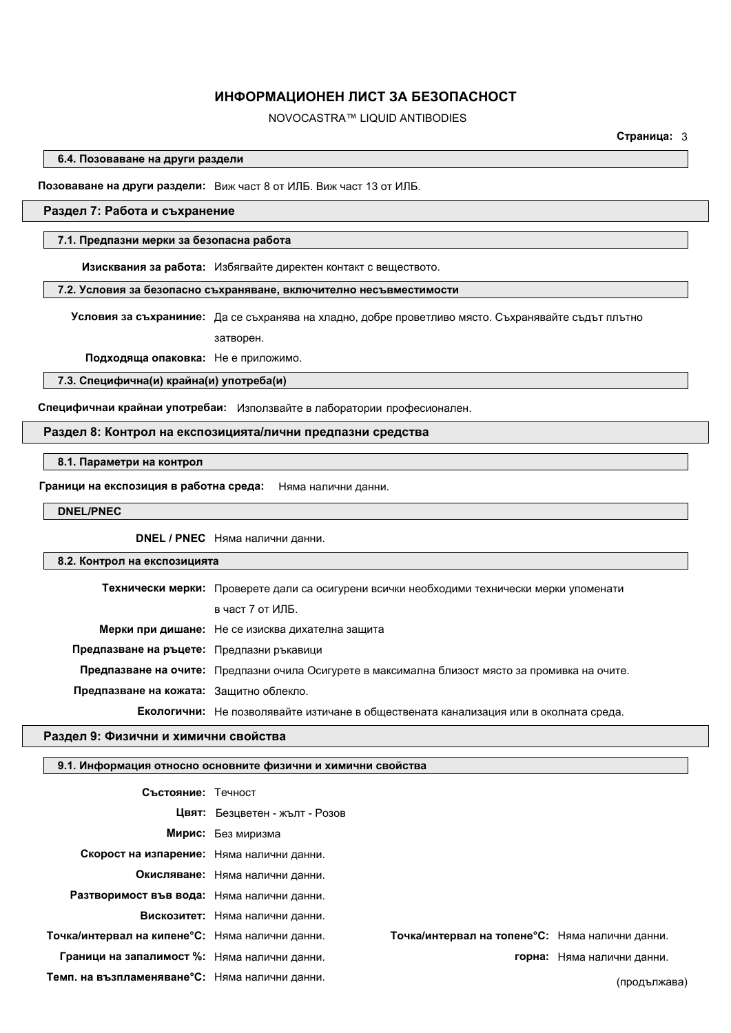# NOVOCASTRA™ LIQUID ANTIBODIES

**Страница:** 3

**6.4. Позоваване на други раздели**

**Позоваване на други раздели:** Виж част 8 от ИЛБ. Виж част 13 от ИЛБ.

## **Раздел 7: Работа и съхранение**

#### **7.1. Предпазни мерки за безопасна работа**

**Изисквания за работа:** Избягвайте директен контакт с веществото.

**7.2. Условия за безопасно съхраняване, включително несъвместимости**

**Условия за съхраниние:** Да се съхранява на хладно, добре проветливо място. Съхранявайте съдът плътно затворен.

**Подходяща опаковка:** Не е приложимо.

**7.3. Специфична(и) крайна(и) употреба(и)**

**Специфичнаи крайнаи употребаи:** Използвайте в лаборатории професионален.

#### **Раздел 8: Контрол на експозицията/лични предпазни средства**

**8.1. Параметри на контрол**

**Граници на експозиция в работна среда:** Няма налични данни.

**DNEL/PNEC**

**DNEL / PNEC** Няма налични данни.

#### **8.2. Контрол на експозицията**

|                                           | Технически мерки: Проверете дали са осигурени всички необходими технически мерки упоменати       |  |
|-------------------------------------------|--------------------------------------------------------------------------------------------------|--|
|                                           | в част 7 от ИЛБ.                                                                                 |  |
|                                           | Мерки при дишане: Не се изисква дихателна защита                                                 |  |
| Предпазване на ръцете: Предпазни ръкавици |                                                                                                  |  |
|                                           | Предпазване на очите: Предпазни очила Осигурете в максимална близост място за промивка на очите. |  |
| Предпазване на кожата: Зашитно облекло.   |                                                                                                  |  |
|                                           | Екологични: Не позволявайте изтичане в обществената канализация или в околната среда.            |  |

#### **Раздел 9: Физични и химични свойства**

#### **9.1. Информация относно основните физични и химични свойства**

| Състояние: Течност                              |                                 |                                                 |                            |
|-------------------------------------------------|---------------------------------|-------------------------------------------------|----------------------------|
|                                                 | Цвят: Безцветен - жълт - Розов  |                                                 |                            |
|                                                 | Мирис: Без миризма              |                                                 |                            |
| Скорост на изпарение: Няма налични данни.       |                                 |                                                 |                            |
|                                                 | Окисляване: Няма налични данни. |                                                 |                            |
| Разтворимост във вода: Няма налични данни.      |                                 |                                                 |                            |
|                                                 | Вискозитет: Няма налични данни. |                                                 |                            |
| Точка/интервал на кипене°С: Няма налични данни. |                                 | Точка/интервал на топене°С: Няма налични данни. |                            |
| Граници на запалимост %: Няма налични данни.    |                                 |                                                 | горна: Няма налични данни. |
| Темп. на възпламеняване°С: Няма налични данни.  |                                 |                                                 | (продължава)               |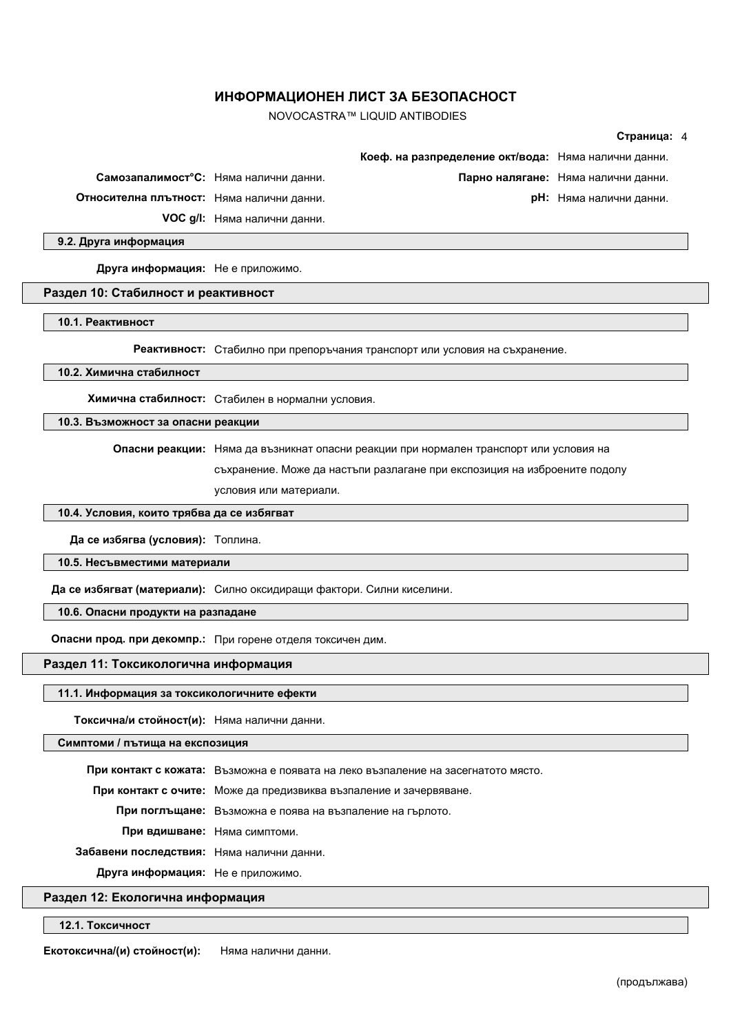NOVOCASTRA™ LIQUID ANTIBODIES

|                                                                       |                                                  |                                                                                        | Страница: 4                         |  |
|-----------------------------------------------------------------------|--------------------------------------------------|----------------------------------------------------------------------------------------|-------------------------------------|--|
|                                                                       |                                                  | Коеф. на разпределение окт/вода: Няма налични данни.                                   |                                     |  |
|                                                                       | Самозапалимост°С: Няма налични данни.            |                                                                                        | Парно налягане: Няма налични данни. |  |
| Относителна плътност: Няма налични данни.                             |                                                  |                                                                                        | рН: Няма налични данни.             |  |
|                                                                       | <b>VOC g/l:</b> Няма налични данни.              |                                                                                        |                                     |  |
| 9.2. Друга информация                                                 |                                                  |                                                                                        |                                     |  |
| Друга информация: Не е приложимо.                                     |                                                  |                                                                                        |                                     |  |
| Раздел 10: Стабилност и реактивност                                   |                                                  |                                                                                        |                                     |  |
| 10.1. Реактивност                                                     |                                                  |                                                                                        |                                     |  |
|                                                                       |                                                  | Реактивност: Стабилно при препоръчания транспорт или условия на съхранение.            |                                     |  |
| 10.2. Химична стабилност                                              |                                                  |                                                                                        |                                     |  |
|                                                                       | Химична стабилност: Стабилен в нормални условия. |                                                                                        |                                     |  |
| 10.3. Възможност за опасни реакции                                    |                                                  |                                                                                        |                                     |  |
|                                                                       |                                                  | Опасни реакции: Няма да възникнат опасни реакции при нормален транспорт или условия на |                                     |  |
|                                                                       |                                                  | съхранение. Може да настъпи разлагане при експозиция на изброените подолу              |                                     |  |
|                                                                       | условия или материали.                           |                                                                                        |                                     |  |
| 10.4. Условия, които трябва да се избягват                            |                                                  |                                                                                        |                                     |  |
| Да се избягва (условия): Топлина.                                     |                                                  |                                                                                        |                                     |  |
| 10.5. Несъвместими материали                                          |                                                  |                                                                                        |                                     |  |
| Да се избягват (материали): Силно оксидиращи фактори. Силни киселини. |                                                  |                                                                                        |                                     |  |
| 10.6. Опасни продукти на разпадане                                    |                                                  |                                                                                        |                                     |  |
| Опасни прод. при декомпр.: При горене отделя токсичен дим.            |                                                  |                                                                                        |                                     |  |
| Раздел 11: Токсикологична информация                                  |                                                  |                                                                                        |                                     |  |
| 11.1. Информация за токсикологичните ефекти                           |                                                  |                                                                                        |                                     |  |
| Токсична/и стойност(и): Няма налични данни.                           |                                                  |                                                                                        |                                     |  |
| Симптоми / пътища на експозиция                                       |                                                  |                                                                                        |                                     |  |

**При контакт с кожата:** Възможна е появата на леко възпаление на засегнатото място. **При контакт с очите:** Може да предизвиква възпаление и зачервяване. **При поглъщане:** Възможна е поява на възпаление на гърлото. **При вдишване:** Няма симптоми. **Забавени последствия:** Няма налични данни. **Друга информация:** Не е приложимо.

# **Раздел 12: Екологична информация**

**12.1. Токсичност**

 $\Box$ 

**Екотоксична/(и) стойност(и):** Няма налични данни.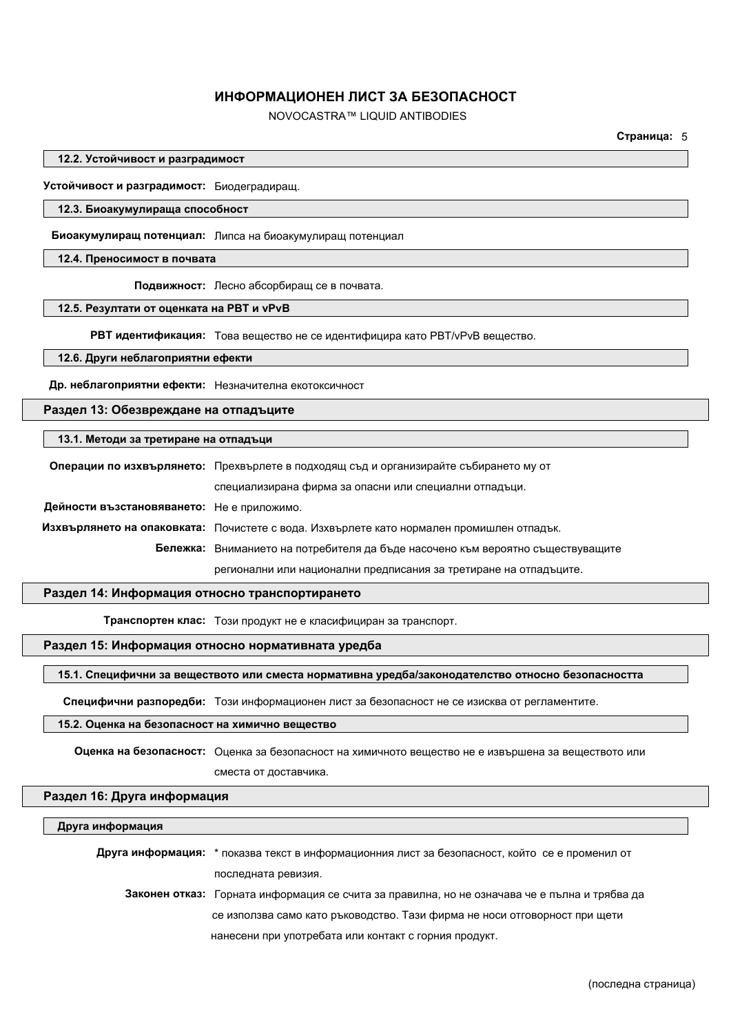NOVOCASTRA™ LIQUID ANTIBODIES

**Страница:** 5

**12.2. Устойчивост и разградимост**

**Устойчивост и разградимост:** Биодеградиращ.

#### **12.3. Биоакумулираща способност**

**Биоакумулиращ потенциал:** Липса на биоакумулиращ потенциал

#### **12.4. Преносимост в почвата**

**Подвижност:** Лесно абсорбиращ се в почвата.

#### **12.5. Резултати от оценката на PBT и vPvB**

**РВТ идентификация:** Това вещество не се идентифицира като PBT/vPvB вещество.

## **12.6. Други неблагоприятни ефекти**

**Др. неблагоприятни ефекти:** Незначителна екотоксичност

## **Раздел 13: Обезвреждане на отпадъците**

#### **13.1. Методи за третиране на отпадъци**

|                                            | Операции по изхвърлянето: Прехвърлете в подходящ съд и организирайте събирането му от     |  |  |
|--------------------------------------------|-------------------------------------------------------------------------------------------|--|--|
|                                            | специализирана фирма за опасни или специални отпадъци.                                    |  |  |
| Дейности възстановяването: Не е приложимо. |                                                                                           |  |  |
|                                            | Изхвърлянето на опаковката: Почистете с вода. Изхвърлете като нормален промишлен отпадък. |  |  |
|                                            | Бележка: Вниманието на потребителя да бъде насочено към вероятно съществуващите           |  |  |
|                                            | регионални или национални предписания за третиране на отпадъците.                         |  |  |

#### **Раздел 14: Информация относно транспортирането**

**Транспортен клас:** Този продукт не е класифициран за транспорт.

# **Раздел 15: Информация относно нормативната уредба**

#### **15.1. Специфични за веществото или сместа нормативна уредба/законодателство относно безопасността**

**Специфични разпоредби:** Този информационен лист за безопасност не се изисква от регламентите.

## **15.2. Оценка на безопасност на химично вещество**

**Оценка на безопасност:** Оценка за безопасност на химичното вещество не е извършена за веществото или сместа от доставчика.

### **Раздел 16: Друга информация**

#### **Друга информация**

**Друга информация:** \* показва текст в информационния лист за безопасност, който се е променил от последната ревизия.

**Законен отказ:** Горната информация се счита за правилна, но не означава че е пълна и трябва да се използва само като ръководство. Тази фирма не носи отговорност при щети нанесени при употребата или контакт с горния продукт.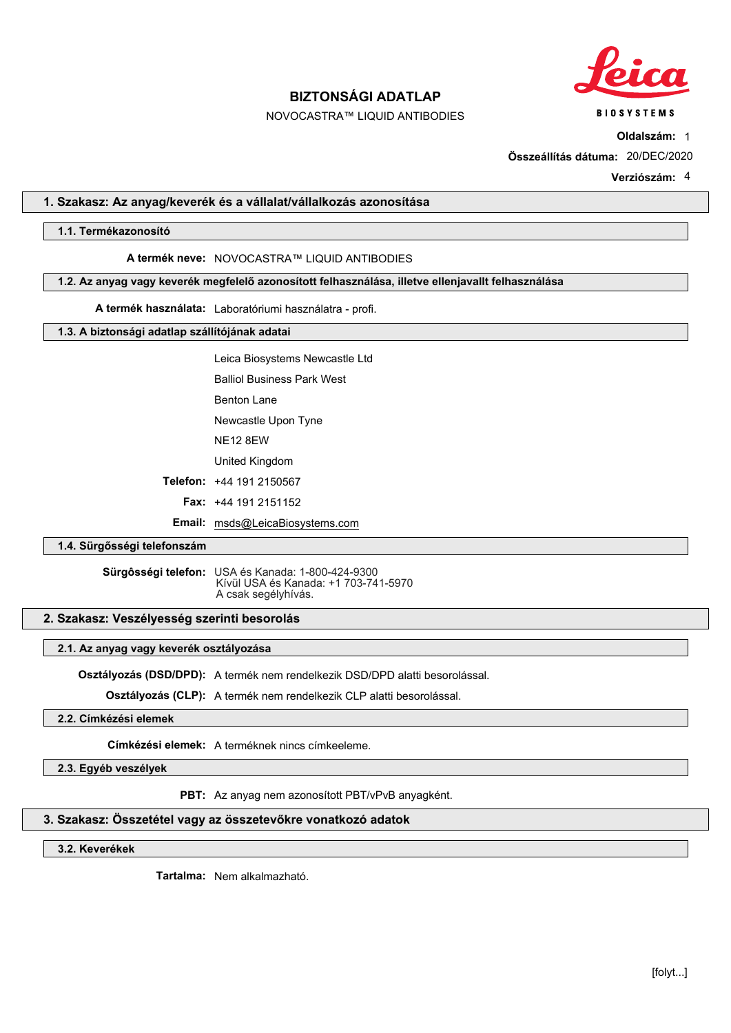

**BIOSYSTEMS** 

# **BIZTONSÁGI ADATLAP**

# NOVOCASTRA™ LIQUID ANTIBODIES

**Oldalszám:** 1

**Összeállítás dátuma:** 20/DEC/2020

**Verziószám:** 4

## **1. Szakasz: Az anyag/keverék és a vállalat/vállalkozás azonosítása**

## **1.1. Termékazonosító**

#### **A termék neve:** NOVOCASTRA™ LIQUID ANTIBODIES

**1.2. Az anyag vagy keverék megfelelő azonosított felhasználása, illetve ellenjavallt felhasználása**

**A termék használata:** Laboratóriumi használatra - profi.

## **1.3. A biztonsági adatlap szállítójának adatai**

Leica Biosystems Newcastle Ltd

Balliol Business Park West

Benton Lane

Newcastle Upon Tyne

NE12 8EW

United Kingdom

**Telefon:** +44 191 2150567

**Fax:** +44 191 2151152

**Email:** msds@LeicaBiosystems.com

## **1.4. Sürgősségi telefonszám**

**Sürgôsségi telefon:** USA és Kanada: 1-800-424-9300 Kívül USA és Kanada: +1 703-741-5970 A csak segélyhívás.

### **2. Szakasz: Veszélyesség szerinti besorolás**

#### **2.1. Az anyag vagy keverék osztályozása**

**Osztályozás (DSD/DPD):** A termék nem rendelkezik DSD/DPD alatti besorolással.

**Osztályozás (CLP):** A termék nem rendelkezik CLP alatti besorolással.

# **2.2. Címkézési elemek**

**Címkézési elemek:** A terméknek nincs címkeeleme.

**2.3. Egyéb veszélyek**

**PBT:** Az anyag nem azonosított PBT/vPvB anyagként.

## **3. Szakasz: Összetétel vagy az összetevőkre vonatkozó adatok**

**3.2. Keverékek**

**Tartalma:** Nem alkalmazható.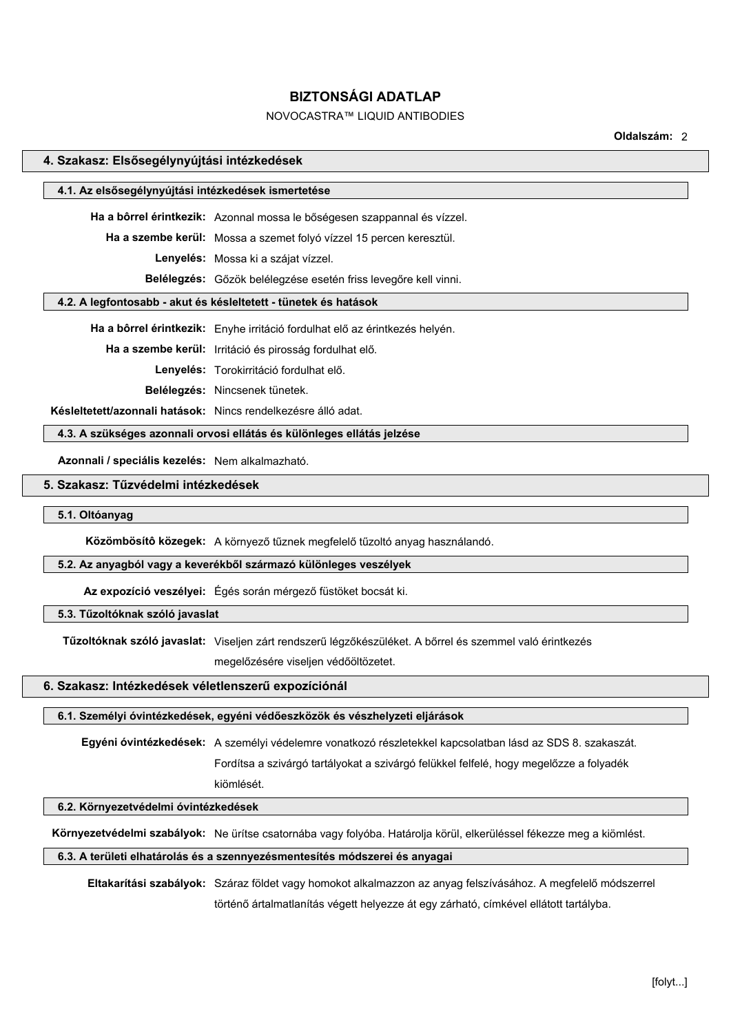# NOVOCASTRA™ LIQUID ANTIBODIES

**Oldalszám:** 2

| 4. Szakasz: Elsősegélynyújtási intézkedések                            |                                                                             |  |  |
|------------------------------------------------------------------------|-----------------------------------------------------------------------------|--|--|
| 4.1. Az elsősegélynyújtási intézkedések ismertetése                    |                                                                             |  |  |
|                                                                        |                                                                             |  |  |
|                                                                        | Ha a bôrrel érintkezik: Azonnal mossa le bőségesen szappannal és vízzel.    |  |  |
|                                                                        | Ha a szembe kerül: Mossa a szemet folyó vízzel 15 percen keresztül.         |  |  |
|                                                                        | Lenyelés: Mossa ki a szájat vízzel.                                         |  |  |
|                                                                        | Belélegzés: Gőzök belélegzése esetén friss levegőre kell vinni.             |  |  |
|                                                                        | 4.2. A legfontosabb - akut és késleltetett - tünetek és hatások             |  |  |
|                                                                        | Ha a bôrrel érintkezik: Enyhe irritáció fordulhat elő az érintkezés helyén. |  |  |
|                                                                        | Ha a szembe kerül: Irritáció és pirosság fordulhat elő.                     |  |  |
|                                                                        | Lenyelés: Torokirritáció fordulhat elő.                                     |  |  |
|                                                                        | Belélegzés: Nincsenek tünetek.                                              |  |  |
| Késleltetett/azonnali hatások: Nincs rendelkezésre álló adat.          |                                                                             |  |  |
| 4.3. A szükséges azonnali orvosi ellátás és különleges ellátás jelzése |                                                                             |  |  |
| Azonnali / speciális kezelés: Nem alkalmazható.                        |                                                                             |  |  |
| 5. Szakasz: Tűzvédelmi intézkedések                                    |                                                                             |  |  |
| 5.1. Oltóanyag                                                         |                                                                             |  |  |
|                                                                        |                                                                             |  |  |
|                                                                        | Közömbösítő közegek: A környező tűznek megfelelő tűzoltó anyag használandó. |  |  |
| 5.2. Az anyagból vagy a keverékből származó különleges veszélyek       |                                                                             |  |  |
|                                                                        | Az expozíció veszélyei: Égés során mérgező füstöket bocsát ki.              |  |  |
| 5.3. Tűzoltóknak szóló javaslat                                        |                                                                             |  |  |

**Tűzoltóknak szóló javaslat:** Viseljen zárt rendszerű légzőkészüléket. A bőrrel és szemmel való érintkezés

megelőzésére viseljen védőöltözetet.

#### **6. Szakasz: Intézkedések véletlenszerű expozíciónál**

## **6.1. Személyi óvintézkedések, egyéni védőeszközök és vészhelyzeti eljárások**

**Egyéni óvintézkedések:** A személyi védelemre vonatkozó részletekkel kapcsolatban lásd az SDS 8. szakaszát.

Fordítsa a szivárgó tartályokat a szivárgó felükkel felfelé, hogy megelőzze a folyadék

# **6.2. Környezetvédelmi óvintézkedések**

**Környezetvédelmi szabályok:** Ne ürítse csatornába vagy folyóba. Határolja körül, elkerüléssel fékezze meg a kiömlést.

## **6.3. A területi elhatárolás és a szennyezésmentesítés módszerei és anyagai**

kiömlését.

**Eltakarítási szabályok:** Száraz földet vagy homokot alkalmazzon az anyag felszívásához. A megfelelő módszerrel történő ártalmatlanítás végett helyezze át egy zárható, címkével ellátott tartályba.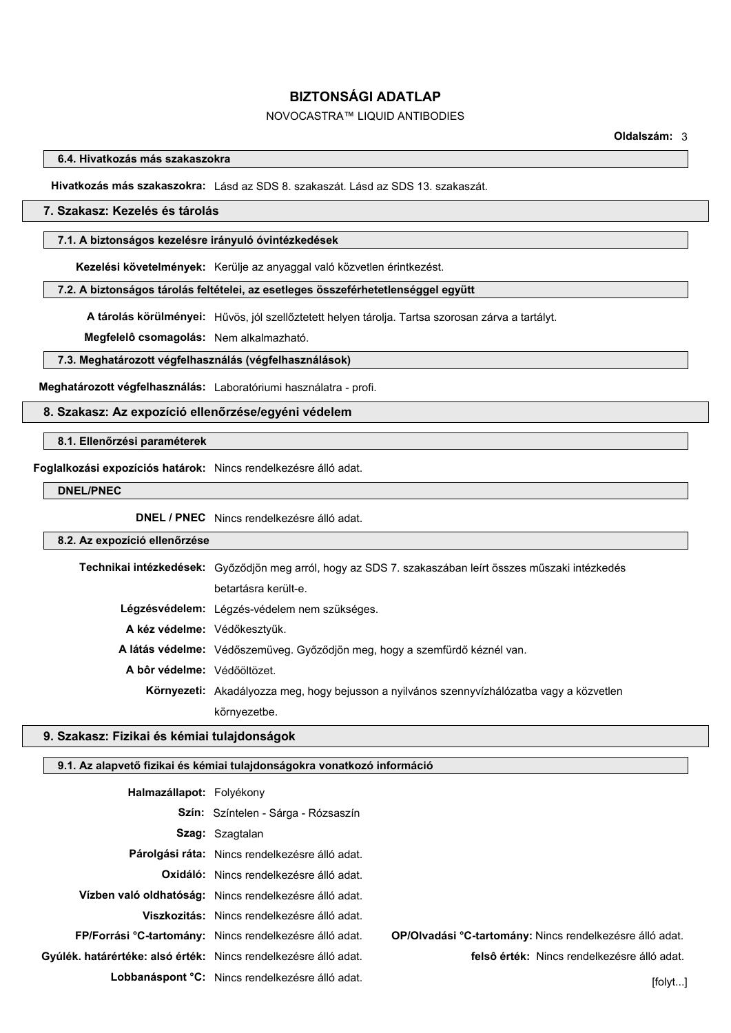# NOVOCASTRA™ LIQUID ANTIBODIES

### **6.4. Hivatkozás más szakaszokra**

**Hivatkozás más szakaszokra:** Lásd az SDS 8. szakaszát. Lásd az SDS 13. szakaszát.

## **7. Szakasz: Kezelés és tárolás**

#### **7.1. A biztonságos kezelésre irányuló óvintézkedések**

**Kezelési követelmények:** Kerülje az anyaggal való közvetlen érintkezést.

#### **7.2. A biztonságos tárolás feltételei, az esetleges összeférhetetlenséggel együtt**

**A tárolás körülményei:** Hűvös, jól szellőztetett helyen tárolja. Tartsa szorosan zárva a tartályt.

**Megfelelô csomagolás:** Nem alkalmazható.

#### **7.3. Meghatározott végfelhasználás (végfelhasználások)**

**Meghatározott végfelhasználás:** Laboratóriumi használatra - profi.

## **8. Szakasz: Az expozíció ellenőrzése/egyéni védelem**

## **8.1. Ellenőrzési paraméterek**

**Foglalkozási expozíciós határok:** Nincs rendelkezésre álló adat.

# **DNEL/PNEC**

**DNEL / PNEC** Nincs rendelkezésre álló adat.

#### **8.2. Az expozíció ellenőrzése**

**Technikai intézkedések:** Győződjön meg arról, hogy az SDS 7. szakaszában leírt összes műszaki intézkedés betartásra került-e. **Légzésvédelem:** Légzés-védelem nem szükséges. **A kéz védelme:** Védőkesztyűk. **A látás védelme:** Védőszemüveg. Győződjön meg, hogy a szemfürdő kéznél van. **A bôr védelme:** Védőöltözet. **Környezeti:** Akadályozza meg, hogy bejusson a nyilvános szennyvízhálózatba vagy a közvetlen környezetbe.

## **9. Szakasz: Fizikai és kémiai tulajdonságok**

## **9.1. Az alapvető fizikai és kémiai tulajdonságokra vonatkozó információ**

| Halmazállapot: Folyékony                                        |                                                         |                                                          |
|-----------------------------------------------------------------|---------------------------------------------------------|----------------------------------------------------------|
|                                                                 | <b>Szín:</b> Színtelen - Sárga - Rózsaszín              |                                                          |
|                                                                 | <b>Szag:</b> Szagtalan                                  |                                                          |
|                                                                 | Párolgási ráta: Nincs rendelkezésre álló adat.          |                                                          |
|                                                                 | <b>Oxidáló:</b> Nincs rendelkezésre álló adat.          |                                                          |
|                                                                 | Vízben való oldhatóság: Nincs rendelkezésre álló adat.  |                                                          |
|                                                                 | Viszkozitás: Nincs rendelkezésre álló adat.             |                                                          |
|                                                                 | FP/Forrási °C-tartomány: Nincs rendelkezésre álló adat. | OP/OIvadási °C-tartomány: Nincs rendelkezésre álló adat. |
| Gyúlék. határértéke: alsó érték: Nincs rendelkezésre álló adat. |                                                         | felsô érték: Nincs rendelkezésre álló adat.              |
|                                                                 | Lobbanáspont °C: Nincs rendelkezésre álló adat.         | [folk]                                                   |
|                                                                 |                                                         |                                                          |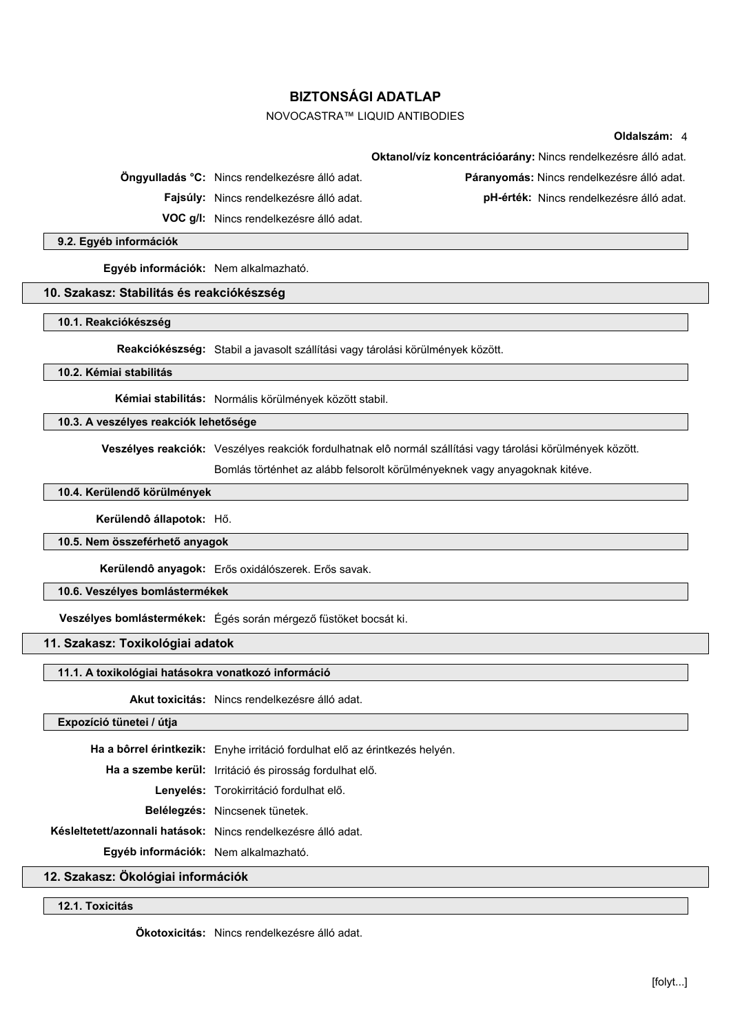# NOVOCASTRA™ LIQUID ANTIBODIES

## **Oldalszám:** 4

**Öngyulladás °C:** Nincs rendelkezésre álló adat. **Páranyomás:** Nincs rendelkezésre álló adat.

**Oktanol/víz koncentrációarány:** Nincs rendelkezésre álló adat.

**Fajsúly:** Nincs rendelkezésre álló adat. **pH-érték:** Nincs rendelkezésre álló adat.

**VOC g/l:** Nincs rendelkezésre álló adat.

**9.2. Egyéb információk**

**Egyéb információk:** Nem alkalmazható.

#### **10. Szakasz: Stabilitás és reakciókészség**

**10.1. Reakciókészség**

**Reakciókészség:** Stabil a javasolt szállítási vagy tárolási körülmények között.

**10.2. Kémiai stabilitás**

**Kémiai stabilitás:** Normális körülmények között stabil.

**10.3. A veszélyes reakciók lehetősége**

**Veszélyes reakciók:** Veszélyes reakciók fordulhatnak elô normál szállítási vagy tárolási körülmények között.

Bomlás történhet az alább felsorolt körülményeknek vagy anyagoknak kitéve.

# **10.4. Kerülendő körülmények**

**Kerülendô állapotok:** Hő.

#### **10.5. Nem összeférhető anyagok**

**Kerülendô anyagok:** Erős oxidálószerek. Erős savak.

**10.6. Veszélyes bomlástermékek**

**Veszélyes bomlástermékek:** Égés során mérgező füstöket bocsát ki.

**11. Szakasz: Toxikológiai adatok**

### **11.1. A toxikológiai hatásokra vonatkozó információ**

**Akut toxicitás:** Nincs rendelkezésre álló adat.

#### **Expozíció tünetei / útja**

**Ha a bôrrel érintkezik:** Enyhe irritáció fordulhat elő az érintkezés helyén.

**Ha a szembe kerül:** Irritáció és pirosság fordulhat elő.

**Lenyelés:** Torokirritáció fordulhat elő.

**Belélegzés:** Nincsenek tünetek.

**Késleltetett/azonnali hatások:** Nincs rendelkezésre álló adat.

**Egyéb információk:** Nem alkalmazható.

**12. Szakasz: Ökológiai információk**

**12.1. Toxicitás**

**Ökotoxicitás:** Nincs rendelkezésre álló adat.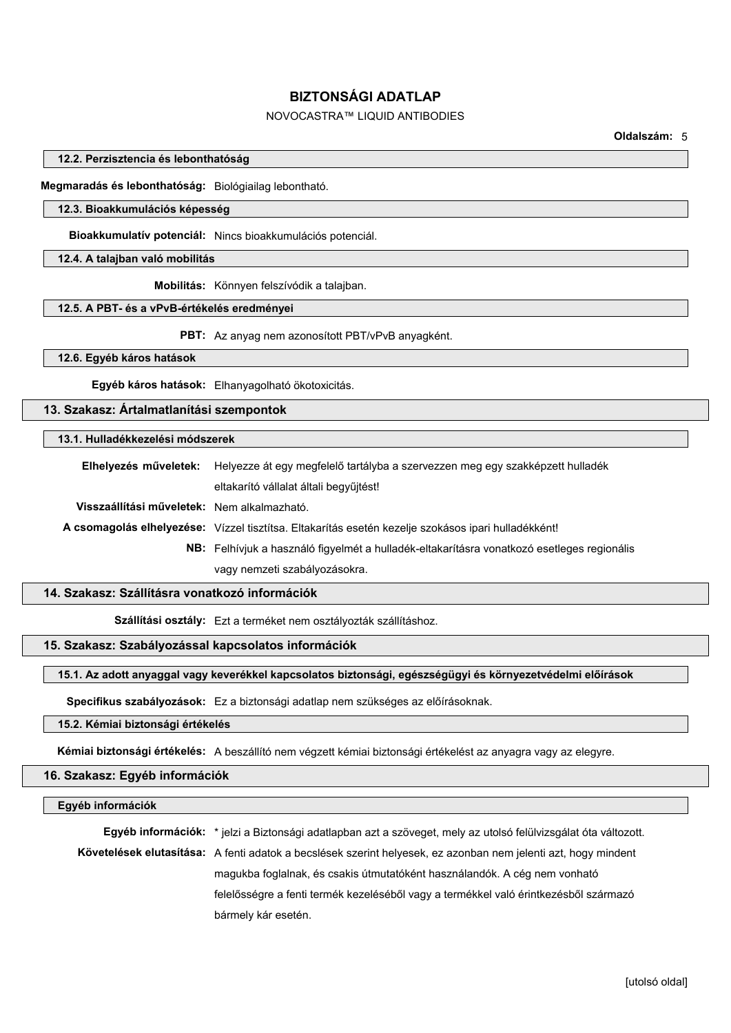# NOVOCASTRA™ LIQUID ANTIBODIES

**Oldalszám:** 5

#### **12.2. Perzisztencia és lebonthatóság**

**Megmaradás és lebonthatóság:** Biológiailag lebontható.

## **12.3. Bioakkumulációs képesség**

**Bioakkumulatív potenciál:** Nincs bioakkumulációs potenciál.

#### **12.4. A talajban való mobilitás**

**Mobilitás:** Könnyen felszívódik a talajban.

#### **12.5. A PBT- és a vPvB-értékelés eredményei**

**PBT:** Az anyag nem azonosított PBT/vPvB anyagként.

**12.6. Egyéb káros hatások**

**Egyéb káros hatások:** Elhanyagolható ökotoxicitás.

## **13. Szakasz: Ártalmatlanítási szempontok**

## **13.1. Hulladékkezelési módszerek**

**Elhelyezés műveletek:** Helyezze át egy megfelelő tartályba a szervezzen meg egy szakképzett hulladék eltakarító vállalat általi begyűjtést! **Visszaállítási műveletek:** Nem alkalmazható. **A csomagolás elhelyezése:** Vízzel tisztítsa. Eltakarítás esetén kezelje szokásos ipari hulladékként! **NB:** Felhívjuk a használó figyelmét a hulladék-eltakarításra vonatkozó esetleges regionális vagy nemzeti szabályozásokra.

## **14. Szakasz: Szállításra vonatkozó információk**

**Szállítási osztály:** Ezt a terméket nem osztályozták szállításhoz.

# **15. Szakasz: Szabályozással kapcsolatos információk**

## **15.1. Az adott anyaggal vagy keverékkel kapcsolatos biztonsági, egészségügyi és környezetvédelmi előírások**

**Specifikus szabályozások:** Ez a biztonsági adatlap nem szükséges az előírásoknak.

## **15.2. Kémiai biztonsági értékelés**

**Kémiai biztonsági értékelés:** A beszállító nem végzett kémiai biztonsági értékelést az anyagra vagy az elegyre.

# **16. Szakasz: Egyéb információk**

#### **Egyéb információk**

**Egyéb információk:** \* jelzi a Biztonsági adatlapban azt a szöveget, mely az utolsó felülvizsgálat óta változott. **Követelések elutasítása:** A fenti adatok a becslések szerint helyesek, ez azonban nem jelenti azt, hogy mindent magukba foglalnak, és csakis útmutatóként használandók. A cég nem vonható felelősségre a fenti termék kezeléséből vagy a termékkel való érintkezésből származó bármely kár esetén.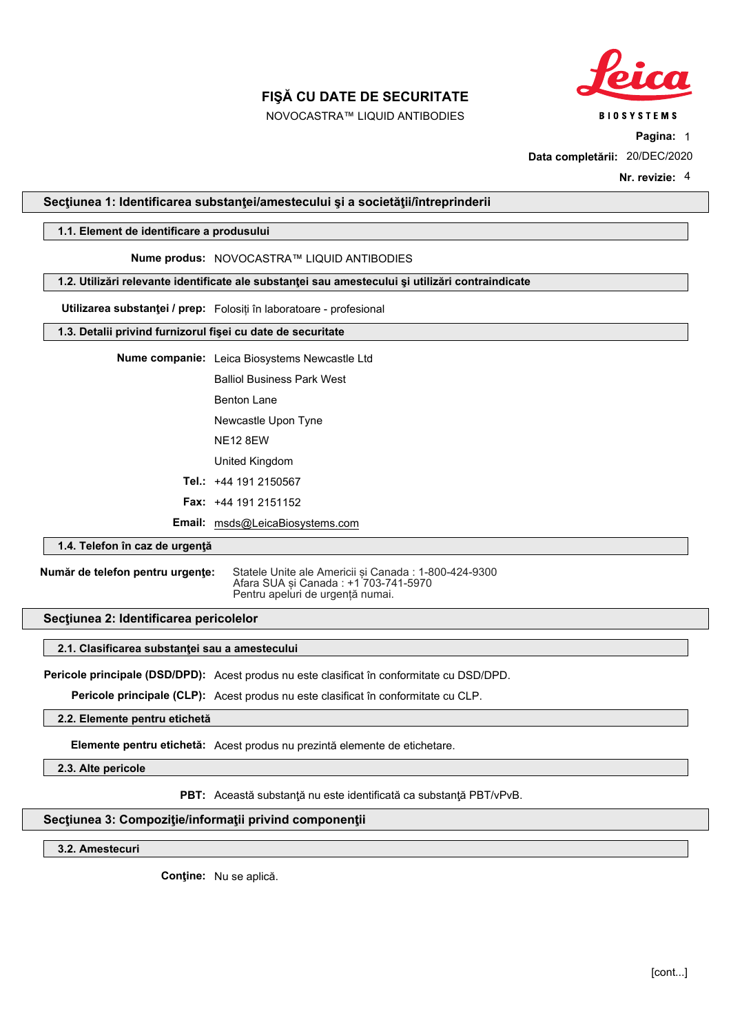

NOVOCASTRA™ LIQUID ANTIBODIES

**BIOSYSTEMS** 

**Pagina:** 1

**Data completării:** 20/DEC/2020

**Nr. revizie:** 4

## **Secţiunea 1: Identificarea substanţei/amestecului şi a societăţii/întreprinderii**

# **1.1. Element de identificare a produsului**

# **Nume produs:** NOVOCASTRA™ LIQUID ANTIBODIES

**1.2. Utilizări relevante identificate ale substanţei sau amestecului şi utilizări contraindicate**

**Utilizarea substanţei / prep:** Folosiți în laboratoare profesional

## **1.3. Detalii privind furnizorul fişei cu date de securitate**

**Nume companie:** Leica Biosystems Newcastle Ltd

Balliol Business Park West

Benton Lane

Newcastle Upon Tyne

NE12 8EW

United Kingdom

**Tel.:** +44 191 2150567

**Fax:** +44 191 2151152

**Email:** msds@LeicaBiosystems.com

### **1.4. Telefon în caz de urgenţă**

**Număr de telefon pentru urgențe:** Statele Unite ale Americii și Canada : 1-800-424-9300 Afara SUA și Canada : +1<sup>'</sup>703-741-5970 Pentru apeluri de urgență numai.

#### **Secţiunea 2: Identificarea pericolelor**

#### **2.1. Clasificarea substanţei sau a amestecului**

**Pericole principale (DSD/DPD):** Acest produs nu este clasificat în conformitate cu DSD/DPD.

**Pericole principale (CLP):** Acest produs nu este clasificat în conformitate cu CLP.

### **2.2. Elemente pentru etichetă**

**Elemente pentru etichetă:** Acest produs nu prezintă elemente de etichetare.

**2.3. Alte pericole**

**PBT:** Această substanţă nu este identificată ca substanţă PBT/vPvB.

## **Secţiunea 3: Compoziţie/informaţii privind componenţii**

**3.2. Amestecuri**

**Conţine:** Nu se aplică.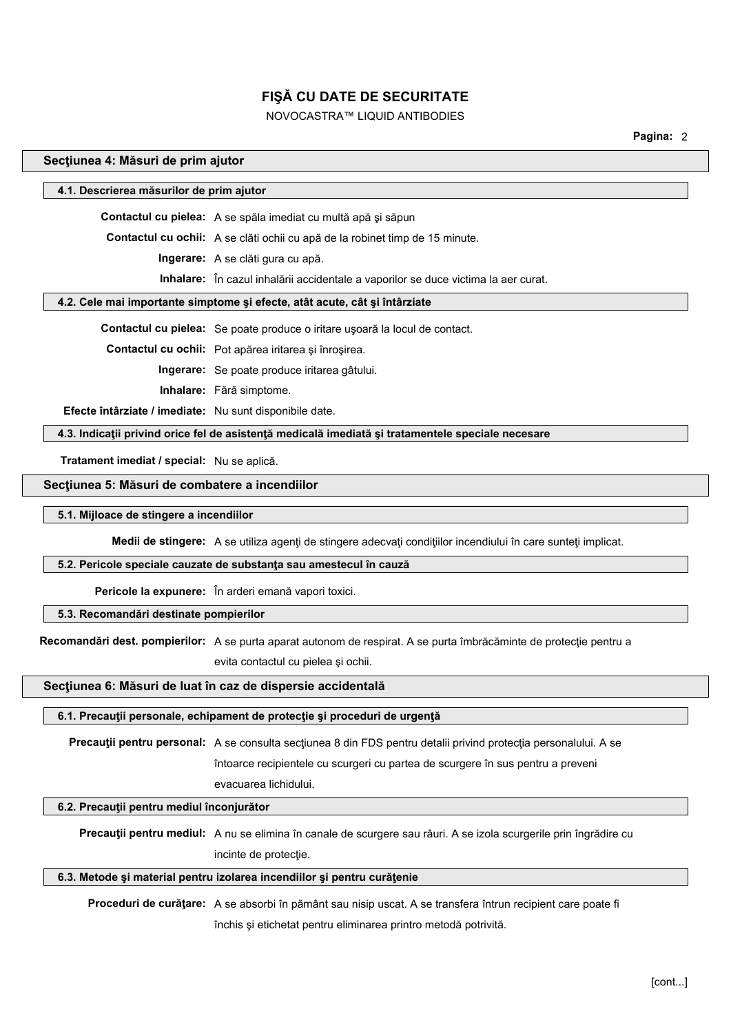# NOVOCASTRA™ LIQUID ANTIBODIES

**Pagina:** 2

#### **Secţiunea 4: Măsuri de prim ajutor**

# **4.1. Descrierea măsurilor de prim ajutor**

**Contactul cu pielea:** A se spăla imediat cu multă apă şi săpun

**Contactul cu ochii:** A se clăti ochii cu apă de la robinet timp de 15 minute.

**Ingerare:** A se clăti gura cu apă.

**Inhalare:** În cazul inhalării accidentale a vaporilor se duce victima la aer curat.

### **4.2. Cele mai importante simptome şi efecte, atât acute, cât şi întârziate**

**Contactul cu pielea:** Se poate produce o iritare uşoară la locul de contact.

**Contactul cu ochii:** Pot apărea iritarea şi înroşirea.

**Ingerare:** Se poate produce iritarea gâtului.

**Inhalare:** Fără simptome.

**Efecte întârziate / imediate:** Nu sunt disponibile date.

**4.3. Indicaţii privind orice fel de asistenţă medicală imediată şi tratamentele speciale necesare**

**Tratament imediat / special:** Nu se aplică.

#### **Secţiunea 5: Măsuri de combatere a incendiilor**

#### **5.1. Mijloace de stingere a incendiilor**

**Medii de stingere:** A se utiliza agenţi de stingere adecvaţi condiţiilor incendiului în care sunteţi implicat.

#### **5.2. Pericole speciale cauzate de substanţa sau amestecul în cauză**

**Pericole la expunere:** În arderi emană vapori toxici.

## **5.3. Recomandări destinate pompierilor**

**Recomandări dest. pompierilor:** A se purta aparat autonom de respirat. A se purta îmbrăcăminte de protecţie pentru a

evita contactul cu pielea şi ochii.

### **Secţiunea 6: Măsuri de luat în caz de dispersie accidentală**

#### **6.1. Precauţii personale, echipament de protecţie şi proceduri de urgenţă**

**Precauţii pentru personal:** A se consulta secţiunea 8 din FDS pentru detalii privind protecţia personalului. A se

întoarce recipientele cu scurgeri cu partea de scurgere în sus pentru a preveni

evacuarea lichidului.

## **6.2. Precauţii pentru mediul înconjurător**

**Precauţii pentru mediul:** A nu se elimina în canale de scurgere sau râuri. A se izola scurgerile prin îngrădire cu incinte de protecție.

#### **6.3. Metode şi material pentru izolarea incendiilor şi pentru curăţenie**

**Proceduri de curăţare:** A se absorbi în pământ sau nisip uscat. A se transfera întrun recipient care poate fi închis şi etichetat pentru eliminarea printro metodă potrivită.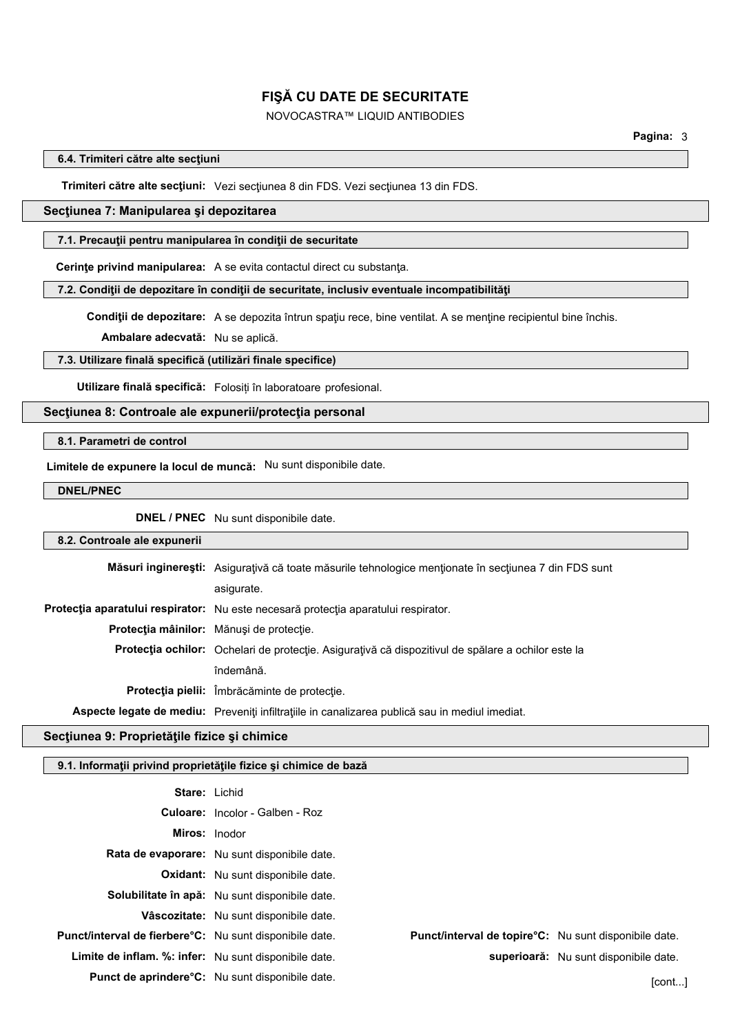# NOVOCASTRA™ LIQUID ANTIBODIES

### **6.4. Trimiteri către alte secţiuni**

**Trimiteri către alte secţiuni:** Vezi secţiunea 8 din FDS. Vezi secţiunea 13 din FDS.

## **Secţiunea 7: Manipularea şi depozitarea**

#### **7.1. Precauţii pentru manipularea în condiţii de securitate**

**Cerinţe privind manipularea:** A se evita contactul direct cu substanţa.

**7.2. Condiţii de depozitare în condiţii de securitate, inclusiv eventuale incompatibilităţi**

**Condiţii de depozitare:** A se depozita întrun spaţiu rece, bine ventilat. A se menţine recipientul bine închis.

**Ambalare adecvată:** Nu se aplică.

#### **7.3. Utilizare finală specifică (utilizări finale specifice)**

**Utilizare finală specifică:** Folosiți în laboratoare profesional.

# **Secţiunea 8: Controale ale expunerii/protecţia personal**

## **8.1. Parametri de control**

**Limitele de expunere la locul de muncă:** Nu sunt disponibile date.

**DNEL/PNEC**

**DNEL / PNEC** Nu sunt disponibile date.

#### **8.2. Controale ale expunerii**

| Măsuri inginerești: Asigurațivă că toate măsurile tehnologice menționate în secțiunea 7 din FDS sunt |  |  |
|------------------------------------------------------------------------------------------------------|--|--|
| asigurate.                                                                                           |  |  |
| Protecția aparatului respirator: Nu este necesară protecția aparatului respirator.                   |  |  |
| Protecția mâinilor: Mănuși de protecție.                                                             |  |  |
| Protecția ochilor: Ochelari de protecție. Asigurațivă că dispozitivul de spălare a ochilor este la   |  |  |
| îndemână.                                                                                            |  |  |
| Protecția pielii: Îmbrăcăminte de protecție.                                                         |  |  |
| Aspecte legate de mediu: Preveniți infiltrațiile in canalizarea publică sau in mediul imediat.       |  |  |

## **Secţiunea 9: Proprietăţile fizice şi chimice**

### **9.1. Informaţii privind proprietăţile fizice şi chimice de bază**

| <b>Stare: Lichid</b>                                           |                                                         |                                                               |  |
|----------------------------------------------------------------|---------------------------------------------------------|---------------------------------------------------------------|--|
|                                                                | <b>Culoare:</b> Incolor - Galben - Roz                  |                                                               |  |
| <b>Miros:</b> Inodor                                           |                                                         |                                                               |  |
|                                                                | Rata de evaporare: Nu sunt disponibile date.            |                                                               |  |
|                                                                | <b>Oxidant:</b> Nu sunt disponibile date.               |                                                               |  |
|                                                                | Solubilitate în apă: Nu sunt disponibile date.          |                                                               |  |
|                                                                | Vâscozitate: Nu sunt disponibile date.                  |                                                               |  |
| <b>Punct/interval de fierbere C:</b> Nu sunt disponibile date. |                                                         | <b>Punct/interval de topire °C:</b> Nu sunt disponibile date. |  |
| <b>Limite de inflam. %: infer:</b> Nu sunt disponibile date.   |                                                         | superioară: Nu sunt disponibile date.                         |  |
|                                                                | <b>Punct de aprindere °C:</b> Nu sunt disponibile date. | [cont <sup>∶</sup>                                            |  |
|                                                                |                                                         |                                                               |  |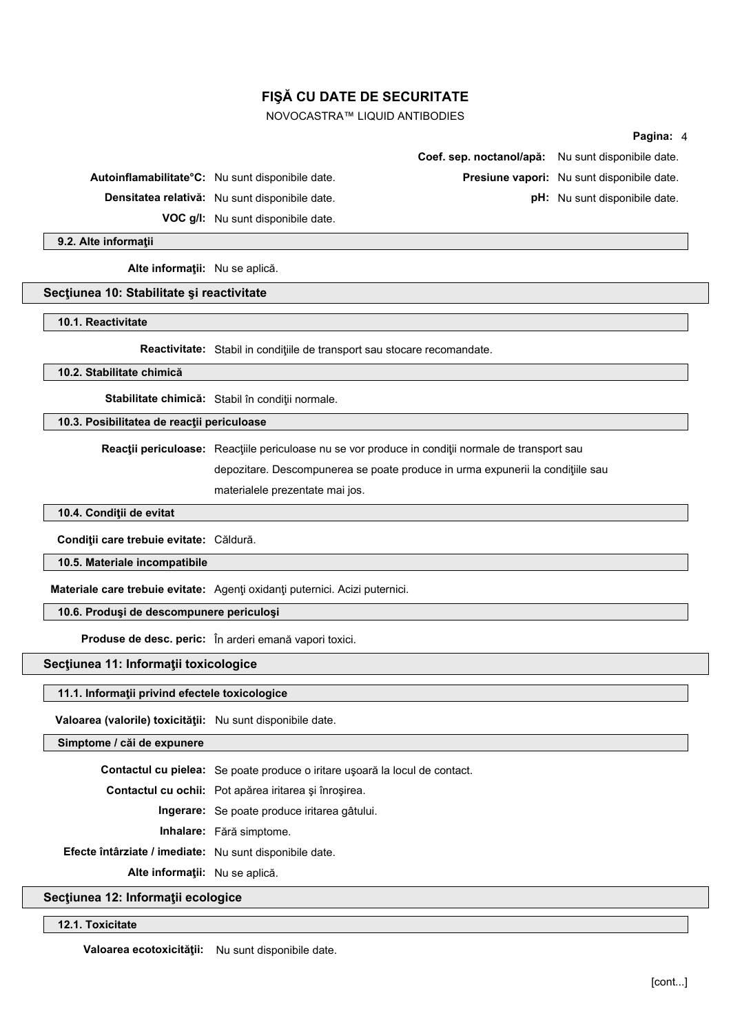## NOVOCASTRA™ LIQUID ANTIBODIES

#### **Pagina:** 4

|                                                               | Coef. sep. noctanol/apă: Nu sunt disponibile date. |                                            |
|---------------------------------------------------------------|----------------------------------------------------|--------------------------------------------|
| Autoinflamabilitate <sup>o</sup> C: Nu sunt disponibile date. |                                                    | Presiune vapori: Nu sunt disponibile date. |
| Densitatea relativă: Nu sunt disponibile date.                |                                                    | <b>pH:</b> Nu sunt disponibile date.       |
| <b>VOC g/l:</b> Nu sunt disponibile date.                     |                                                    |                                            |

**9.2. Alte informaţii**

**Alte informaţii:** Nu se aplică.

#### **Secţiunea 10: Stabilitate şi reactivitate**

**10.1. Reactivitate**

**Reactivitate:** Stabil in condiţiile de transport sau stocare recomandate.

**10.2. Stabilitate chimică**

Stabilitate chimică: Stabil în conditii normale.

**10.3. Posibilitatea de reacţii periculoase**

**Reacţii periculoase:** Reacţiile periculoase nu se vor produce in condiţii normale de transport sau

depozitare. Descompunerea se poate produce in urma expunerii la condiţiile sau

materialele prezentate mai jos.

**10.4. Condiţii de evitat**

**Condiţii care trebuie evitate:** Căldură.

**10.5. Materiale incompatibile**

**Materiale care trebuie evitate:** Agenţi oxidanţi puternici. Acizi puternici.

**10.6. Produşi de descompunere periculoşi**

**Produse de desc. peric:** În arderi emană vapori toxici.

**Secţiunea 11: Informaţii toxicologice**

#### **11.1. Informaţii privind efectele toxicologice**

**Valoarea (valorile) toxicităţii:** Nu sunt disponibile date.

**Simptome / căi de expunere**

**Contactul cu pielea:** Se poate produce o iritare uşoară la locul de contact.

**Contactul cu ochii:** Pot apărea iritarea şi înroşirea.

**Ingerare:** Se poate produce iritarea gâtului.

**Inhalare:** Fără simptome.

**Efecte întârziate / imediate:** Nu sunt disponibile date.

**Alte informaţii:** Nu se aplică.

**Secţiunea 12: Informaţii ecologice**

**12.1. Toxicitate**

**Valoarea ecotoxicităţii:** Nu sunt disponibile date.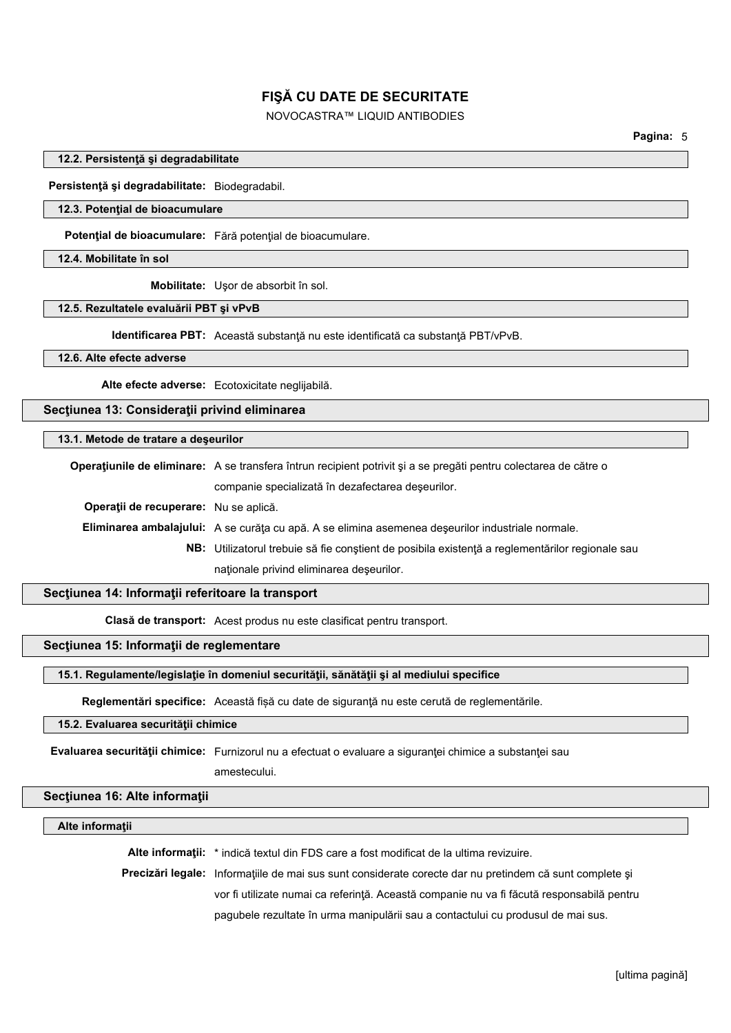# NOVOCASTRA™ LIQUID ANTIBODIES

### **12.2. Persistenţă şi degradabilitate**

**Persistenţă şi degradabilitate:** Biodegradabil.

## **12.3. Potenţial de bioacumulare**

**Potenţial de bioacumulare:** Fără potenţial de bioacumulare.

#### **12.4. Mobilitate în sol**

**Mobilitate:** Uşor de absorbit în sol.

#### **12.5. Rezultatele evaluării PBT şi vPvB**

**Identificarea PBT:** Această substanţă nu este identificată ca substanţă PBT/vPvB.

#### **12.6. Alte efecte adverse**

**Alte efecte adverse:** Ecotoxicitate neglijabilă.

**Secţiunea 13: Consideraţii privind eliminarea**

#### **13.1. Metode de tratare a deşeurilor**

**Operaţiunile de eliminare:** A se transfera întrun recipient potrivit şi a se pregăti pentru colectarea de către o companie specializată în dezafectarea deşeurilor. **Operaţii de recuperare:** Nu se aplică. **Eliminarea ambalajului:** A se curăţa cu apă. A se elimina asemenea deşeurilor industriale normale. **NB:** Utilizatorul trebuie să fie conştient de posibila existenţă a reglementărilor regionale sau naţionale privind eliminarea deşeurilor.

### **Secţiunea 14: Informaţii referitoare la transport**

**Clasă de transport:** Acest produs nu este clasificat pentru transport.

# **Secţiunea 15: Informaţii de reglementare**

#### **15.1. Regulamente/legislaţie în domeniul securităţii, sănătăţii şi al mediului specifice**

**Reglementări specifice:** Această fișă cu date de siguranţă nu este cerută de reglementările.

## **15.2. Evaluarea securităţii chimice**

**Evaluarea securităţii chimice:** Furnizorul nu a efectuat o evaluare a siguranţei chimice a substanţei sau

# amestecului.

# **Secţiunea 16: Alte informaţii**

# **Alte informaţii**

**Alte informaţii:** \* indică textul din FDS care a fost modificat de la ultima revizuire.

**Precizări legale:** Informaţiile de mai sus sunt considerate corecte dar nu pretindem că sunt complete şi vor fi utilizate numai ca referinţă. Această companie nu va fi făcută responsabilă pentru pagubele rezultate în urma manipulării sau a contactului cu produsul de mai sus.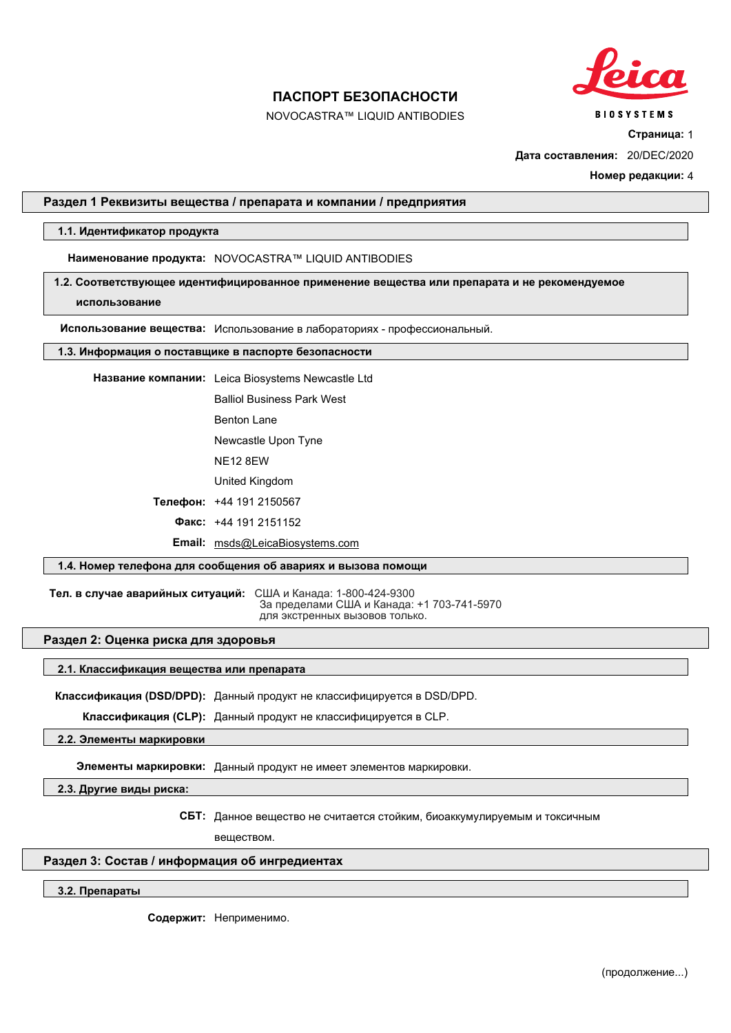

**BIOSYSTEMS** 

# **ПАСПОРТ БЕЗОПАСНОСТИ**

NOVOCASTRA™ LIQUID ANTIBODIES

**Страница:** 1

**Дата составления:** 20/DEC/2020

**Номер редакции:** 4

## **Раздел 1 Реквизиты вещества / препарата и компании / предприятия**

## **1.1. Идентификатор продукта**

**Наименование продукта:** NOVOCASTRA™ LIQUID ANTIBODIES

**1.2. Соответствующее идентифицированное применение вещества или препарата и не рекомендуемое**

**использование**

**Использование вещества:** Использование в лабораториях профессиональный.

#### **1.3. Информация о поставщике в паспорте безопасности**

**Название компании:** Leica Biosystems Newcastle Ltd

Balliol Business Park West

Benton Lane

Newcastle Upon Tyne

NE12 8EW

United Kingdom

**Телефон:** +44 191 2150567

**Факс:** +44 191 2151152

**Email:** msds@LeicaBiosystems.com

#### **1.4. Номер телефона для сообщения об авариях и вызова помощи**

Тел. в случае аварийных ситуаций: США и Канада: 1-800-424-9300 За пределами США и Канада: +1 703-741-5970 для экстренных вызовов только.

#### **Раздел 2: Оценка риска для здоровья**

## **2.1. Классификация вещества или препарата**

**Классификация (DSD/DPD):** Данный продукт не классифицируется в DSD/DPD.

**Классификация (CLP):** Данный продукт не классифицируется в CLP.

**2.2. Элементы маркировки**

**Элементы маркировки:** Данный продукт не имеет элементов маркировки.

**2.3. Другие виды риска:**

**СБТ:** Данное вещество не считается стойким, биоаккумулируемым и токсичным

веществом.

## **Раздел 3: Состав / информация об ингредиентах**

### **3.2. Препараты**

**Содержит:** Неприменимо.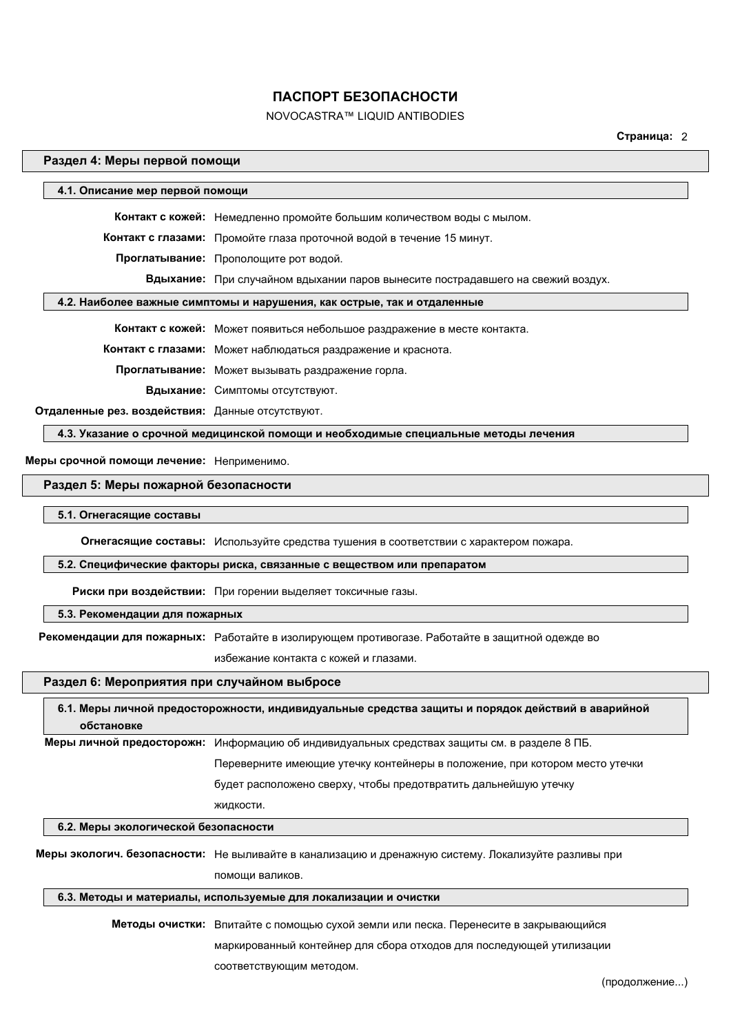# NOVOCASTRA™ LIQUID ANTIBODIES

**Страница:** 2

## **Раздел 4: Меры первой помощи**

| 4.1. Описание мер первой помощи                                         |                                                                                 |  |
|-------------------------------------------------------------------------|---------------------------------------------------------------------------------|--|
|                                                                         | Контакт с кожей: Немедленно промойте большим количеством воды с мылом.          |  |
|                                                                         | Контакт с глазами: Промойте глаза проточной водой в течение 15 минут.           |  |
|                                                                         | Проглатывание: Прополощите рот водой.                                           |  |
|                                                                         | Вдыхание: При случайном вдыхании паров вынесите пострадавшего на свежий воздух. |  |
| 4.2. Наиболее важные симптомы и нарушения, как острые, так и отдаленные |                                                                                 |  |
|                                                                         |                                                                                 |  |
|                                                                         | Контакт с кожей: Может появиться небольшое раздражение в месте контакта.        |  |
|                                                                         | Контакт с глазами: Может наблюдаться раздражение и краснота.                    |  |
|                                                                         | Проглатывание: Может вызывать раздражение горла.                                |  |
|                                                                         | Вдыхание: Симптомы отсутствуют.                                                 |  |

**Отдаленные рез. воздействия:** Данные отсутствуют.

**4.3. Указание о срочной медицинской помощи и необходимые специальные методы лечения**

**Меры срочной помощи лечение:** Неприменимо.

#### **Раздел 5: Меры пожарной безопасности**

#### **5.1. Огнегасящие составы**

**Огнегасящие составы:** Используйте средства тушения в соответствии с характером пожара.

#### **5.2. Специфические факторы риска, связанные с веществом или препаратом**

**Риски при воздействии:** При горении выделяет токсичные газы.

## **5.3. Рекомендации для пожарных**

**Рекомендации для пожарных:** Работайте в изолирующем противогазе. Работайте в защитной одежде во

избежание контакта с кожей и глазами.

## **Раздел 6: Мероприятия при случайном выбросе**

|                                      | 6.1. Меры личной предосторожности, индивидуальные средства защиты и порядок действий в аварийной     |
|--------------------------------------|------------------------------------------------------------------------------------------------------|
| обстановке                           |                                                                                                      |
|                                      | Меры личной предосторожн: Информацию об индивидуальных средствах защиты см. в разделе 8 ПБ.          |
|                                      | Переверните имеющие утечку контейнеры в положение, при котором место утечки                          |
|                                      | будет расположено сверху, чтобы предотвратить дальнейшую утечку                                      |
|                                      | ЖИДКОСТИ.                                                                                            |
| 6.2. Меры экологической безопасности |                                                                                                      |
|                                      | Меры экологич. безопасности: Не выливайте в канализацию и дренажную систему. Локализуйте разливы при |
|                                      | помоши валиков.                                                                                      |

### **6.3. Методы и материалы, используемые для локализации и очистки**

**Методы очистки:** Впитайте с помощью сухой земли или песка. Перенесите в закрывающийся маркированный контейнер для сбора отходов для последующей утилизации соответствующим методом.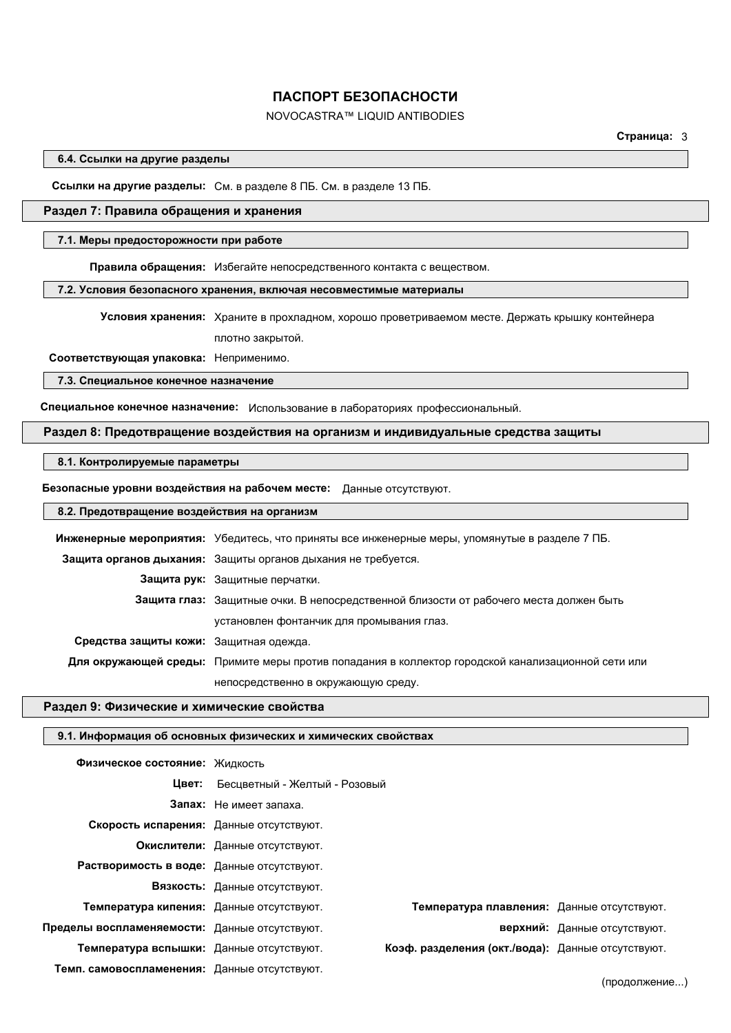# NOVOCASTRA™ LIQUID ANTIBODIES

**Страница:** 3

**6.4. Ссылки на другие разделы**

**Ссылки на другие разделы:** См. в разделе 8 ПБ. См. в разделе 13 ПБ.

## **Раздел 7: Правила обращения и хранения**

#### **7.1. Меры предосторожности при работе**

**Правила обращения:** Избегайте непосредственного контакта с веществом.

## **7.2. Условия безопасного хранения, включая несовместимые материалы**

**Условия хранения:** Храните в прохладном, хорошо проветриваемом месте. Держать крышку контейнера плотно закрытой.

**Соответствующая упаковка:** Неприменимо.

**7.3. Специальное конечное назначение**

**Специальное конечное назначение:** Использование в лабораториях профессиональный.

## **Раздел 8: Предотвращение воздействия на организм и индивидуальные средства защиты**

## **8.1. Контролируемые параметры**

**Безопасные уровни воздействия на рабочем месте:** Данные отсутствуют.

### **8.2. Предотвращение воздействия на организм**

|                                        | Инженерные мероприятия: Убедитесь, что приняты все инженерные меры, упомянутые в разделе 7 ПБ.     |
|----------------------------------------|----------------------------------------------------------------------------------------------------|
|                                        | Защита органов дыхания: Защиты органов дыхания не требуется.                                       |
|                                        | Защита рук: Защитные перчатки.                                                                     |
|                                        | Защита глаз: Защитные очки. В непосредственной близости от рабочего места должен быть              |
|                                        | установлен фонтанчик для промывания глаз.                                                          |
| Средства защиты кожи: Защитная одежда. |                                                                                                    |
|                                        | Для окружающей среды: Примите меры против попадания в коллектор городской канализационной сети или |
|                                        | непосредственно в окружающую среду.                                                                |

## **Раздел 9: Физические и химические свойства**

#### **9.1. Информация об основных физических и химических свойствах**

| Физическое состояние: Жидкость                |                                 |                                                   |                              |
|-----------------------------------------------|---------------------------------|---------------------------------------------------|------------------------------|
| Цвет:                                         | Бесцветный - Желтый - Розовый   |                                                   |                              |
|                                               | Запах: Не имеет запаха.         |                                                   |                              |
| Скорость испарения: Данные отсутствуют.       |                                 |                                                   |                              |
|                                               | Окислители: Данные отсутствуют. |                                                   |                              |
| Растворимость в воде: Данные отсутствуют.     |                                 |                                                   |                              |
|                                               | Вязкость: Данные отсутствуют.   |                                                   |                              |
| Температура кипения: Данные отсутствуют.      |                                 | Температура плавления: Данные отсутствуют.        |                              |
| Пределы воспламеняемости: Данные отсутствуют. |                                 |                                                   | верхний: Данные отсутствуют. |
| Температура вспышки: Данные отсутствуют.      |                                 | Коэф. разделения (окт./вода): Данные отсутствуют. |                              |
| Темп. самовоспламенения: Данные отсутствуют.  |                                 |                                                   |                              |

(продолжение...)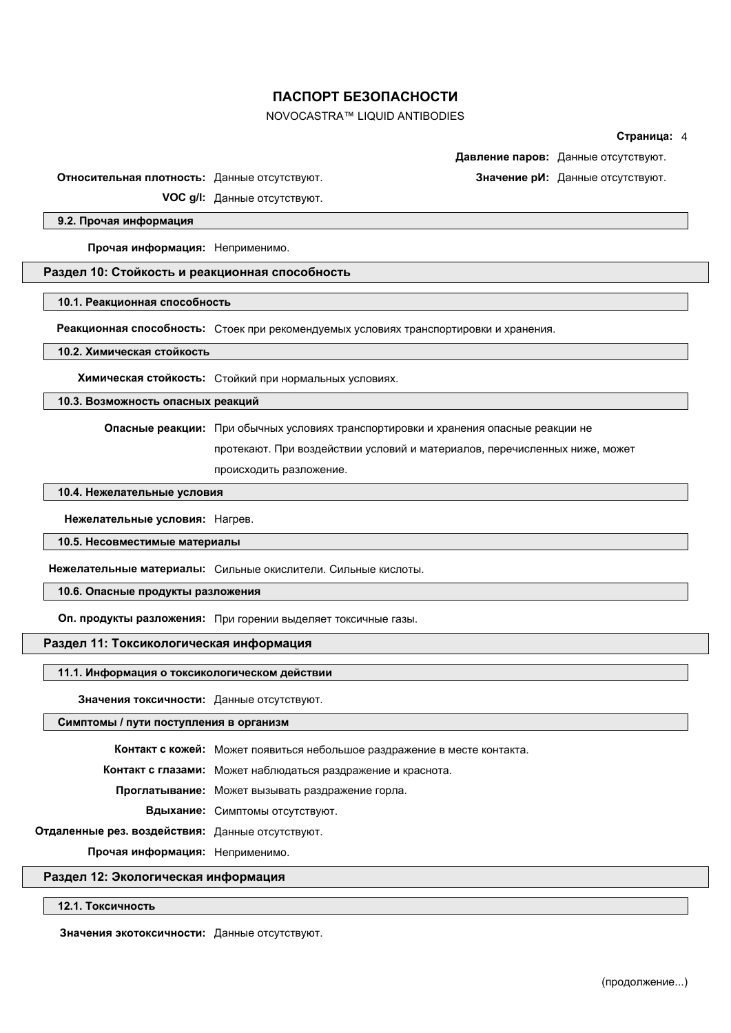# NOVOCASTRA™ LIQUID ANTIBODIES

#### **Страница:** 4

**Давление паров:** Данные отсутствуют.

**Относительная плотность:** Данные отсутствуют. **Значение рИ:** Данные отсутствуют.

**VOC g/l:** Данные отсутствуют.

#### **9.2. Прочая информация**

**Прочая информация:** Неприменимо.

#### **Раздел 10: Стойкость и реакционная способность**

**10.1. Реакционная способность**

**Реакционная способность:** Стоек при рекомендуемых условиях транспортировки и хранения.

**10.2. Химическая стойкость**

**Химическая стойкость:** Стойкий при нормальных условиях.

**10.3. Возможность опасных реакций**

**Опасные реакции:** При обычных условиях транспортировки и хранения опасные реакции не

протекают. При воздействии условий и материалов, перечисленных ниже, может

происходить разложение.

## **10.4. Нежелательные условия**

**Нежелательные условия:** Нагрев.

**10.5. Несовместимые материалы**

**Нежелательные материалы:** Сильные окислители. Сильные кислоты.

**10.6. Опасные продукты разложения**

**Оп. продукты разложения:** При горении выделяет токсичные газы.

## **Раздел 11: Токсикологическая информация**

#### **11.1. Информация о токсикологическом действии**

**Значения токсичности:** Данные отсутствуют.

#### **Симптомы / пути поступления в организм**

**Контакт с кожей:** Может появиться небольшое раздражение в месте контакта.

**Контакт с глазами:** Может наблюдаться раздражение и краснота.

**Проглатывание:** Может вызывать раздражение горла.

**Вдыхание:** Симптомы отсутствуют.

**Отдаленные рез. воздействия:** Данные отсутствуют.

**Прочая информация:** Неприменимо.

## **Раздел 12: Экологическая информация**

**12.1. Токсичность**

**Значения экотоксичности:** Данные отсутствуют.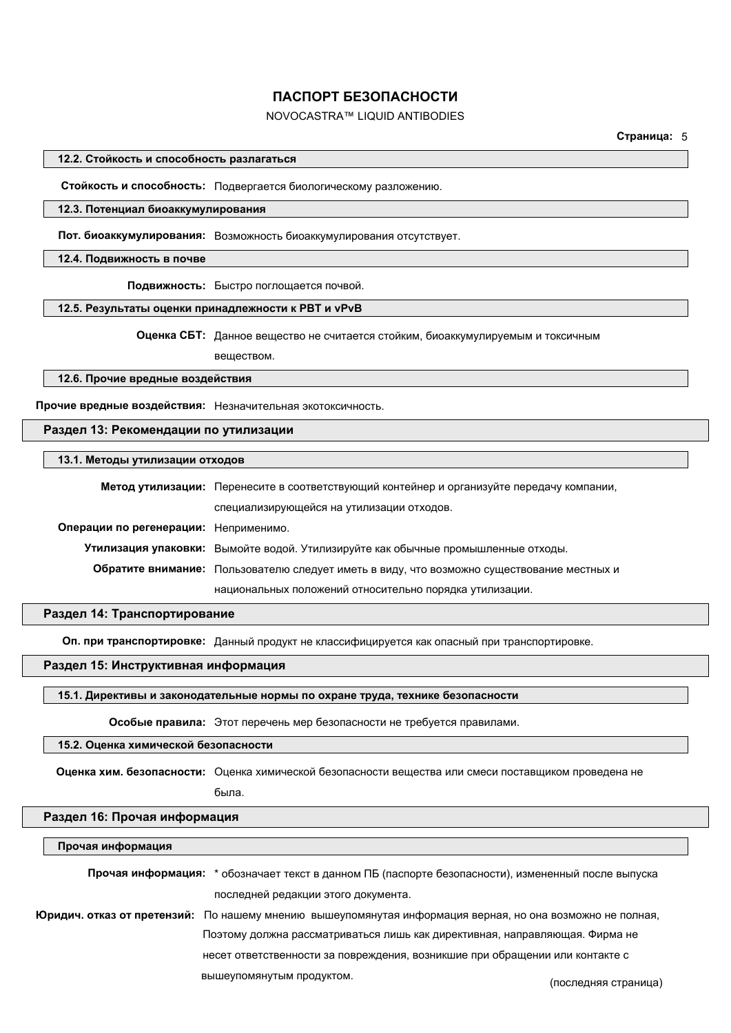# NOVOCASTRA™ LIQUID ANTIBODIES

**Страница:** 5

## **12.2. Стойкость и способность разлагаться**

**Стойкость и способность:** Подвергается биологическому разложению.

#### **12.3. Потенциал биоаккумулирования**

**Пот. биоаккумулирования:** Возможность биоаккумулирования отсутствует.

#### **12.4. Подвижность в почве**

**Подвижность:** Быстро поглощается почвой.

#### **12.5. Результаты оценки принадлежности к PBT и vPvB**

**Оценка СБТ:** Данное вещество не считается стойким, биоаккумулируемым и токсичным

веществом.

# **12.6. Прочие вредные воздействия**

**Прочие вредные воздействия:** Незначительная экотоксичность.

### **Раздел 13: Рекомендации по утилизации**

# **13.1. Методы утилизации отходов**

|                                       | Метод утилизации: Перенесите в соответствующий контейнер и организуйте передачу компании,  |  |  |
|---------------------------------------|--------------------------------------------------------------------------------------------|--|--|
|                                       | специализирующейся на утилизации отходов.                                                  |  |  |
| Операции по регенерации: Неприменимо. |                                                                                            |  |  |
|                                       | Утилизация упаковки: Вымойте водой. Утилизируйте как обычные промышленные отходы.          |  |  |
|                                       | Обратите внимание: Пользователю следует иметь в виду, что возможно существование местных и |  |  |
|                                       | национальных положений относительно порядка утилизации.                                    |  |  |

#### **Раздел 14: Транспортирование**

**Оп. при транспортировке:** Данный продукт не классифицируется как опасный при транспортировке.

## **Раздел 15: Инструктивная информация**

#### **15.1. Директивы и законодательные нормы по охране труда, технике безопасности**

**Особые правила:** Этот перечень мер безопасности не требуется правилами.

# **15.2. Оценка химической безопасности**

**Оценка хим. безопасности:** Оценка химической безопасности вещества или смеси поставщиком проведена не

была.

## **Раздел 16: Прочая информация**

**Прочая информация**

| Прочая информация: * обозначает текст в данном ПБ (паспорте безопасности), измененный после выпуска              |                      |
|------------------------------------------------------------------------------------------------------------------|----------------------|
| последней редакции этого документа.                                                                              |                      |
| <b>Юридич. отказ от претензий:</b> По нашему мнению вышеупомянутая информация верная, но она возможно не полная, |                      |
| Поэтому должна рассматриваться лишь как директивная, направляющая. Фирма не                                      |                      |
| несет ответственности за повреждения, возникшие при обращении или контакте с                                     |                      |
| ВЫШЕУПОМЯНУТЫМ ПРОДУКТОМ.                                                                                        | (последняя страница) |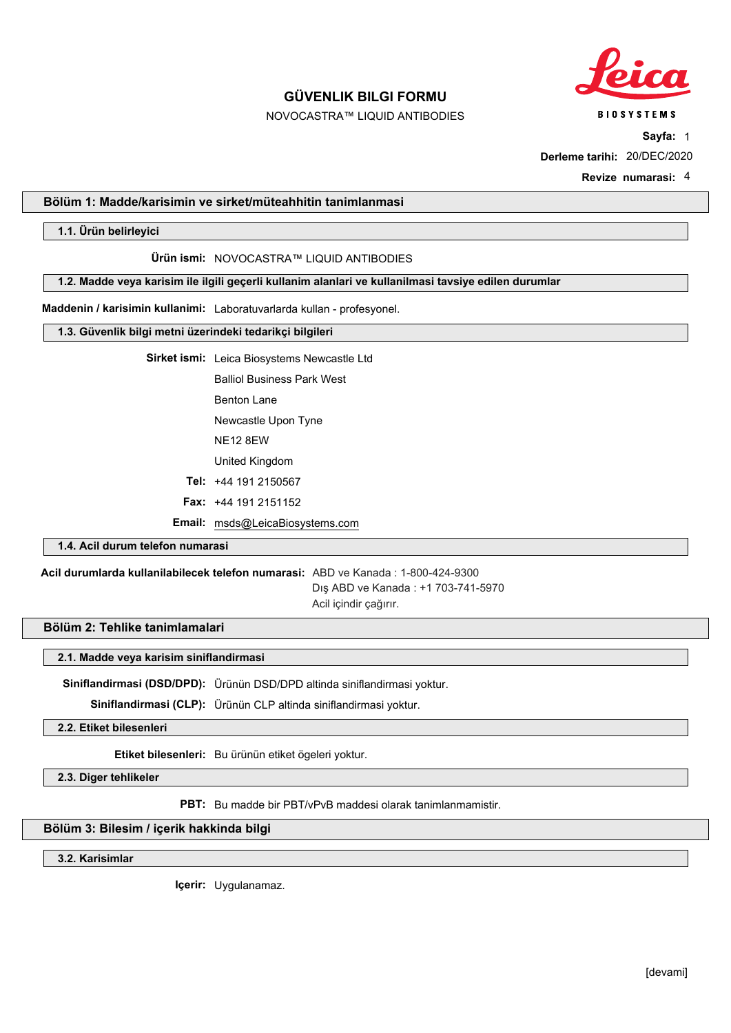

NOVOCASTRA™ LIQUID ANTIBODIES

**BIOSYSTEMS Sayfa:** 1

**Derleme tarihi:** 20/DEC/2020

**Revize numarasi:** 4

## **Bölüm 1: Madde/karisimin ve sirket/müteahhitin tanimlanmasi**

**1.1. Ürün belirleyici**

#### **Ürün ismi:** NOVOCASTRA™ LIQUID ANTIBODIES

**1.2. Madde veya karisim ile ilgili geçerli kullanim alanlari ve kullanilmasi tavsiye edilen durumlar**

**Maddenin / karisimin kullanimi:** Laboratuvarlarda kullan - profesyonel.

## **1.3. Güvenlik bilgi metni üzerindeki tedarikçi bilgileri**

**Sirket ismi:** Leica Biosystems Newcastle Ltd

Balliol Business Park West

Benton Lane

Newcastle Upon Tyne

NE12 8EW

United Kingdom

**Tel:** +44 191 2150567

**Fax:** +44 191 2151152

**Email:** msds@LeicaBiosystems.com

# **1.4. Acil durum telefon numarasi**

**Acil durumlarda kullanilabilecek telefon numarasi:** ABD ve Kanada : 1-800-424-9300 Dış ABD ve Kanada : +1 703-741-5970 Acil içindir çağırır.

# **Bölüm 2: Tehlike tanimlamalari**

### **2.1. Madde veya karisim siniflandirmasi**

**Siniflandirmasi (DSD/DPD):** Ürünün DSD/DPD altinda siniflandirmasi yoktur.

**Siniflandirmasi (CLP):** Ürünün CLP altinda siniflandirmasi yoktur.

**2.2. Etiket bilesenleri**

**Etiket bilesenleri:** Bu ürünün etiket ögeleri yoktur.

**2.3. Diger tehlikeler**

**PBT:** Bu madde bir PBT/vPvB maddesi olarak tanimlanmamistir.

# **Bölüm 3: Bilesim / içerik hakkinda bilgi**

**3.2. Karisimlar**

**Içerir:** Uygulanamaz.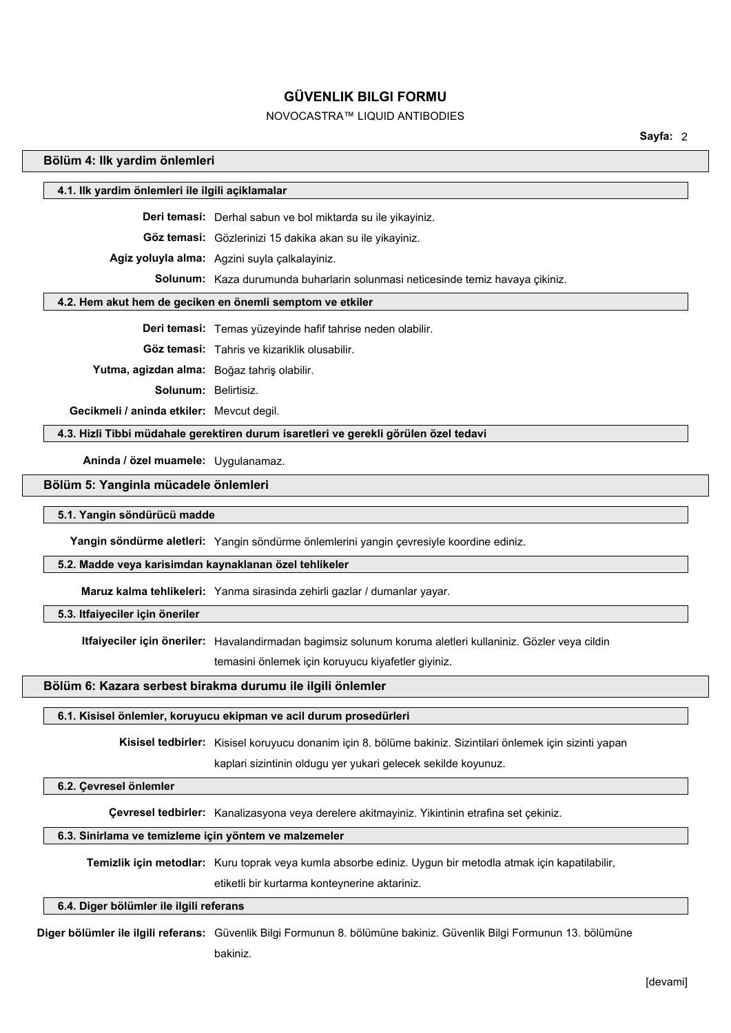# NOVOCASTRA™ LIQUID ANTIBODIES

**Sayfa:** 2

# **Bölüm 4: Ilk yardim önlemleri**

| 4.1. Ilk yardim önlemleri ile ilgili açiklamalar       |                                                                                                             |
|--------------------------------------------------------|-------------------------------------------------------------------------------------------------------------|
|                                                        | Deri temasi: Derhal sabun ve bol miktarda su ile yikayiniz.                                                 |
|                                                        | Göz temasi: Gözlerinizi 15 dakika akan su ile yikayiniz.                                                    |
|                                                        | Agiz yoluyla alma: Agzini suyla çalkalayiniz.                                                               |
|                                                        | Solunum: Kaza durumunda buharlarin solunmasi neticesinde temiz havaya çikiniz.                              |
|                                                        | 4.2. Hem akut hem de geciken en önemli semptom ve etkiler                                                   |
|                                                        | Deri temasi: Temas yüzeyinde hafif tahrise neden olabilir.                                                  |
|                                                        |                                                                                                             |
|                                                        | Göz temasi: Tahris ve kizariklik olusabilir.                                                                |
| Yutma, agizdan alma: Boğaz tahriş olabilir.            |                                                                                                             |
| <b>Solunum: Belirtisiz.</b>                            |                                                                                                             |
| Gecikmeli / aninda etkiler: Mevcut degil.              |                                                                                                             |
|                                                        | 4.3. Hizli Tibbi müdahale gerektiren durum isaretleri ve gerekli görülen özel tedavi                        |
| Aninda / özel muamele: Uygulanamaz.                    |                                                                                                             |
| Bölüm 5: Yanginla mücadele önlemleri                   |                                                                                                             |
| 5.1. Yangin söndürücü madde                            |                                                                                                             |
|                                                        | Yangin söndürme aletleri: Yangin söndürme önlemlerini yangin çevresiyle koordine ediniz.                    |
| 5.2. Madde veya karisimdan kaynaklanan özel tehlikeler |                                                                                                             |
|                                                        | Maruz kalma tehlikeleri: Yanma sirasinda zehirli gazlar / dumanlar yayar.                                   |
| 5.3. Itfaiyeciler için öneriler                        |                                                                                                             |
|                                                        | Itfaiyeciler için öneriler: Havalandirmadan bagimsiz solunum koruma aletleri kullaniniz. Gözler veya cildin |
|                                                        | temasini önlemek için koruyucu kiyafetler giyiniz.                                                          |
|                                                        | Bölüm 6: Kazara serbest birakma durumu ile ilgili önlemler                                                  |
|                                                        | وبالمالم المتمرونين<br>$-11$ and $-1$<br>المرام المركانية                                                   |

# **6.1. Kisisel önlemler, koruyucu ekipman ve acil durum prosedürleri**

**Kisisel tedbirler:** Kisisel koruyucu donanim için 8. bölüme bakiniz. Sizintilari önlemek için sizinti yapan

kaplari sizintinin oldugu yer yukari gelecek sekilde koyunuz.

# **6.2. Çevresel önlemler**

**Çevresel tedbirler:** Kanalizasyona veya derelere akitmayiniz. Yikintinin etrafina set çekiniz.

# **6.3. Sinirlama ve temizleme için yöntem ve malzemeler**

**Temizlik için metodlar:** Kuru toprak veya kumla absorbe ediniz. Uygun bir metodla atmak için kapatilabilir,

etiketli bir kurtarma konteynerine aktariniz.

# **6.4. Diger bölümler ile ilgili referans**

**Diger bölümler ile ilgili referans:** Güvenlik Bilgi Formunun 8. bölümüne bakiniz. Güvenlik Bilgi Formunun 13. bölümüne bakiniz.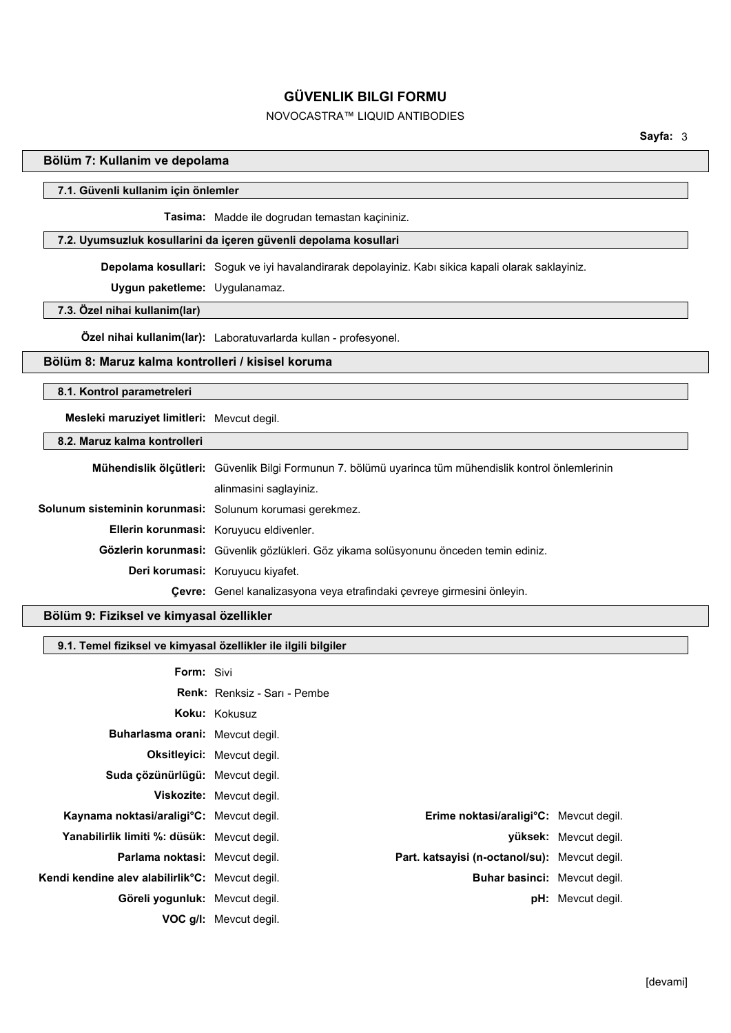# NOVOCASTRA™ LIQUID ANTIBODIES

## **Bölüm 7: Kullanim ve depolama**

#### **7.1. Güvenli kullanim için önlemler**

**Tasima:** Madde ile dogrudan temastan kaçininiz.

## **7.2. Uyumsuzluk kosullarini da içeren güvenli depolama kosullari**

**Depolama kosullari:** Soguk ve iyi havalandirarak depolayiniz. Kabı sikica kapali olarak saklayiniz.

**Uygun paketleme:** Uygulanamaz.

# **7.3. Özel nihai kullanim(lar)**

**Özel nihai kullanim(lar):** Laboratuvarlarda kullan - profesyonel.

## **Bölüm 8: Maruz kalma kontrolleri / kisisel koruma**

## **8.1. Kontrol parametreleri**

**Mesleki maruziyet limitleri:** Mevcut degil.

## **8.2. Maruz kalma kontrolleri**

|                                                          | Mühendislik ölçütleri: Güvenlik Bilgi Formunun 7. bölümü uyarinca tüm mühendislik kontrol önlemlerinin |  |
|----------------------------------------------------------|--------------------------------------------------------------------------------------------------------|--|
|                                                          | alinmasini saglayiniz.                                                                                 |  |
| Solunum sisteminin korunmasi: Solunum korumasi gerekmez. |                                                                                                        |  |
|                                                          | Ellerin korunmasi: Koruyucu eldivenler.                                                                |  |
|                                                          | <b>Gözlerin korunmasi:</b> Güvenlik gözlükleri. Göz yikama solüsyonunu önceden temin ediniz.           |  |
|                                                          | Deri korumasi: Koruyucu kiyafet.                                                                       |  |
|                                                          | Çevre: Genel kanalizasyona veya etrafindaki çevreye girmesini önleyin.                                 |  |

#### **Bölüm 9: Fiziksel ve kimyasal özellikler**

# **9.1. Temel fiziksel ve kimyasal özellikler ile ilgili bilgiler**

| <b>Form: Sivi</b>                                            |                                                      |                          |
|--------------------------------------------------------------|------------------------------------------------------|--------------------------|
|                                                              | <b>Renk:</b> Renksiz - Sari - Pembe                  |                          |
|                                                              | Koku: Kokusuz                                        |                          |
| <b>Buharlasma orani:</b> Meycut degil.                       |                                                      |                          |
|                                                              | <b>Oksitleyici:</b> Mevcut degil.                    |                          |
| Suda çözünürlügü: Mevcut degil.                              |                                                      |                          |
|                                                              | <b>Viskozite:</b> Mevcut degil.                      |                          |
| Kaynama noktasi/araligi <sup>o</sup> C: Mevcut degil.        | <b>Erime noktasi/araligi°C:</b> Mevcut degil.        |                          |
| Yanabilirlik limiti %: düsük: Mevcut degil.                  |                                                      | yüksek: Mevcut degil.    |
| <b>Parlama noktasi:</b> Meycut degil.                        | <b>Part. katsayisi (n-octanol/su):</b> Meycut degil. |                          |
| Kendi kendine alev alabilirlik <sup>o</sup> C: Mevcut degil. | <b>Buhar basinci:</b> Meycut degil.                  |                          |
| Göreli yogunluk: Meycut degil.                               |                                                      | <b>pH:</b> Mevcut degil. |
|                                                              | <b>VOC g/I:</b> Mevcut degil.                        |                          |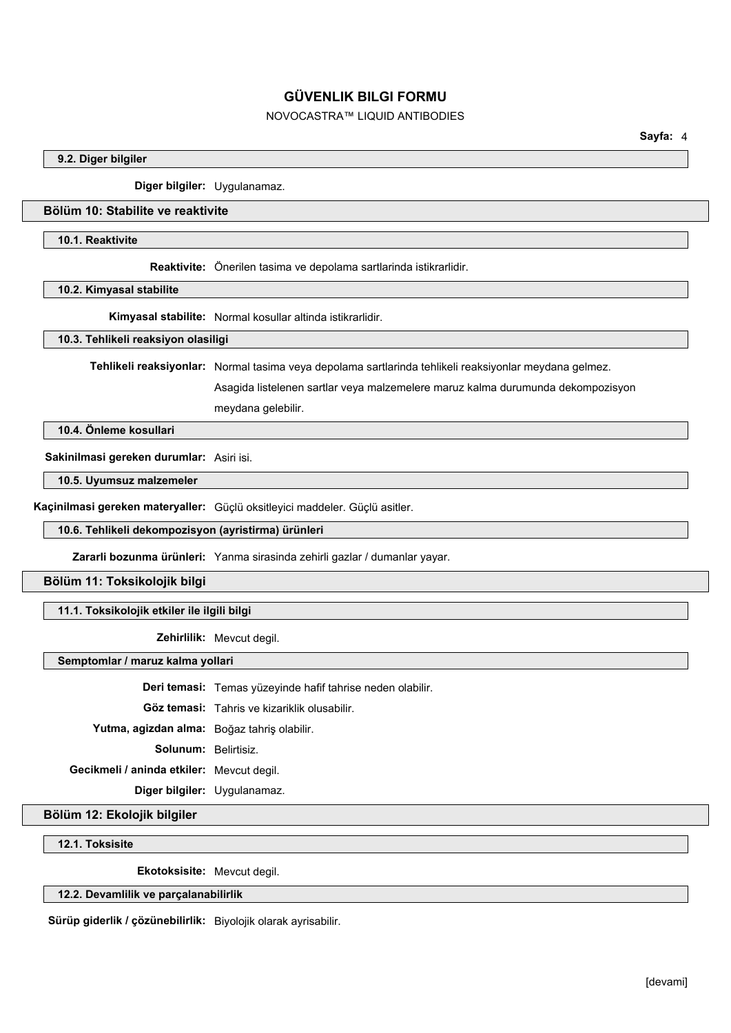# NOVOCASTRA™ LIQUID ANTIBODIES

## **9.2. Diger bilgiler**

**Diger bilgiler:** Uygulanamaz.

## **Bölüm 10: Stabilite ve reaktivite**

## **10.1. Reaktivite**

**Reaktivite:** Önerilen tasima ve depolama sartlarinda istikrarlidir.

**10.2. Kimyasal stabilite**

**Kimyasal stabilite:** Normal kosullar altinda istikrarlidir.

**10.3. Tehlikeli reaksiyon olasiligi**

**Tehlikeli reaksiyonlar:** Normal tasima veya depolama sartlarinda tehlikeli reaksiyonlar meydana gelmez.

Asagida listelenen sartlar veya malzemelere maruz kalma durumunda dekompozisyon meydana gelebilir.

**10.4. Önleme kosullari**

**Sakinilmasi gereken durumlar:** Asiri isi.

**10.5. Uyumsuz malzemeler**

**Kaçinilmasi gereken materyaller:** Güçlü oksitleyici maddeler. Güçlü asitler.

**10.6. Tehlikeli dekompozisyon (ayristirma) ürünleri**

**Zararli bozunma ürünleri:** Yanma sirasinda zehirli gazlar / dumanlar yayar.

**Bölüm 11: Toksikolojik bilgi**

**11.1. Toksikolojik etkiler ile ilgili bilgi**

**Zehirlilik:** Mevcut degil.

**Semptomlar / maruz kalma yollari**

**Deri temasi:** Temas yüzeyinde hafif tahrise neden olabilir.

**Göz temasi:** Tahris ve kizariklik olusabilir.

**Yutma, agizdan alma:** Boğaz tahriş olabilir.

**Solunum:** Belirtisiz.

**Gecikmeli / aninda etkiler:** Mevcut degil.

**Diger bilgiler:** Uygulanamaz.

**Bölüm 12: Ekolojik bilgiler**

**12.1. Toksisite**

**Ekotoksisite:** Mevcut degil.

**12.2. Devamlilik ve parçalanabilirlik**

**Sürüp giderlik / çözünebilirlik:** Biyolojik olarak ayrisabilir.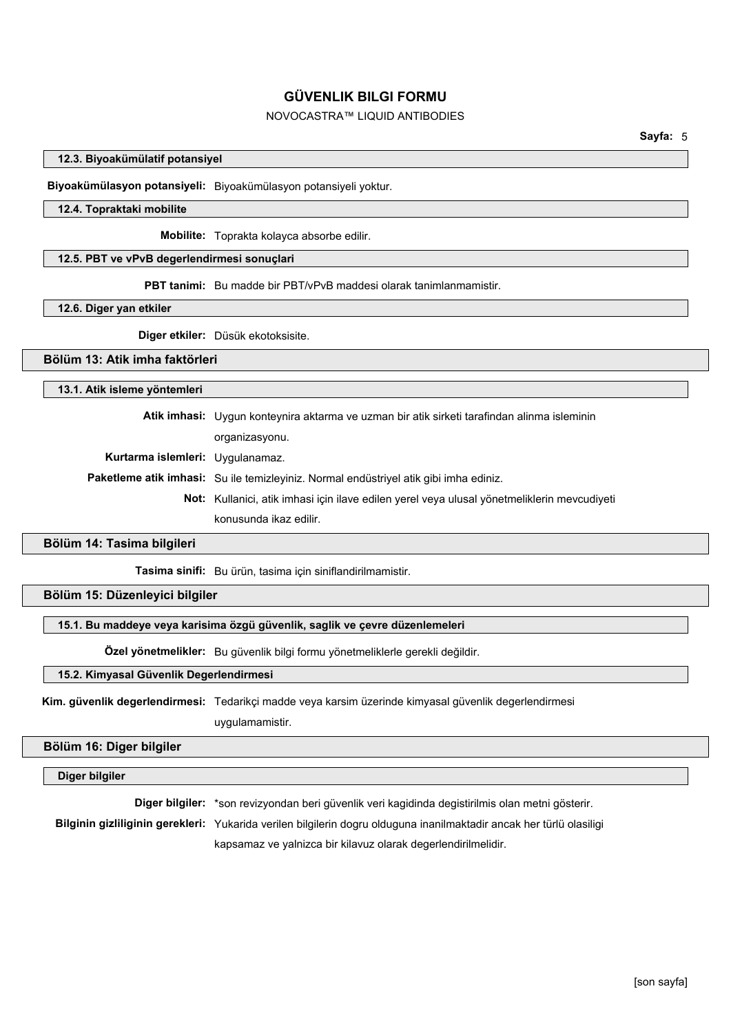# NOVOCASTRA™ LIQUID ANTIBODIES

## **12.3. Biyoakümülatif potansiyel**

**Biyoakümülasyon potansiyeli:** Biyoakümülasyon potansiyeli yoktur.

## **12.4. Topraktaki mobilite**

**Mobilite:** Toprakta kolayca absorbe edilir.

### **12.5. PBT ve vPvB degerlendirmesi sonuçlari**

**PBT tanimi:** Bu madde bir PBT/vPvB maddesi olarak tanimlanmamistir.

#### **12.6. Diger yan etkiler**

**Diger etkiler:** Düsük ekotoksisite.

## **Bölüm 13: Atik imha faktörleri**

## **13.1. Atik isleme yöntemleri**

**Atik imhasi:** Uygun konteynira aktarma ve uzman bir atik sirketi tarafindan alinma isleminin organizasyonu. **Kurtarma islemleri:** Uygulanamaz. **Paketleme atik imhasi:** Su ile temizleyiniz. Normal endüstriyel atik gibi imha ediniz. **Not:** Kullanici, atik imhasi için ilave edilen yerel veya ulusal yönetmeliklerin mevcudiyeti konusunda ikaz edilir.

## **Bölüm 14: Tasima bilgileri**

**Tasima sinifi:** Bu ürün, tasima için siniflandirilmamistir.

## **Bölüm 15: Düzenleyici bilgiler**

## **15.1. Bu maddeye veya karisima özgü güvenlik, saglik ve çevre düzenlemeleri**

**Özel yönetmelikler:** Bu güvenlik bilgi formu yönetmeliklerle gerekli değildir.

## **15.2. Kimyasal Güvenlik Degerlendirmesi**

**Kim. güvenlik degerlendirmesi:** Tedarikçi madde veya karsim üzerinde kimyasal güvenlik degerlendirmesi uygulamamistir.

## **Bölüm 16: Diger bilgiler**

## **Diger bilgiler**

**Diger bilgiler:** \*son revizyondan beri güvenlik veri kagidinda degistirilmis olan metni gösterir.

**Bilginin gizliliginin gerekleri:** Yukarida verilen bilgilerin dogru olduguna inanilmaktadir ancak her türlü olasiligi

kapsamaz ve yalnizca bir kilavuz olarak degerlendirilmelidir.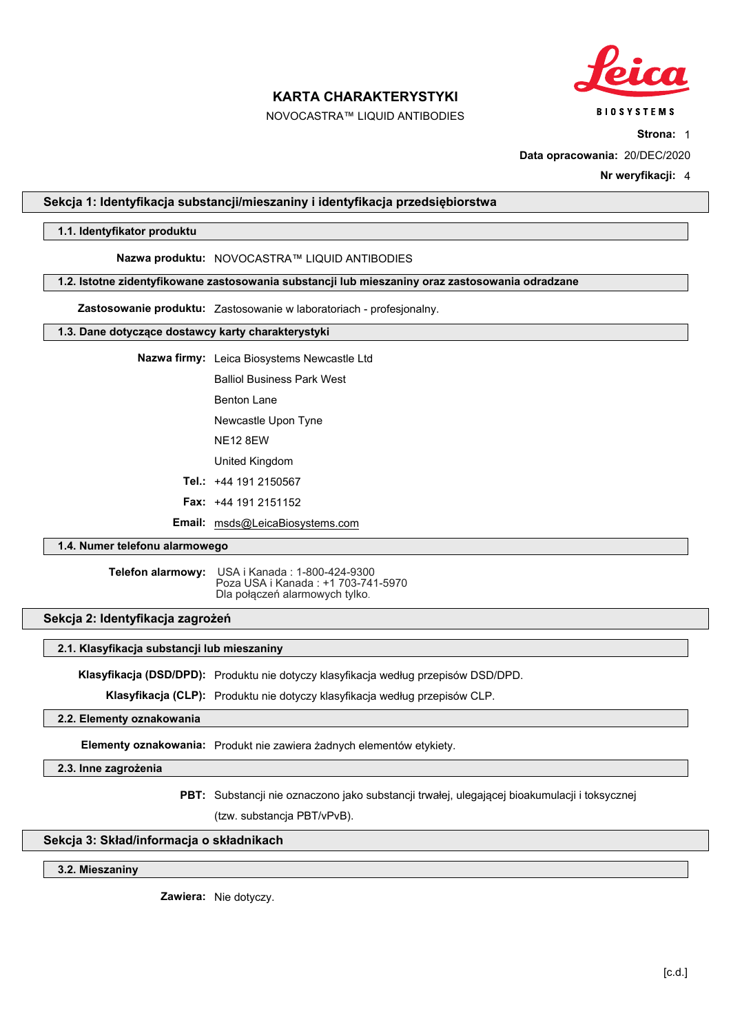

NOVOCASTRA™ LIQUID ANTIBODIES

**Strona:** 1

**Data opracowania:** 20/DEC/2020

**Nr weryfikacji:** 4

## **Sekcja 1: Identyfikacja substancji/mieszaniny i identyfikacja przedsiębiorstwa**

## **1.1. Identyfikator produktu**

### **Nazwa produktu:** NOVOCASTRA™ LIQUID ANTIBODIES

#### **1.2. Istotne zidentyfikowane zastosowania substancji lub mieszaniny oraz zastosowania odradzane**

**Zastosowanie produktu:** Zastosowanie w laboratoriach - profesjonalny.

## **1.3. Dane dotyczące dostawcy karty charakterystyki**

**Nazwa firmy:** Leica Biosystems Newcastle Ltd

Balliol Business Park West

Benton Lane

Newcastle Upon Tyne

NE12 8EW

United Kingdom

**Tel.:** +44 191 2150567

**Fax:** +44 191 2151152

**Email:** msds@LeicaBiosystems.com

## **1.4. Numer telefonu alarmowego**

**Telefon alarmowy:** USA i Kanada : 1-800-424-9300 Poza USA i Kanada : +1 703-741-5970 Dla połączeń alarmowych tylko.

## **Sekcja 2: Identyfikacja zagrożeń**

## **2.1. Klasyfikacja substancji lub mieszaniny**

**Klasyfikacja (DSD/DPD):** Produktu nie dotyczy klasyfikacja według przepisów DSD/DPD.

**Klasyfikacja (CLP):** Produktu nie dotyczy klasyfikacja według przepisów CLP.

## **2.2. Elementy oznakowania**

**Elementy oznakowania:** Produkt nie zawiera żadnych elementów etykiety.

#### **2.3. Inne zagrożenia**

**PBT:** Substancji nie oznaczono jako substancji trwałej, ulegającej bioakumulacji i toksycznej (tzw. substancja PBT/vPvB).

## **Sekcja 3: Skład/informacja o składnikach**

#### **3.2. Mieszaniny**

**Zawiera:** Nie dotyczy.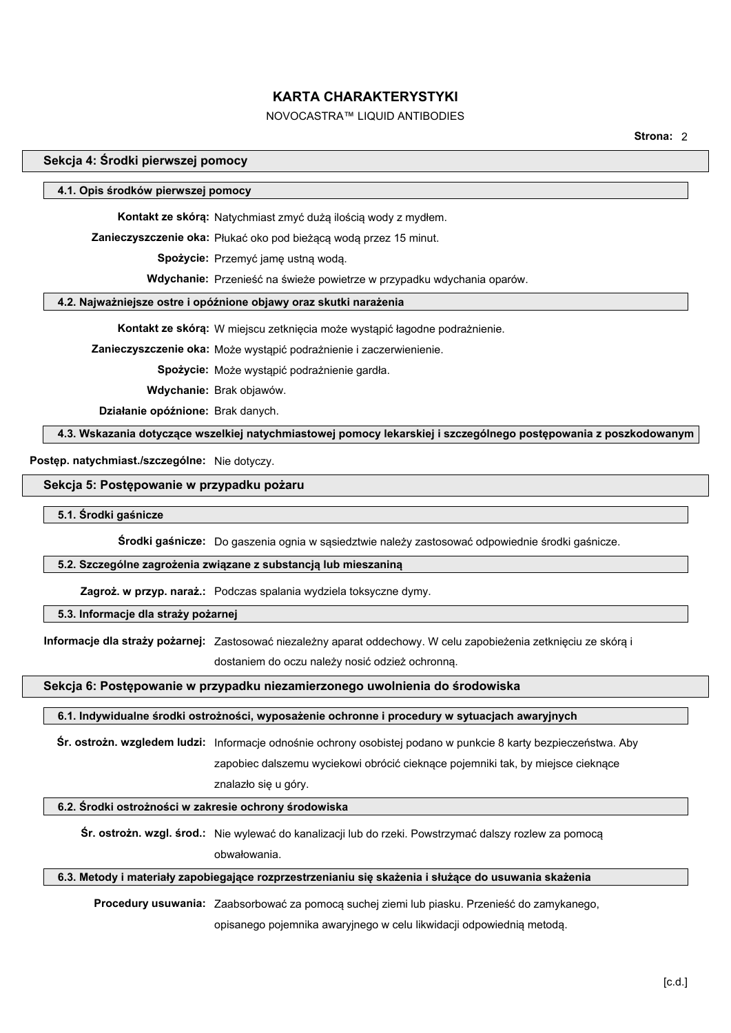# NOVOCASTRA™ LIQUID ANTIBODIES

**Strona:** 2

## **Sekcja 4: Środki pierwszej pomocy**

#### **4.1. Opis środków pierwszej pomocy**

**Kontakt ze skórą:** Natychmiast zmyć dużą ilością wody z mydłem.

**Zanieczyszczenie oka:** Płukać oko pod bieżącą wodą przez 15 minut.

 **Spożycie:** Przemyć jamę ustną wodą.

 **Wdychanie:** Przenieść na świeże powietrze w przypadku wdychania oparów.

## **4.2. Najważniejsze ostre i opóźnione objawy oraz skutki narażenia**

**Kontakt ze skórą:** W miejscu zetknięcia może wystąpić łagodne podrażnienie.

**Zanieczyszczenie oka:** Może wystąpić podrażnienie i zaczerwienienie.

 **Spożycie:** Może wystąpić podrażnienie gardła.

 **Wdychanie:** Brak objawów.

 **Działanie opóźnione:** Brak danych.

**4.3. Wskazania dotyczące wszelkiej natychmiastowej pomocy lekarskiej i szczególnego postępowania z poszkodowanym**

**Postęp. natychmiast./szczególne:** Nie dotyczy.

#### **Sekcja 5: Postępowanie w przypadku pożaru**

#### **5.1. Środki gaśnicze**

**Środki gaśnicze:** Do gaszenia ognia w sąsiedztwie należy zastosować odpowiednie środki gaśnicze.

#### **5.2. Szczególne zagrożenia związane z substancją lub mieszaniną**

**Zagroż. w przyp. naraż.:** Podczas spalania wydziela toksyczne dymy.

## **5.3. Informacje dla straży pożarnej**

**Informacje dla straży pożarnej:** Zastosować niezależny aparat oddechowy. W celu zapobieżenia zetknięciu ze skórą i

dostaniem do oczu należy nosić odzież ochronną.

#### **Sekcja 6: Postępowanie w przypadku niezamierzonego uwolnienia do środowiska**

#### **6.1. Indywidualne środki ostrożności, wyposażenie ochronne i procedury w sytuacjach awaryjnych**

**Śr. ostrożn. wzgledem ludzi:** Informacje odnośnie ochrony osobistej podano w punkcie 8 karty bezpieczeństwa. Aby

zapobiec dalszemu wyciekowi obrócić cieknące pojemniki tak, by miejsce cieknące

znalazło się u góry.

## **6.2. Środki ostrożności w zakresie ochrony środowiska**

**Śr. ostrożn. wzgl. środ.:** Nie wylewać do kanalizacji lub do rzeki. Powstrzymać dalszy rozlew za pomocą obwałowania.

## **6.3. Metody i materiały zapobiegające rozprzestrzenianiu się skażenia i służące do usuwania skażenia**

**Procedury usuwania:** Zaabsorbować za pomocą suchej ziemi lub piasku. Przenieść do zamykanego,

opisanego pojemnika awaryjnego w celu likwidacji odpowiednią metodą.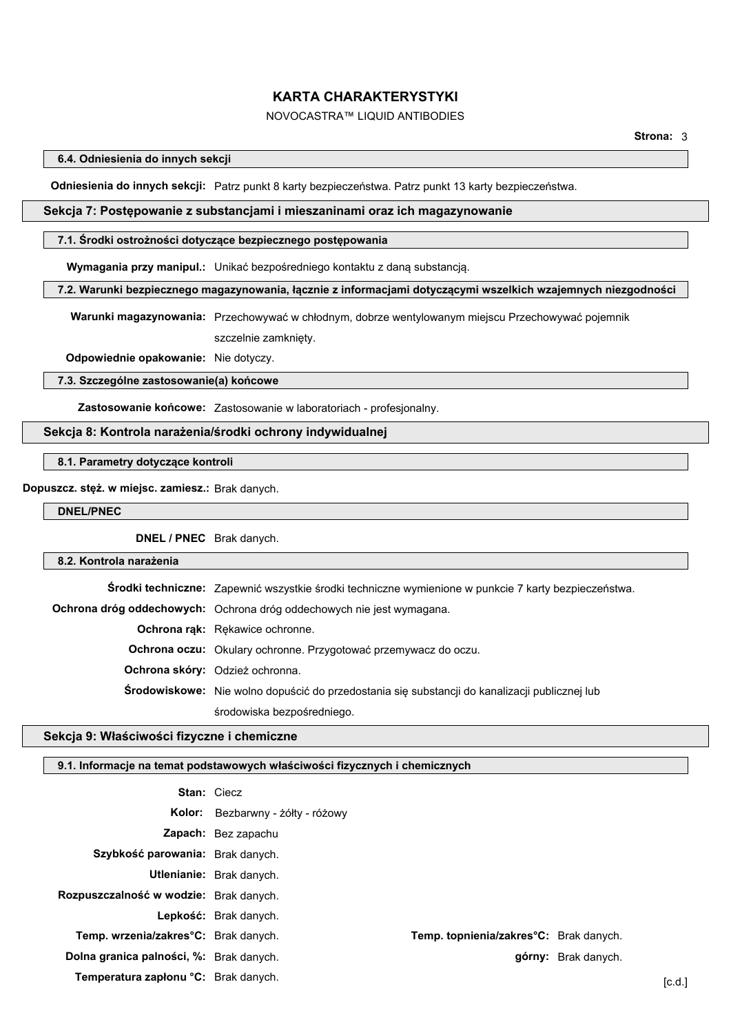# NOVOCASTRA™ LIQUID ANTIBODIES

**6.4. Odniesienia do innych sekcji**

**Odniesienia do innych sekcji:** Patrz punkt 8 karty bezpieczeństwa. Patrz punkt 13 karty bezpieczeństwa.

# **Sekcja 7: Postępowanie z substancjami i mieszaninami oraz ich magazynowanie**

#### **7.1. Środki ostrożności dotyczące bezpiecznego postępowania**

**Wymagania przy manipul.:** Unikać bezpośredniego kontaktu z daną substancją.

#### **7.2. Warunki bezpiecznego magazynowania, łącznie z informacjami dotyczącymi wszelkich wzajemnych niezgodności**

**Warunki magazynowania:** Przechowywać w chłodnym, dobrze wentylowanym miejscu Przechowywać pojemnik szczelnie zamknięty.

**Odpowiednie opakowanie:** Nie dotyczy.

#### **7.3. Szczególne zastosowanie(a) końcowe**

**Zastosowanie końcowe:** Zastosowanie w laboratoriach - profesjonalny.

## **Sekcja 8: Kontrola narażenia/środki ochrony indywidualnej**

**8.1. Parametry dotyczące kontroli**

## **Dopuszcz. stęż. w miejsc. zamiesz.:** Brak danych.

**DNEL/PNEC**

**DNEL / PNEC** Brak danych.

# **8.2. Kontrola narażenia**

**Środki techniczne:** Zapewnić wszystkie środki techniczne wymienione w punkcie 7 karty bezpieczeństwa. **Ochrona dróg oddechowych:** Ochrona dróg oddechowych nie jest wymagana. **Ochrona rąk:** Rękawice ochronne. **Ochrona oczu:** Okulary ochronne. Przygotować przemywacz do oczu. **Ochrona skóry:** Odzież ochronna. **Środowiskowe:** Nie wolno dopuścić do przedostania się substancji do kanalizacji publicznej lub środowiska bezpośredniego.

## **Sekcja 9: Właściwości fizyczne i chemiczne**

# **9.1. Informacje na temat podstawowych właściwości fizycznych i chemicznych**

|                                         | <b>Stan: Ciecz</b>                |                                        |                     |        |
|-----------------------------------------|-----------------------------------|----------------------------------------|---------------------|--------|
|                                         | Kolor: Bezbarwny - żółty - różowy |                                        |                     |        |
|                                         | <b>Zapach:</b> Bez zapachu        |                                        |                     |        |
| Szybkość parowania: Brak danych.        |                                   |                                        |                     |        |
|                                         | <b>Utlenianie:</b> Brak danych.   |                                        |                     |        |
| Rozpuszczalność w wodzie: Brak danych.  |                                   |                                        |                     |        |
|                                         | Lepkość: Brak danych.             |                                        |                     |        |
| Temp. wrzenia/zakres°C: Brak danych.    |                                   | Temp. topnienia/zakres°C: Brak danych. |                     |        |
| Dolna granica palności, %: Brak danych. |                                   |                                        | górny: Brak danych. |        |
| Temperatura zapłonu °C: Brak danych.    |                                   |                                        |                     | [c.d.] |
|                                         |                                   |                                        |                     |        |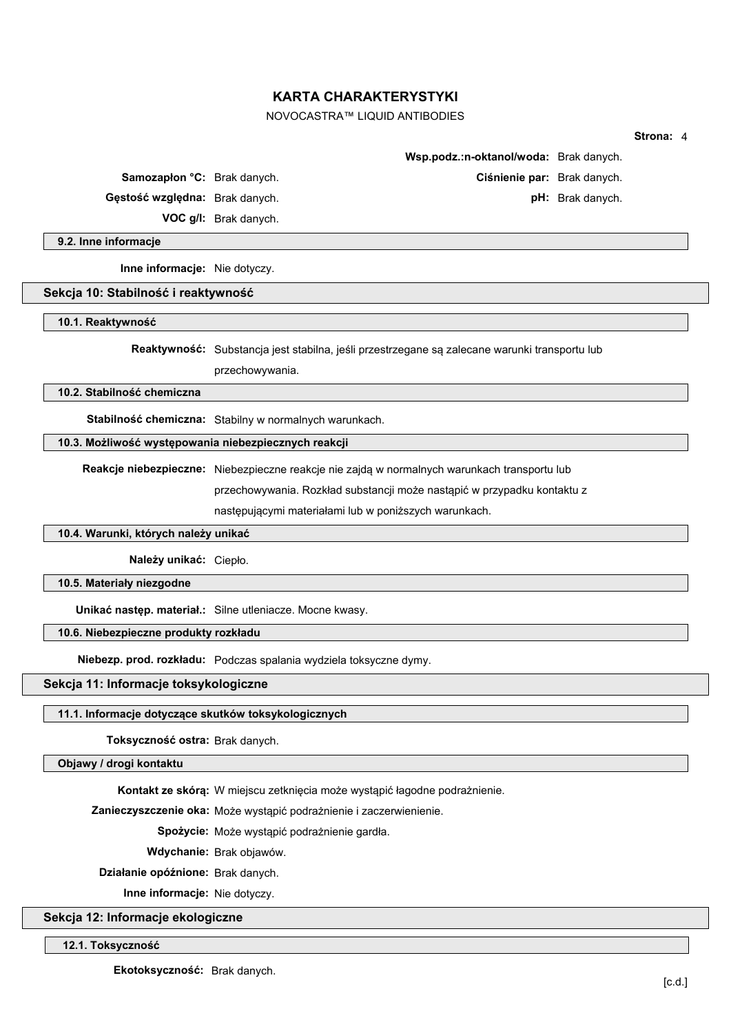# NOVOCASTRA™ LIQUID ANTIBODIES

|                                     |                                                                                               |                                        |                  | Strona: 4 |  |
|-------------------------------------|-----------------------------------------------------------------------------------------------|----------------------------------------|------------------|-----------|--|
|                                     |                                                                                               | Wsp.podz.:n-oktanol/woda: Brak danych. |                  |           |  |
| <b>Samozapion °C:</b> Brak danych.  |                                                                                               | Ciśnienie par: Brak danych.            |                  |           |  |
| Gęstość względna: Brak danych.      |                                                                                               |                                        | pH: Brak danych. |           |  |
|                                     | VOC g/l: Brak danych.                                                                         |                                        |                  |           |  |
| 9.2. Inne informacje                |                                                                                               |                                        |                  |           |  |
| Inne informacje: Nie dotyczy.       |                                                                                               |                                        |                  |           |  |
| Sekcja 10: Stabilność i reaktywność |                                                                                               |                                        |                  |           |  |
| 10.1. Reaktywność                   |                                                                                               |                                        |                  |           |  |
|                                     | Reaktywność: Substancja jest stabilna, jeśli przestrzegane są zalecane warunki transportu lub |                                        |                  |           |  |
|                                     | przechowywania.                                                                               |                                        |                  |           |  |
| 10.2. Stabilność chemiczna          |                                                                                               |                                        |                  |           |  |
|                                     | Stabilność chemiczna: Stabilny w normalnych warunkach.                                        |                                        |                  |           |  |
|                                     | 10.3. Możliwość występowania niebezpiecznych reakcji                                          |                                        |                  |           |  |
|                                     | Reakcje niebezpieczne: Niebezpieczne reakcje nie zajdą w normalnych warunkach transportu lub  |                                        |                  |           |  |
|                                     | przechowywania. Rozkład substancji może nastąpić w przypadku kontaktu z                       |                                        |                  |           |  |
|                                     | następującymi materiałami lub w poniższych warunkach.                                         |                                        |                  |           |  |

## **10.4. Warunki, których należy unikać**

**Należy unikać:** Ciepło.

**10.5. Materiały niezgodne**

**Unikać następ. materiał.:** Silne utleniacze. Mocne kwasy.

**10.6. Niebezpieczne produkty rozkładu**

**Niebezp. prod. rozkładu:** Podczas spalania wydziela toksyczne dymy.

**Sekcja 11: Informacje toksykologiczne**

## **11.1. Informacje dotyczące skutków toksykologicznych**

**Toksyczność ostra:** Brak danych.

## **Objawy / drogi kontaktu**

**Kontakt ze skórą:** W miejscu zetknięcia może wystąpić łagodne podrażnienie.

**Zanieczyszczenie oka:** Może wystąpić podrażnienie i zaczerwienienie.

 **Spożycie:** Może wystąpić podrażnienie gardła.

 **Wdychanie:** Brak objawów.

 **Działanie opóźnione:** Brak danych.

 **Inne informacje:** Nie dotyczy.

**Sekcja 12: Informacje ekologiczne**

**12.1. Toksyczność**

 **Ekotoksyczność:** Brak danych.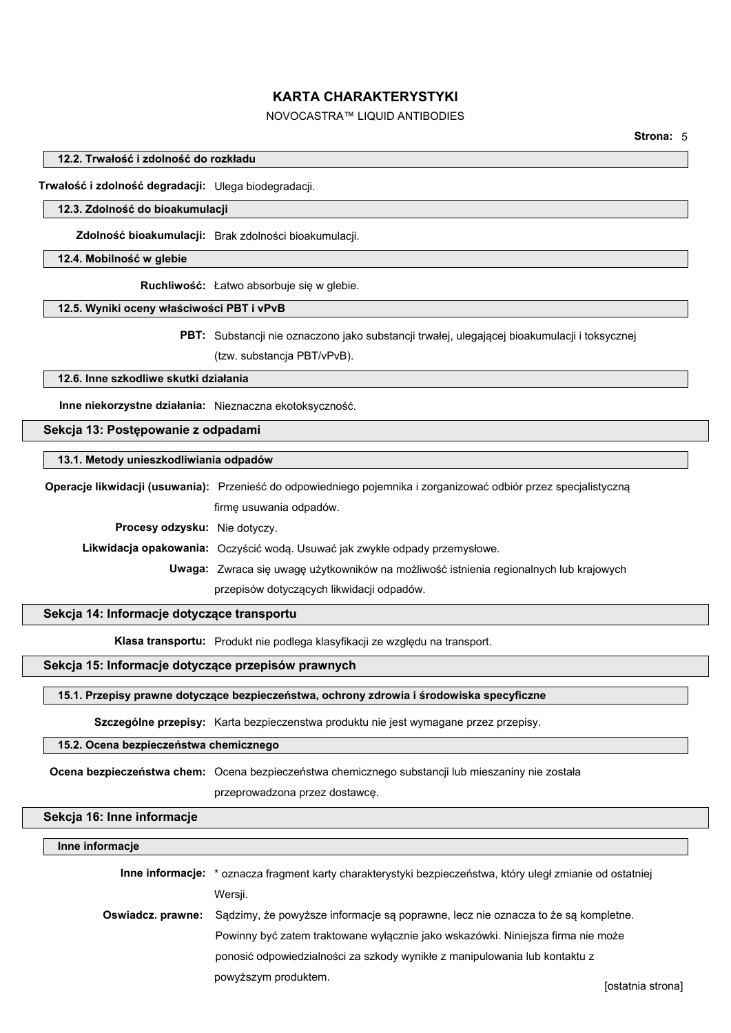# NOVOCASTRA™ LIQUID ANTIBODIES

### **12.2. Trwałość i zdolność do rozkładu**

**Trwałość i zdolność degradacji:** Ulega biodegradacji.

#### **12.3. Zdolność do bioakumulacji**

**Zdolność bioakumulacji:** Brak zdolności bioakumulacji.

## **12.4. Mobilność w glebie**

**Ruchliwość:** Łatwo absorbuje się w glebie.

#### **12.5. Wyniki oceny właściwości PBT i vPvB**

**PBT:** Substancji nie oznaczono jako substancji trwałej, ulegającej bioakumulacji i toksycznej (tzw. substancja PBT/vPvB).

#### **12.6. Inne szkodliwe skutki działania**

**Inne niekorzystne działania:** Nieznaczna ekotoksyczność.

## **Sekcja 13: Postępowanie z odpadami**

#### **13.1. Metody unieszkodliwiania odpadów**

**Operacje likwidacji (usuwania):** Przenieść do odpowiedniego pojemnika i zorganizować odbiór przez specjalistyczną firmę usuwania odpadów.

 **Procesy odzysku:** Nie dotyczy.

 **Likwidacja opakowania:** Oczyścić wodą. Usuwać jak zwykłe odpady przemysłowe.

 **Uwaga:** Zwraca się uwagę użytkowników na możliwość istnienia regionalnych lub krajowych przepisów dotyczących likwidacji odpadów.

## **Sekcja 14: Informacje dotyczące transportu**

**Klasa transportu:** Produkt nie podlega klasyfikacji ze względu na transport.

## **Sekcja 15: Informacje dotyczące przepisów prawnych**

#### **15.1. Przepisy prawne dotyczące bezpieczeństwa, ochrony zdrowia i środowiska specyficzne**

**Szczególne przepisy:** Karta bezpieczenstwa produktu nie jest wymagane przez przepisy.

## **15.2. Ocena bezpieczeństwa chemicznego**

**Ocena bezpieczeństwa chem:** Ocena bezpieczeństwa chemicznego substancji lub mieszaniny nie została

przeprowadzona przez dostawcę.

## **Sekcja 16: Inne informacje**

#### **Inne informacje**

|                   | Inne informacje: * oznacza fragment karty charakterystyki bezpieczeństwa, który uległ zmianie od ostatniej |   |  |
|-------------------|------------------------------------------------------------------------------------------------------------|---|--|
|                   | Wersji.                                                                                                    |   |  |
| Oswiadcz. prawne: | Sądzimy, że powyższe informacje są poprawne, lecz nie oznacza to że są kompletne.                          |   |  |
|                   | Powinny być zatem traktowane wyłacznie jako wskazówki. Niniejsza firma nie może                            |   |  |
|                   | ponosić odpowiedzialności za szkody wynikłe z manipulowania lub kontaktu z                                 |   |  |
|                   | powyższym produktem.                                                                                       | . |  |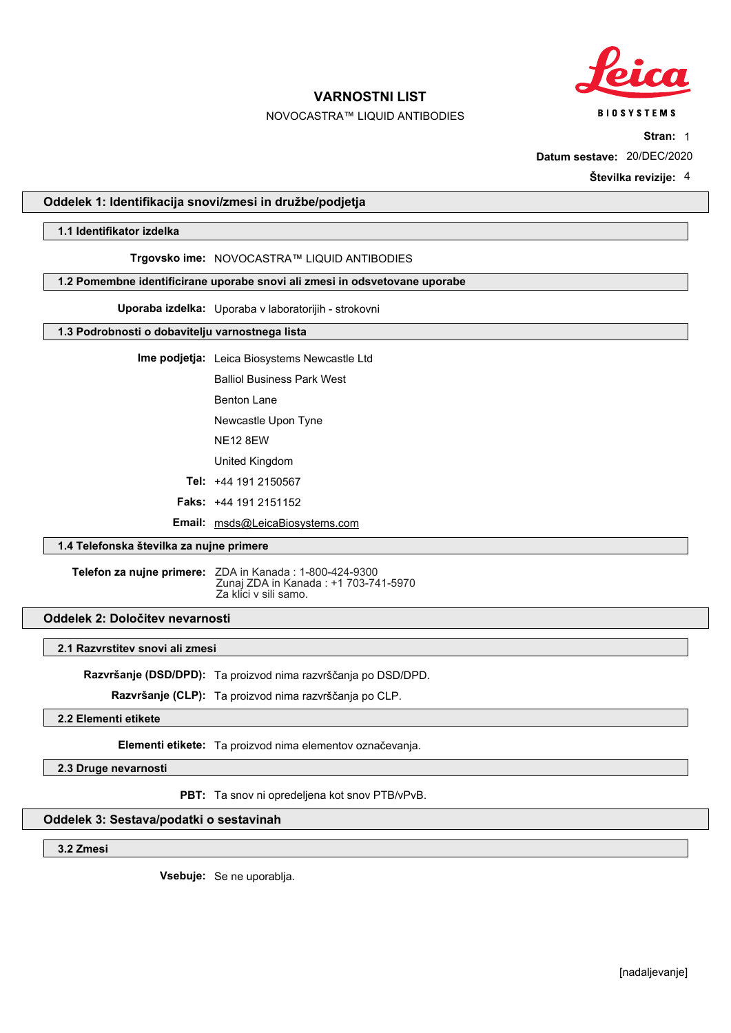

# NOVOCASTRA™ LIQUID ANTIBODIES

**BIOSYSTEMS** 

**Stran:** 1

**Datum sestave:** 20/DEC/2020

**Številka revizije:** 4

## **Oddelek 1: Identifikacija snovi/zmesi in družbe/podjetja**

### **1.1 Identifikator izdelka**

#### **Trgovsko ime:** NOVOCASTRA™ LIQUID ANTIBODIES

### **1.2 Pomembne identificirane uporabe snovi ali zmesi in odsvetovane uporabe**

**Uporaba izdelka:** Uporaba v laboratorijih - strokovni

## **1.3 Podrobnosti o dobavitelju varnostnega lista**

**Ime podjetja:** Leica Biosystems Newcastle Ltd

Balliol Business Park West

Benton Lane

Newcastle Upon Tyne

NE12 8EW

United Kingdom

**Tel:** +44 191 2150567

**Faks:** +44 191 2151152

**Email:** msds@LeicaBiosystems.com

## **1.4 Telefonska številka za nujne primere**

**Telefon za nujne primere:** ZDA in Kanada : 1-800-424-9300 Zunaj ZDA in Kanada : +1 703-741-5970 Za klici v sili samo.

## **Oddelek 2: Določitev nevarnosti**

## **2.1 Razvrstitev snovi ali zmesi**

**Razvršanje (DSD/DPD):** Ta proizvod nima razvrščanja po DSD/DPD.

**Razvršanje (CLP):** Ta proizvod nima razvrščanja po CLP.

# **2.2 Elementi etikete**

**Elementi etikete:** Ta proizvod nima elementov označevanja.

**2.3 Druge nevarnosti**

**PBT:** Ta snov ni opredeljena kot snov PTB/vPvB.

### **Oddelek 3: Sestava/podatki o sestavinah**

**3.2 Zmesi**

**Vsebuje:** Se ne uporablja.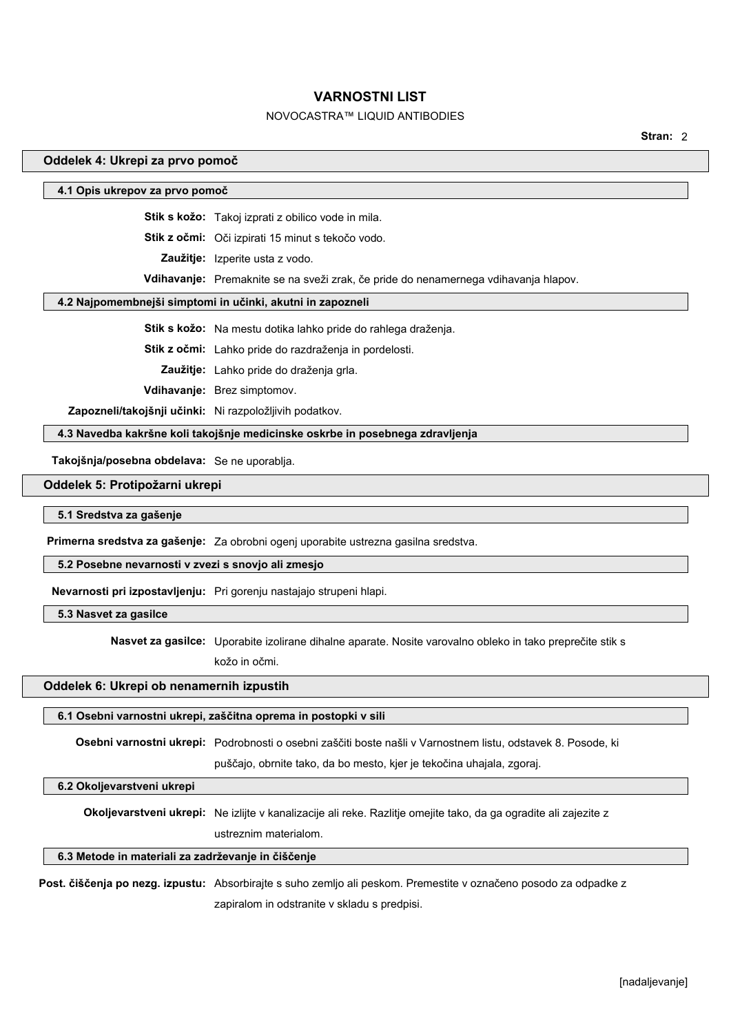# NOVOCASTRA™ LIQUID ANTIBODIES

**Stran:** 2

#### **Oddelek 4: Ukrepi za prvo pomoč**

#### **4.1 Opis ukrepov za prvo pomoč**

**Stik s kožo:** Takoj izprati z obilico vode in mila.

**Stik z očmi:** Oči izpirati 15 minut s tekočo vodo.

**Zaužitje:** Izperite usta z vodo.

**Vdihavanje:** Premaknite se na sveži zrak, če pride do nenamernega vdihavanja hlapov.

## **4.2 Najpomembnejši simptomi in učinki, akutni in zapozneli**

**Stik s kožo:** Na mestu dotika lahko pride do rahlega draženja.

**Stik z očmi:** Lahko pride do razdraženja in pordelosti.

**Zaužitje:** Lahko pride do draženja grla.

**Vdihavanje:** Brez simptomov.

**Zapozneli/takojšnji učinki:** Ni razpoložljivih podatkov.

**4.3 Navedba kakršne koli takojšnje medicinske oskrbe in posebnega zdravljenja**

**Takojšnja/posebna obdelava:** Se ne uporablja.

#### **Oddelek 5: Protipožarni ukrepi**

**5.1 Sredstva za gašenje**

**Primerna sredstva za gašenje:** Za obrobni ogenj uporabite ustrezna gasilna sredstva.

#### **5.2 Posebne nevarnosti v zvezi s snovjo ali zmesjo**

**Nevarnosti pri izpostavljenju:** Pri gorenju nastajajo strupeni hlapi.

## **5.3 Nasvet za gasilce**

**Nasvet za gasilce:** Uporabite izolirane dihalne aparate. Nosite varovalno obleko in tako preprečite stik s

kožo in očmi.

#### **Oddelek 6: Ukrepi ob nenamernih izpustih**

#### **6.1 Osebni varnostni ukrepi, zaščitna oprema in postopki v sili**

**Osebni varnostni ukrepi:** Podrobnosti o osebni zaščiti boste našli v Varnostnem listu, odstavek 8. Posode, ki

puščajo, obrnite tako, da bo mesto, kjer je tekočina uhajala, zgoraj.

## **6.2 Okoljevarstveni ukrepi**

**Okoljevarstveni ukrepi:** Ne izlijte v kanalizacije ali reke. Razlitje omejite tako, da ga ogradite ali zajezite z ustreznim materialom.

#### **6.3 Metode in materiali za zadrževanje in čiščenje**

**Post. čiščenja po nezg. izpustu:** Absorbirajte s suho zemljo ali peskom. Premestite v označeno posodo za odpadke z zapiralom in odstranite v skladu s predpisi.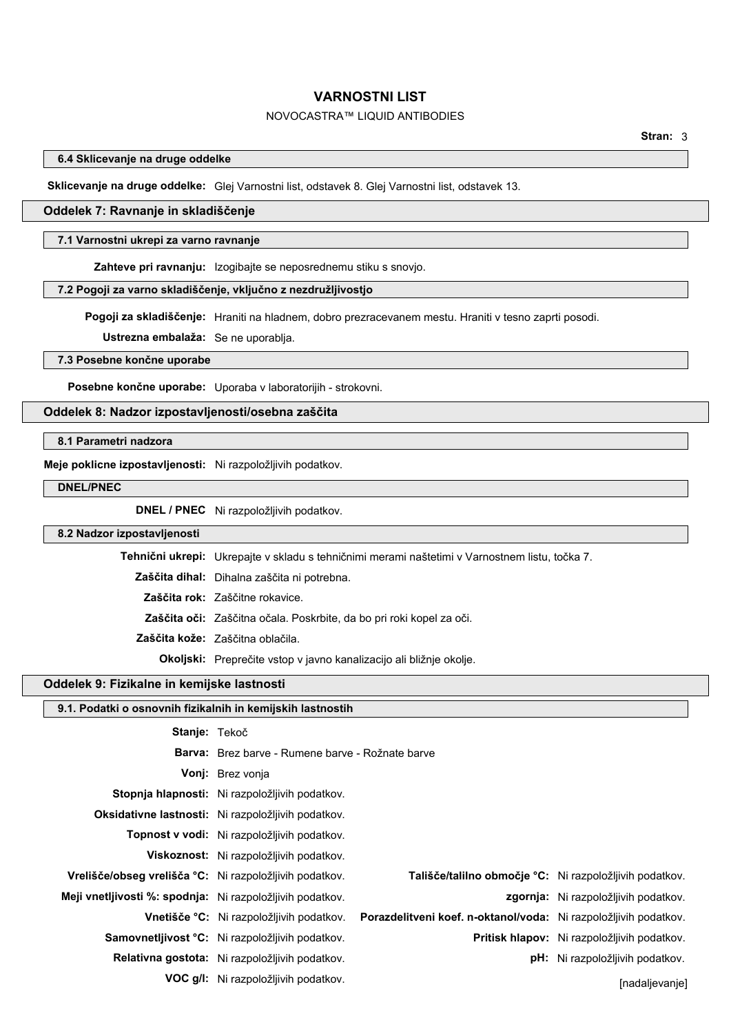## NOVOCASTRA™ LIQUID ANTIBODIES

## **6.4 Sklicevanje na druge oddelke**

**Sklicevanje na druge oddelke:** Glej Varnostni list, odstavek 8. Glej Varnostni list, odstavek 13.

## **Oddelek 7: Ravnanje in skladiščenje**

#### **7.1 Varnostni ukrepi za varno ravnanje**

**Zahteve pri ravnanju:** Izogibajte se neposrednemu stiku s snovjo.

## **7.2 Pogoji za varno skladiščenje, vključno z nezdružljivostjo**

**Pogoji za skladiščenje:** Hraniti na hladnem, dobro prezracevanem mestu. Hraniti v tesno zaprti posodi.

**Ustrezna embalaža:** Se ne uporablja.

#### **7.3 Posebne končne uporabe**

**Posebne končne uporabe:** Uporaba v laboratorijih - strokovni.

## **Oddelek 8: Nadzor izpostavljenosti/osebna zaščita**

## **8.1 Parametri nadzora**

**Meje poklicne izpostavljenosti:** Ni razpoložljivih podatkov.

**DNEL/PNEC**

 $\mathbf{I}$ 

**DNEL / PNEC** Ni razpoložljivih podatkov.

#### **8.2 Nadzor izpostavljenosti**

| T <b>ehnični ukrepi:</b> Ukrepajte v skladu s tehničnimi merami naštetimi v Varnostnem listu, točka 7. |
|--------------------------------------------------------------------------------------------------------|
| <b>Zaščita dihal:</b> Dihalna zaščita ni potrebna.                                                     |
| Zaščita rok: Zaščitne rokavice.                                                                        |
| <b>Zaščita oči:</b> Zaščitna očala. Poskrbite, da bo pri roki kopel za oči.                            |
| Zaščita kože: Zaščitna oblačila.                                                                       |
| <b>Okoljski:</b> Preprečite vstop v javno kanalizacijo ali bližnje okolje.                             |

## **Oddelek 9: Fizikalne in kemijske lastnosti**

| 9.1. Podatki o osnovnih fizikalnih in kemijskih lastnostih |                                                         |                                                                  |                                             |  |
|------------------------------------------------------------|---------------------------------------------------------|------------------------------------------------------------------|---------------------------------------------|--|
| Stanje: Tekoč                                              |                                                         |                                                                  |                                             |  |
|                                                            | <b>Barva:</b> Brez barve - Rumene barve - Rožnate barve |                                                                  |                                             |  |
|                                                            | Vonj: Brez vonja                                        |                                                                  |                                             |  |
|                                                            | Stopnja hlapnosti: Ni razpoložljivih podatkov.          |                                                                  |                                             |  |
|                                                            | Oksidativne lastnosti: Ni razpoložljivih podatkov.      |                                                                  |                                             |  |
|                                                            | Topnost v vodi: Ni razpoložljivih podatkov.             |                                                                  |                                             |  |
|                                                            | <b>Viskoznost:</b> Ni razpoložljivih podatkov.          |                                                                  |                                             |  |
| Vrelišče/obseg vrelišča °C: Ni razpoložljivih podatkov.    |                                                         | Tališče/talilno območje °C: Ni razpoložljivih podatkov.          |                                             |  |
| Meji vnetljivosti %: spodnja: Ni razpoložljivih podatkov.  |                                                         |                                                                  | <b>zgornja:</b> Ni razpoložljivih podatkov. |  |
|                                                            | <b>Vnetišče °C:</b> Ni razpoložljivih podatkov.         | Porazdelitveni koef. n-oktanol/voda: Ni razpoložljivih podatkov. |                                             |  |
|                                                            | Samovnetljivost °C: Ni razpoložljivih podatkov.         |                                                                  | Pritisk hlapov: Ni razpoložljivih podatkov. |  |
|                                                            | Relativna gostota: Ni razpoložljivih podatkov.          |                                                                  | <b>pH:</b> Ni razpoložljivih podatkov.      |  |
|                                                            | <b>VOC g/l:</b> Ni razpoložljivih podatkov.             |                                                                  | [nadaljevanje]                              |  |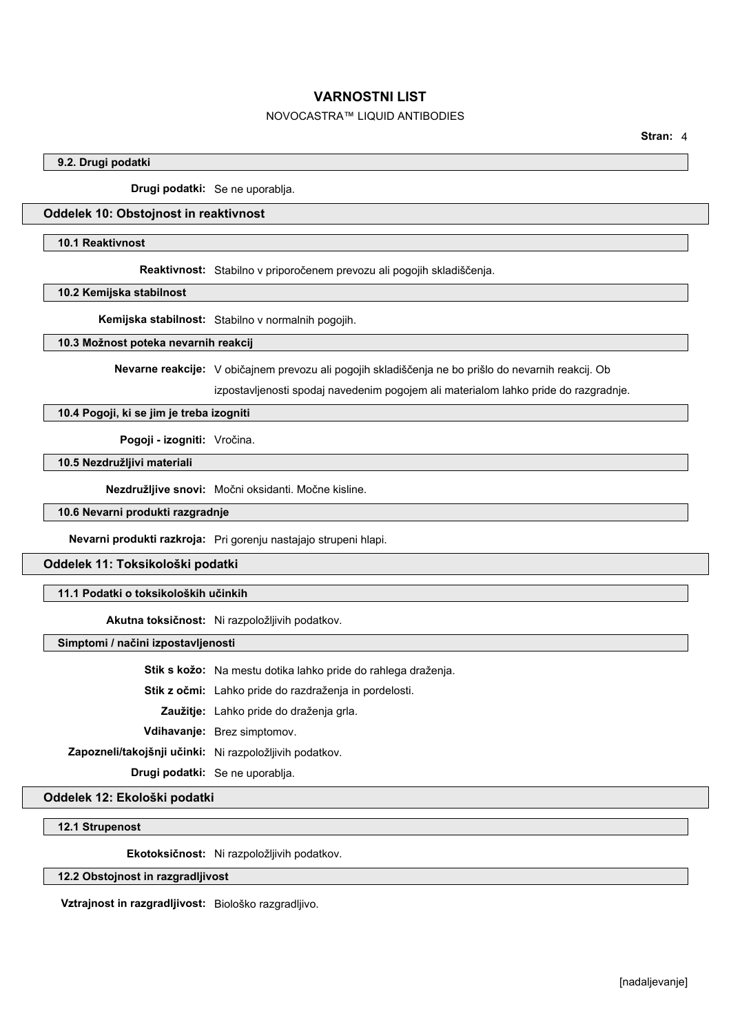# NOVOCASTRA™ LIQUID ANTIBODIES

**Stran:** 4

## **9.2. Drugi podatki**

**Drugi podatki:** Se ne uporablja.

## **Oddelek 10: Obstojnost in reaktivnost**

#### **10.1 Reaktivnost**

**Reaktivnost:** Stabilno v priporočenem prevozu ali pogojih skladiščenja.

**10.2 Kemijska stabilnost**

**Kemijska stabilnost:** Stabilno v normalnih pogojih.

### **10.3 Možnost poteka nevarnih reakcij**

**Nevarne reakcije:** V običajnem prevozu ali pogojih skladiščenja ne bo prišlo do nevarnih reakcij. Ob

izpostavljenosti spodaj navedenim pogojem ali materialom lahko pride do razgradnje.

# **10.4 Pogoji, ki se jim je treba izogniti**

**Pogoji - izogniti:** Vročina.

# **10.5 Nezdružljivi materiali**

**Nezdružljive snovi:** Močni oksidanti. Močne kisline.

**10.6 Nevarni produkti razgradnje**

**Nevarni produkti razkroja:** Pri gorenju nastajajo strupeni hlapi.

## **Oddelek 11: Toksikološki podatki**

**11.1 Podatki o toksikoloških učinkih**

**Akutna toksičnost:** Ni razpoložljivih podatkov.

**Simptomi / načini izpostavljenosti**

**Stik s kožo:** Na mestu dotika lahko pride do rahlega draženja.

**Stik z očmi:** Lahko pride do razdraženja in pordelosti.

**Zaužitje:** Lahko pride do draženja grla.

**Vdihavanje:** Brez simptomov.

**Zapozneli/takojšnji učinki:** Ni razpoložljivih podatkov.

**Drugi podatki:** Se ne uporablja.

**Oddelek 12: Ekološki podatki**

# **12.1 Strupenost**

**Ekotoksičnost:** Ni razpoložljivih podatkov.

#### **12.2 Obstojnost in razgradljivost**

**Vztrajnost in razgradljivost:** Biološko razgradljivo.